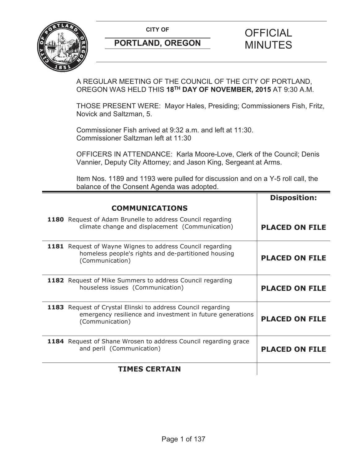**CITY OF CITY OF SAMPLE OF FICIAL** 



# A REGULAR MEETING OF THE COUNCIL OF THE CITY OF PORTLAND, OREGON WAS HELD THIS **18TH DAY OF NOVEMBER, 2015** AT 9:30 A.M.

THOSE PRESENT WERE: Mayor Hales, Presiding; Commissioners Fish, Fritz, Novick and Saltzman, 5.

Commissioner Fish arrived at 9:32 a.m. and left at 11:30. Commissioner Saltzman left at 11:30

OFFICERS IN ATTENDANCE: Karla Moore-Love, Clerk of the Council; Denis Vannier, Deputy City Attorney; and Jason King, Sergeant at Arms.

Item Nos. 1189 and 1193 were pulled for discussion and on a Y-5 roll call, the balance of the Consent Agenda was adopted.

|                                                                                                                                              | <b>Disposition:</b>   |
|----------------------------------------------------------------------------------------------------------------------------------------------|-----------------------|
| <b>COMMUNICATIONS</b>                                                                                                                        |                       |
| 1180 Request of Adam Brunelle to address Council regarding<br>climate change and displacement (Communication)                                | <b>PLACED ON FILE</b> |
| <b>1181</b> Request of Wayne Wignes to address Council regarding<br>homeless people's rights and de-partitioned housing<br>(Communication)   | <b>PLACED ON FILE</b> |
| 1182 Request of Mike Summers to address Council regarding<br>houseless issues (Communication)                                                | <b>PLACED ON FILE</b> |
| 1183 Request of Crystal Elinski to address Council regarding<br>emergency resilience and investment in future generations<br>(Communication) | <b>PLACED ON FILE</b> |
| 1184 Request of Shane Wrosen to address Council regarding grace<br>and peril (Communication)                                                 | <b>PLACED ON FILE</b> |
| <b>TIMES CERTAIN</b>                                                                                                                         |                       |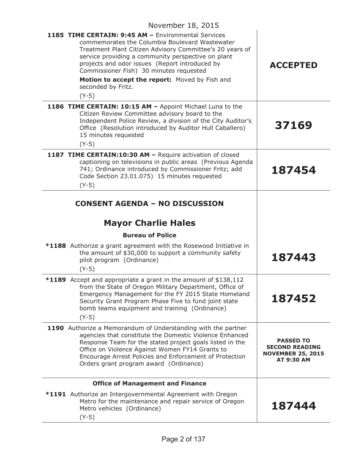| November 18, 2015                                                                                                                                                                                                                                                                                                                                                                                       |                                                                                     |
|---------------------------------------------------------------------------------------------------------------------------------------------------------------------------------------------------------------------------------------------------------------------------------------------------------------------------------------------------------------------------------------------------------|-------------------------------------------------------------------------------------|
| 1185 TIME CERTAIN: 9:45 AM - Environmental Services<br>commemorates the Columbia Boulevard Wastewater<br>Treatment Plant Citizen Advisory Committee's 20 years of<br>service providing a community perspective on plant<br>projects and odor issues (Report introduced by<br>Commissioner Fish) 30 minutes requested<br>Motion to accept the report: Moved by Fish and<br>seconded by Fritz.<br>$(Y-5)$ | <b>ACCEPTED</b>                                                                     |
| 1186 TIME CERTAIN: 10:15 AM - Appoint Michael Luna to the<br>Citizen Review Committee advisory board to the<br>Independent Police Review, a division of the City Auditor's<br>Office (Resolution introduced by Auditor Hull Caballero)<br>15 minutes requested<br>$(Y-5)$                                                                                                                               | 37169                                                                               |
| 1187 TIME CERTAIN:10:30 AM - Require activation of closed<br>captioning on televisions in public areas (Previous Agenda<br>741; Ordinance introduced by Commissioner Fritz; add<br>Code Section 23.01.075) 15 minutes requested<br>$(Y-5)$                                                                                                                                                              | 187454                                                                              |
| <b>CONSENT AGENDA - NO DISCUSSION</b><br><b>Mayor Charlie Hales</b><br><b>Bureau of Police</b>                                                                                                                                                                                                                                                                                                          |                                                                                     |
| *1188 Authorize a grant agreement with the Rosewood Initiative in<br>the amount of \$30,000 to support a community safety<br>pilot program (Ordinance)<br>$(Y-5)$                                                                                                                                                                                                                                       | 187443                                                                              |
| *1189 Accept and appropriate a grant in the amount of \$138,112<br>from the State of Oregon Military Department, Office of<br>Emergency Management for the FY 2015 State Homeland<br>Security Grant Program Phase Five to fund joint state<br>bomb teams equipment and training (Ordinance)<br>$(Y-5)$                                                                                                  | 187452                                                                              |
| 1190 Authorize a Memorandum of Understanding with the partner<br>agencies that constitute the Domestic Violence Enhanced<br>Response Team for the stated project goals listed in the<br>Office on Violence Against Women FY14 Grants to<br>Encourage Arrest Policies and Enforcement of Protection<br>Orders grant program award (Ordinance)                                                            | <b>PASSED TO</b><br><b>SECOND READING</b><br><b>NOVEMBER 25, 2015</b><br>AT 9:30 AM |
| <b>Office of Management and Finance</b>                                                                                                                                                                                                                                                                                                                                                                 |                                                                                     |
| *1191 Authorize an Intergovernmental Agreement with Oregon<br>Metro for the maintenance and repair service of Oregon<br>Metro vehicles (Ordinance)<br>$(Y-5)$                                                                                                                                                                                                                                           | 187444                                                                              |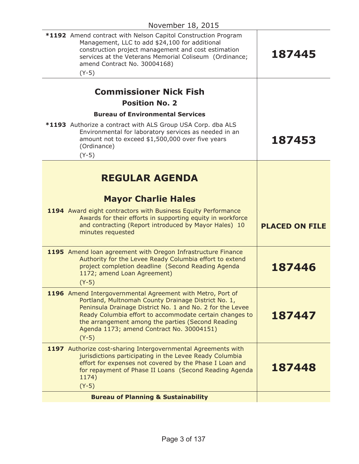| *1192 Amend contract with Nelson Capitol Construction Program<br>Management, LLC to add \$24,100 for additional<br>construction project management and cost estimation<br>services at the Veterans Memorial Coliseum (Ordinance;<br>amend Contract No. 30004168)<br>$(Y-5)$                                                                            | 187445                |
|--------------------------------------------------------------------------------------------------------------------------------------------------------------------------------------------------------------------------------------------------------------------------------------------------------------------------------------------------------|-----------------------|
| <b>Commissioner Nick Fish</b><br><b>Position No. 2</b>                                                                                                                                                                                                                                                                                                 |                       |
| <b>Bureau of Environmental Services</b>                                                                                                                                                                                                                                                                                                                |                       |
| *1193 Authorize a contract with ALS Group USA Corp. dba ALS<br>Environmental for laboratory services as needed in an<br>amount not to exceed \$1,500,000 over five years<br>(Ordinance)<br>$(Y-5)$                                                                                                                                                     | 187453                |
| <b>REGULAR AGENDA</b>                                                                                                                                                                                                                                                                                                                                  |                       |
| <b>Mayor Charlie Hales</b>                                                                                                                                                                                                                                                                                                                             |                       |
| 1194 Award eight contractors with Business Equity Performance<br>Awards for their efforts in supporting equity in workforce<br>and contracting (Report introduced by Mayor Hales) 10<br>minutes requested                                                                                                                                              | <b>PLACED ON FILE</b> |
| 1195 Amend Ioan agreement with Oregon Infrastructure Finance<br>Authority for the Levee Ready Columbia effort to extend<br>project completion deadline (Second Reading Agenda<br>1172; amend Loan Agreement)<br>$(Y-5)$                                                                                                                                | 187446                |
| 1196 Amend Intergovernmental Agreement with Metro, Port of<br>Portland, Multnomah County Drainage District No. 1,<br>Peninsula Drainage District No. 1 and No. 2 for the Levee<br>Ready Columbia effort to accommodate certain changes to<br>the arrangement among the parties (Second Reading<br>Agenda 1173; amend Contract No. 30004151)<br>$(Y-5)$ | 187447                |
| 1197 Authorize cost-sharing Intergovernmental Agreements with<br>jurisdictions participating in the Levee Ready Columbia<br>effort for expenses not covered by the Phase I Loan and<br>for repayment of Phase II Loans (Second Reading Agenda<br>1174)<br>$(Y-5)$                                                                                      | 187448                |
| <b>Bureau of Planning &amp; Sustainability</b>                                                                                                                                                                                                                                                                                                         |                       |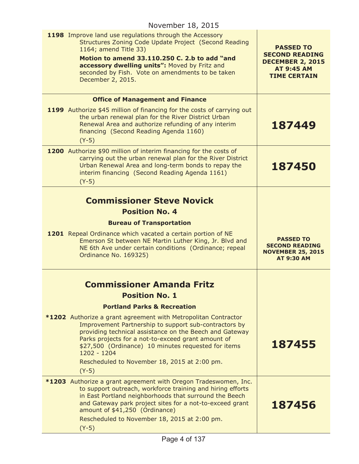| November 18, 2015                                                                                                                                                                                                                                                                                                                                                         |                                                                                                                  |
|---------------------------------------------------------------------------------------------------------------------------------------------------------------------------------------------------------------------------------------------------------------------------------------------------------------------------------------------------------------------------|------------------------------------------------------------------------------------------------------------------|
| 1198 Improve land use regulations through the Accessory<br>Structures Zoning Code Update Project (Second Reading<br>1164; amend Title 33)<br>Motion to amend 33.110.250 C. 2.b to add "and<br>accessory dwelling units": Moved by Fritz and<br>seconded by Fish. Vote on amendments to be taken<br>December 2, 2015.                                                      | <b>PASSED TO</b><br><b>SECOND READING</b><br><b>DECEMBER 2, 2015</b><br><b>AT 9:45 AM</b><br><b>TIME CERTAIN</b> |
| <b>Office of Management and Finance</b>                                                                                                                                                                                                                                                                                                                                   |                                                                                                                  |
| 1199 Authorize \$45 million of financing for the costs of carrying out<br>the urban renewal plan for the River District Urban<br>Renewal Area and authorize refunding of any interim<br>financing (Second Reading Agenda 1160)<br>$(Y-5)$                                                                                                                                 | 187449                                                                                                           |
| 1200 Authorize \$90 million of interim financing for the costs of<br>carrying out the urban renewal plan for the River District<br>Urban Renewal Area and long-term bonds to repay the<br>interim financing (Second Reading Agenda 1161)<br>$(Y-5)$                                                                                                                       | 187450                                                                                                           |
|                                                                                                                                                                                                                                                                                                                                                                           |                                                                                                                  |
| <b>Commissioner Steve Novick</b>                                                                                                                                                                                                                                                                                                                                          |                                                                                                                  |
| <b>Position No. 4</b>                                                                                                                                                                                                                                                                                                                                                     |                                                                                                                  |
| <b>Bureau of Transportation</b><br>1201 Repeal Ordinance which vacated a certain portion of NE<br>Emerson St between NE Martin Luther King, Jr. Blvd and<br>NE 6th Ave under certain conditions (Ordinance; repeal<br>Ordinance No. 169325)                                                                                                                               | <b>PASSED TO</b><br><b>SECOND READING</b><br><b>NOVEMBER 25, 2015</b><br><b>AT 9:30 AM</b>                       |
| <b>Commissioner Amanda Fritz</b>                                                                                                                                                                                                                                                                                                                                          |                                                                                                                  |
| <b>Position No. 1</b>                                                                                                                                                                                                                                                                                                                                                     |                                                                                                                  |
| <b>Portland Parks &amp; Recreation</b>                                                                                                                                                                                                                                                                                                                                    |                                                                                                                  |
| *1202 Authorize a grant agreement with Metropolitan Contractor<br>Improvement Partnership to support sub-contractors by<br>providing technical assistance on the Beech and Gateway<br>Parks projects for a not-to-exceed grant amount of<br>\$27,500 (Ordinance) 10 minutes requested for items<br>1202 - 1204<br>Rescheduled to November 18, 2015 at 2:00 pm.<br>$(Y-5)$ | 187455                                                                                                           |
| <b>*1203</b> Authorize a grant agreement with Oregon Tradeswomen, Inc.                                                                                                                                                                                                                                                                                                    |                                                                                                                  |
| to support outreach, workforce training and hiring efforts<br>in East Portland neighborhoods that surround the Beech<br>and Gateway park project sites for a not-to-exceed grant<br>amount of \$41,250 (Ordinance)                                                                                                                                                        | 187456                                                                                                           |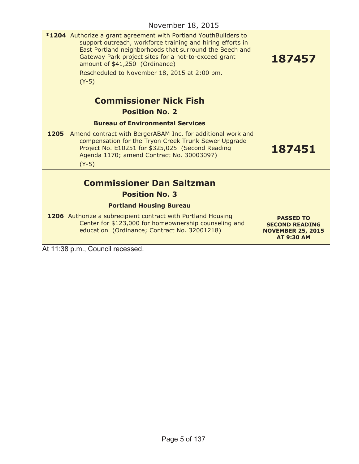| *1204 Authorize a grant agreement with Portland YouthBuilders to<br>support outreach, workforce training and hiring efforts in<br>East Portland neighborhoods that surround the Beech and<br>Gateway Park project sites for a not-to-exceed grant<br>amount of \$41,250 (Ordinance)<br>Rescheduled to November 18, 2015 at 2:00 pm.<br>$(Y-5)$ | 187457                                                                                     |
|------------------------------------------------------------------------------------------------------------------------------------------------------------------------------------------------------------------------------------------------------------------------------------------------------------------------------------------------|--------------------------------------------------------------------------------------------|
| <b>Commissioner Nick Fish</b>                                                                                                                                                                                                                                                                                                                  |                                                                                            |
| <b>Position No. 2</b>                                                                                                                                                                                                                                                                                                                          |                                                                                            |
| <b>Bureau of Environmental Services</b>                                                                                                                                                                                                                                                                                                        |                                                                                            |
| 1205 Amend contract with BergerABAM Inc. for additional work and<br>compensation for the Tryon Creek Trunk Sewer Upgrade<br>Project No. E10251 for \$325,025 (Second Reading<br>Agenda 1170; amend Contract No. 30003097)<br>$(Y-5)$                                                                                                           | 187451                                                                                     |
| <b>Commissioner Dan Saltzman</b>                                                                                                                                                                                                                                                                                                               |                                                                                            |
| <b>Position No. 3</b>                                                                                                                                                                                                                                                                                                                          |                                                                                            |
| <b>Portland Housing Bureau</b>                                                                                                                                                                                                                                                                                                                 |                                                                                            |
| 1206 Authorize a subrecipient contract with Portland Housing<br>Center for \$123,000 for homeownership counseling and<br>education (Ordinance; Contract No. 32001218)                                                                                                                                                                          | <b>PASSED TO</b><br><b>SECOND READING</b><br><b>NOVEMBER 25, 2015</b><br><b>AT 9:30 AM</b> |
| $A \cup A \cup A \cap A$<br>ا -                                                                                                                                                                                                                                                                                                                |                                                                                            |

At 11:38 p.m., Council recessed.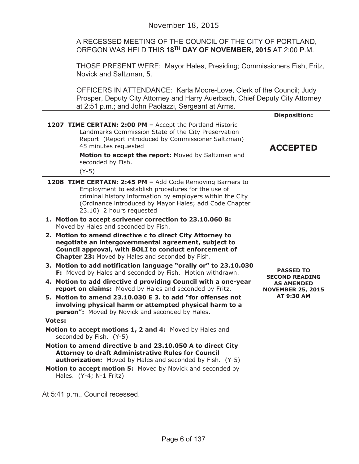A RECESSED MEETING OF THE COUNCIL OF THE CITY OF PORTLAND, OREGON WAS HELD THIS **18TH DAY OF NOVEMBER, 2015** AT 2:00 P.M.

THOSE PRESENT WERE: Mayor Hales, Presiding; Commissioners Fish, Fritz, Novick and Saltzman, 5.

OFFICERS IN ATTENDANCE: Karla Moore-Love, Clerk of the Council; Judy Prosper, Deputy City Attorney and Harry Auerbach, Chief Deputy City Attorney at 2:51 p.m.; and John Paolazzi, Sergeant at Arms.

|                                                                                                                                                                                                                                                                                                                                                                                                                                                                                                                                                                                                                                                                                                                                                                                                                                                                                                                                                                                                                                                                                                                                                                                                                                                                                                                                                                                                                                                  | <b>Disposition:</b>                                                                                             |
|--------------------------------------------------------------------------------------------------------------------------------------------------------------------------------------------------------------------------------------------------------------------------------------------------------------------------------------------------------------------------------------------------------------------------------------------------------------------------------------------------------------------------------------------------------------------------------------------------------------------------------------------------------------------------------------------------------------------------------------------------------------------------------------------------------------------------------------------------------------------------------------------------------------------------------------------------------------------------------------------------------------------------------------------------------------------------------------------------------------------------------------------------------------------------------------------------------------------------------------------------------------------------------------------------------------------------------------------------------------------------------------------------------------------------------------------------|-----------------------------------------------------------------------------------------------------------------|
| 1207 TIME CERTAIN: 2:00 PM - Accept the Portland Historic<br>Landmarks Commission State of the City Preservation<br>Report (Report introduced by Commissioner Saltzman)<br>45 minutes requested<br>Motion to accept the report: Moved by Saltzman and<br>seconded by Fish.<br>$(Y-5)$                                                                                                                                                                                                                                                                                                                                                                                                                                                                                                                                                                                                                                                                                                                                                                                                                                                                                                                                                                                                                                                                                                                                                            | <b>ACCEPTED</b>                                                                                                 |
| 1208 TIME CERTAIN: 2:45 PM - Add Code Removing Barriers to<br>Employment to establish procedures for the use of<br>criminal history information by employers within the City<br>(Ordinance introduced by Mayor Hales; add Code Chapter<br>23.10) 2 hours requested<br>1. Motion to accept scrivener correction to 23.10.060 B:<br>Moved by Hales and seconded by Fish.<br>2. Motion to amend directive c to direct City Attorney to<br>negotiate an intergovernmental agreement, subject to<br>Council approval, with BOLI to conduct enforcement of<br>Chapter 23: Moved by Hales and seconded by Fish.<br>3. Motion to add notification language "orally or" to 23.10.030<br>F: Moved by Hales and seconded by Fish. Motion withdrawn.<br>4. Motion to add directive d providing Council with a one-year<br>report on claims: Moved by Hales and seconded by Fritz.<br>5. Motion to amend 23.10.030 E 3. to add "for offenses not<br>involving physical harm or attempted physical harm to a<br>person": Moved by Novick and seconded by Hales.<br><b>Votes:</b><br>Motion to accept motions 1, 2 and 4: Moved by Hales and<br>seconded by Fish. (Y-5)<br>Motion to amend directive b and 23.10.050 A to direct City<br><b>Attorney to draft Administrative Rules for Council</b><br><b>authorization:</b> Moved by Hales and seconded by Fish. (Y-5)<br>Motion to accept motion 5: Moved by Novick and seconded by<br>Hales. (Y-4; N-1 Fritz) | <b>PASSED TO</b><br><b>SECOND READING</b><br><b>AS AMENDED</b><br><b>NOVEMBER 25, 2015</b><br><b>AT 9:30 AM</b> |

At 5:41 p.m., Council recessed.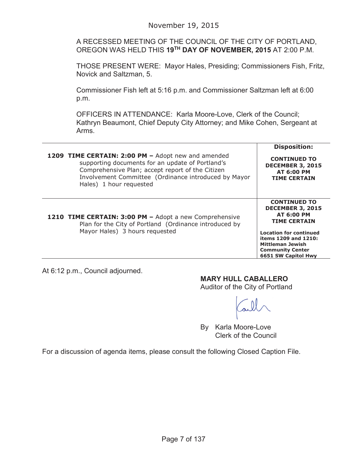## November 19, 2015

A RECESSED MEETING OF THE COUNCIL OF THE CITY OF PORTLAND, OREGON WAS HELD THIS **19TH DAY OF NOVEMBER, 2015** AT 2:00 P.M.

THOSE PRESENT WERE: Mayor Hales, Presiding; Commissioners Fish, Fritz, Novick and Saltzman, 5.

Commissioner Fish left at 5:16 p.m. and Commissioner Saltzman left at 6:00 p.m.

OFFICERS IN ATTENDANCE: Karla Moore-Love, Clerk of the Council; Kathryn Beaumont, Chief Deputy City Attorney; and Mike Cohen, Sergeant at Arms.

| 1209 TIME CERTAIN: 2:00 PM - Adopt new and amended                                                                                                 | <b>Disposition:</b>                                                                                                                                                                                                       |
|----------------------------------------------------------------------------------------------------------------------------------------------------|---------------------------------------------------------------------------------------------------------------------------------------------------------------------------------------------------------------------------|
| supporting documents for an update of Portland's                                                                                                   | <b>CONTINUED TO</b>                                                                                                                                                                                                       |
| Comprehensive Plan; accept report of the Citizen                                                                                                   | <b>DECEMBER 3, 2015</b>                                                                                                                                                                                                   |
| Involvement Committee (Ordinance introduced by Mayor                                                                                               | <b>AT 6:00 PM</b>                                                                                                                                                                                                         |
| Hales) 1 hour requested                                                                                                                            | <b>TIME CERTAIN</b>                                                                                                                                                                                                       |
| 1210 TIME CERTAIN: 3:00 PM - Adopt a new Comprehensive<br>Plan for the City of Portland (Ordinance introduced by<br>Mayor Hales) 3 hours requested | <b>CONTINUED TO</b><br><b>DECEMBER 3, 2015</b><br><b>AT 6:00 PM</b><br><b>TIME CERTAIN</b><br><b>Location for continued</b><br>items 1209 and 1210:<br>Mittleman Jewish<br><b>Community Center</b><br>6651 SW Capitol Hwy |

At 6:12 p.m., Council adjourned.

## **MARY HULL CABALLERO**

Auditor of the City of Portland

By Karla Moore-Love Clerk of the Council

For a discussion of agenda items, please consult the following Closed Caption File.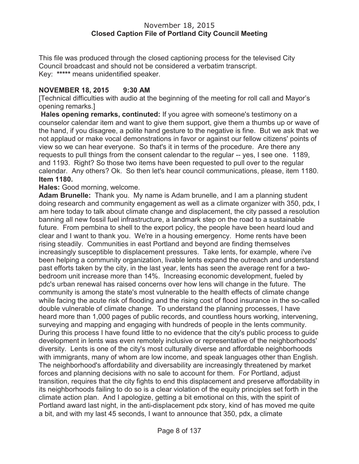This file was produced through the closed captioning process for the televised City Council broadcast and should not be considered a verbatim transcript. Key: **\*\*\*\*\*** means unidentified speaker.

# **NOVEMBER 18, 2015 9:30 AM**

[Technical difficulties with audio at the beginning of the meeting for roll call and Mayor's opening remarks.]

**Hales opening remarks, continuted:** If you agree with someone's testimony on a counselor calendar item and want to give them support, give them a thumbs up or wave of the hand, if you disagree, a polite hand gesture to the negative is fine. But we ask that we not applaud or make vocal demonstrations in favor or against our fellow citizens' points of view so we can hear everyone. So that's it in terms of the procedure. Are there any requests to pull things from the consent calendar to the regular -- yes, I see one. 1189, and 1193. Right? So those two items have been requested to pull over to the regular calendar. Any others? Ok. So then let's hear council communications, please, item 1180. **Item 1180.**

**Hales:** Good morning, welcome.

**Adam Brunelle:** Thank you. My name is Adam brunelle, and I am a planning student doing research and community engagement as well as a climate organizer with 350, pdx, I am here today to talk about climate change and displacement, the city passed a resolution banning all new fossil fuel infrastructure, a landmark step on the road to a sustainable future. From pembina to shell to the export policy, the people have been heard loud and clear and I want to thank you. We're in a housing emergency. Home rents have been rising steadily. Communities in east Portland and beyond are finding themselves increasingly susceptible to displacement pressures. Take lents, for example, where i've been helping a community organization, livable lents expand the outreach and understand past efforts taken by the city, in the last year, lents has seen the average rent for a twobedroom unit increase more than 14%. Increasing economic development, fueled by pdc's urban renewal has raised concerns over how lens will change in the future. The community is among the state's most vulnerable to the health effects of climate change while facing the acute risk of flooding and the rising cost of flood insurance in the so-called double vulnerable of climate change. To understand the planning processes, I have heard more than 1,000 pages of public records, and countless hours working, intervening, surveying and mapping and engaging with hundreds of people in the lents community. During this process I have found little to no evidence that the city's public process to guide development in lents was even remotely inclusive or representative of the neighborhoods' diversity. Lents is one of the city's most culturally diverse and affordable neighborhoods with immigrants, many of whom are low income, and speak languages other than English. The neighborhood's affordability and diversability are increasingly threatened by market forces and planning decisions with no sale to account for them. For Portland, adjust transition, requires that the city fights to end this displacement and preserve affordability in its neighborhoods failing to do so is a clear violation of the equity principles set forth in the climate action plan. And I apologize, getting a bit emotional on this, with the spirit of Portland award last night, in the anti-displacement pdx story, kind of has moved me quite a bit, and with my last 45 seconds, I want to announce that 350, pdx, a climate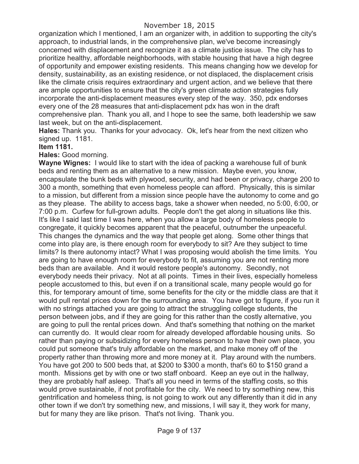organization which I mentioned, I am an organizer with, in addition to supporting the city's approach, to industrial lands, in the comprehensive plan, we've become increasingly concerned with displacement and recognize it as a climate justice issue. The city has to prioritize healthy, affordable neighborhoods, with stable housing that have a high degree of opportunity and empower existing residents. This means changing how we develop for density, sustainability, as an existing residence, or not displaced, the displacement crisis like the climate crisis requires extraordinary and urgent action, and we believe that there are ample opportunities to ensure that the city's green climate action strategies fully incorporate the anti-displacement measures every step of the way. 350, pdx endorses every one of the 28 measures that anti-displacement pdx has won in the draft comprehensive plan. Thank you all, and I hope to see the same, both leadership we saw last week, but on the anti-displacement.

**Hales:** Thank you. Thanks for your advocacy. Ok, let's hear from the next citizen who signed up. 1181.

#### **Item 1181.**

**Hales:** Good morning.

**Wayne Wignes:** I would like to start with the idea of packing a warehouse full of bunk beds and renting them as an alternative to a new mission. Maybe even, you know, encapsulate the bunk beds with plywood, security, and had been or privacy, charge 200 to 300 a month, something that even homeless people can afford. Physically, this is similar to a mission, but different from a mission since people have the autonomy to come and go as they please. The ability to access bags, take a shower when needed, no 5:00, 6:00, or 7:00 p.m. Curfew for full-grown adults. People don't the get along in situations like this. It's like I said last time I was here, when you allow a large body of homeless people to congregate, it quickly becomes apparent that the peaceful, outnumber the unpeaceful. This changes the dynamics and the way that people get along. Some other things that come into play are, is there enough room for everybody to sit? Are they subject to time limits? Is there autonomy intact? What I was proposing would abolish the time limits. You are going to have enough room for everybody to fit, assuming you are not renting more beds than are available. And it would restore people's autonomy. Secondly, not everybody needs their privacy. Not at all points. Times in their lives, especially homeless people accustomed to this, but even if on a transitional scale, many people would go for this, for temporary amount of time, some benefits for the city or the middle class are that it would pull rental prices down for the surrounding area. You have got to figure, if you run it with no strings attached you are going to attract the struggling college students, the person between jobs, and if they are going for this rather than the costly alternative, you are going to pull the rental prices down. And that's something that nothing on the market can currently do. It would clear room for already developed affordable housing units. So rather than paying or subsidizing for every homeless person to have their own place, you could put someone that's truly affordable on the market, and make money off of the property rather than throwing more and more money at it. Play around with the numbers. You have got 200 to 500 beds that, at \$200 to \$300 a month, that's 60 to \$150 grand a month. Missions get by with one or two staff onboard. Keep an eye out in the hallway, they are probably half asleep. That's all you need in terms of the staffing costs, so this would prove sustainable, if not profitable for the city. We need to try something new, this gentrification and homeless thing, is not going to work out any differently than it did in any other town if we don't try something new, and missions, I will say it, they work for many, but for many they are like prison. That's not living. Thank you.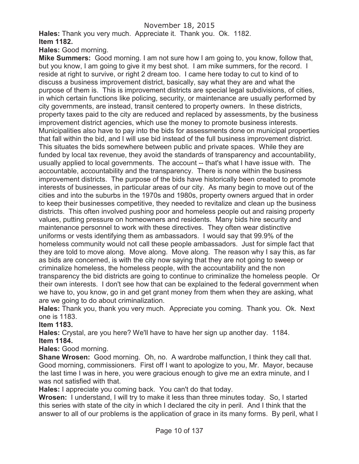**Hales:** Thank you very much. Appreciate it. Thank you. Ok. 1182.

**Item 1182.**

**Hales:** Good morning.

**Mike Summers:** Good morning. I am not sure how I am going to, you know, follow that, but you know, I am going to give it my best shot. I am mike summers, for the record. I reside at right to survive, or right 2 dream too. I came here today to cut to kind of to discuss a business improvement district, basically, say what they are and what the purpose of them is. This is improvement districts are special legal subdivisions, of cities, in which certain functions like policing, security, or maintenance are usually performed by city governments, are instead, transit centered to property owners. In these districts, property taxes paid to the city are reduced and replaced by assessments, by the business improvement district agencies, which use the money to promote business interests. Municipalities also have to pay into the bids for assessments done on municipal properties that fall within the bid, and I will use bid instead of the full business improvement district. This situates the bids somewhere between public and private spaces. While they are funded by local tax revenue, they avoid the standards of transparency and accountability, usually applied to local governments. The account -- that's what I have issue with. The accountable, accountability and the transparency. There is none within the business improvement districts. The purpose of the bids have historically been created to promote interests of businesses, in particular areas of our city. As many begin to move out of the cities and into the suburbs in the 1970s and 1980s, property owners argued that in order to keep their businesses competitive, they needed to revitalize and clean up the business districts. This often involved pushing poor and homeless people out and raising property values, putting pressure on homeowners and residents. Many bids hire security and maintenance personnel to work with these directives. They often wear distinctive uniforms or vests identifying them as ambassadors. I would say that 99.9% of the homeless community would not call these people ambassadors. Just for simple fact that they are told to move along. Move along. Move along. The reason why I say this, as far as bids are concerned, is with the city now saying that they are not going to sweep or criminalize homeless, the homeless people, with the accountability and the non transparency the bid districts are going to continue to criminalize the homeless people. Or their own interests. I don't see how that can be explained to the federal government when we have to, you know, go in and get grant money from them when they are asking, what are we going to do about criminalization.

**Hales:** Thank you, thank you very much. Appreciate you coming. Thank you. Ok. Next one is 1183.

**Item 1183.**

**Hales:** Crystal, are you here? We'll have to have her sign up another day. 1184.

**Item 1184.**

**Hales:** Good morning.

**Shane Wrosen:** Good morning. Oh, no. A wardrobe malfunction, I think they call that. Good morning, commissioners. First off I want to apologize to you, Mr. Mayor, because the last time I was in here, you were gracious enough to give me an extra minute, and I was not satisfied with that.

**Hales:** I appreciate you coming back. You can't do that today.

**Wrosen:** I understand, I will try to make it less than three minutes today. So, I started this series with state of the city in which I declared the city in peril. And I think that the answer to all of our problems is the application of grace in its many forms. By peril, what I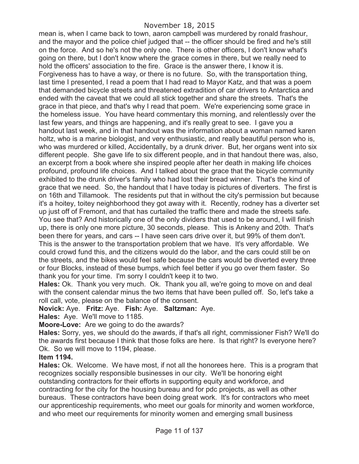### November 18, 2015

mean is, when I came back to town, aaron campbell was murdered by ronald frashour, and the mayor and the police chief judged that -- the officer should be fired and he's still on the force. And so he's not the only one. There is other officers, I don't know what's going on there, but I don't know where the grace comes in there, but we really need to hold the officers' association to the fire. Grace is the answer there, I know it is. Forgiveness has to have a way, or there is no future. So, with the transportation thing, last time I presented, I read a poem that I had read to Mayor Katz, and that was a poem that demanded bicycle streets and threatened extradition of car drivers to Antarctica and ended with the caveat that we could all stick together and share the streets. That's the grace in that piece, and that's why I read that poem. We're experiencing some grace in the homeless issue. You have heard commentary this morning, and relentlessly over the last few years, and things are happening, and it's really great to see. I gave you a handout last week, and in that handout was the information about a woman named karen holtz, who is a marine biologist, and very enthusiastic, and really beautiful person who is, who was murdered or killed, Accidentally, by a drunk driver. But, her organs went into six different people. She gave life to six different people, and in that handout there was, also, an excerpt from a book where she inspired people after her death in making life choices profound, profound life choices. And I talked about the grace that the bicycle community exhibited to the drunk driver's family who had lost their bread winner. That's the kind of grace that we need. So, the handout that I have today is pictures of diverters. The first is on 16th and Tillamook. The residents put that in without the city's permission but because it's a hoitey, toitey neighborhood they got away with it. Recently, rodney has a diverter set up just off of Fremont, and that has curtailed the traffic there and made the streets safe. You see that? And historically one of the only dividers that used to be around, I will finish up, there is only one more picture, 30 seconds, please. This is Ankeny and 20th. That's been there for years, and cars -- I have seen cars drive over it, but 99% of them don't. This is the answer to the transportation problem that we have. It's very affordable. We could crowd fund this, and the citizens would do the labor, and the cars could still be on the streets, and the bikes would feel safe because the cars would be diverted every three or four Blocks, instead of these bumps, which feel better if you go over them faster. So thank you for your time. I'm sorry I couldn't keep it to two.

**Hales:** Ok. Thank you very much. Ok. Thank you all, we're going to move on and deal with the consent calendar minus the two items that have been pulled off. So, let's take a roll call, vote, please on the balance of the consent.

**Novick:** Aye. **Fritz:** Aye. **Fish:** Aye. **Saltzman:** Aye.

**Hales:** Aye. We'll move to 1185.

**Moore-Love:** Are we going to do the awards?

**Hales:** Sorry, yes, we should do the awards, if that's all right, commissioner Fish? We'll do the awards first because I think that those folks are here. Is that right? Is everyone here? Ok. So we will move to 1194, please.

#### **Item 1194.**

**Hales:** Ok. Welcome. We have most, if not all the honorees here. This is a program that recognizes socially responsible businesses in our city. We'll be honoring eight outstanding contractors for their efforts in supporting equity and workforce, and contracting for the city for the housing bureau and for pdc projects, as well as other bureaus. These contractors have been doing great work. It's for contractors who meet our apprenticeship requirements, who meet our goals for minority and women workforce, and who meet our requirements for minority women and emerging small business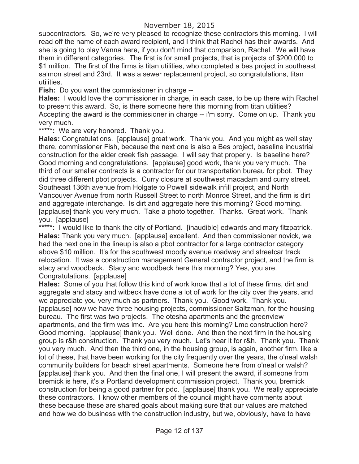subcontractors. So, we're very pleased to recognize these contractors this morning. I will read off the name of each award recipient, and I think that Rachel has their awards. And she is going to play Vanna here, if you don't mind that comparison, Rachel. We will have them in different categories. The first is for small projects, that is projects of \$200,000 to \$1 million. The first of the firms is titan utilities, who completed a bes project in southeast salmon street and 23rd. It was a sewer replacement project, so congratulations, titan utilities.

**Fish:** Do you want the commissioner in charge --

**Hales:** I would love the commissioner in charge, in each case, to be up there with Rachel to present this award. So, is there someone here this morning from titan utilities? Accepting the award is the commissioner in charge -- i'm sorry. Come on up. Thank you very much.

**\*\*\*\*\*:** We are very honored. Thank you.

**Hales:** Congratulations. [applause] great work. Thank you. And you might as well stay there, commissioner Fish, because the next one is also a Bes project, baseline industrial construction for the alder creek fish passage. I will say that properly. Is baseline here? Good morning and congratulations. [applause] good work, thank you very much. The third of our smaller contracts is a contractor for our transportation bureau for pbot. They did three different pbot projects. Curry closure at southwest macadam and curry street. Southeast 136th avenue from Holgate to Powell sidewalk infill project, and North Vancouver Avenue from north Russell Street to north Monroe Street, and the firm is dirt and aggregate interchange. Is dirt and aggregate here this morning? Good morning. [applause] thank you very much. Take a photo together. Thanks. Great work. Thank you. [applause]

\*\*\*\*\*: I would like to thank the city of Portland. [inaudible] edwards and mary fitzpatrick. **Hales:** Thank you very much. [applause] excellent. And then commissioner novick, we had the next one in the lineup is also a pbot contractor for a large contractor category above \$10 million. It's for the southwest moody avenue roadway and streetcar track relocation. It was a construction management General contractor project, and the firm is stacy and woodbeck. Stacy and woodbeck here this morning? Yes, you are. Congratulations. [applause]

**Hales:** Some of you that follow this kind of work know that a lot of these firms, dirt and aggregate and stacy and witbeck have done a lot of work for the city over the years, and we appreciate you very much as partners. Thank you. Good work. Thank you. [applause] now we have three housing projects, commissioner Saltzman, for the housing bureau. The first was two projects. The otesha apartments and the greenview apartments, and the firm was lmc. Are you here this morning? Lmc construction here? Good morning. [applause] thank you. Well done. And then the next firm in the housing group is r&h construction. Thank you very much. Let's hear it for r&h. Thank you. Thank you very much. And then the third one, in the housing group, is again, another firm, like a lot of these, that have been working for the city frequently over the years, the o'neal walsh community builders for beach street apartments. Someone here from o'neal or walsh? [applause] thank you. And then the final one, I will present the award, if someone from bremick is here, it's a Portland development commission project. Thank you, bremick construction for being a good partner for pdc. [applause] thank you. We really appreciate these contractors. I know other members of the council might have comments about these because these are shared goals about making sure that our values are matched and how we do business with the construction industry, but we, obviously, have to have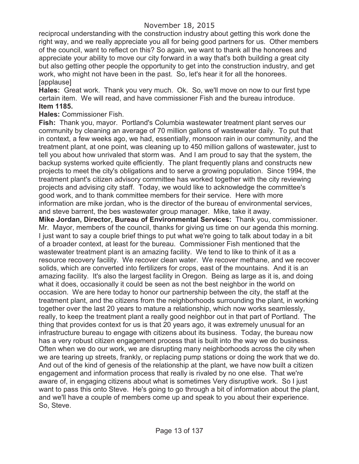reciprocal understanding with the construction industry about getting this work done the right way, and we really appreciate you all for being good partners for us. Other members of the council, want to reflect on this? So again, we want to thank all the honorees and appreciate your ability to move our city forward in a way that's both building a great city but also getting other people the opportunity to get into the construction industry, and get work, who might not have been in the past. So, let's hear it for all the honorees. [applause]

**Hales:** Great work. Thank you very much. Ok. So, we'll move on now to our first type certain item. We will read, and have commissioner Fish and the bureau introduce. **Item 1185.**

### **Hales:** Commissioner Fish.

**Fish:** Thank you, mayor. Portland's Columbia wastewater treatment plant serves our community by cleaning an average of 70 million gallons of wastewater daily. To put that in context, a few weeks ago, we had, essentially, monsoon rain in our community, and the treatment plant, at one point, was cleaning up to 450 million gallons of wastewater, just to tell you about how unrivaled that storm was. And I am proud to say that the system, the backup systems worked quite efficiently. The plant frequently plans and constructs new projects to meet the city's obligations and to serve a growing population. Since 1994, the treatment plant's citizen advisory committee has worked together with the city reviewing projects and advising city staff. Today, we would like to acknowledge the committee's good work, and to thank committee members for their service. Here with more information are mike jordan, who is the director of the bureau of environmental services, and steve barrent, the bes wastewater group manager. Mike, take it away.

**Mike Jordan, Director, Bureau of Environmental Services:** Thank you, commissioner. Mr. Mayor, members of the council, thanks for giving us time on our agenda this morning. I just want to say a couple brief things to put what we're going to talk about today in a bit of a broader context, at least for the bureau. Commissioner Fish mentioned that the wastewater treatment plant is an amazing facility. We tend to like to think of it as a resource recovery facility. We recover clean water. We recover methane, and we recover solids, which are converted into fertilizers for crops, east of the mountains. And it is an amazing facility. It's also the largest facility in Oregon. Being as large as it is, and doing what it does, occasionally it could be seen as not the best neighbor in the world on occasion. We are here today to honor our partnership between the city, the staff at the treatment plant, and the citizens from the neighborhoods surrounding the plant, in working together over the last 20 years to mature a relationship, which now works seamlessly, really, to keep the treatment plant a really good neighbor out in that part of Portland. The thing that provides context for us is that 20 years ago, it was extremely unusual for an infrastructure bureau to engage with citizens about its business. Today, the bureau now has a very robust citizen engagement process that is built into the way we do business. Often when we do our work, we are disrupting many neighborhoods across the city when we are tearing up streets, frankly, or replacing pump stations or doing the work that we do. And out of the kind of genesis of the relationship at the plant, we have now built a citizen engagement and information process that really is rivaled by no one else. That we're aware of, in engaging citizens about what is sometimes Very disruptive work. So I just want to pass this onto Steve. He's going to go through a bit of information about the plant, and we'll have a couple of members come up and speak to you about their experience. So, Steve.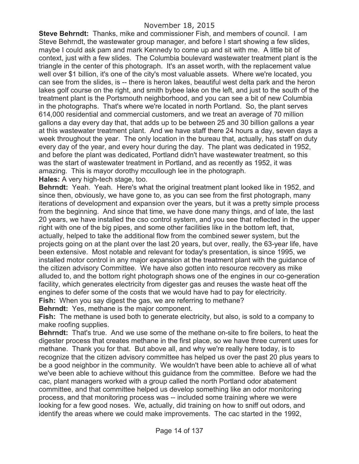**Steve Behrndt:** Thanks, mike and commissioner Fish, and members of council. I am Steve Behrndt, the wastewater group manager, and before I start showing a few slides, maybe I could ask pam and mark Kennedy to come up and sit with me. A little bit of context, just with a few slides. The Columbia boulevard wastewater treatment plant is the triangle in the center of this photograph. It's an asset worth, with the replacement value well over \$1 billion, it's one of the city's most valuable assets. Where we're located, you can see from the slides, is -- there is heron lakes, beautiful west delta park and the heron lakes golf course on the right, and smith bybee lake on the left, and just to the south of the treatment plant is the Portsmouth neighborhood, and you can see a bit of new Columbia in the photographs. That's where we're located in north Portland. So, the plant serves 614,000 residential and commercial customers, and we treat an average of 70 million gallons a day every day that, that adds up to be between 25 and 30 billion gallons a year at this wastewater treatment plant. And we have staff there 24 hours a day, seven days a week throughout the year. The only location in the bureau that, actually, has staff on duty every day of the year, and every hour during the day. The plant was dedicated in 1952, and before the plant was dedicated, Portland didn't have wastewater treatment, so this was the start of wastewater treatment in Portland, and as recently as 1952, it was amazing. This is mayor dorothy mccullough lee in the photograph. **Hales:** A very high-tech stage, too.

**Behrndt:** Yeah. Yeah. Here's what the original treatment plant looked like in 1952, and since then, obviously, we have gone to, as you can see from the first photograph, many iterations of development and expansion over the years, but it was a pretty simple process from the beginning. And since that time, we have done many things, and of late, the last 20 years, we have installed the cso control system, and you see that reflected in the upper right with one of the big pipes, and some other facilities like in the bottom left, that, actually, helped to take the additional flow from the combined sewer system, but the projects going on at the plant over the last 20 years, but over, really, the 63-year life, have been extensive. Most notable and relevant for today's presentation, is since 1995, we installed motor control in any major expansion at the treatment plant with the guidance of the citizen advisory Committee. We have also gotten into resource recovery as mike alluded to, and the bottom right photograph shows one of the engines in our co-generation facility, which generates electricity from digester gas and reuses the waste heat off the engines to defer some of the costs that we would have had to pay for electricity. **Fish:** When you say digest the gas, we are referring to methane?

**Behrndt:** Yes, methane is the major component.

**Fish:** The methane is used both to generate electricity, but also, is sold to a company to make roofing supplies.

**Behrndt:** That's true. And we use some of the methane on-site to fire boilers, to heat the digester process that creates methane in the first place, so we have three current uses for methane. Thank you for that. But above all, and why we're really here today, is to recognize that the citizen advisory committee has helped us over the past 20 plus years to be a good neighbor in the community. We wouldn't have been able to achieve all of what we've been able to achieve without this guidance from the committee. Before we had the cac, plant managers worked with a group called the north Portland odor abatement committee, and that committee helped us develop something like an odor monitoring process, and that monitoring process was -- included some training where we were looking for a few good noses. We, actually, did training on how to sniff out odors, and identify the areas where we could make improvements. The cac started in the 1992,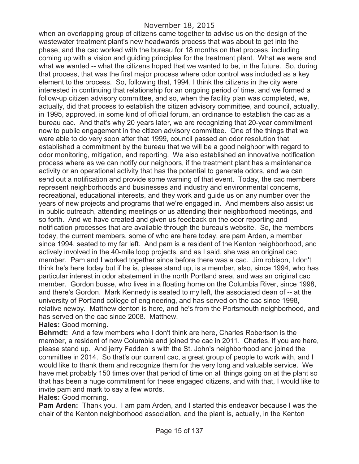when an overlapping group of citizens came together to advise us on the design of the wastewater treatment plant's new headwards process that was about to get into the phase, and the cac worked with the bureau for 18 months on that process, including coming up with a vision and guiding principles for the treatment plant. What we were and what we wanted -- what the citizens hoped that we wanted to be, in the future. So, during that process, that was the first major process where odor control was included as a key element to the process. So, following that, 1994, I think the citizens in the city were interested in continuing that relationship for an ongoing period of time, and we formed a follow-up citizen advisory committee, and so, when the facility plan was completed, we, actually, did that process to establish the citizen advisory committee, and council, actually, in 1995, approved, in some kind of official forum, an ordinance to establish the cac as a bureau cac. And that's why 20 years later, we are recognizing that 20-year commitment now to public engagement in the citizen advisory committee. One of the things that we were able to do very soon after that 1999, council passed an odor resolution that established a commitment by the bureau that we will be a good neighbor with regard to odor monitoring, mitigation, and reporting. We also established an innovative notification process where as we can notify our neighbors, if the treatment plant has a maintenance activity or an operational activity that has the potential to generate odors, and we can send out a notification and provide some warning of that event. Today, the cac members represent neighborhoods and businesses and industry and environmental concerns, recreational, educational interests, and they work and guide us on any number over the years of new projects and programs that we're engaged in. And members also assist us in public outreach, attending meetings or us attending their neighborhood meetings, and so forth. And we have created and given us feedback on the odor reporting and notification processes that are available through the bureau's website. So, the members today, the current members, some of who are here today, are pam Arden, a member since 1994, seated to my far left. And pam is a resident of the Kenton neighborhood, and actively involved in the 40-mile loop projects, and as I said, she was an original cac member. Pam and I worked together since before there was a cac. Jim robison, I don't think he's here today but if he is, please stand up, is a member, also, since 1994, who has particular interest in odor abatement in the north Portland area, and was an original cac member. Gordon busse, who lives in a floating home on the Columbia River, since 1998, and there's Gordon. Mark Kennedy is seated to my left, the associated dean of -- at the university of Portland college of engineering, and has served on the cac since 1998, relative newby. Matthew denton is here, and he's from the Portsmouth neighborhood, and has served on the cac since 2008. Matthew.

**Hales:** Good morning.

**Behrndt:** And a few members who I don't think are here, Charles Robertson is the member, a resident of new Columbia and joined the cac in 2011. Charles, if you are here, please stand up. And jerry Fadden is with the St. John's neighborhood and joined the committee in 2014. So that's our current cac, a great group of people to work with, and I would like to thank them and recognize them for the very long and valuable service. We have met probably 150 times over that period of time on all things going on at the plant so that has been a huge commitment for these engaged citizens, and with that, I would like to invite pam and mark to say a few words.

**Hales:** Good morning.

**Pam Arden:** Thank you. I am pam Arden, and I started this endeavor because I was the chair of the Kenton neighborhood association, and the plant is, actually, in the Kenton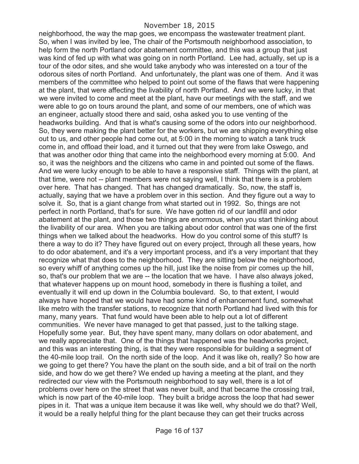#### November 18, 2015

neighborhood, the way the map goes, we encompass the wastewater treatment plant. So, when I was invited by lee, The chair of the Portsmouth neighborhood association, to help form the north Portland odor abatement committee, and this was a group that just was kind of fed up with what was going on in north Portland. Lee had, actually, set up is a tour of the odor sites, and she would take anybody who was interested on a tour of the odorous sites of north Portland. And unfortunately, the plant was one of them. And it was members of the committee who helped to point out some of the flaws that were happening at the plant, that were affecting the livability of north Portland. And we were lucky, in that we were invited to come and meet at the plant, have our meetings with the staff, and we were able to go on tours around the plant, and some of our members, one of which was an engineer, actually stood there and said, osha asked you to use venting of the headworks building. And that is what's causing some of the odors into our neighborhood. So, they were making the plant better for the workers, but we are shipping everything else out to us, and other people had come out, at 5:00 in the morning to watch a tank truck come in, and offload their load, and it turned out that they were from lake Oswego, and that was another odor thing that came into the neighborhood every morning at 5:00. And so, it was the neighbors and the citizens who came in and pointed out some of the flaws. And we were lucky enough to be able to have a responsive staff. Things with the plant, at that time, were not -- plant members were not saying well, I think that there is a problem over here. That has changed. That has changed dramatically. So, now, the staff is, actually, saying that we have a problem over in this section. And they figure out a way to solve it. So, that is a giant change from what started out in 1992. So, things are not perfect in north Portland, that's for sure. We have gotten rid of our landfill and odor abatement at the plant, and those two things are enormous, when you start thinking about the livability of our area. When you are talking about odor control that was one of the first things when we talked about the headworks. How do you control some of this stuff? Is there a way to do it? They have figured out on every project, through all these years, how to do odor abatement, and it's a very important process, and it's a very important that they recognize what that does to the neighborhood. They are sitting below the neighborhood, so every whiff of anything comes up the hill, just like the noise from pir comes up the hill, so, that's our problem that we are -- the location that we have. I have also always joked, that whatever happens up on mount hood, somebody in there is flushing a toilet, and eventually it will end up down in the Columbia boulevard. So, to that extent, I would always have hoped that we would have had some kind of enhancement fund, somewhat like metro with the transfer stations, to recognize that north Portland had lived with this for many, many years. That fund would have been able to help out a lot of different communities. We never have managed to get that passed, just to the talking stage. Hopefully some year. But, they have spent many, many dollars on odor abatement, and we really appreciate that. One of the things that happened was the headworks project, and this was an interesting thing, is that they were responsible for building a segment of the 40-mile loop trail. On the north side of the loop. And it was like oh, really? So how are we going to get there? You have the plant on the south side, and a bit of trail on the north side, and how do we get there? We ended up having a meeting at the plant, and they redirected our view with the Portsmouth neighborhood to say well, there is a lot of problems over here on the street that was never built, and that became the crossing trail, which is now part of the 40-mile loop. They built a bridge across the loop that had sewer pipes in it. That was a unique item because it was like well, why should we do that? Well, it would be a really helpful thing for the plant because they can get their trucks across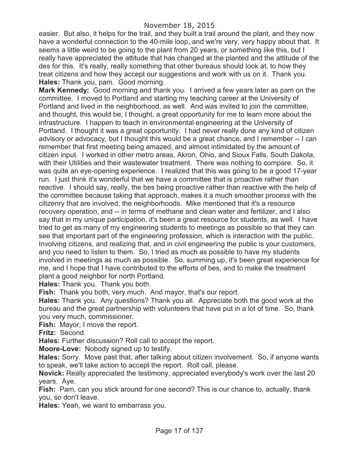easier. But also, it helps for the trail, and they built a trail around the plant, and they now have a wonderful connection to the 40-mile loop, and we're very, very happy about that. It seems a little weird to be going to the plant from 20 years, or something like this, but I really have appreciated the attitude that has changed at the planted and the attitude of the des for this. It's really, really something that other bureaus should look at, to how they treat citizens and how they accept our suggestions and work with us on it. Thank you. **Hales:** Thank you, pam. Good morning.

**Mark Kennedy:** Good morning and thank you. I arrived a few years later as pam on the committee. I moved to Portland and starting my teaching career at the University of Portland and lived in the neighborhood, as well. And was invited to join the committee, and thought, this would be, I thought, a great opportunity for me to learn more about the infrastructure. I happen to teach in environmental engineering at the University of Portland. I thought it was a great opportunity. I had never really done any kind of citizen advisory or advocacy, but I thought this would be a great chance, and I remember -- I can remember that first meeting being amazed, and almost intimidated by the amount of citizen input. I worked in other metro areas, Akron, Ohio, and Sioux Falls, South Dakota, with their Utilities and their wastewater treatment. There was nothing to compare. So, it was quite an eye-opening experience. I realized that this was going to be a good 17-year run. I just think it's wonderful that we have a committee that is proactive rather than reactive. I should say, really, the bes being proactive rather than reactive with the help of the committee because taking that approach, makes it a much smoother process with the citizenry that are involved, the neighborhoods. Mike mentioned that it's a resource recovery operation, and -- in terms of methane and clean water and fertilizer, and I also say that in my unique participation, it's been a great resource for students, as well. I have tried to get as many of my engineering students to meetings as possible so that they can see that important part of the engineering profession, which is interaction with the public. Involving citizens, and realizing that, and in civil engineering the public is your customers, and you need to listen to them. So, I tried as much as possible to have my students involved in meetings as much as possible. So, summing up, it's been great experience for me, and I hope that I have contributed to the efforts of bes, and to make the treatment plant a good neighbor for north Portland.

**Hales:** Thank you. Thank you both.

**Fish:** Thank you both, very much. And mayor, that's our report.

**Hales:** Thank you. Any questions? Thank you all. Appreciate both the good work at the bureau and the great partnership with volunteers that have put in a lot of time. So, thank you very much, commissioner.

**Fish:** Mayor, I move the report.

**Fritz:** Second.

**Hales:** Further discussion? Roll call to accept the report.

**Moore-Love:** Nobody signed up to testify.

**Hales:** Sorry. Move past that, after talking about citizen involvement. So, if anyone wants to speak, we'll take action to accept the report. Roll call, please.

**Novick:** Really appreciated the testimony, appreciated everybody's work over the last 20 years. Aye.

**Fish:** Pam, can you stick around for one second? This is our chance to, actually, thank you, so don't leave.

**Hales:** Yeah, we want to embarrass you.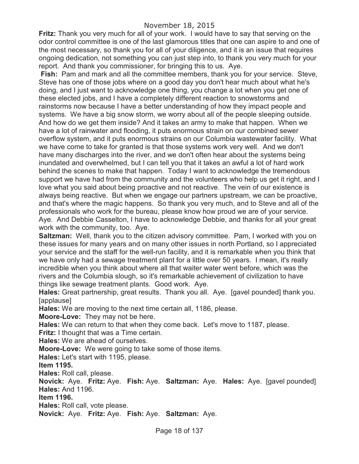**Fritz:** Thank you very much for all of your work. I would have to say that serving on the odor control committee is one of the last glamorous titles that one can aspire to and one of the most necessary, so thank you for all of your diligence, and it is an issue that requires ongoing dedication, not something you can just step into, to thank you very much for your report. And thank you commissioner, for bringing this to us. Aye.

**Fish:** Pam and mark and all the committee members, thank you for your service. Steve, Steve has one of those jobs where on a good day you don't hear much about what he's doing, and I just want to acknowledge one thing, you change a lot when you get one of these elected jobs, and I have a completely different reaction to snowstorms and rainstorms now because I have a better understanding of how they impact people and systems. We have a big snow storm, we worry about all of the people sleeping outside. And how do we get them inside? And it takes an army to make that happen. When we have a lot of rainwater and flooding, it puts enormous strain on our combined sewer overflow system, and it puts enormous strains on our Columbia wastewater facility. What we have come to take for granted is that those systems work very well. And we don't have many discharges into the river, and we don't often hear about the systems being inundated and overwhelmed, but I can tell you that it takes an awful a lot of hard work behind the scenes to make that happen. Today I want to acknowledge the tremendous support we have had from the community and the volunteers who help us get it right, and I love what you said about being proactive and not reactive. The vein of our existence is always being reactive. But when we engage our partners upstream, we can be proactive, and that's where the magic happens. So thank you very much, and to Steve and all of the professionals who work for the bureau, please know how proud we are of your service. Aye. And Debbie Casselton, I have to acknowledge Debbie, and thanks for all your great work with the community, too. Aye.

**Saltzman:** Well, thank you to the citizen advisory committee. Pam, I worked with you on these issues for many years and on many other issues in north Portland, so I appreciated your service and the staff for the well-run facility, and it is remarkable when you think that we have only had a sewage treatment plant for a little over 50 years. I mean, it's really incredible when you think about where all that waiter water went before, which was the rivers and the Columbia slough, so it's remarkable achievement of civilization to have things like sewage treatment plants. Good work. Aye.

**Hales:** Great partnership, great results. Thank you all. Aye. [gavel pounded] thank you. [applause]

**Hales:** We are moving to the next time certain all, 1186, please.

**Moore-Love:** They may not be here.

**Hales:** We can return to that when they come back. Let's move to 1187, please.

**Fritz:** I thought that was a Time certain.

**Hales:** We are ahead of ourselves.

**Moore-Love:** We were going to take some of those items.

**Hales:** Let's start with 1195, please.

**Item 1195.**

**Hales:** Roll call, please.

**Novick:** Aye. **Fritz:** Aye. **Fish:** Aye. **Saltzman:** Aye. **Hales:** Aye. [gavel pounded] **Hales:** And 1196.

**Item 1196.**

**Hales:** Roll call, vote please.

**Novick:** Aye. **Fritz:** Aye. **Fish:** Aye. **Saltzman:** Aye.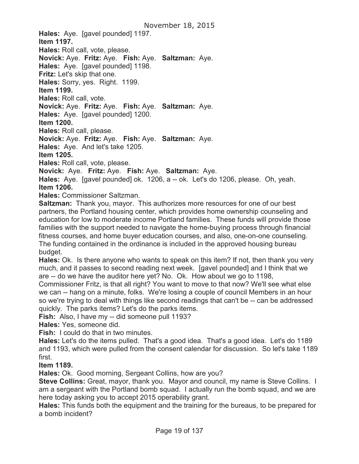**Hales:** Aye. [gavel pounded] 1197. **Item 1197.**

**Hales:** Roll call, vote, please.

**Novick:** Aye. **Fritz:** Aye. **Fish:** Aye. **Saltzman:** Aye.

**Hales:** Aye. [gavel pounded] 1198.

**Fritz:** Let's skip that one.

**Hales:** Sorry, yes. Right. 1199.

**Item 1199.**

**Hales:** Roll call, vote.

**Novick:** Aye. **Fritz:** Aye. **Fish:** Aye. **Saltzman:** Aye.

**Hales:** Aye. [gavel pounded] 1200.

**Item 1200.**

**Hales:** Roll call, please.

**Novick:** Aye. **Fritz:** Aye. **Fish:** Aye. **Saltzman:** Aye.

**Hales:** Aye. And let's take 1205.

**Item 1205.**

**Hales:** Roll call, vote, please.

**Novick:** Aye. **Fritz:** Aye. **Fish:** Aye. **Saltzman:** Aye.

**Hales:** Aye. [gavel pounded] ok. 1206, a -- ok. Let's do 1206, please. Oh, yeah. **Item 1206.**

**Hales:** Commissioner Saltzman.

**Saltzman:** Thank you, mayor. This authorizes more resources for one of our best partners, the Portland housing center, which provides home ownership counseling and education for low to moderate income Portland families. These funds will provide those families with the support needed to navigate the home-buying process through financial fitness courses, and home buyer education courses, and also, one-on-one counseling. The funding contained in the ordinance is included in the approved housing bureau budget.

**Hales:** Ok. Is there anyone who wants to speak on this item? If not, then thank you very much, and it passes to second reading next week. [gavel pounded] and I think that we are -- do we have the auditor here yet? No. Ok. How about we go to 1198,

Commissioner Fritz, is that all right? You want to move to that now? We'll see what else we can -- hang on a minute, folks. We're losing a couple of council Members in an hour so we're trying to deal with things like second readings that can't be -- can be addressed quickly. The parks items? Let's do the parks items.

**Fish:** Also, I have my -- did someone pull 1193?

**Hales:** Yes, someone did.

**Fish:** I could do that in two minutes.

**Hales:** Let's do the items pulled. That's a good idea. That's a good idea. Let's do 1189 and 1193, which were pulled from the consent calendar for discussion. So let's take 1189 first.

**Item 1189.**

**Hales:** Ok. Good morning, Sergeant Collins, how are you?

**Steve Collins:** Great, mayor, thank you. Mayor and council, my name is Steve Collins. I am a sergeant with the Portland bomb squad. I actually run the bomb squad, and we are here today asking you to accept 2015 operability grant.

**Hales:** This funds both the equipment and the training for the bureaus, to be prepared for a bomb incident?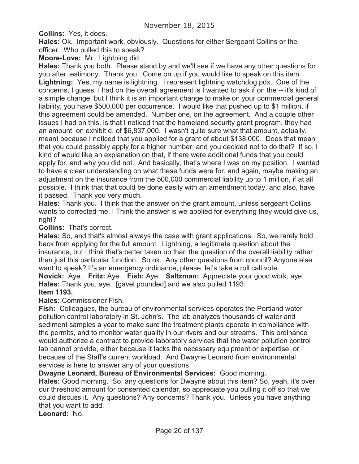**Collins:** Yes, it does.

**Hales:** Ok. Important work, obviously. Questions for either Sergeant Collins or the officer. Who pulled this to speak?

**Moore-Love:** Mr. Lightning did.

**Hales:** Thank you both. Please stand by and we'll see if we have any other questions for you after testimony. Thank you. Come on up if you would like to speak on this item. **Lightning:** Yes, my name is lightning. I represent lightning watchdog pdx. One of the concerns, I guess, I had on the overall agreement is I wanted to ask if on the -- it's kind of a simple change, but I think it is an important change to make on your commercial general liability, you have \$500,000 per occurrence. I would like that pushed up to \$1 million, if this agreement could be amended. Number one, on the agreement. And a couple other issues I had on this, is that I noticed that the homeland security grant program, they had an amount, on exhibit d, of \$6,837,000. I wasn't quite sure what that amount, actually, meant because I noticed that you applied for a grant of about \$138,000. Does that mean that you could possibly apply for a higher number, and you decided not to do that? If so, I kind of would like an explanation on that, if there were additional funds that you could apply for, and why you did not. And basically, that's where I was on my position. I wanted to have a clear understanding on what these funds were for, and again, maybe making an adjustment on the insurance from the 500,000 commercial liability up to 1 million, if at all possible. I think that that could be done easily with an amendment today, and also, have it passed. Thank you very much.

**Hales:** Thank you. I think that the answer on the grant amount, unless sergeant Collins wants to corrected me, I Think the answer is we applied for everything they would give us, right?

**Collins:** That's correct.

**Hales:** So, and that's almost always the case with grant applications. So, we rarely hold back from applying for the full amount. Lightning, a legitimate question about the insurance, but I think that's better taken up than the question of the overall liability rather than just this particular function. So ok. Any other questions from council? Anyone else want to speak? It's an emergency ordinance, please, let's take a roll call vote. **Novick:** Aye. **Fritz:** Aye. **Fish:** Aye. **Saltzman:** Appreciate your good work, aye. **Hales:** Thank you, aye. [gavel pounded] and we also pulled 1193.

#### **Item 1193.**

**Hales:** Commissioner Fish.

**Fish:** Colleagues, the bureau of environmental services operates the Portland water pollution control laboratory in St. John's. The lab analyzes thousands of water and sediment samples a year to make sure the treatment plants operate in compliance with the permits, and to monitor water quality in our rivers and our streams. This ordinance would authorize a contract to provide laboratory services that the water pollution control lab cannot provide, either because it lacks the necessary equipment or expertise, or because of the Staff's current workload. And Dwayne Leonard from environmental services is here to answer any of your questions.

**Dwayne Leonard, Bureau of Environmental Services:** Good morning.

**Hales:** Good morning. So, any questions for Dwayne about this item? So, yeah, it's over our threshold amount for consented calendar, so appreciate you pulling it off so that we could discuss it. Any questions? Any concerns? Thank you. Unless you have anything that you want to add.

**Leonard:** No.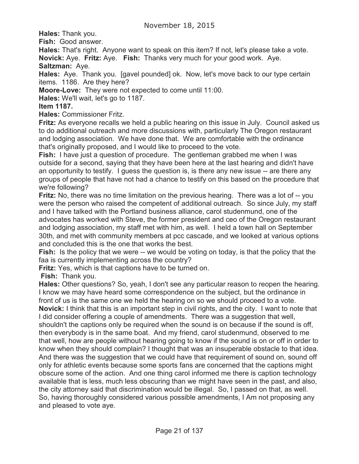**Hales:** Thank you.

**Fish:** Good answer.

**Hales:** That's right. Anyone want to speak on this item? If not, let's please take a vote. **Novick:** Aye. **Fritz:** Aye. **Fish:** Thanks very much for your good work. Aye.

**Saltzman:** Aye.

**Hales:** Aye. Thank you. [gavel pounded] ok. Now, let's move back to our type certain items. 1186. Are they here?

**Moore-Love:** They were not expected to come until 11:00.

**Hales:** We'll wait, let's go to 1187.

### **Item 1187.**

**Hales:** Commissioner Fritz.

**Fritz:** As everyone recalls we held a public hearing on this issue in July. Council asked us to do additional outreach and more discussions with, particularly The Oregon restaurant and lodging association. We have done that. We are comfortable with the ordinance that's originally proposed, and I would like to proceed to the vote.

**Fish:** I have just a question of procedure. The gentleman grabbed me when I was outside for a second, saying that they have been here at the last hearing and didn't have an opportunity to testify. I guess the question is, is there any new issue -- are there any groups of people that have not had a chance to testify on this based on the procedure that we're following?

**Fritz:** No, there was no time limitation on the previous hearing. There was a lot of -- you were the person who raised the competent of additional outreach. So since July, my staff and I have talked with the Portland business alliance, carol studenmund, one of the advocates has worked with Steve, the former president and ceo of the Oregon restaurant and lodging association, my staff met with him, as well. I held a town hall on September 30th, and met with community members at pcc cascade, and we looked at various options and concluded this is the one that works the best.

Fish: Is the policy that we were -- we would be voting on today, is that the policy that the faa is currently implementing across the country?

**Fritz:** Yes, which is that captions have to be turned on.

**Fish:** Thank you.

**Hales:** Other questions? So, yeah, I don't see any particular reason to reopen the hearing. I know we may have heard some correspondence on the subject, but the ordinance in front of us is the same one we held the hearing on so we should proceed to a vote.

**Novick:** I think that this is an important step in civil rights, and the city. I want to note that I did consider offering a couple of amendments. There was a suggestion that well, shouldn't the captions only be required when the sound is on because if the sound is off, then everybody is in the same boat. And my friend, carol studenmund, observed to me that well, how are people without hearing going to know if the sound is on or off in order to know when they should complain? I thought that was an insuperable obstacle to that idea. And there was the suggestion that we could have that requirement of sound on, sound off only for athletic events because some sports fans are concerned that the captions might obscure some of the action. And one thing carol informed me there is caption technology available that is less, much less obscuring than we might have seen in the past, and also, the city attorney said that discrimination would be illegal. So, I passed on that, as well. So, having thoroughly considered various possible amendments, I Am not proposing any and pleased to vote aye.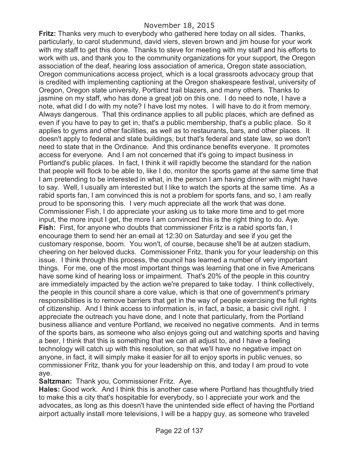**Fritz:** Thanks very much to everybody who gathered here today on all sides. Thanks, particularly, to carol studenmund, david viers, steven brown and jim house for your work with my staff to get this done. Thanks to steve for meeting with my staff and his efforts to work with us, and thank you to the community organizations for your support, the Oregon association of the deaf, hearing loss association of america, Oregon state association, Oregon communications access project, which is a local grassroots advocacy group that is credited with implementing captioning at the Oregon shakespeare festival, university of Oregon, Oregon state university, Portland trail blazers, and many others. Thanks to jasmine on my staff, who has done a great job on this one. I do need to note, I have a note, what did I do with my note? I have lost my notes. I will have to do it from memory. Always dangerous. That this ordinance applies to all public places, which are defined as even if you have to pay to get in, that's a public membership, that's a public place. So it applies to gyms and other facilities, as well as to restaurants, bars, and other places. It doesn't apply to federal and state buildings, but that's federal and state law, so we don't need to state that in the Ordinance. And this ordinance benefits everyone. It promotes access for everyone. And I am not concerned that it's going to impact business in Portland's public places. In fact, I think it will rapidly become the standard for the nation that people will flock to be able to, like I do, monitor the sports game at the same time that I am pretending to be interested in what, in the person I am having dinner with might have to say. Well, I usually am interested but I like to watch the sports at the same time. As a rabid sports fan, I am convinced this is not a problem for sports fans, and so, I am really proud to be sponsoring this. I very much appreciate all the work that was done. Commissioner Fish, I do appreciate your asking us to take more time and to get more input, the more input I get, the more I am convinced this is the right thing to do. Aye. **Fish:** First, for anyone who doubts that commissioner Fritz is a rabid sports fan, I encourage them to send her an email at 12:30 on Saturday and see if you get the customary response, boom. You won't, of course, because she'll be at autzen stadium, cheering on her beloved ducks. Commissioner Fritz, thank you for your leadership on this issue. I think through this process, the council has learned a number of very important things. For me, one of the most important things was learning that one in five Americans have some kind of hearing loss or impairment. That's 20% of the people in this country are immediately impacted by the action we're prepared to take today. I think collectively, the people in this council share a core value, which is that one of government's primary responsibilities is to remove barriers that get in the way of people exercising the full rights of citizenship. And I think access to information is, in fact, a basic, a basic civil right. I appreciate the outreach you have done, and I note that particularly, from the Portland business alliance and venture Portland, we received no negative comments. And in terms of the sports bars, as someone who also enjoys going out and watching sports and having a beer, I think that this is something that we can all adjust to, and I have a feeling technology will catch up with this resolution, so that we'll have no negative impact on anyone, in fact, it will simply make it easier for all to enjoy sports in public venues, so commissioner Fritz, thank you for your leadership on this, and today I am proud to vote aye.

**Saltzman:** Thank you, Commissioner Fritz. Aye.

**Hales:** Good work. And I think this is another case where Portland has thoughtfully tried to make this a city that's hospitable for everybody, so I appreciate your work and the advocates, as long as this doesn't have the unintended side effect of having the Portland airport actually install more televisions, I will be a happy guy, as someone who traveled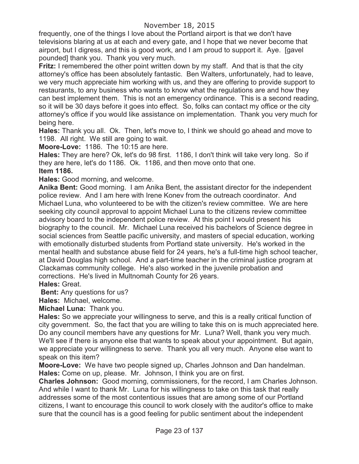frequently, one of the things I love about the Portland airport is that we don't have televisions blaring at us at each and every gate, and I hope that we never become that airport, but I digress, and this is good work, and I am proud to support it. Aye. [gavel pounded] thank you. Thank you very much.

**Fritz:** I remembered the other point written down by my staff. And that is that the city attorney's office has been absolutely fantastic. Ben Walters, unfortunately, had to leave, we very much appreciate him working with us, and they are offering to provide support to restaurants, to any business who wants to know what the regulations are and how they can best implement them. This is not an emergency ordinance. This is a second reading, so it will be 30 days before it goes into effect. So, folks can contact my office or the city attorney's office if you would like assistance on implementation. Thank you very much for being here.

**Hales:** Thank you all. Ok. Then, let's move to, I think we should go ahead and move to 1198. All right. We still are going to wait.

**Moore-Love:** 1186. The 10:15 are here.

**Hales:** They are here? Ok, let's do 98 first. 1186, I don't think will take very long. So if they are here, let's do 1186. Ok. 1186, and then move onto that one.

## **Item 1186.**

**Hales:** Good morning, and welcome.

**Anika Bent:** Good morning. I am Anika Bent, the assistant director for the independent police review. And I am here with Irene Konev from the outreach coordinator. And Michael Luna, who volunteered to be with the citizen's review committee. We are here seeking city council approval to appoint Michael Luna to the citizens review committee advisory board to the independent police review. At this point I would present his biography to the council. Mr. Michael Luna received his bachelors of Science degree in social sciences from Seattle pacific university, and masters of special education, working with emotionally disturbed students from Portland state university. He's worked in the mental health and substance abuse field for 24 years, he's a full-time high school teacher, at David Douglas high school. And a part-time teacher in the criminal justice program at Clackamas community college. He's also worked in the juvenile probation and corrections. He's lived in Multnomah County for 26 years.

**Hales:** Great.

**Bent:** Any questions for us?

**Hales:** Michael, welcome.

**Michael Luna:** Thank you.

**Hales:** So we appreciate your willingness to serve, and this is a really critical function of city government. So, the fact that you are willing to take this on is much appreciated here. Do any council members have any questions for Mr. Luna? Well, thank you very much. We'll see if there is anyone else that wants to speak about your appointment. But again, we appreciate your willingness to serve. Thank you all very much. Anyone else want to speak on this item?

**Moore-Love:** We have two people signed up, Charles Johnson and Dan handelman. **Hales:** Come on up, please. Mr. Johnson, I think you are on first.

**Charles Johnson:** Good morning, commissioners, for the record, I am Charles Johnson. And while I want to thank Mr. Luna for his willingness to take on this task that really addresses some of the most contentious issues that are among some of our Portland citizens, I want to encourage this council to work closely with the auditor's office to make sure that the council has is a good feeling for public sentiment about the independent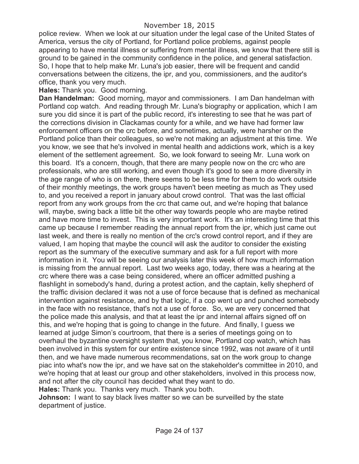police review. When we look at our situation under the legal case of the United States of America, versus the city of Portland, for Portland police problems, against people appearing to have mental illness or suffering from mental illness, we know that there still is ground to be gained in the community confidence in the police, and general satisfaction. So, I hope that to help make Mr. Luna's job easier, there will be frequent and candid conversations between the citizens, the ipr, and you, commissioners, and the auditor's office, thank you very much.

**Hales:** Thank you. Good morning.

**Dan Handelman:** Good morning, mayor and commissioners. I am Dan handelman with Portland cop watch. And reading through Mr. Luna's biography or application, which I am sure you did since it is part of the public record, it's interesting to see that he was part of the corrections division in Clackamas county for a while, and we have had former law enforcement officers on the crc before, and sometimes, actually, were harsher on the Portland police than their colleagues, so we're not making an adjustment at this time. We you know, we see that he's involved in mental health and addictions work, which is a key element of the settlement agreement. So, we look forward to seeing Mr. Luna work on this board. It's a concern, though, that there are many people now on the crc who are professionals, who are still working, and even though it's good to see a more diversity in the age range of who is on there, there seems to be less time for them to do work outside of their monthly meetings, the work groups haven't been meeting as much as They used to, and you received a report in january about crowd control. That was the last official report from any work groups from the crc that came out, and we're hoping that balance will, maybe, swing back a little bit the other way towards people who are maybe retired and have more time to invest. This is very important work. It's an interesting time that this came up because I remember reading the annual report from the ipr, which just came out last week, and there is really no mention of the crc's crowd control report, and if they are valued, I am hoping that maybe the council will ask the auditor to consider the existing report as the summary of the executive summary and ask for a full report with more information in it. You will be seeing our analysis later this week of how much information is missing from the annual report. Last two weeks ago, today, there was a hearing at the crc where there was a case being considered, where an officer admitted pushing a flashlight in somebody's hand, during a protest action, and the captain, kelly shepherd of the traffic division declared it was not a use of force because that is defined as mechanical intervention against resistance, and by that logic, if a cop went up and punched somebody in the face with no resistance, that's not a use of force. So, we are very concerned that the police made this analysis, and that at least the ipr and internal affairs signed off on this, and we're hoping that is going to change in the future. And finally, I guess we learned at judge Simon's courtroom, that there is a series of meetings going on to overhaul the byzantine oversight system that, you know, Portland cop watch, which has been involved in this system for our entire existence since 1992, was not aware of it until then, and we have made numerous recommendations, sat on the work group to change piac into what's now the ipr, and we have sat on the stakeholder's committee in 2010, and we're hoping that at least our group and other stakeholders, involved in this process now, and not after the city council has decided what they want to do.

**Hales:** Thank you. Thanks very much. Thank you both.

**Johnson:** I want to say black lives matter so we can be surveilled by the state department of justice.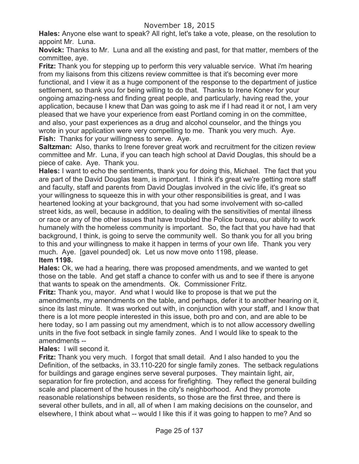**Hales:** Anyone else want to speak? All right, let's take a vote, please, on the resolution to appoint Mr. Luna.

**Novick:** Thanks to Mr. Luna and all the existing and past, for that matter, members of the committee, aye.

**Fritz:** Thank you for stepping up to perform this very valuable service. What i'm hearing from my liaisons from this citizens review committee is that it's becoming ever more functional, and I view it as a huge component of the response to the department of justice settlement, so thank you for being willing to do that. Thanks to Irene Konev for your ongoing amazing-ness and finding great people, and particularly, having read the, your application, because I knew that Dan was going to ask me if I had read it or not, I am very pleased that we have your experience from east Portland coming in on the committee, and also, your past experiences as a drug and alcohol counselor, and the things you wrote in your application were very compelling to me. Thank you very much. Aye. **Fish:** Thanks for your willingness to serve. Aye.

**Saltzman:** Also, thanks to Irene forever great work and recruitment for the citizen review committee and Mr. Luna, if you can teach high school at David Douglas, this should be a piece of cake. Aye. Thank you.

**Hales:** I want to echo the sentiments, thank you for doing this, Michael. The fact that you are part of the David Douglas team, is important. I think it's great we're getting more staff and faculty, staff and parents from David Douglas involved in the civic life, it's great so your willingness to squeeze this in with your other responsibilities is great, and I was heartened looking at your background, that you had some involvement with so-called street kids, as well, because in addition, to dealing with the sensitivities of mental illness or race or any of the other issues that have troubled the Police bureau, our ability to work humanely with the homeless community is important. So, the fact that you have had that background, I think, is going to serve the community well. So thank you for all you bring to this and your willingness to make it happen in terms of your own life. Thank you very much. Aye. [gavel pounded] ok. Let us now move onto 1198, please. **Item 1198.**

**Hales:** Ok, we had a hearing, there was proposed amendments, and we wanted to get those on the table. And get staff a chance to confer with us and to see if there is anyone that wants to speak on the amendments. Ok. Commissioner Fritz.

**Fritz:** Thank you, mayor. And what I would like to propose is that we put the amendments, my amendments on the table, and perhaps, defer it to another hearing on it, since its last minute. It was worked out with, in conjunction with your staff, and I know that there is a lot more people interested in this issue, both pro and con, and are able to be here today, so I am passing out my amendment, which is to not allow accessory dwelling units in the five foot setback in single family zones. And I would like to speak to the amendments --

**Hales:** I will second it.

**Fritz:** Thank you very much. I forgot that small detail. And I also handed to you the Definition, of the setbacks, in 33.110-220 for single family zones. The setback regulations for buildings and garage engines serve several purposes. They maintain light, air, separation for fire protection, and access for firefighting. They reflect the general building scale and placement of the houses in the city's neighborhood. And they promote reasonable relationships between residents, so those are the first three, and there is several other bullets, and in all, all of when I am making decisions on the counselor, and elsewhere, I think about what -- would I like this if it was going to happen to me? And so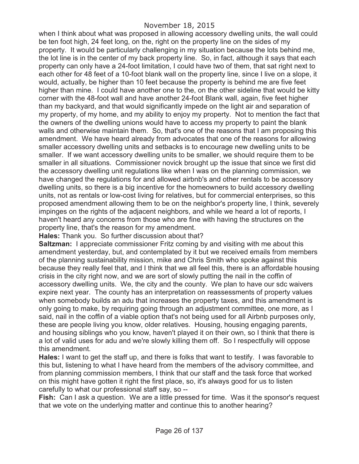when I think about what was proposed in allowing accessory dwelling units, the wall could be ten foot high, 24 feet long, on the, right on the property line on the sides of my property. It would be particularly challenging in my situation because the lots behind me, the lot line is in the center of my back property line. So, in fact, although it says that each property can only have a 24-foot limitation, I could have two of them, that sat right next to each other for 48 feet of a 10-foot blank wall on the property line, since I live on a slope, it would, actually, be higher than 10 feet because the property is behind me are five feet higher than mine. I could have another one to the, on the other sideline that would be kitty corner with the 48-foot wall and have another 24-foot Blank wall, again, five feet higher than my backyard, and that would significantly impede on the light air and separation of my property, of my home, and my ability to enjoy my property. Not to mention the fact that the owners of the dwelling unions would have to access my property to paint the blank walls and otherwise maintain them. So, that's one of the reasons that I am proposing this amendment. We have heard already from advocates that one of the reasons for allowing smaller accessory dwelling units and setbacks is to encourage new dwelling units to be smaller. If we want accessory dwelling units to be smaller, we should require them to be smaller in all situations. Commissioner novick brought up the issue that since we first did the accessory dwelling unit regulations like when I was on the planning commission, we have changed the regulations for and allowed airbnb's and other rentals to be accessory dwelling units, so there is a big incentive for the homeowners to build accessory dwelling units, not as rentals or low-cost living for relatives, but for commercial enterprises, so this proposed amendment allowing them to be on the neighbor's property line, I think, severely impinges on the rights of the adjacent neighbors, and while we heard a lot of reports, I haven't heard any concerns from those who are fine with having the structures on the property line, that's the reason for my amendment.

**Hales:** Thank you. So further discussion about that?

**Saltzman:** I appreciate commissioner Fritz coming by and visiting with me about this amendment yesterday, but, and contemplated by it but we received emails from members of the planning sustainability mission, mike and Chris Smith who spoke against this because they really feel that, and I think that we all feel this, there is an affordable housing crisis in the city right now, and we are sort of slowly putting the nail in the coffin of accessory dwelling units. We, the city and the county. We plan to have our sdc waivers expire next year. The county has an interpretation on reassessments of property values when somebody builds an adu that increases the property taxes, and this amendment is only going to make, by requiring going through an adjustment committee, one more, as I said, nail in the coffin of a viable option that's not being used for all Airbnb purposes only, these are people living you know, older relatives. Housing, housing engaging parents, and housing siblings who you know, haven't played it on their own, so I think that there is a lot of valid uses for adu and we're slowly killing them off. So I respectfully will oppose this amendment.

**Hales:** I want to get the staff up, and there is folks that want to testify. I was favorable to this but, listening to what I have heard from the members of the advisory committee, and from planning commission members, I think that our staff and the task force that worked on this might have gotten it right the first place, so, it's always good for us to listen carefully to what our professional staff say, so --

**Fish:** Can I ask a question. We are a little pressed for time. Was it the sponsor's request that we vote on the underlying matter and continue this to another hearing?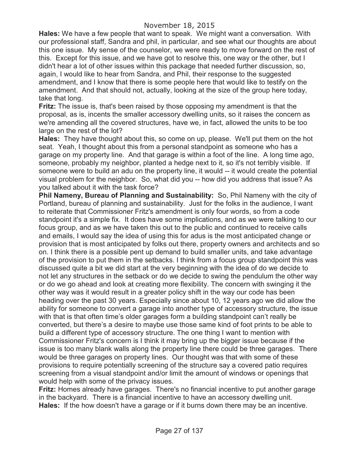**Hales:** We have a few people that want to speak. We might want a conversation. With our professional staff, Sandra and phil, in particular, and see what our thoughts are about this one issue. My sense of the counselor, we were ready to move forward on the rest of this. Except for this issue, and we have got to resolve this, one way or the other, but I didn't hear a lot of other issues within this package that needed further discussion, so, again, I would like to hear from Sandra, and Phil, their response to the suggested amendment, and I know that there is some people here that would like to testify on the amendment. And that should not, actually, looking at the size of the group here today, take that long.

**Fritz:** The issue is, that's been raised by those opposing my amendment is that the proposal, as is, incents the smaller accessory dwelling units, so it raises the concern as we're amending all the covered structures, have we, in fact, allowed the units to be too large on the rest of the lot?

**Hales:** They have thought about this, so come on up, please. We'll put them on the hot seat. Yeah, I thought about this from a personal standpoint as someone who has a garage on my property line. And that garage is within a foot of the line. A long time ago, someone, probably my neighbor, planted a hedge next to it, so it's not terribly visible. If someone were to build an adu on the property line, it would -- it would create the potential visual problem for the neighbor. So, what did you -- how did you address that issue? As you talked about it with the task force?

**Phil Nameny, Bureau of Planning and Sustainability:** So, Phil Nameny with the city of Portland, bureau of planning and sustainability. Just for the folks in the audience, I want to reiterate that Commissioner Fritz's amendment is only four words, so from a code standpoint it's a simple fix. It does have some implications, and as we were talking to our focus group, and as we have taken this out to the public and continued to receive calls and emails, I would say the idea of using this for adus is the most anticipated change or provision that is most anticipated by folks out there, property owners and architects and so on. I think there is a possible pent up demand to build smaller units, and take advantage of the provision to put them in the setbacks. I think from a focus group standpoint this was discussed quite a bit we did start at the very beginning with the idea of do we decide to not let any structures in the setback or do we decide to swing the pendulum the other way or do we go ahead and look at creating more flexibility. The concern with swinging it the other way was it would result in a greater policy shift in the way our code has been heading over the past 30 years. Especially since about 10, 12 years ago we did allow the ability for someone to convert a garage into another type of accessory structure, the issue with that is that often time's older garages form a building standpoint can't really be converted, but there's a desire to maybe use those same kind of foot prints to be able to build a different type of accessory structure. The one thing I want to mention with Commissioner Fritz's concern is I think it may bring up the bigger issue because if the issue is too many blank walls along the property line there could be three garages. There would be three garages on property lines. Our thought was that with some of these provisions to require potentially screening of the structure say a covered patio requires screening from a visual standpoint and/or limit the amount of windows or openings that would help with some of the privacy issues.

**Fritz:** Homes already have garages. There's no financial incentive to put another garage in the backyard. There is a financial incentive to have an accessory dwelling unit. **Hales:** If the how doesn't have a garage or if it burns down there may be an incentive.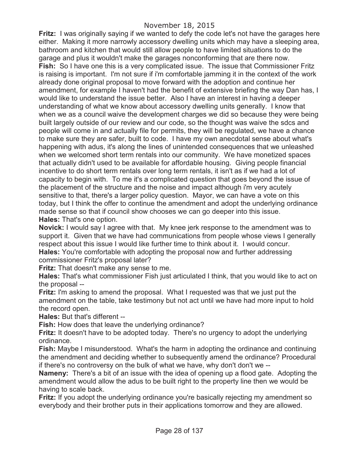# November 18, 2015

**Fritz:** I was originally saying if we wanted to defy the code let's not have the garages here either. Making it more narrowly accessory dwelling units which may have a sleeping area, bathroom and kitchen that would still allow people to have limited situations to do the garage and plus it wouldn't make the garages nonconforming that are there now. **Fish:** So I have one this is a very complicated issue. The issue that Commissioner Fritz is raising is important. I'm not sure if i'm comfortable jamming it in the context of the work already done original proposal to move forward with the adoption and continue her amendment, for example I haven't had the benefit of extensive briefing the way Dan has, I would like to understand the issue better. Also I have an interest in having a deeper understanding of what we know about accessory dwelling units generally. I know that when we as a council waive the development charges we did so because they were being built largely outside of our review and our code, so the thought was waive the sdcs and people will come in and actually file for permits, they will be regulated, we have a chance to make sure they are safer, built to code. I have my own anecdotal sense about what's happening with adus, it's along the lines of unintended consequences that we unleashed when we welcomed short term rentals into our community. We have monetized spaces that actually didn't used to be available for affordable housing. Giving people financial incentive to do short term rentals over long term rentals, it isn't as if we had a lot of capacity to begin with. To me it's a complicated question that goes beyond the issue of the placement of the structure and the noise and impact although i'm very acutely sensitive to that, there's a larger policy question. Mayor, we can have a vote on this today, but I think the offer to continue the amendment and adopt the underlying ordinance made sense so that if council show chooses we can go deeper into this issue. **Hales:** That's one option.

**Novick:** I would say I agree with that. My knee jerk response to the amendment was to support it. Given that we have had communications from people whose views I generally respect about this issue I would like further time to think about it. I would concur. **Hales:** You're comfortable with adopting the proposal now and further addressing commissioner Fritz's proposal later?

**Fritz:** That doesn't make any sense to me.

**Hales:** That's what commissioner Fish just articulated I think, that you would like to act on the proposal --

**Fritz:** I'm asking to amend the proposal. What I requested was that we just put the amendment on the table, take testimony but not act until we have had more input to hold the record open.

**Hales:** But that's different --

**Fish:** How does that leave the underlying ordinance?

**Fritz:** It doesn't have to be adopted today. There's no urgency to adopt the underlying ordinance.

**Fish:** Maybe I misunderstood. What's the harm in adopting the ordinance and continuing the amendment and deciding whether to subsequently amend the ordinance? Procedural if there's no controversy on the bulk of what we have, why don't don't we --

**Nameny:** There's a bit of an issue with the idea of opening up a flood gate. Adopting the amendment would allow the adus to be built right to the property line then we would be having to scale back.

**Fritz:** If you adopt the underlying ordinance you're basically rejecting my amendment so everybody and their brother puts in their applications tomorrow and they are allowed.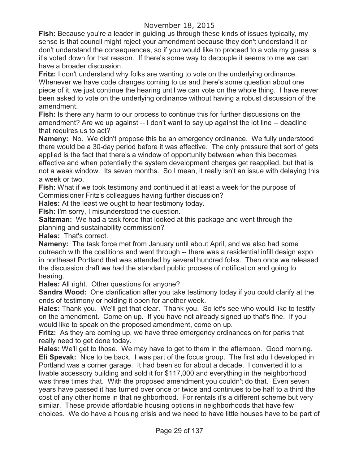# November 18, 2015

**Fish:** Because you're a leader in guiding us through these kinds of issues typically, my sense is that council might reject your amendment because they don't understand it or don't understand the consequences, so if you would like to proceed to a vote my guess is it's voted down for that reason. If there's some way to decouple it seems to me we can have a broader discussion.

**Fritz:** I don't understand why folks are wanting to vote on the underlying ordinance. Whenever we have code changes coming to us and there's some question about one piece of it, we just continue the hearing until we can vote on the whole thing. I have never been asked to vote on the underlying ordinance without having a robust discussion of the amendment.

**Fish:** Is there any harm to our process to continue this for further discussions on the amendment? Are we up against -- I don't want to say up against the lot line -- deadline that requires us to act?

**Nameny:** No. We didn't propose this be an emergency ordinance. We fully understood there would be a 30-day period before it was effective. The only pressure that sort of gets applied is the fact that there's a window of opportunity between when this becomes effective and when potentially the system development charges get reapplied, but that is not a weak window. Its seven months. So I mean, it really isn't an issue with delaying this a week or two.

**Fish:** What if we took testimony and continued it at least a week for the purpose of Commissioner Fritz's colleagues having further discussion?

**Hales:** At the least we ought to hear testimony today.

**Fish:** I'm sorry, I misunderstood the question.

**Saltzman:** We had a task force that looked at this package and went through the planning and sustainability commission?

**Hales:** That's correct.

**Nameny:** The task force met from January until about April, and we also had some outreach with the coalitions and went through -- there was a residential infill design expo in northeast Portland that was attended by several hundred folks. Then once we released the discussion draft we had the standard public process of notification and going to hearing.

**Hales:** All right. Other questions for anyone?

**Sandra Wood:** One clarification after you take testimony today if you could clarify at the ends of testimony or holding it open for another week.

**Hales:** Thank you. We'll get that clear. Thank you. So let's see who would like to testify on the amendment. Come on up. If you have not already signed up that's fine. If you would like to speak on the proposed amendment, come on up.

**Fritz:** As they are coming up, we have three emergency ordinances on for parks that really need to get done today.

**Hales:** We'll get to those. We may have to get to them in the afternoon. Good morning. **Eli Spevak:** Nice to be back. I was part of the focus group. The first adu I developed in Portland was a corner garage. It had been so for about a decade. I converted it to a livable accessory building and sold it for \$117,000 and everything in the neighborhood was three times that. With the proposed amendment you couldn't do that. Even seven years have passed it has turned over once or twice and continues to be half to a third the cost of any other home in that neighborhood. For rentals it's a different scheme but very similar. These provide affordable housing options in neighborhoods that have few choices. We do have a housing crisis and we need to have little houses have to be part of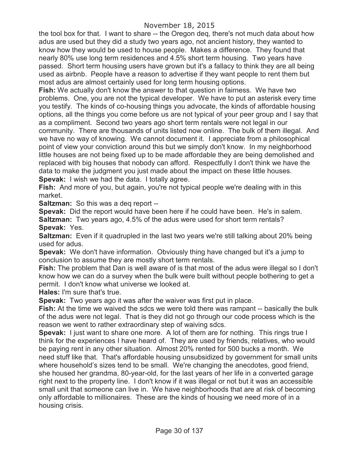the tool box for that. I want to share -- the Oregon deq, there's not much data about how adus are used but they did a study two years ago, not ancient history, they wanted to know how they would be used to house people. Makes a difference. They found that nearly 80% use long term residences and 4.5% short term housing. Two years have passed. Short term housing users have grown but it's a fallacy to think they are all being used as airbnb. People have a reason to advertise if they want people to rent them but most adus are almost certainly used for long term housing options.

**Fish:** We actually don't know the answer to that question in fairness. We have two problems. One, you are not the typical developer. We have to put an asterisk every time you testify. The kinds of co-housing things you advocate, the kinds of affordable housing options, all the things you come before us are not typical of your peer group and I say that as a compliment. Second two years ago short term rentals were not legal in our community. There are thousands of units listed now online. The bulk of them illegal. And we have no way of knowing. We cannot document it. I appreciate from a philosophical point of view your conviction around this but we simply don't know. In my neighborhood little houses are not being fixed up to be made affordable they are being demolished and replaced with big houses that nobody can afford. Respectfully I don't think we have the data to make the judgment you just made about the impact on these little houses. **Spevak:** I wish we had the data. I totally agree.

**Fish:** And more of you, but again, you're not typical people we're dealing with in this market.

**Saltzman:** So this was a deq report --

**Spevak:** Did the report would have been here if he could have been. He's in salem. **Saltzman:** Two years ago, 4.5% of the adus were used for short term rentals?

**Spevak:** Yes.

**Saltzman:** Even if it quadrupled in the last two years we're still talking about 20% being used for adus.

**Spevak:** We don't have information. Obviously thing have changed but it's a jump to conclusion to assume they are mostly short term rentals.

**Fish:** The problem that Dan is well aware of is that most of the adus were illegal so I don't know how we can do a survey when the bulk were built without people bothering to get a permit. I don't know what universe we looked at.

**Hales:** I'm sure that's true.

**Spevak:** Two years ago it was after the waiver was first put in place.

**Fish:** At the time we waived the sdcs we were told there was rampant -- basically the bulk of the adus were not legal. That is they did not go through our code process which is the reason we went to rather extraordinary step of waiving sdcs.

**Spevak:** I just want to share one more. A lot of them are for nothing. This rings true I think for the experiences I have heard of. They are used by friends, relatives, who would be paying rent in any other situation. Almost 20% rented for 500 bucks a month. We need stuff like that. That's affordable housing unsubsidized by government for small units where household's sizes tend to be small. We're changing the anecdotes, good friend, she housed her grandma, 80-year-old, for the last years of her life in a converted garage right next to the property line. I don't know if it was illegal or not but it was an accessible small unit that someone can live in. We have neighborhoods that are at risk of becoming only affordable to millionaires. These are the kinds of housing we need more of in a housing crisis.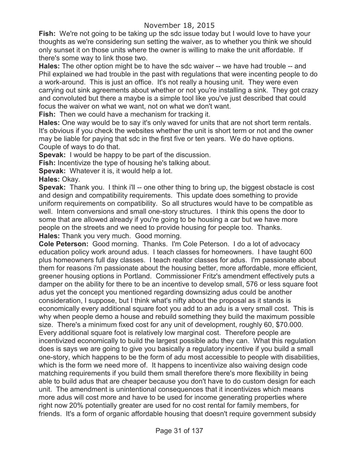**Fish:** We're not going to be taking up the sdc issue today but I would love to have your thoughts as we're considering sun setting the waiver, as to whether you think we should only sunset it on those units where the owner is willing to make the unit affordable. If there's some way to link those two.

**Hales:** The other option might be to have the sdc waiver -- we have had trouble -- and Phil explained we had trouble in the past with regulations that were incenting people to do a work-around. This is just an office. It's not really a housing unit. They were even carrying out sink agreements about whether or not you're installing a sink. They got crazy and convoluted but there a maybe is a simple tool like you've just described that could focus the waiver on what we want, not on what we don't want.

**Fish:** Then we could have a mechanism for tracking it.

**Hales:** One way would be to say it's only waved for units that are not short term rentals. It's obvious if you check the websites whether the unit is short term or not and the owner may be liable for paying that sdc in the first five or ten years. We do have options. Couple of ways to do that.

**Spevak:** I would be happy to be part of the discussion.

**Fish:** Incentivize the type of housing he's talking about.

**Spevak:** Whatever it is, it would help a lot.

**Hales:** Okay.

**Spevak:** Thank you. I think i'll -- one other thing to bring up, the biggest obstacle is cost and design and compatibility requirements. This update does something to provide uniform requirements on compatibility. So all structures would have to be compatible as well. Intern conversions and small one-story structures. I think this opens the door to some that are allowed already if you're going to be housing a car but we have more people on the streets and we need to provide housing for people too. Thanks. **Hales:** Thank you very much. Good morning.

**Cole Peterson:** Good morning. Thanks. I'm Cole Peterson. I do a lot of advocacy education policy work around adus. I teach classes for homeowners. I have taught 600 plus homeowners full day classes. I teach realtor classes for adus. I'm passionate about them for reasons i'm passionate about the housing better, more affordable, more efficient, greener housing options in Portland. Commissioner Fritz's amendment effectively puts a damper on the ability for there to be an incentive to develop small, 576 or less square foot adus yet the concept you mentioned regarding downsizing adus could be another consideration, I suppose, but I think what's nifty about the proposal as it stands is economically every additional square foot you add to an adu is a very small cost. This is why when people demo a house and rebuild something they build the maximum possible size. There's a minimum fixed cost for any unit of development, roughly 60, \$70.000. Every additional square foot is relatively low marginal cost. Therefore people are incentivized economically to build the largest possible adu they can. What this regulation does is says we are going to give you basically a regulatory incentive if you build a small one-story, which happens to be the form of adu most accessible to people with disabilities, which is the form we need more of. It happens to incentivize also waiving design code matching requirements if you build them small therefore there's more flexibility in being able to build adus that are cheaper because you don't have to do custom design for each unit. The amendment is unintentional consequences that it incentivizes which means more adus will cost more and have to be used for income generating properties where right now 20% potentially greater are used for no cost rental for family members, for friends. It's a form of organic affordable housing that doesn't require government subsidy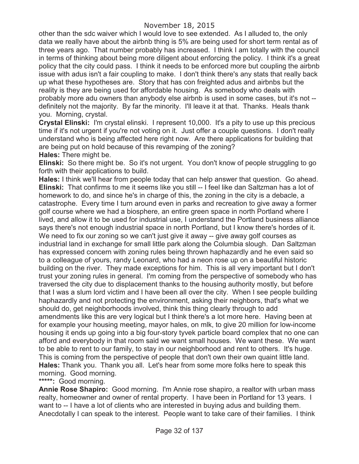other than the sdc waiver which I would love to see extended. As I alluded to, the only data we really have about the airbnb thing is 5% are being used for short term rental as of three years ago. That number probably has increased. I think I am totally with the council in terms of thinking about being more diligent about enforcing the policy. I think it's a great policy that the city could pass. I think it needs to be enforced more but coupling the airbnb issue with adus isn't a fair coupling to make. I don't think there's any stats that really back up what these hypotheses are. Story that has con freighted adus and airbnbs but the reality is they are being used for affordable housing. As somebody who deals with probably more adu owners than anybody else airbnb is used in some cases, but it's not - definitely not the majority. By far the minority. I'll leave it at that. Thanks. Heals thank you. Morning, crystal.

**Crystal Elinski:** I'm crystal elinski. I represent 10,000. It's a pity to use up this precious time if it's not urgent if you're not voting on it. Just offer a couple questions. I don't really understand who is being affected here right now. Are there applications for building that are being put on hold because of this revamping of the zoning? **Hales:** There might be.

**Elinski:** So there might be. So it's not urgent. You don't know of people struggling to go forth with their applications to build.

**Hales:** I think we'll hear from people today that can help answer that question. Go ahead. **Elinski:** That confirms to me it seems like you still -- I feel like dan Saltzman has a lot of homework to do, and since he's in charge of this, the zoning in the city is a debacle, a catastrophe. Every time I turn around even in parks and recreation to give away a former golf course where we had a biosphere, an entire green space in north Portland where I lived, and allow it to be used for industrial use, I understand the Portland business alliance says there's not enough industrial space in north Portland, but I know there's hordes of it. We need to fix our zoning so we can't just give it away -- give away golf courses as industrial land in exchange for small little park along the Columbia slough. Dan Saltzman has expressed concern with zoning rules being thrown haphazardly and he even said so to a colleague of yours, randy Leonard, who had a neon rose up on a beautiful historic building on the river. They made exceptions for him. This is all very important but I don't trust your zoning rules in general. I'm coming from the perspective of somebody who has traversed the city due to displacement thanks to the housing authority mostly, but before that I was a slum lord victim and I have been all over the city. When I see people building haphazardly and not protecting the environment, asking their neighbors, that's what we should do, get neighborhoods involved, think this thing clearly through to add amendments like this are very logical but I think there's a lot more here. Having been at for example your housing meeting, mayor hales, on mlk, to give 20 million for low-income housing it ends up going into a big four-story tyvek particle board complex that no one can afford and everybody in that room said we want small houses. We want these. We want to be able to rent to our family, to stay in our neighborhood and rent to others. It's huge. This is coming from the perspective of people that don't own their own quaint little land. **Hales:** Thank you. Thank you all. Let's hear from some more folks here to speak this morning. Good morning.

**\*\*\*\*\*:** Good morning.

**Annie Rose Shapiro:** Good morning. I'm Annie rose shapiro, a realtor with urban mass realty, homeowner and owner of rental property. I have been in Portland for 13 years. I want to -- I have a lot of clients who are interested in buying adus and building them. Anecdotally I can speak to the interest. People want to take care of their families. I think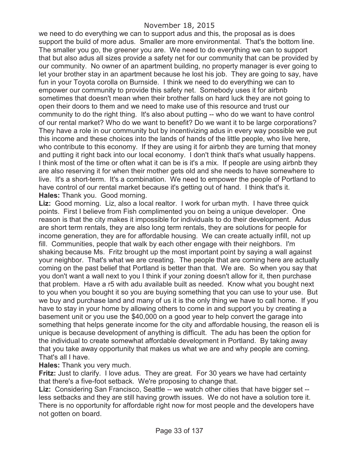we need to do everything we can to support adus and this, the proposal as is does support the build of more adus. Smaller are more environmental. That's the bottom line. The smaller you go, the greener you are. We need to do everything we can to support that but also adus all sizes provide a safety net for our community that can be provided by our community. No owner of an apartment building, no property manager is ever going to let your brother stay in an apartment because he lost his job. They are going to say, have fun in your Toyota corolla on Burnside. I think we need to do everything we can to empower our community to provide this safety net. Somebody uses it for airbnb sometimes that doesn't mean when their brother falls on hard luck they are not going to open their doors to them and we need to make use of this resource and trust our community to do the right thing. It's also about putting -- who do we want to have control of our rental market? Who do we want to benefit? Do we want it to be large corporations? They have a role in our community but by incentivizing adus in every way possible we put this income and these choices into the lands of hands of the little people, who live here, who contribute to this economy. If they are using it for airbnb they are turning that money and putting it right back into our local economy. I don't think that's what usually happens. I think most of the time or often what it can be is it's a mix. If people are using airbnb they are also reserving it for when their mother gets old and she needs to have somewhere to live. It's a short-term. It's a combination. We need to empower the people of Portland to have control of our rental market because it's getting out of hand. I think that's it. **Hales:** Thank you. Good morning.

**Liz:** Good morning. Liz, also a local realtor. I work for urban myth. I have three quick points. First I believe from Fish complimented you on being a unique developer. One reason is that the city makes it impossible for individuals to do their development. Adus are short term rentals, they are also long term rentals, they are solutions for people for income generation, they are for affordable housing. We can create actually infill, not up fill. Communities, people that walk by each other engage with their neighbors. I'm shaking because Ms. Fritz brought up the most important point by saying a wall against your neighbor. That's what we are creating. The people that are coming here are actually coming on the past belief that Portland is better than that. We are. So when you say that you don't want a wall next to you I think if your zoning doesn't allow for it, then purchase that problem. Have a r5 with adu available built as needed. Know what you bought next to you when you bought it so you are buying something that you can use to your use. But we buy and purchase land and many of us it is the only thing we have to call home. If you have to stay in your home by allowing others to come in and support you by creating a basement unit or you use the \$40,000 on a good year to help convert the garage into something that helps generate income for the city and affordable housing, the reason eli is unique is because development of anything is difficult. The adu has been the option for the individual to create somewhat affordable development in Portland. By taking away that you take away opportunity that makes us what we are and why people are coming. That's all I have.

## **Hales:** Thank you very much.

**Fritz:** Just to clarify. I love adus. They are great. For 30 years we have had certainty that there's a five-foot setback. We're proposing to change that.

Liz: Considering San Francisco, Seattle -- we watch other cities that have bigger set -less setbacks and they are still having growth issues. We do not have a solution tore it. There is no opportunity for affordable right now for most people and the developers have not gotten on board.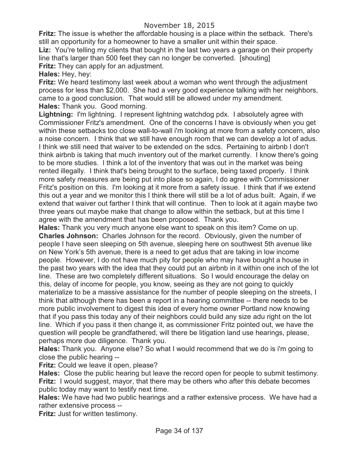**Fritz:** The issue is whether the affordable housing is a place within the setback. There's still an opportunity for a homeowner to have a smaller unit within their space.

**Liz:** You're telling my clients that bought in the last two years a garage on their property line that's larger than 500 feet they can no longer be converted. [shouting] **Fritz:** They can apply for an adjustment.

**Hales:** Hey, hey:

**Fritz:** We heard testimony last week about a woman who went through the adjustment process for less than \$2,000. She had a very good experience talking with her neighbors, came to a good conclusion. That would still be allowed under my amendment. **Hales:** Thank you. Good morning.

**Lightning:** I'm lightning. I represent lightning watchdog pdx. I absolutely agree with Commissioner Fritz's amendment. One of the concerns I have is obviously when you get within these setbacks too close wall-to-wall i'm looking at more from a safety concern, also a noise concern. I think that we still have enough room that we can develop a lot of adus. I think we still need that waiver to be extended on the sdcs. Pertaining to airbnb I don't think airbnb is taking that much inventory out of the market currently. I know there's going to be more studies. I think a lot of the inventory that was out in the market was being rented illegally. I think that's being brought to the surface, being taxed properly. I think more safety measures are being put into place so again, I do agree with Commissioner Fritz's position on this. I'm looking at it more from a safety issue. I think that if we extend this out a year and we monitor this I think there will still be a lot of adus built. Again, if we extend that waiver out farther I think that will continue. Then to look at it again maybe two three years out maybe make that change to allow within the setback, but at this time I agree with the amendment that has been proposed. Thank you.

**Hales:** Thank you very much anyone else want to speak on this item? Come on up. **Charles Johnson:** Charles Johnson for the record. Obviously, given the number of people I have seen sleeping on 5th avenue, sleeping here on southwest 5th avenue like on New York's 5th avenue, there is a need to get adus that are taking in low income people. However, I do not have much pity for people who may have bought a house in the past two years with the idea that they could put an airbnb in it within one inch of the lot line. These are two completely different situations. So I would encourage the delay on this, delay of income for people, you know, seeing as they are not going to quickly materialize to be a massive assistance for the number of people sleeping on the streets, I think that although there has been a report in a hearing committee -- there needs to be more public involvement to digest this idea of every home owner Portland now knowing that if you pass this today any of their neighbors could build any size adu right on the lot line. Which if you pass it then change it, as commissioner Fritz pointed out, we have the question will people be grandfathered, will there be litigation land use hearings, please, perhaps more due diligence. Thank you.

**Hales:** Thank you. Anyone else? So what I would recommend that we do is i'm going to close the public hearing --

**Fritz:** Could we leave it open, please?

**Hales:** Close the public hearing but leave the record open for people to submit testimony. **Fritz:** I would suggest, mayor, that there may be others who after this debate becomes public today may want to testify next time.

**Hales:** We have had two public hearings and a rather extensive process. We have had a rather extensive process --

**Fritz:** Just for written testimony.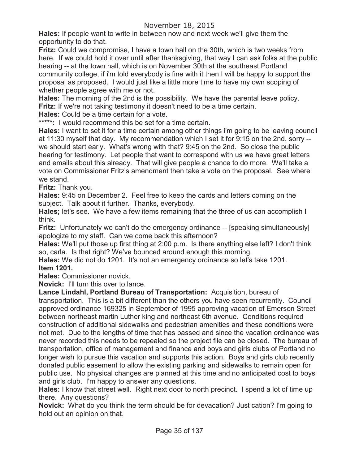**Hales:** If people want to write in between now and next week we'll give them the opportunity to do that.

**Fritz:** Could we compromise, I have a town hall on the 30th, which is two weeks from here. If we could hold it over until after thanksgiving, that way I can ask folks at the public hearing -- at the town hall, which is on November 30th at the southeast Portland community college, if i'm told everybody is fine with it then I will be happy to support the proposal as proposed. I would just like a little more time to have my own scoping of whether people agree with me or not.

**Hales:** The morning of the 2nd is the possibility. We have the parental leave policy. **Fritz:** If we're not taking testimony it doesn't need to be a time certain.

**Hales:** Could be a time certain for a vote.

**\*\*\*\*\*:** I would recommend this be set for a time certain.

**Hales:** I want to set it for a time certain among other things i'm going to be leaving council at 11:30 myself that day. My recommendation which I set it for 9:15 on the 2nd, sorry - we should start early. What's wrong with that? 9:45 on the 2nd. So close the public hearing for testimony. Let people that want to correspond with us we have great letters and emails about this already. That will give people a chance to do more. We'll take a vote on Commissioner Fritz's amendment then take a vote on the proposal. See where we stand.

**Fritz:** Thank you.

**Hales:** 9:45 on December 2. Feel free to keep the cards and letters coming on the subject. Talk about it further. Thanks, everybody.

**Hales;** let's see. We have a few items remaining that the three of us can accomplish I think.

**Fritz:** Unfortunately we can't do the emergency ordinance -- [speaking simultaneously] apologize to my staff. Can we come back this afternoon?

**Hales:** We'll put those up first thing at 2:00 p.m. Is there anything else left? I don't think so, carla. Is that right? We've bounced around enough this morning.

**Hales:** We did not do 1201. It's not an emergency ordinance so let's take 1201. **Item 1201.**

**Hales:** Commissioner novick.

**Novick:** I'll turn this over to lance.

**Lance Lindahl, Portland Bureau of Transportation:** Acquisition, bureau of transportation. This is a bit different than the others you have seen recurrently. Council approved ordinance 169325 in September of 1995 approving vacation of Emerson Street between northeast martin Luther king and northeast 6th avenue. Conditions required construction of additional sidewalks and pedestrian amenities and these conditions were not met. Due to the lengths of time that has passed and since the vacation ordinance was never recorded this needs to be repealed so the project file can be closed. The bureau of transportation, office of management and finance and boys and girls clubs of Portland no longer wish to pursue this vacation and supports this action. Boys and girls club recently donated public easement to allow the existing parking and sidewalks to remain open for public use. No physical changes are planned at this time and no anticipated cost to boys and girls club. I'm happy to answer any questions.

**Hales:** I know that street well. Right next door to north precinct. I spend a lot of time up there. Any questions?

**Novick:** What do you think the term should be for devacation? Just cation? I'm going to hold out an opinion on that.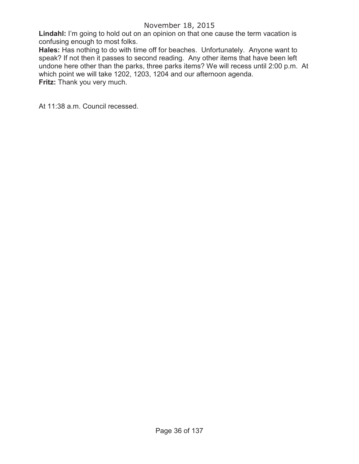# November 18, 2015

Lindahl: I'm going to hold out on an opinion on that one cause the term vacation is confusing enough to most folks.

**Hales:** Has nothing to do with time off for beaches. Unfortunately. Anyone want to speak? If not then it passes to second reading. Any other items that have been left undone here other than the parks, three parks items? We will recess until 2:00 p.m. At which point we will take 1202, 1203, 1204 and our afternoon agenda. **Fritz:** Thank you very much.

At 11:38 a.m. Council recessed.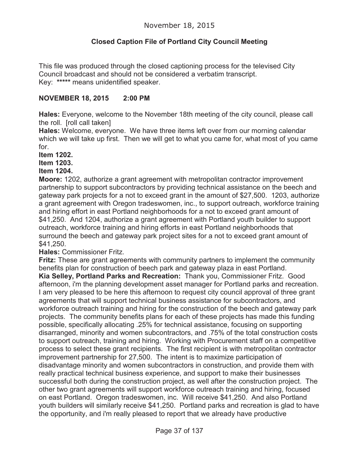# **Closed Caption File of Portland City Council Meeting**

This file was produced through the closed captioning process for the televised City Council broadcast and should not be considered a verbatim transcript. Key: **\*\*\*\*\*** means unidentified speaker.

#### **NOVEMBER 18, 2015 2:00 PM**

**Hales:** Everyone, welcome to the November 18th meeting of the city council, please call the roll. [roll call taken]

**Hales:** Welcome, everyone. We have three items left over from our morning calendar which we will take up first. Then we will get to what you came for, what most of you came for.

**Item 1202.**

**Item 1203.**

#### **Item 1204.**

**Moore:** 1202, authorize a grant agreement with metropolitan contractor improvement partnership to support subcontractors by providing technical assistance on the beech and gateway park projects for a not to exceed grant in the amount of \$27,500. 1203, authorize a grant agreement with Oregon tradeswomen, inc., to support outreach, workforce training and hiring effort in east Portland neighborhoods for a not to exceed grant amount of \$41,250. And 1204, authorize a grant agreement with Portland youth builder to support outreach, workforce training and hiring efforts in east Portland neighborhoods that surround the beech and gateway park project sites for a not to exceed grant amount of \$41,250.

**Hales:** Commissioner Fritz.

**Fritz:** These are grant agreements with community partners to implement the community benefits plan for construction of beech park and gateway plaza in east Portland. **Kia Selley, Portland Parks and Recreation:** Thank you, Commissioner Fritz. Good afternoon, i'm the planning development asset manager for Portland parks and recreation. I am very pleased to be here this afternoon to request city council approval of three grant agreements that will support technical business assistance for subcontractors, and workforce outreach training and hiring for the construction of the beech and gateway park projects. The community benefits plans for each of these projects has made this funding possible, specifically allocating .25% for technical assistance, focusing on supporting disarranged, minority and women subcontractors, and .75% of the total construction costs to support outreach, training and hiring. Working with Procurement staff on a competitive process to select these grant recipients. The first recipient is with metropolitan contractor improvement partnership for 27,500. The intent is to maximize participation of disadvantage minority and women subcontractors in construction, and provide them with really practical technical business experience, and support to make their businesses successful both during the construction project, as well after the construction project. The other two grant agreements will support workforce outreach training and hiring, focused on east Portland. Oregon tradeswomen, inc. Will receive \$41,250. And also Portland youth builders will similarly receive \$41,250. Portland parks and recreation is glad to have the opportunity, and i'm really pleased to report that we already have productive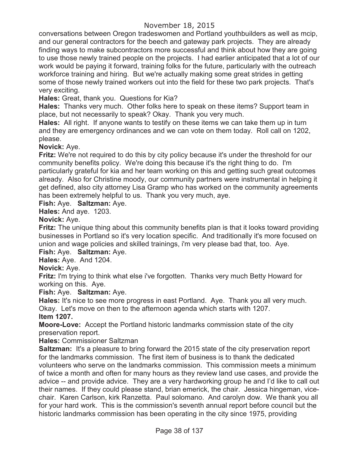# November 18, 2015

conversations between Oregon tradeswomen and Portland youthbuilders as well as mcip, and our general contractors for the beech and gateway park projects. They are already finding ways to make subcontractors more successful and think about how they are going to use those newly trained people on the projects. I had earlier anticipated that a lot of our work would be paying it forward, training folks for the future, particularly with the outreach workforce training and hiring. But we're actually making some great strides in getting some of those newly trained workers out into the field for these two park projects. That's very exciting.

**Hales:** Great, thank you. Questions for Kia?

**Hales:** Thanks very much. Other folks here to speak on these items? Support team in place, but not necessarily to speak? Okay. Thank you very much.

**Hales:** All right. If anyone wants to testify on these items we can take them up in turn and they are emergency ordinances and we can vote on them today. Roll call on 1202, please.

# **Novick:** Aye.

**Fritz:** We're not required to do this by city policy because it's under the threshold for our community benefits policy. We're doing this because it's the right thing to do. I'm particularly grateful for kia and her team working on this and getting such great outcomes already. Also for Christine moody, our community partners were instrumental in helping it get defined, also city attorney Lisa Gramp who has worked on the community agreements has been extremely helpful to us. Thank you very much, aye.

### **Fish:** Aye. **Saltzman:** Aye.

**Hales:** And aye. 1203.

# **Novick:** Aye.

**Fritz:** The unique thing about this community benefits plan is that it looks toward providing businesses in Portland so it's very location specific. And traditionally it's more focused on union and wage policies and skilled trainings, i'm very please bad that, too. Aye.

# **Fish:** Aye. **Saltzman:** Aye.

**Hales:** Aye. And 1204.

# **Novick:** Aye.

**Fritz:** I'm trying to think what else i've forgotten. Thanks very much Betty Howard for working on this. Aye.

# **Fish:** Aye. **Saltzman:** Aye.

**Hales:** It's nice to see more progress in east Portland. Aye. Thank you all very much. Okay. Let's move on then to the afternoon agenda which starts with 1207.

# **Item 1207.**

**Moore-Love:** Accept the Portland historic landmarks commission state of the city preservation report.

# **Hales:** Commissioner Saltzman

**Saltzman:** It's a pleasure to bring forward the 2015 state of the city preservation report for the landmarks commission. The first item of business is to thank the dedicated volunteers who serve on the landmarks commission. This commission meets a minimum of twice a month and often for many hours as they review land use cases, and provide the advice -- and provide advice. They are a very hardworking group he and I'd like to call out their names. If they could please stand, brian emerick, the chair. Jessica hingeman, vicechair. Karen Carlson, kirk Ranzetta. Paul solomano. And carolyn dow. We thank you all for your hard work. This is the commission's seventh annual report before council but the historic landmarks commission has been operating in the city since 1975, providing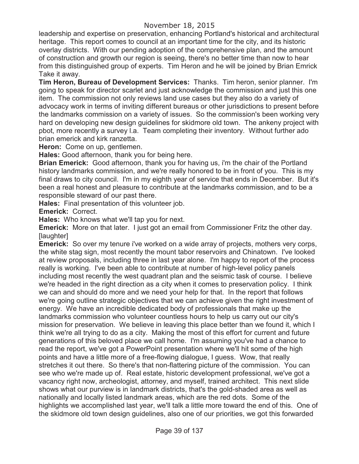leadership and expertise on preservation, enhancing Portland's historical and architectural heritage. This report comes to council at an important time for the city, and its historic overlay districts. With our pending adoption of the comprehensive plan, and the amount of construction and growth our region is seeing, there's no better time than now to hear from this distinguished group of experts. Tim Heron and he will be joined by Brian Emrick Take it away.

**Tim Heron, Bureau of Development Services:** Thanks. Tim heron, senior planner. I'm going to speak for director scarlet and just acknowledge the commission and just this one item. The commission not only reviews land use cases but they also do a variety of advocacy work in terms of inviting different bureaus or other jurisdictions to present before the landmarks commission on a variety of issues. So the commission's been working very hard on developing new design guidelines for skidmore old town. The ankeny project with pbot, more recently a survey l.a. Team completing their inventory. Without further ado brian emerick and kirk ranzetta.

**Heron:** Come on up, gentlemen.

**Hales:** Good afternoon, thank you for being here.

**Brian Emerick:** Good afternoon, thank you for having us, i'm the chair of the Portland history landmarks commission, and we're really honored to be in front of you. This is my final draws to city council. I'm in my eighth year of service that ends in December. But it's been a real honest and pleasure to contribute at the landmarks commission, and to be a responsible steward of our past there.

**Hales:** Final presentation of this volunteer job.

**Emerick:** Correct.

**Hales:** Who knows what we'll tap you for next.

**Emerick:** More on that later. I just got an email from Commissioner Fritz the other day. [laughter]

**Emerick:** So over my tenure i've worked on a wide array of projects, mothers very corps, the white stag sign, most recently the mount tabor reservoirs and Chinatown. I've looked at review proposals, including three in last year alone. I'm happy to report of the process really is working. I've been able to contribute at number of high-level policy panels including most recently the west quadrant plan and the seismic task of course. I believe we're headed in the right direction as a city when it comes to preservation policy. I think we can and should do more and we need your help for that. In the report that follows we're going outline strategic objectives that we can achieve given the right investment of energy. We have an incredible dedicated body of professionals that make up the landmarks commission who volunteer countless hours to help us carry out our city's mission for preservation. We believe in leaving this place better than we found it, which I think we're all trying to do as a city. Making the most of this effort for current and future generations of this beloved place we call home. I'm assuming you've had a chance to read the report, we've got a PowerPoint presentation where we'll hit some of the high points and have a little more of a free-flowing dialogue, I guess. Wow, that really stretches it out there. So there's that non-flattering picture of the commission. You can see who we're made up of. Real estate, historic development professional, we've got a vacancy right now, archeologist, attorney, and myself, trained architect. This next slide shows what our purview is in landmark districts, that's the gold-shaded area as well as nationally and locally listed landmark areas, which are the red dots. Some of the highlights we accomplished last year, we'll talk a little more toward the end of this. One of the skidmore old town design guidelines, also one of our priorities, we got this forwarded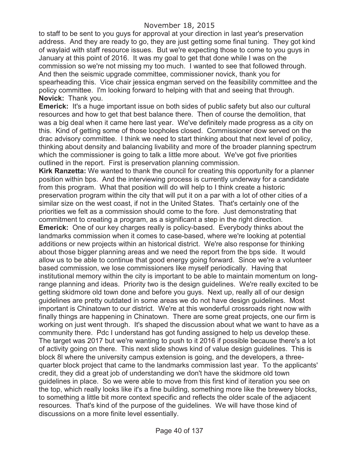to staff to be sent to you guys for approval at your direction in last year's preservation address. And they are ready to go, they are just getting some final tuning. They got kind of waylaid with staff resource issues. But we're expecting those to come to you guys in January at this point of 2016. It was my goal to get that done while I was on the commission so we're not missing my too much. I wanted to see that followed through. And then the seismic upgrade committee, commissioner novick, thank you for spearheading this. Vice chair jessica engman served on the feasibility committee and the policy committee. I'm looking forward to helping with that and seeing that through. **Novick:** Thank you.

**Emerick:** It's a huge important issue on both sides of public safety but also our cultural resources and how to get that best balance there. Then of course the demolition, that was a big deal when it came here last year. We've definitely made progress as a city on this. Kind of getting some of those loopholes closed. Commissioner dow served on the drac advisory committee. I think we need to start thinking about that next level of policy, thinking about density and balancing livability and more of the broader planning spectrum which the commissioner is going to talk a little more about. We've got five priorities outlined in the report. First is preservation planning commission.

**Kirk Ranzetta:** We wanted to thank the council for creating this opportunity for a planner position within bps. And the interviewing process is currently underway for a candidate from this program. What that position will do will help to I think create a historic preservation program within the city that will put it on a par with a lot of other cities of a similar size on the west coast, if not in the United States. That's certainly one of the priorities we felt as a commission should come to the fore. Just demonstrating that commitment to creating a program, as a significant a step in the right direction.

**Emerick:** One of our key charges really is policy-based. Everybody thinks about the landmarks commission when it comes to case-based, where we're looking at potential additions or new projects within an historical district. We're also response for thinking about those bigger planning areas and we need the report from the bps side. It would allow us to be able to continue that good energy going forward. Since we're a volunteer based commission, we lose commissioners like myself periodically. Having that institutional memory within the city is important to be able to maintain momentum on longrange planning and ideas. Priority two is the design guidelines. We're really excited to be getting skidmore old town done and before you guys. Next up, really all of our design guidelines are pretty outdated in some areas we do not have design guidelines. Most important is Chinatown to our district. We're at this wonderful crossroads right now with finally things are happening in Chinatown. There are some great projects, one our firm is working on just went through. It's shaped the discussion about what we want to have as a community there. Pdc I understand has got funding assigned to help us develop these. The target was 2017 but we're wanting to push to it 2016 if possible because there's a lot of activity going on there. This next slide shows kind of value design guidelines. This is block 8l where the university campus extension is going, and the developers, a threequarter block project that came to the landmarks commission last year. To the applicants' credit, they did a great job of understanding we don't have the skidmore old town guidelines in place. So we were able to move from this first kind of iteration you see on the top, which really looks like it's a fine building, something more like the brewery blocks, to something a little bit more context specific and reflects the older scale of the adjacent resources. That's kind of the purpose of the guidelines. We will have those kind of discussions on a more finite level essentially.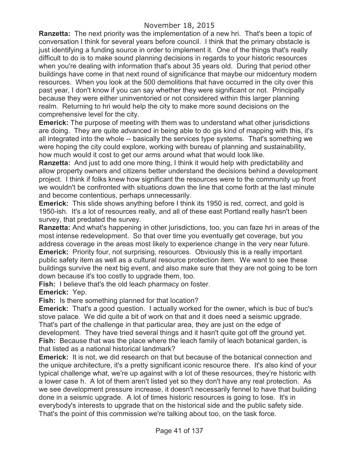**Ranzetta:** The next priority was the implementation of a new hri. That's been a topic of conversation I think for several years before council. I think that the primary obstacle is just identifying a funding source in order to implement it. One of the things that's really difficult to do is to make sound planning decisions in regards to your historic resources when you're dealing with information that's about 35 years old. During that period other buildings have come in that next round of significance that maybe our midcentury modern resources. When you look at the 500 demolitions that have occurred in the city over this past year, I don't know if you can say whether they were significant or not. Principally because they were either uninventoried or not considered within this larger planning realm. Returning to hri would help the city to make more sound decisions on the comprehensive level for the city.

**Emerick:** The purpose of meeting with them was to understand what other jurisdictions are doing. They are quite advanced in being able to do gis kind of mapping with this, it's all integrated into the whole -- basically the services type systems. That's something we were hoping the city could explore, working with bureau of planning and sustainability, how much would it cost to get our arms around what that would look like.

**Ranzetta:** And just to add one more thing, I think it would help with predictability and allow property owners and citizens better understand the decisions behind a development project. I think if folks knew how significant the resources were to the community up front we wouldn't be confronted with situations down the line that come forth at the last minute and become contentious, perhaps unnecessarily.

**Emerick:** This slide shows anything before I think its 1950 is red, correct, and gold is 1950-ish. It's a lot of resources really, and all of these east Portland really hasn't been survey, that predated the survey.

**Ranzetta:** And what's happening in other jurisdictions, too, you can faze hri in areas of the most intense redevelopment. So that over time you eventually get coverage, but you address coverage in the areas most likely to experience change in the very near future. **Emerick:** Priority four, not surprising, resources. Obviously this is a really important public safety item as well as a cultural resource protection item. We want to see these buildings survive the next big event, and also make sure that they are not going to be torn down because it's too costly to upgrade them, too.

**Fish:** I believe that's the old leach pharmacy on foster.

**Emerick:** Yep.

**Fish:** Is there something planned for that location?

**Emerick:** That's a good question. I actually worked for the owner, which is buc of buc's stove palace. We did quite a bit of work on that and it does need a seismic upgrade. That's part of the challenge in that particular area, they are just on the edge of development. They have tried several things and it hasn't quite got off the ground yet. **Fish:** Because that was the place where the leach family of leach botanical garden, is that listed as a national historical landmark?

**Emerick:** It is not, we did research on that but because of the botanical connection and the unique architecture, it's a pretty significant iconic resource there. It's also kind of your typical challenge what, we're up against with a lot of these resources, they're historic with a lower case h. A lot of them aren't listed yet so they don't have any real protection. As we see development pressure increase, it doesn't necessarily fennel to have that building done in a seismic upgrade. A lot of times historic resources is going to lose. It's in everybody's interests to upgrade that on the historical side and the public safety side. That's the point of this commission we're talking about too, on the task force.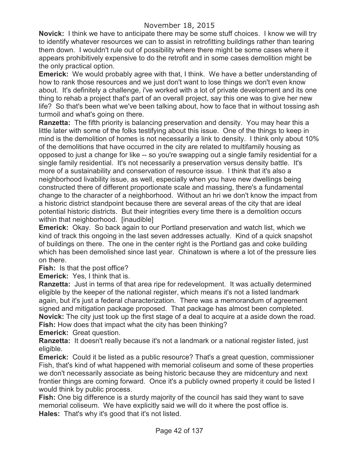**Novick:** I think we have to anticipate there may be some stuff choices. I know we will try to identify whatever resources we can to assist in retrofitting buildings rather than tearing them down. I wouldn't rule out of possibility where there might be some cases where it appears prohibitively expensive to do the retrofit and in some cases demolition might be the only practical option.

**Emerick:** We would probably agree with that, I think. We have a better understanding of how to rank those resources and we just don't want to lose things we don't even know about. It's definitely a challenge, i've worked with a lot of private development and its one thing to rehab a project that's part of an overall project, say this one was to give her new life? So that's been what we've been talking about, how to face that in without tossing ash turmoil and what's going on there.

**Ranzetta:** The fifth priority is balancing preservation and density. You may hear this a little later with some of the folks testifying about this issue. One of the things to keep in mind is the demolition of homes is not necessarily a link to density. I think only about 10% of the demolitions that have occurred in the city are related to multifamily housing as opposed to just a change for like -- so you're swapping out a single family residential for a single family residential. It's not necessarily a preservation versus density battle. It's more of a sustainability and conservation of resource issue. I think that it's also a neighborhood livability issue, as well, especially when you have new dwellings being constructed there of different proportionate scale and massing, there's a fundamental change to the character of a neighborhood. Without an hri we don't know the impact from a historic district standpoint because there are several areas of the city that are ideal potential historic districts. But their integrities every time there is a demolition occurs within that neighborhood. [inaudible]

**Emerick:** Okay. So back again to our Portland preservation and watch list, which we kind of track this ongoing in the last seven addresses actually. Kind of a quick snapshot of buildings on there. The one in the center right is the Portland gas and coke building which has been demolished since last year. Chinatown is where a lot of the pressure lies on there.

**Fish:** Is that the post office?

**Emerick:** Yes, I think that is.

**Ranzetta:** Just in terms of that area ripe for redevelopment. It was actually determined eligible by the keeper of the national register, which means it's not a listed landmark again, but it's just a federal characterization. There was a memorandum of agreement signed and mitigation package proposed. That package has almost been completed. **Novick:** The city just took up the first stage of a deal to acquire at a aside down the road. **Fish:** How does that impact what the city has been thinking?

**Emerick:** Great question.

**Ranzetta:** It doesn't really because it's not a landmark or a national register listed, just eligible.

**Emerick:** Could it be listed as a public resource? That's a great question, commissioner Fish, that's kind of what happened with memorial coliseum and some of these properties we don't necessarily associate as being historic because they are midcentury and next frontier things are coming forward. Once it's a publicly owned property it could be listed I would think by public process.

**Fish:** One big difference is a sturdy majority of the council has said they want to save memorial coliseum. We have explicitly said we will do it where the post office is. **Hales:** That's why it's good that it's not listed.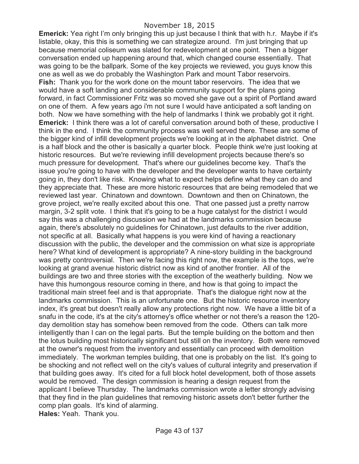**Emerick:** Yea right I'm only bringing this up just because I think that with h.r. Maybe if it's listable, okay, this this is something we can strategize around. I'm just bringing that up because memorial coliseum was slated for redevelopment at one point. Then a bigger conversation ended up happening around that, which changed course essentially. That was going to be the ballpark. Some of the key projects we reviewed, you guys know this one as well as we do probably the Washington Park and mount Tabor reservoirs. **Fish:** Thank you for the work done on the mount tabor reservoirs. The idea that we would have a soft landing and considerable community support for the plans going forward, in fact Commissioner Fritz was so moved she gave out a spirit of Portland award on one of them. A few years ago i'm not sure I would have anticipated a soft landing on both. Now we have something with the help of landmarks I think we probably got it right. **Emerick:** I think there was a lot of careful conversation around both of these, productive I think in the end. I think the community process was well served there. These are some of the bigger kind of infill development projects we're looking at in the alphabet district. One is a half block and the other is basically a quarter block. People think we're just looking at historic resources. But we're reviewing infill development projects because there's so much pressure for development. That's where our guidelines become key. That's the issue you're going to have with the developer and the developer wants to have certainty going in, they don't like risk. Knowing what to expect helps define what they can do and they appreciate that. These are more historic resources that are being remodeled that we reviewed last year. Chinatown and downtown. Downtown and then on Chinatown, the grove project, we're really excited about this one. That one passed just a pretty narrow margin, 3-2 split vote. I think that it's going to be a huge catalyst for the district I would say this was a challenging discussion we had at the landmarks commission because again, there's absolutely no guidelines for Chinatown, just defaults to the river addition, not specific at all. Basically what happens is you were kind of having a reactionary discussion with the public, the developer and the commission on what size is appropriate here? What kind of development is appropriate? A nine-story building in the background was pretty controversial. Then we're facing this right now, the example is the tops, we're looking at grand avenue historic district now as kind of another frontier. All of the buildings are two and three stories with the exception of the weatherly building. Now we have this humongous resource coming in there, and how is that going to impact the traditional main street feel and is that appropriate. That's the dialogue right now at the landmarks commission. This is an unfortunate one. But the historic resource inventory index, it's great but doesn't really allow any protections right now. We have a little bit of a snafu in the code, it's at the city's attorney's office whether or not there's a reason the 120 day demolition stay has somehow been removed from the code. Others can talk more intelligently than I can on the legal parts. But the temple building on the bottom and then the lotus building most historically significant but still on the inventory. Both were removed at the owner's request from the inventory and essentially can proceed with demolition immediately. The workman temples building, that one is probably on the list. It's going to be shocking and not reflect well on the city's values of cultural integrity and preservation if that building goes away. It's cited for a full block hotel development, both of those assets would be removed. The design commission is hearing a design request from the applicant I believe Thursday. The landmarks commission wrote a letter strongly advising that they find in the plan guidelines that removing historic assets don't better further the comp plan goals. It's kind of alarming. **Hales:** Yeah. Thank you.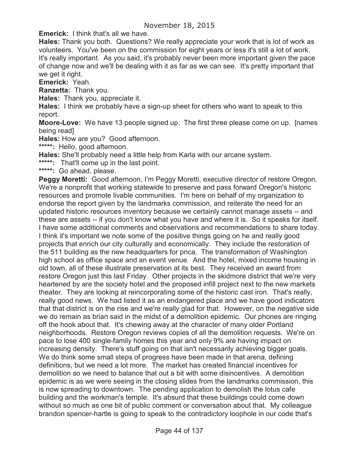**Emerick:** I think that's all we have.

**Hales:** Thank you both. Questions? We really appreciate your work that is lot of work as volunteers. You've been on the commission for eight years or less it's still a lot of work. It's really important. As you said, it's probably never been more important given the pace of change now and we'll be dealing with it as far as we can see. It's pretty important that we get it right.

**Emerick:** Yeah.

**Ranzetta:** Thank you.

**Hales:** Thank you, appreciate it.

**Hales:** I think we probably have a sign-up sheet for others who want to speak to this report.

**Moore-Love:** We have 13 people signed up. The first three please come on up. [names being read]

**Hales:** How are you? Good afternoon.

**\*\*\*\*\*:** Hello, good afternoon.

**Hales:** She'll probably need a little help from Karla with our arcane system.

**\*\*\*\*\*:** That'll come up in the last point.

**\*\*\*\*\*:** Go ahead, please.

Peggy Moretti: Good afternoon, I'm Peggy Moretti, executive director of restore Oregon. We're a nonprofit that working statewide to preserve and pass forward Oregon's historic resources and promote livable communities. I'm here on behalf of my organization to endorse the report given by the landmarks commission, and reiterate the need for an updated historic resources inventory because we certainly cannot manage assets -- and these are assets -- if you don't know what you have and where it is. So it speaks for itself. I have some additional comments and observations and recommendations to share today. I think it's important we note some of the positive things going on he and really good projects that enrich our city culturally and economically. They include the restoration of the 511 building as the new headquarters for pnca. The transformation of Washington high school as office space and an event venue. And the hotel, mixed income housing in old town, all of these illustrate preservation at its best. They received an award from restore Oregon just this last Friday. Other projects in the skidmore district that we're very heartened by are the society hotel and the proposed infill project next to the new markets theater. They are looking at reincorporating some of the historic cast iron. That's really, really good news. We had listed it as an endangered place and we have good indicators that that district is on the rise and we're really glad for that. However, on the negative side we do remain as brian said in the midst of a demolition epidemic. Our phones are ringing off the hook about that. It's chewing away at the character of many older Portland neighborhoods. Restore Oregon reviews copies of all the demolition requests. We're on pace to lose 400 single-family homes this year and only 9% are having impact on increasing density. There's stuff going on that isn't necessarily achieving bigger goals. We do think some small steps of progress have been made in that arena, defining definitions, but we need a lot more. The market has created financial incentives for demolition so we need to balance that out a bit with some disincentives. A demolition epidemic is as we were seeing in the closing slides from the landmarks commission, this is now spreading to downtown. The pending application to demolish the lotus cafe building and the workman's temple. It's absurd that these buildings could come down without so much as one bit of public comment or conversation about that. My colleague brandon spencer-hartle is going to speak to the contradictory loophole in our code that's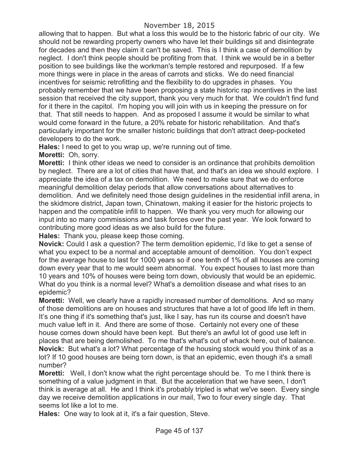allowing that to happen. But what a loss this would be to the historic fabric of our city. We should not be rewarding property owners who have let their buildings sit and disintegrate for decades and then they claim it can't be saved. This is I think a case of demolition by neglect. I don't think people should be profiting from that. I think we would be in a better position to see buildings like the workman's temple restored and repurposed. If a few more things were in place in the areas of carrots and sticks. We do need financial incentives for seismic retrofitting and the flexibility to do upgrades in phases. You probably remember that we have been proposing a state historic rap incentives in the last session that received the city support, thank you very much for that. We couldn't find fund for it there in the capitol. I'm hoping you will join with us in keeping the pressure on for that. That still needs to happen. And as proposed I assume it would be similar to what would come forward in the future, a 20% rebate for historic rehabilitation. And that's particularly important for the smaller historic buildings that don't attract deep-pocketed developers to do the work.

**Hales:** I need to get to you wrap up, we're running out of time.

**Moretti:** Oh, sorry.

**Moretti:** I think other ideas we need to consider is an ordinance that prohibits demolition by neglect. There are a lot of cities that have that, and that's an idea we should explore. I appreciate the idea of a tax on demolition. We need to make sure that we do enforce meaningful demolition delay periods that allow conversations about alternatives to demolition. And we definitely need those design guidelines in the residential infill arena, in the skidmore district, Japan town, Chinatown, making it easier for the historic projects to happen and the compatible infill to happen. We thank you very much for allowing our input into so many commissions and task forces over the past year. We look forward to contributing more good ideas as we also build for the future.

**Hales:** Thank you, please keep those coming.

**Novick:** Could I ask a question? The term demolition epidemic, I'd like to get a sense of what you expect to be a normal and acceptable amount of demolition. You don't expect for the average house to last for 1000 years so if one tenth of 1% of all houses are coming down every year that to me would seem abnormal. You expect houses to last more than 10 years and 10% of houses were being torn down, obviously that would be an epidemic. What do you think is a normal level? What's a demolition disease and what rises to an epidemic?

**Moretti:** Well, we clearly have a rapidly increased number of demolitions. And so many of those demolitions are on houses and structures that have a lot of good life left in them. It's one thing if it's something that's just, like I say, has run its course and doesn't have much value left in it. And there are some of those. Certainly not every one of these house comes down should have been kept. But there's an awful lot of good use left in places that are being demolished. To me that's what's out of whack here, out of balance. **Novick:** But what's a lot? What percentage of the housing stock would you think of as a lot? If 10 good houses are being torn down, is that an epidemic, even though it's a small number?

**Moretti:** Well, I don't know what the right percentage should be. To me I think there is something of a value judgment in that. But the acceleration that we have seen, I don't think is average at all. He and I think it's probably tripled is what we've seen. Every single day we receive demolition applications in our mail, Two to four every single day. That seems lot like a lot to me.

**Hales:** One way to look at it, it's a fair question, Steve.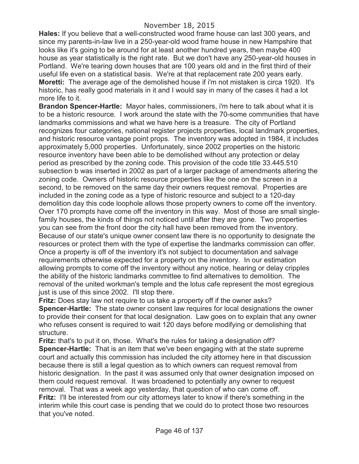**Hales:** If you believe that a well-constructed wood frame house can last 300 years, and since my parents-in-law live in a 250-year-old wood frame house in new Hampshire that looks like it's going to be around for at least another hundred years, then maybe 400 house as year statistically is the right rate. But we don't have any 250-year-old houses in Portland. We're tearing down houses that are 100 years old and in the first third of their useful life even on a statistical basis. We're at that replacement rate 200 years early. **Moretti:** The average age of the demolished house if i'm not mistaken is circa 1920. It's historic, has really good materials in it and I would say in many of the cases it had a lot more life to it.

**Brandon Spencer-Hartle:** Mayor hales, commissioners, i'm here to talk about what it is to be a historic resource. I work around the state with the 70-some communities that have landmarks commissions and what we have here is a treasure. The city of Portland recognizes four categories, national register projects properties, local landmark properties, and historic resource vantage point props. The inventory was adopted in 1984, it includes approximately 5,000 properties. Unfortunately, since 2002 properties on the historic resource inventory have been able to be demolished without any protection or delay period as prescribed by the zoning code. This provision of the code title 33.445.510 subsection b was inserted in 2002 as part of a larger package of amendments altering the zoning code. Owners of historic resource properties like the one on the screen in a second, to be removed on the same day their owners request removal. Properties are included in the zoning code as a type of historic resource and subject to a 120-day demolition day this code loophole allows those property owners to come off the inventory. Over 170 prompts have come off the inventory in this way. Most of those are small singlefamily houses, the kinds of things not noticed until after they are gone. Two properties you can see from the front door the city hall have been removed from the inventory. Because of our state's unique owner consent law there is no opportunity to designate the resources or protect them with the type of expertise the landmarks commission can offer. Once a property is off of the inventory it's not subject to documentation and salvage requirements otherwise expected for a property on the inventory. In our estimation allowing prompts to come off the inventory without any notice, hearing or delay cripples the ability of the historic landmarks committee to find alternatives to demolition. The removal of the united workman's temple and the lotus cafe represent the most egregious just is use of this since 2002. I'll stop there.

**Fritz:** Does stay law not require to us take a property off if the owner asks? **Spencer-Hartle:** The state owner consent law requires for local designations the owner to provide their consent for that local designation. Law goes on to explain that any owner who refuses consent is required to wait 120 days before modifying or demolishing that structure.

**Fritz:** that's to put it on, those. What's the rules for taking a designation off? **Spencer-Hartle:** That is an item that we've been engaging with at the state supreme court and actually this commission has included the city attorney here in that discussion because there is still a legal question as to which owners can request removal from historic designation. In the past it was assumed only that owner designation imposed on them could request removal. It was broadened to potentially any owner to request removal. That was a week ago yesterday, that question of who can come off. **Fritz:** I'll be interested from our city attorneys later to know if there's something in the interim while this court case is pending that we could do to protect those two resources that you've noted.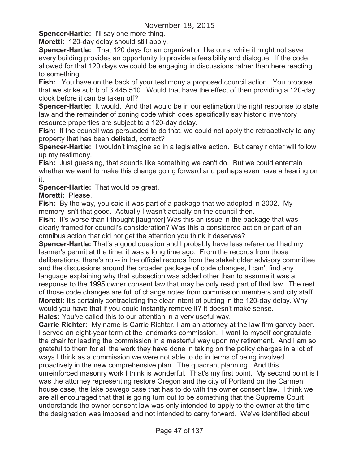**Spencer-Hartle:** I'll say one more thing.

**Moretti:** 120-day delay should still apply.

**Spencer-Hartle:** That 120 days for an organization like ours, while it might not save every building provides an opportunity to provide a feasibility and dialogue. If the code allowed for that 120 days we could be engaging in discussions rather than here reacting to something.

**Fish:** You have on the back of your testimony a proposed council action. You propose that we strike sub b of 3.445.510. Would that have the effect of then providing a 120-day clock before it can be taken off?

**Spencer-Hartle:** It would. And that would be in our estimation the right response to state law and the remainder of zoning code which does specifically say historic inventory resource properties are subject to a 120-day delay.

**Fish:** If the council was persuaded to do that, we could not apply the retroactively to any property that has been delisted, correct?

**Spencer-Hartle:** I wouldn't imagine so in a legislative action. But carey richter will follow up my testimony.

**Fish:** Just guessing, that sounds like something we can't do. But we could entertain whether we want to make this change going forward and perhaps even have a hearing on it.

**Spencer-Hartle:** That would be great.

**Moretti:** Please.

**Fish:** By the way, you said it was part of a package that we adopted in 2002. My memory isn't that good. Actually I wasn't actually on the council then.

**Fish:** It's worse than I thought [laughter] Was this an issue in the package that was clearly framed for council's consideration? Was this a considered action or part of an omnibus action that did not get the attention you think it deserves?

**Spencer-Hartle:** That's a good question and I probably have less reference I had my learner's permit at the time, it was a long time ago. From the records from those deliberations, there's no -- in the official records from the stakeholder advisory committee and the discussions around the broader package of code changes, I can't find any language explaining why that subsection was added other than to assume it was a response to the 1995 owner consent law that may be only read part of that law. The rest of those code changes are full of change notes from commission members and city staff. **Moretti:** It's certainly contradicting the clear intent of putting in the 120-day delay. Why would you have that if you could instantly remove it? It doesn't make sense. **Hales:** You've called this to our attention in a very useful way.

**Carrie Richter:** My name is Carrie Richter, I am an attorney at the law firm garvey baer.

I served an eight-year term at the landmarks commission. I want to myself congratulate the chair for leading the commission in a masterful way upon my retirement. And I am so grateful to them for all the work they have done in taking on the policy charges in a lot of ways I think as a commission we were not able to do in terms of being involved proactively in the new comprehensive plan. The quadrant planning. And this unreinforced masonry work I think is wonderful. That's my first point. My second point is I was the attorney representing restore Oregon and the city of Portland on the Carmen house case, the lake oswego case that has to do with the owner consent law. I think we are all encouraged that that is going turn out to be something that the Supreme Court understands the owner consent law was only intended to apply to the owner at the time the designation was imposed and not intended to carry forward. We've identified about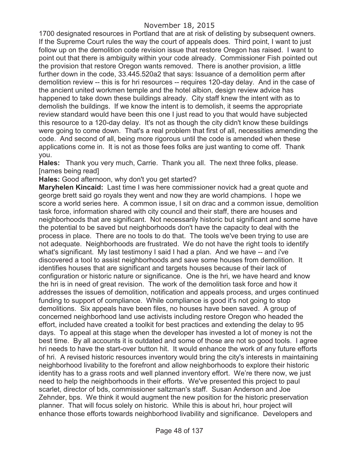1700 designated resources in Portland that are at risk of delisting by subsequent owners. If the Supreme Court rules the way the court of appeals does. Third point, I want to just follow up on the demolition code revision issue that restore Oregon has raised. I want to point out that there is ambiguity within your code already. Commissioner Fish pointed out the provision that restore Oregon wants removed. There is another provision, a little further down in the code, 33.445.520a2 that says: Issuance of a demolition perm after demolition review -- this is for hri resources -- requires 120-day delay. And in the case of the ancient united workmen temple and the hotel albion, design review advice has happened to take down these buildings already. City staff knew the intent with as to demolish the buildings. If we know the intent is to demolish, it seems the appropriate review standard would have been this one I just read to you that would have subjected this resource to a 120-day delay. It's not as though the city didn't know these buildings were going to come down. That's a real problem that first of all, necessities amending the code. And second of all, being more rigorous until the code is amended when these applications come in. It is not as those fees folks are just wanting to come off. Thank you.

**Hales:** Thank you very much, Carrie. Thank you all. The next three folks, please. [names being read]

**Hales:** Good afternoon, why don't you get started?

**Maryhelen Kincaid:** Last time I was here commissioner novick had a great quote and george brett said go royals they went and now they are world champions. I hope we score a world series here. A common issue, I sit on drac and a common issue, demolition task force, information shared with city council and their staff, there are houses and neighborhoods that are significant. Not necessarily historic but significant and some have the potential to be saved but neighborhoods don't have the capacity to deal with the process in place. There are no tools to do that. The tools we've been trying to use are not adequate. Neighborhoods are frustrated. We do not have the right tools to identify what's significant. My last testimony I said I had a plan. And we have -- and i've discovered a tool to assist neighborhoods and save some houses from demolition. It identifies houses that are significant and targets houses because of their lack of configuration or historic nature or significance. One is the hri, we have heard and know the hri is in need of great revision. The work of the demolition task force and how it addresses the issues of demolition, notification and appeals process, and urges continued funding to support of compliance. While compliance is good it's not going to stop demolitions. Six appeals have been files, no houses have been saved. A group of concerned neighborhood land use activists including restore Oregon who headed the effort, included have created a toolkit for best practices and extending the delay to 95 days. To appeal at this stage when the developer has invested a lot of money is not the best time. By all accounts it is outdated and some of those are not so good tools. I agree hri needs to have the start-over button hit. It would enhance the work of any future efforts of hri. A revised historic resources inventory would bring the city's interests in maintaining neighborhood livability to the forefront and allow neighborhoods to explore their historic identity has to a grass roots and well planned inventory effort. We're there now, we just need to help the neighborhoods in their efforts. We've presented this project to paul scarlet, director of bds, commissioner saltzman's staff. Susan Anderson and Joe Zehnder, bps. We think it would augment the new position for the historic preservation planner. That will focus solely on historic. While this is about hri, hour project will enhance those efforts towards neighborhood livability and significance. Developers and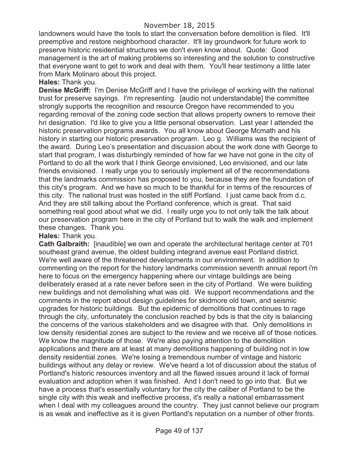landowners would have the tools to start the conversation before demolition is filed. It'll preemptive and restore neighborhood character. It'll lay groundwork for future work to preserve historic residential structures we don't even know about. Quote: Good management is the art of making problems so interesting and the solution to constructive that everyone want to get to work and deal with them. You'll hear testimony a little later from Mark Molinaro about this project.

**Hales:** Thank you.

**Denise McGriff:** I'm Denise McGriff and I have the privilege of working with the national trust for preserve sayings. I'm representing. [audio not understandable] the committee strongly supports the recognition and resource Oregon have recommended to you regarding removal of the zoning code section that allows property owners to remove their hri designation. I'd like to give you a little personal observation. Last year I attended the historic preservation programs awards. You all know about George Mcmath and his history in starting our historic preservation program. Leo g. Williams was the recipient of the award. During Leo's presentation and discussion about the work done with George to start that program, I was disturbingly reminded of how far we have not gone in the city of Portland to do all the work that I think George envisioned, Leo envisioned, and our late friends envisioned. I really urge you to seriously implement all of the recommendations that the landmarks commission has proposed to you, because they are the foundation of this city's program. And we have so much to be thankful for in terms of the resources of this city. The national trust was hosted in the stiff Portland. I just came back from d.c. And they are still talking about the Portland conference, which is great. That said something real good about what we did. I really urge you to not only talk the talk about our preservation program here in the city of Portland but to walk the walk and implement these changes. Thank you.

### **Hales:** Thank you.

**Cath Galbraith:** [inaudible] we own and operate the architectural heritage center at 701 southeast grand avenue, the oldest building integrand avenue east Portland district. We're well aware of the threatened developments in our environment. In addition to commenting on the report for the history landmarks commission seventh annual report i'm here to focus on the emergency happening where our vintage buildings are being deliberately erased at a rate never before seen in the city of Portland. We were building new buildings and not demolishing what was old. We support recommendations and the comments in the report about design guidelines for skidmore old town, and seismic upgrades for historic buildings. But the epidemic of demolitions that continues to rage through the city, unfortunately the conclusion reached by bds is that the city is balancing the concerns of the various stakeholders and we disagree with that. Only demolitions in low density residential zones are subject to the review and we receive all of those notices. We know the magnitude of those. We're also paying attention to the demolition applications and there are at least at many demolitions happening of building not in low density residential zones. We're losing a tremendous number of vintage and historic buildings without any delay or review. We've heard a lot of discussion about the status of Portland's historic resources inventory and all the flawed issues around it lack of formal evaluation and adoption when it was finished. And I don't need to go into that. But we have a process that's essentially voluntary for the city the caliber of Portland to be the single city with this weak and ineffective process, it's really a national embarrassment when I deal with my colleagues around the country. They just cannot believe our program is as weak and ineffective as it is given Portland's reputation on a number of other fronts.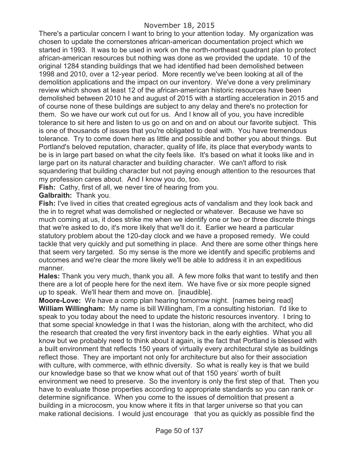There's a particular concern I want to bring to your attention today. My organization was chosen to update the cornerstones african-american documentation project which we started in 1993. It was to be used in work on the north-northeast quadrant plan to protect african-american resources but nothing was done as we provided the update. 10 of the original 1284 standing buildings that we had identified had been demolished between 1998 and 2010, over a 12-year period. More recently we've been looking at all of the demolition applications and the impact on our inventory. We've done a very preliminary review which shows at least 12 of the african-american historic resources have been demolished between 2010 he and august of 2015 with a startling acceleration in 2015 and of course none of these buildings are subject to any delay and there's no protection for them. So we have our work cut out for us. And I know all of you, you have incredible tolerance to sit here and listen to us go on and on and on about our favorite subject. This is one of thousands of issues that you're obligated to deal with. You have tremendous tolerance. Try to come down here as little and possible and bother you about things. But Portland's beloved reputation, character, quality of life, its place that everybody wants to be is in large part based on what the city feels like. It's based on what it looks like and in large part on its natural character and building character. We can't afford to risk squandering that building character but not paying enough attention to the resources that my profession cares about. And I know you do, too.

**Fish:** Cathy, first of all, we never tire of hearing from you.

**Galbraith:** Thank you.

**Fish:** I've lived in cities that created egregious acts of vandalism and they look back and the in to regret what was demolished or neglected or whatever. Because we have so much coming at us, it does strike me when we identify one or two or three discrete things that we're asked to do, it's more likely that we'll do it. Earlier we heard a particular statutory problem about the 120-day clock and we have a proposed remedy. We could tackle that very quickly and put something in place. And there are some other things here that seem very targeted. So my sense is the more we identify and specific problems and outcomes and we're clear the more likely we'll be able to address it in an expeditious manner.

**Hales:** Thank you very much, thank you all. A few more folks that want to testify and then there are a lot of people here for the next item. We have five or six more people signed up to speak. We'll hear them and move on. [inaudible].

**Moore-Love:** We have a comp plan hearing tomorrow night. [names being read] **William Willingham:** My name is bill Willingham, I'm a consulting historian. I'd like to speak to you today about the need to update the historic resources inventory. I bring to that some special knowledge in that I was the historian, along with the architect, who did the research that created the very first inventory back in the early eighties. What you all know but we probably need to think about it again, is the fact that Portland is blessed with a built environment that reflects 150 years of virtually every architectural style as buildings reflect those. They are important not only for architecture but also for their association with culture, with commerce, with ethnic diversity. So what is really key is that we build our knowledge base so that we know what out of that 150 years' worth of built environment we need to preserve. So the inventory is only the first step of that. Then you have to evaluate those properties according to appropriate standards so you can rank or determine significance. When you come to the issues of demolition that present a building in a microcosm, you know where it fits in that larger universe so that you can make rational decisions. I would just encourage that you as quickly as possible find the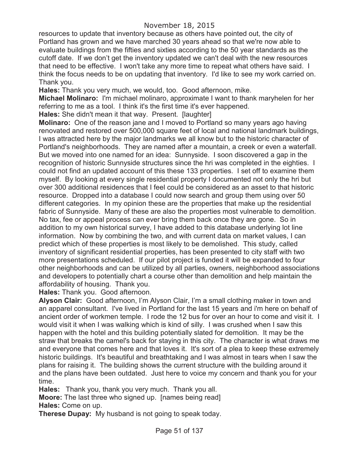resources to update that inventory because as others have pointed out, the city of Portland has grown and we have marched 30 years ahead so that we're now able to evaluate buildings from the fifties and sixties according to the 50 year standards as the cutoff date. If we don't get the inventory updated we can't deal with the new resources that need to be effective. I won't take any more time to repeat what others have said. I think the focus needs to be on updating that inventory. I'd like to see my work carried on. Thank you.

**Hales:** Thank you very much, we would, too. Good afternoon, mike.

**Michael Molinaro:** I'm michael molinaro, approximate I want to thank maryhelen for her referring to me as a tool. I think it's the first time it's ever happened.

**Hales:** She didn't mean it that way. Present. [laughter]

**Molinaro:** One of the reason jane and I moved to Portland so many years ago having renovated and restored over 500,000 square feet of local and national landmark buildings, I was attracted here by the major landmarks we all know but to the historic character of Portland's neighborhoods. They are named after a mountain, a creek or even a waterfall. But we moved into one named for an idea: Sunnyside. I soon discovered a gap in the recognition of historic Sunnyside structures since the hri was completed in the eighties. I could not find an updated account of this these 133 properties. I set off to examine them myself. By looking at every single residential property I documented not only the hri but over 300 additional residences that I feel could be considered as an asset to that historic resource. Dropped into a database I could now search and group them using over 50 different categories. In my opinion these are the properties that make up the residential fabric of Sunnyside. Many of these are also the properties most vulnerable to demolition. No tax, fee or appeal process can ever bring them back once they are gone. So in addition to my own historical survey, I have added to this database underlying lot line information. Now by combining the two, and with current data on market values, I can predict which of these properties is most likely to be demolished. This study, called inventory of significant residential properties, has been presented to city staff with two more presentations scheduled. If our pilot project is funded it will be expanded to four other neighborhoods and can be utilized by all parties, owners, neighborhood associations and developers to potentially chart a course other than demolition and help maintain the affordability of housing. Thank you.

**Hales:** Thank you. Good afternoon.

**Alyson Clair:** Good afternoon, I'm Alyson Clair, I'm a small clothing maker in town and an apparel consultant. I've lived in Portland for the last 15 years and i'm here on behalf of ancient order of workmen temple. I rode the 12 bus for over an hour to come and visit it. I would visit it when I was walking which is kind of silly. I was crushed when I saw this happen with the hotel and this building potentially slated for demolition. It may be the straw that breaks the camel's back for staying in this city. The character is what draws me and everyone that comes here and that loves it. It's sort of a plea to keep these extremely historic buildings. It's beautiful and breathtaking and I was almost in tears when I saw the plans for raising it. The building shows the current structure with the building around it and the plans have been outdated. Just here to voice my concern and thank you for your time.

**Hales:** Thank you, thank you very much. Thank you all.

**Moore:** The last three who signed up. [names being read] **Hales:** Come on up.

**Therese Dupay:** My husband is not going to speak today.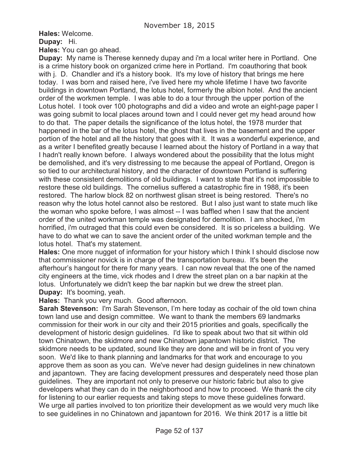**Hales:** Welcome.

**Dupay:** Hi.

**Hales:** You can go ahead.

**Dupay:** My name is Therese kennedy dupay and i'm a local writer here in Portland. One is a crime history book on organized crime here in Portland. I'm coauthoring that book with j. D. Chandler and it's a history book. It's my love of history that brings me here today. I was born and raised here, i've lived here my whole lifetime I have two favorite buildings in downtown Portland, the lotus hotel, formerly the albion hotel. And the ancient order of the workmen temple. I was able to do a tour through the upper portion of the Lotus hotel. I took over 100 photographs and did a video and wrote an eight-page paper I was going submit to local places around town and I could never get my head around how to do that. The paper details the significance of the lotus hotel, the 1978 murder that happened in the bar of the lotus hotel, the ghost that lives in the basement and the upper portion of the hotel and all the history that goes with it. It was a wonderful experience, and as a writer I benefited greatly because I learned about the history of Portland in a way that I hadn't really known before. I always wondered about the possibility that the lotus might be demolished, and it's very distressing to me because the appeal of Portland, Oregon is so tied to our architectural history, and the character of downtown Portland is suffering with these consistent demolitions of old buildings. I want to state that it's not impossible to restore these old buildings. The cornelius suffered a catastrophic fire in 1988, it's been restored. The harlow block 82 on northwest glisan street is being restored. There's no reason why the lotus hotel cannot also be restored. But I also just want to state much like the woman who spoke before, I was almost -- I was baffled when I saw that the ancient order of the united workman temple was designated for demolition. I am shocked, i'm horrified, i'm outraged that this could even be considered. It is so priceless a building. We have to do what we can to save the ancient order of the united workman temple and the lotus hotel. That's my statement.

**Hales:** One more nugget of information for your history which I think I should disclose now that commissioner novick is in charge of the transportation bureau. It's been the afterhour's hangout for there for many years. I can now reveal that the one of the named city engineers at the time, vick rhodes and I drew the street plan on a bar napkin at the lotus. Unfortunately we didn't keep the bar napkin but we drew the street plan. **Dupay:** It's booming, yeah.

**Hales:** Thank you very much. Good afternoon.

**Sarah Stevenson:** I'm Sarah Stevenson, I'm here today as cochair of the old town china town land use and design committee. We want to thank the members 69 landmarks commission for their work in our city and their 2015 priorities and goals, specifically the development of historic design guidelines. I'd like to speak about two that sit within old town Chinatown, the skidmore and new Chinatown japantown historic district. The skidmore needs to be updated, sound like they are done and will be in front of you very soon. We'd like to thank planning and landmarks for that work and encourage to you approve them as soon as you can. We've never had design guidelines in new chinatown and japantown. They are facing development pressures and desperately need those plan guidelines. They are important not only to preserve our historic fabric but also to give developers what they can do in the neighborhood and how to proceed. We thank the city for listening to our earlier requests and taking steps to move these guidelines forward. We urge all parties involved to ton prioritize their development as we would very much like to see guidelines in no Chinatown and japantown for 2016. We think 2017 is a little bit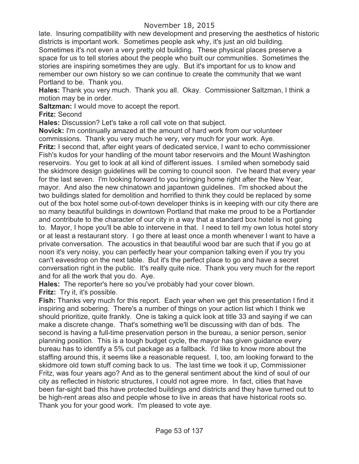# November 18, 2015

late. Insuring compatibility with new development and preserving the aesthetics of historic districts is important work. Sometimes people ask why, it's just an old building. Sometimes it's not even a very pretty old building. These physical places preserve a space for us to tell stories about the people who built our communities. Sometimes the stories are inspiring sometimes they are ugly. But it's important for us to know and remember our own history so we can continue to create the community that we want Portland to be. Thank you.

**Hales:** Thank you very much. Thank you all. Okay. Commissioner Saltzman, I think a motion may be in order.

**Saltzman:** I would move to accept the report.

**Fritz:** Second

**Hales:** Discussion? Let's take a roll call vote on that subject.

**Novick:** I'm continually amazed at the amount of hard work from our volunteer commissions. Thank you very much he very, very much for your work. Aye.

**Fritz:** I second that, after eight years of dedicated service, I want to echo commissioner Fish's kudos for your handling of the mount tabor reservoirs and the Mount Washington reservoirs. You get to look at all kind of different issues. I smiled when somebody said the skidmore design guidelines will be coming to council soon. I've heard that every year for the last seven. I'm looking forward to you bringing home right after the New Year, mayor. And also the new chinatown and japantown guidelines. I'm shocked about the two buildings slated for demolition and horrified to think they could be replaced by some out of the box hotel some out-of-town developer thinks is in keeping with our city there are so many beautiful buildings in downtown Portland that make me proud to be a Portlander and contribute to the character of our city in a way that a standard box hotel is not going to. Mayor, I hope you'll be able to intervene in that. I need to tell my own lotus hotel story or at least a restaurant story. I go there at least once a month whenever I want to have a private conversation. The acoustics in that beautiful wood bar are such that if you go at noon it's very noisy, you can perfectly hear your companion talking even if you try you can't eavesdrop on the next table. But it's the perfect place to go and have a secret conversation right in the public. It's really quite nice. Thank you very much for the report and for all the work that you do. Aye.

**Hales:** The reporter's here so you've probably had your cover blown.

**Fritz:** Try it, it's possible.

**Fish:** Thanks very much for this report. Each year when we get this presentation I find it inspiring and sobering. There's a number of things on your action list which I think we should prioritize, quite frankly. One is taking a quick look at title 33 and saying if we can make a discrete change. That's something we'll be discussing with dan of bds. The second is having a full-time preservation person in the bureau, a senior person, senior planning position. This is a tough budget cycle, the mayor has given guidance every bureau has to identify a 5% cut package as a fallback. I'd like to know more about the staffing around this, it seems like a reasonable request. I, too, am looking forward to the skidmore old town stuff coming back to us. The last time we took it up, Commissioner Fritz, was four years ago? And as to the general sentiment about the kind of soul of our city as reflected in historic structures, I could not agree more. In fact, cities that have been far-sight bad this have protected buildings and districts and they have turned out to be high-rent areas also and people whose to live in areas that have historical roots so. Thank you for your good work. I'm pleased to vote aye.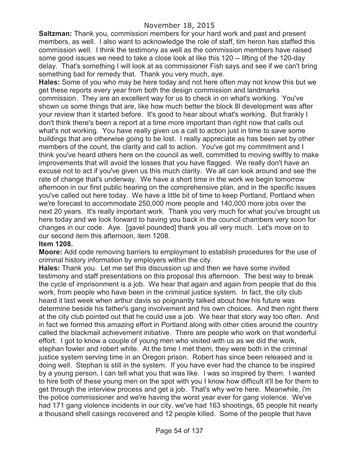**Saltzman:** Thank you, commission members for your hard work and past and present members, as well. I also want to acknowledge the role of staff, tim heron has staffed this commission well. I think the testimony as well as the commission members have raised some good issues we need to take a close look at like this 120 -- lifting of the 120-day delay. That's something I will look at as commissioner Fish says and see if we can't bring something bad for remedy that. Thank you very much, aye.

**Hales:** Some of you who may be here today and not here often may not know this but we get these reports every year from both the design commission and landmarks commission. They are an excellent way for us to check in on what's working. You've shown us some things that are, like how much better the block 8l development was after your review than it started before. It's good to hear about what's working. But frankly I don't think there's been a report at a time more important than right now that calls out what's not working. You have really given us a call to action just in time to save some buildings that are otherwise going to be lost. I really appreciate as has been set by other members of the count, the clarity and call to action. You've got my commitment and I think you've heard others here on the council as well, committed to moving swiftly to make improvements that will avoid the losses that you have flagged. We really don't have an excuse not to act if you've given us this much clarity. We all can look around and see the rate of change that's underway. We have a short time in the work we begin tomorrow afternoon in our first public hearing on the comprehensive plan, and in the specific issues you've called out here today. We have a little bit of time to keep Portland, Portland when we're forecast to accommodate 250,000 more people and 140,000 more jobs over the next 20 years. It's really important work. Thank you very much for what you've brought us here today and we look forward to having you back in the council chambers very soon for changes in our code. Aye. [gavel pounded] thank you all very much. Let's move on to our second item this afternoon, item 1208.

#### **Item 1208.**

**Moore:** Add code removing barriers to employment to establish procedures for the use of criminal history information by employers within the city.

**Hales:** Thank you. Let me set this discussion up and then we have some invited testimony and staff presentations on this proposal this afternoon. The best way to break the cycle of imprisonment is a job. We hear that again and again from people that do this work, from people who have been in the criminal justice system. In fact, the city club heard it last week when arthur davis so poignantly talked about how his future was determine beside his father's gang involvement and his own choices. And then right there at the city club pointed out that he could use a job. We hear that story way too often. And in fact we formed this amazing effort in Portland along with other cities around the country called the blackmail achievement initiative. There are people who work on that wonderful effort. I got to know a couple of young men who visited with us as we did the work, stephan fowler and robert white. At the time I met them, they were both in the criminal justice system serving time in an Oregon prison. Robert has since been released and is doing well. Stephan is still in the system. If you have ever had the chance to be inspired by a young person, I can tell what you that was like. I was so inspired by them. I wanted to hire both of these young men on the spot with you I know how difficult it'll be for them to get through the interview process and get a job. That's why we're here. Meanwhile, i'm the police commissioner and we're having the worst year ever for gang violence. We've had 171 gang violence incidents in our city, we've had 163 shootings, 65 people hit nearly a thousand shell casings recovered and 12 people killed. Some of the people that have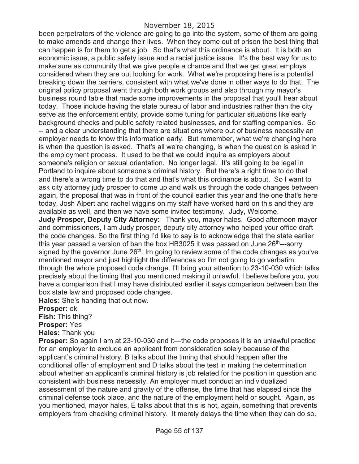#### November 18, 2015

been perpetrators of the violence are going to go into the system, some of them are going to make amends and change their lives. When they come out of prison the best thing that can happen is for them to get a job. So that's what this ordinance is about. It is both an economic issue, a public safety issue and a racial justice issue. It's the best way for us to make sure as community that we give people a chance and that we get great employs considered when they are out looking for work. What we're proposing here is a potential breaking down the barriers, consistent with what we've done in other ways to do that. The original policy proposal went through both work groups and also through my mayor's business round table that made some improvements in the proposal that you'll hear about today. Those include having the state bureau of labor and industries rather than the city serve as the enforcement entity, provide some tuning for particular situations like early background checks and public safety related businesses, and for staffing companies. So -- and a clear understanding that there are situations where out of business necessity an employer needs to know this information early. But remember, what we're changing here is when the question is asked. That's all we're changing, is when the question is asked in the employment process. It used to be that we could inquire as employers about someone's religion or sexual orientation. No longer legal. It's still going to be legal in Portland to inquire about someone's criminal history. But there's a right time to do that and there's a wrong time to do that and that's what this ordinance is about. So I want to ask city attorney judy prosper to come up and walk us through the code changes between again, the proposal that was in front of the council earlier this year and the one that's here today, Josh Alpert and rachel wiggins on my staff have worked hard on this and they are available as well, and then we have some invited testimony. Judy, Welcome.

**Judy Prosper, Deputy City Attorney:** Thank you, mayor hales. Good afternoon mayor and commissioners, I am Judy prosper, deputy city attorney who helped your office draft the code changes. So the first thing I'd like to say is to acknowledge that the state earlier this year passed a version of ban the box HB3025 it was passed on June  $26<sup>th</sup>$ ---sorry signed by the governor June  $26<sup>th</sup>$ . Im going to review some of the code changes as you've mentioned mayor and just highlight the differences so I'm not going to go verbatim through the whole proposed code change. I'll bring your attention to 23-10-030 which talks precisely about the timing that you mentioned making it unlawful. I believe before you, you have a comparison that I may have distributed earlier it says comparison between ban the box state law and proposed code changes.

**Hales:** She's handing that out now.

**Prosper:** ok

**Fish:** This thing?

**Prosper:** Yes

**Hales:** Thank you

**Prosper:** So again I am at 23-10-030 and it—the code proposes it is an unlawful practice for an employer to exclude an applicant from consideration solely because of the applicant's criminal history. B talks about the timing that should happen after the conditional offer of employment and D talks about the test in making the determination about whether an applicant's criminal history is job related for the position in question and consistent with business necessity. An employer must conduct an individualized assessment of the nature and gravity of the offense, the time that has elapsed since the criminal defense took place, and the nature of the employment held or sought. Again, as you mentioned, mayor hales, E talks about that this is not, again, something that prevents employers from checking criminal history. It merely delays the time when they can do so.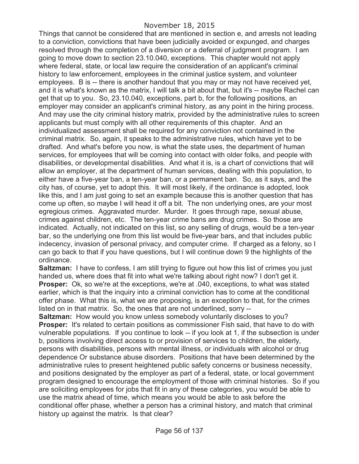Things that cannot be considered that are mentioned in section e, and arrests not leading to a conviction, convictions that have been judicially avoided or expunged, and charges resolved through the completion of a diversion or a deferral of judgment program. I am going to move down to section 23.10.040, exceptions. This chapter would not apply where federal, state, or local law require the consideration of an applicant's criminal history to law enforcement, employees in the criminal justice system, and volunteer employees. B is -- there is another handout that you may or may not have received yet, and it is what's known as the matrix, I will talk a bit about that, but it's -- maybe Rachel can get that up to you. So, 23.10.040, exceptions, part b, for the following positions, an employer may consider an applicant's criminal history, as any point in the hiring process. And may use the city criminal history matrix, provided by the administrative rules to screen applicants but must comply with all other requirements of this chapter. And an individualized assessment shall be required for any conviction not contained in the criminal matrix. So, again, it speaks to the administrative rules, which have yet to be drafted. And what's before you now, is what the state uses, the department of human services, for employees that will be coming into contact with older folks, and people with disabilities, or developmental disabilities. And what it is, is a chart of convictions that will allow an employer, at the department of human services, dealing with this population, to either have a five-year ban, a ten-year ban, or a permanent ban. So, as it says, and the city has, of course, yet to adopt this. It will most likely, if the ordinance is adopted, look like this, and I am just going to set an example because this is another question that has come up often, so maybe I will head it off a bit. The non underlying ones, are your most egregious crimes. Aggravated murder. Murder. It goes through rape, sexual abuse, crimes against children, etc. The ten-year crime bans are drug crimes. So those are indicated. Actually, not indicated on this list, so any selling of drugs, would be a ten-year bar, so the underlying one from this list would be five-year bars, and that includes public indecency, invasion of personal privacy, and computer crime. If charged as a felony, so I can go back to that if you have questions, but I will continue down 9 the highlights of the ordinance.

**Saltzman:** I have to confess, I am still trying to figure out how this list of crimes you just handed us, where does that fit into what we're talking about right now? I don't get it. **Prosper:** Ok, so we're at the exceptions, we're at .040, exceptions, to what was stated earlier, which is that the inquiry into a criminal conviction has to come at the conditional offer phase. What this is, what we are proposing, is an exception to that, for the crimes listed on in that matrix. So, the ones that are not underlined, sorry --

**Saltzman:** How would you know unless somebody voluntarily discloses to you? **Prosper:** It's related to certain positions as commissioner Fish said, that have to do with vulnerable populations. If you continue to look -- if you look at 1, if the subsection is under b, positions involving direct access to or provision of services to children, the elderly, persons with disabilities, persons with mental illness, or individuals with alcohol or drug dependence Or substance abuse disorders. Positions that have been determined by the administrative rules to present heightened public safety concerns or business necessity, and positions designated by the employer as part of a federal, state, or local government program designed to encourage the employment of those with criminal histories. So if you are soliciting employees for jobs that fit in any of these categories, you would be able to use the matrix ahead of time, which means you would be able to ask before the conditional offer phase, whether a person has a criminal history, and match that criminal history up against the matrix. Is that clear?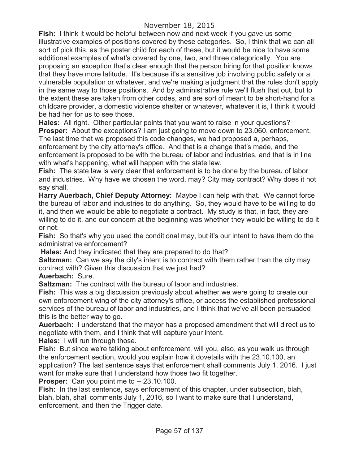**Fish:** I think it would be helpful between now and next week if you gave us some illustrative examples of positions covered by these categories. So, I think that we can all sort of pick this, as the poster child for each of these, but it would be nice to have some additional examples of what's covered by one, two, and three categorically. You are proposing an exception that's clear enough that the person hiring for that position knows that they have more latitude. It's because it's a sensitive job involving public safety or a vulnerable population or whatever, and we're making a judgment that the rules don't apply in the same way to those positions. And by administrative rule we'll flush that out, but to the extent these are taken from other codes, and are sort of meant to be short-hand for a childcare provider, a domestic violence shelter or whatever, whatever it is, I think it would be had her for us to see those.

**Hales:** All right. Other particular points that you want to raise in your questions? **Prosper:** About the exceptions? I am just going to move down to 23.060, enforcement. The last time that we proposed this code changes, we had proposed a, perhaps, enforcement by the city attorney's office. And that is a change that's made, and the enforcement is proposed to be with the bureau of labor and industries, and that is in line with what's happening, what will happen with the state law.

**Fish:** The state law is very clear that enforcement is to be done by the bureau of labor and industries. Why have we chosen the word, may? City may contract? Why does it not say shall.

**Harry Auerbach, Chief Deputy Attorney:** Maybe I can help with that. We cannot force the bureau of labor and industries to do anything. So, they would have to be willing to do it, and then we would be able to negotiate a contract. My study is that, in fact, they are willing to do it, and our concern at the beginning was whether they would be willing to do it or not.

**Fish:** So that's why you used the conditional may, but it's our intent to have them do the administrative enforcement?

**Hales:** And they indicated that they are prepared to do that?

**Saltzman:** Can we say the city's intent is to contract with them rather than the city may contract with? Given this discussion that we just had?

**Auerbach:** Sure.

**Saltzman:** The contract with the bureau of labor and industries.

**Fish:** This was a big discussion previously about whether we were going to create our own enforcement wing of the city attorney's office, or access the established professional services of the bureau of labor and industries, and I think that we've all been persuaded this is the better way to go.

**Auerbach:** I understand that the mayor has a proposed amendment that will direct us to negotiate with them, and I think that will capture your intent.

**Hales:** I will run through those.

**Fish:** But since we're talking about enforcement, will you, also, as you walk us through the enforcement section, would you explain how it dovetails with the 23.10.100, an application? The last sentence says that enforcement shall comments July 1, 2016. I just want for make sure that I understand how those two fit together.

**Prosper:** Can you point me to -- 23.10.100.

**Fish:** In the last sentence, says enforcement of this chapter, under subsection, blah, blah, blah, shall comments July 1, 2016, so I want to make sure that I understand, enforcement, and then the Trigger date.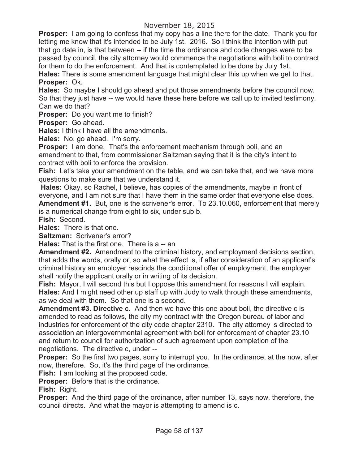**Prosper:** I am going to confess that my copy has a line there for the date. Thank you for letting me know that it's intended to be July 1st. 2016. So I think the intention with put that go date in, is that between -- if the time the ordinance and code changes were to be passed by council, the city attorney would commence the negotiations with boli to contract for them to do the enforcement. And that is contemplated to be done by July 1st. **Hales:** There is some amendment language that might clear this up when we get to that. **Prosper:** Ok.

**Hales:** So maybe I should go ahead and put those amendments before the council now. So that they just have -- we would have these here before we call up to invited testimony. Can we do that?

**Prosper:** Do you want me to finish?

**Prosper:** Go ahead.

**Hales:** I think I have all the amendments.

**Hales:** No, go ahead. I'm sorry.

**Prosper:** I am done. That's the enforcement mechanism through boli, and an amendment to that, from commissioner Saltzman saying that it is the city's intent to contract with boli to enforce the provision.

**Fish:** Let's take your amendment on the table, and we can take that, and we have more questions to make sure that we understand it.

**Hales:** Okay, so Rachel, I believe, has copies of the amendments, maybe in front of everyone, and I am not sure that I have them in the same order that everyone else does. **Amendment #1.** But, one is the scrivener's error. To 23.10.060, enforcement that merely

is a numerical change from eight to six, under sub b.

**Fish:** Second.

**Hales:** There is that one.

**Saltzman:** Scrivener's error?

**Hales:** That is the first one. There is a -- an

**Amendment #2.** Amendment to the criminal history, and employment decisions section, that adds the words, orally or, so what the effect is, if after consideration of an applicant's criminal history an employer rescinds the conditional offer of employment, the employer shall notify the applicant orally or in writing of its decision.

**Fish:** Mayor, I will second this but I oppose this amendment for reasons I will explain. **Hales:** And I might need other up staff up with Judy to walk through these amendments, as we deal with them. So that one is a second.

**Amendment #3. Directive c.** And then we have this one about boli, the directive c is amended to read as follows, the city my contract with the Oregon bureau of labor and industries for enforcement of the city code chapter 2310. The city attorney is directed to association an intergovernmental agreement with boli for enforcement of chapter 23.10 and return to council for authorization of such agreement upon completion of the negotiations. The directive c, under --

**Prosper:** So the first two pages, sorry to interrupt you. In the ordinance, at the now, after now, therefore. So, it's the third page of the ordinance.

**Fish:** I am looking at the proposed code.

**Prosper:** Before that is the ordinance.

**Fish:** Right.

**Prosper:** And the third page of the ordinance, after number 13, says now, therefore, the council directs. And what the mayor is attempting to amend is c.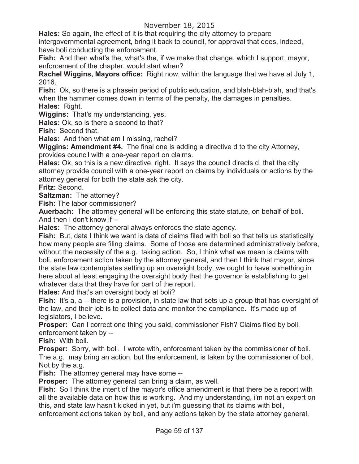**Hales:** So again, the effect of it is that requiring the city attorney to prepare intergovernmental agreement, bring it back to council, for approval that does, indeed, have boli conducting the enforcement.

**Fish:** And then what's the, what's the, if we make that change, which I support, mayor, enforcement of the chapter, would start when?

**Rachel Wiggins, Mayors office:** Right now, within the language that we have at July 1, 2016.

**Fish:** Ok, so there is a phasein period of public education, and blah-blah-blah, and that's when the hammer comes down in terms of the penalty, the damages in penalties. **Hales:** Right.

**Wiggins:** That's my understanding, yes.

**Hales:** Ok, so is there a second to that?

**Fish:** Second that.

**Hales:** And then what am I missing, rachel?

**Wiggins: Amendment #4.** The final one is adding a directive d to the city Attorney, provides council with a one-year report on claims.

**Hales:** Ok, so this is a new directive, right. It says the council directs d, that the city attorney provide council with a one-year report on claims by individuals or actions by the attorney general for both the state ask the city.

**Fritz:** Second.

**Saltzman:** The attorney?

**Fish:** The labor commissioner?

**Auerbach:** The attorney general will be enforcing this state statute, on behalf of boli. And then I don't know if --

**Hales:** The attorney general always enforces the state agency.

**Fish:** But, data I think we want is data of claims filed with boli so that tells us statistically how many people are filing claims. Some of those are determined administratively before, without the necessity of the a.g. taking action. So, I think what we mean is claims with boli, enforcement action taken by the attorney general, and then I think that mayor, since the state law contemplates setting up an oversight body, we ought to have something in here about at least engaging the oversight body that the governor is establishing to get whatever data that they have for part of the report.

**Hales:** And that's an oversight body at boli?

**Fish:** It's a, a -- there is a provision, in state law that sets up a group that has oversight of the law, and their job is to collect data and monitor the compliance. It's made up of legislators, I believe.

**Prosper:** Can I correct one thing you said, commissioner Fish? Claims filed by boli, enforcement taken by --

**Fish:** With boli.

**Prosper:** Sorry, with boli. I wrote with, enforcement taken by the commissioner of boli. The a.g. may bring an action, but the enforcement, is taken by the commissioner of boli. Not by the a.g.

**Fish:** The attorney general may have some --

**Prosper:** The attorney general can bring a claim, as well.

**Fish:** So I think the intent of the mayor's office amendment is that there be a report with all the available data on how this is working. And my understanding, i'm not an expert on this, and state law hasn't kicked in yet, but i'm guessing that its claims with boli,

enforcement actions taken by boli, and any actions taken by the state attorney general.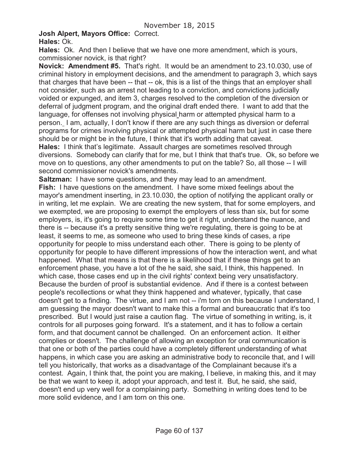# **Josh Alpert, Mayors Office:** Correct.

**Hales:** Ok. And then I believe that we have one more amendment, which is yours, commissioner novick, is that right?

**Novick: Amendment #5.** That's right. It would be an amendment to 23.10.030, use of criminal history in employment decisions, and the amendment to paragraph 3, which says that charges that have been -- that -- ok, this is a list of the things that an employer shall not consider, such as an arrest not leading to a conviction, and convictions judicially voided or expunged, and item 3, charges resolved to the completion of the diversion or deferral of judgment program, and the original draft ended there. I want to add that the language, for offenses not involving physical harm or attempted physical harm to a person. I am, actually, I don't know if there are any such things as diversion or deferral programs for crimes involving physical or attempted physical harm but just in case there should be or might be in the future, I think that it's worth adding that caveat.

**Hales:** I think that's legitimate. Assault charges are sometimes resolved through diversions. Somebody can clarify that for me, but I think that that's true. Ok, so before we move on to questions, any other amendments to put on the table? So, all those -- I will second commissioner novick's amendments.

**Saltzman:** I have some questions, and they may lead to an amendment.

**Fish:** I have questions on the amendment. I have some mixed feelings about the mayor's amendment inserting, in 23.10.030, the option of notifying the applicant orally or in writing, let me explain. We are creating the new system, that for some employers, and we exempted, we are proposing to exempt the employers of less than six, but for some employers, is, it's going to require some time to get it right, understand the nuance, and there is -- because it's a pretty sensitive thing we're regulating, there is going to be at least, it seems to me, as someone who used to bring these kinds of cases, a ripe opportunity for people to miss understand each other. There is going to be plenty of opportunity for people to have different impressions of how the interaction went, and what happened. What that means is that there is a likelihood that if these things get to an enforcement phase, you have a lot of the he said, she said, I think, this happened. In which case, those cases end up in the civil rights' context being very unsatisfactory. Because the burden of proof is substantial evidence. And if there is a contest between people's recollections or what they think happened and whatever, typically, that case doesn't get to a finding. The virtue, and I am not -- i'm torn on this because I understand, I am guessing the mayor doesn't want to make this a formal and bureaucratic that it's too prescribed. But I would just raise a caution flag. The virtue of something in writing, is, it controls for all purposes going forward. It's a statement, and it has to follow a certain form, and that document cannot be challenged. On an enforcement action. It either complies or doesn't. The challenge of allowing an exception for oral communication is that one or both of the parties could have a completely different understanding of what happens, in which case you are asking an administrative body to reconcile that, and I will tell you historically, that works as a disadvantage of the Complainant because it's a contest. Again, I think that, the point you are making, I believe, in making this, and it may be that we want to keep it, adopt your approach, and test it. But, he said, she said, doesn't end up very well for a complaining party. Something in writing does tend to be more solid evidence, and I am torn on this one.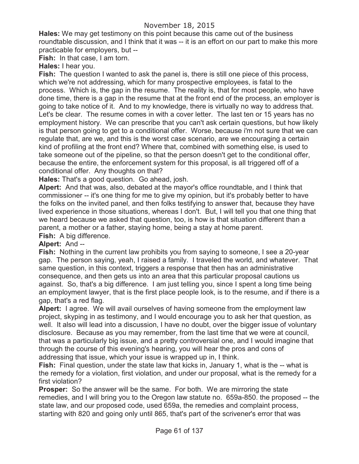**Hales:** We may get testimony on this point because this came out of the business roundtable discussion, and I think that it was -- it is an effort on our part to make this more practicable for employers, but --

**Fish:** In that case, I am torn.

**Hales:** I hear you.

**Fish:** The question I wanted to ask the panel is, there is still one piece of this process, which we're not addressing, which for many prospective employees, is fatal to the process. Which is, the gap in the resume. The reality is, that for most people, who have done time, there is a gap in the resume that at the front end of the process, an employer is going to take notice of it. And to my knowledge, there is virtually no way to address that. Let's be clear. The resume comes in with a cover letter. The last ten or 15 years has no employment history. We can prescribe that you can't ask certain questions, but how likely is that person going to get to a conditional offer. Worse, because i'm not sure that we can regulate that, are we, and this is the worst case scenario, are we encouraging a certain kind of profiling at the front end? Where that, combined with something else, is used to take someone out of the pipeline, so that the person doesn't get to the conditional offer, because the entire, the enforcement system for this proposal, is all triggered off of a conditional offer. Any thoughts on that?

**Hales:** That's a good question. Go ahead, josh.

**Alpert:** And that was, also, debated at the mayor's office roundtable, and I think that commissioner -- it's one thing for me to give my opinion, but it's probably better to have the folks on the invited panel, and then folks testifying to answer that, because they have lived experience in those situations, whereas I don't. But, I will tell you that one thing that we heard because we asked that question, too, is how is that situation different than a parent, a mother or a father, staying home, being a stay at home parent.

**Fish:** A big difference.

# **Alpert:** And --

**Fish:** Nothing in the current law prohibits you from saying to someone, I see a 20-year gap. The person saying, yeah, I raised a family. I traveled the world, and whatever. That same question, in this context, triggers a response that then has an administrative consequence, and then gets us into an area that this particular proposal cautions us against. So, that's a big difference. I am just telling you, since I spent a long time being an employment lawyer, that is the first place people look, is to the resume, and if there is a gap, that's a red flag.

**Alpert:** I agree. We will avail ourselves of having someone from the employment law project, skyping in as testimony, and I would encourage you to ask her that question, as well. It also will lead into a discussion, I have no doubt, over the bigger issue of voluntary disclosure. Because as you may remember, from the last time that we were at council, that was a particularly big issue, and a pretty controversial one, and I would imagine that through the course of this evening's hearing, you will hear the pros and cons of addressing that issue, which your issue is wrapped up in, I think.

**Fish:** Final question, under the state law that kicks in, January 1, what is the -- what is the remedy for a violation, first violation, and under our proposal, what is the remedy for a first violation?

**Prosper:** So the answer will be the same. For both. We are mirroring the state remedies, and I will bring you to the Oregon law statute no. 659a-850. the proposed -- the state law, and our proposed code, used 659a, the remedies and complaint process, starting with 820 and going only until 865, that's part of the scrivener's error that was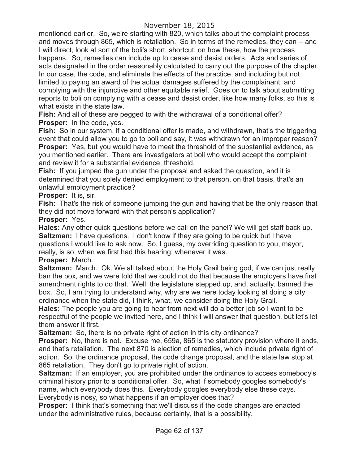mentioned earlier. So, we're starting with 820, which talks about the complaint process and moves through 865, which is retaliation. So in terms of the remedies, they can -- and I will direct, look at sort of the boli's short, shortcut, on how these, how the process happens. So, remedies can include up to cease and desist orders. Acts and series of acts designated in the order reasonably calculated to carry out the purpose of the chapter. In our case, the code, and eliminate the effects of the practice, and including but not limited to paying an award of the actual damages suffered by the complainant, and complying with the injunctive and other equitable relief. Goes on to talk about submitting reports to boli on complying with a cease and desist order, like how many folks, so this is what exists in the state law.

**Fish:** And all of these are pegged to with the withdrawal of a conditional offer? **Prosper:** In the code, yes.

**Fish:** So in our system, if a conditional offer is made, and withdrawn, that's the triggering event that could allow you to go to boli and say, it was withdrawn for an improper reason? **Prosper:** Yes, but you would have to meet the threshold of the substantial evidence, as you mentioned earlier. There are investigators at boli who would accept the complaint and review it for a substantial evidence, threshold.

**Fish:** If you jumped the gun under the proposal and asked the question, and it is determined that you solely denied employment to that person, on that basis, that's an unlawful employment practice?

**Prosper:** It is, sir.

**Fish:** That's the risk of someone jumping the gun and having that be the only reason that they did not move forward with that person's application?

**Prosper:** Yes.

**Hales:** Any other quick questions before we call on the panel? We will get staff back up. **Saltzman:** I have questions. I don't know if they are going to be quick but I have questions I would like to ask now. So, I guess, my overriding question to you, mayor, really, is so, when we first had this hearing, whenever it was. **Prosper:** March.

**Saltzman:** March. Ok. We all talked about the Holy Grail being god, if we can just really ban the box, and we were told that we could not do that because the employers have first amendment rights to do that. Well, the legislature stepped up, and, actually, banned the box. So, I am trying to understand why, why are we here today looking at doing a city ordinance when the state did, I think, what, we consider doing the Holy Grail.

**Hales:** The people you are going to hear from next will do a better job so I want to be respectful of the people we invited here, and I think I will answer that question, but let's let them answer it first.

**Saltzman:** So, there is no private right of action in this city ordinance?

**Prosper:** No, there is not. Excuse me, 659a, 865 is the statutory provision where it ends, and that's retaliation. The next 870 is election of remedies, which include private right of action. So, the ordinance proposal, the code change proposal, and the state law stop at 865 retaliation. They don't go to private right of action.

**Saltzman:** If an employer, you are prohibited under the ordinance to access somebody's criminal history prior to a conditional offer. So, what if somebody googles somebody's name, which everybody does this. Everybody googles everybody else these days. Everybody is nosy, so what happens if an employer does that?

**Prosper:** I think that's something that we'll discuss if the code changes are enacted under the administrative rules, because certainly, that is a possibility.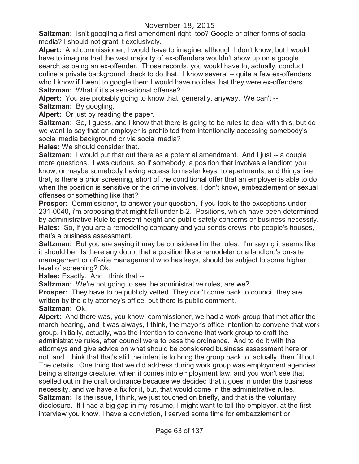**Saltzman:** Isn't googling a first amendment right, too? Google or other forms of social media? I should not grant it exclusively.

**Alpert:** And commissioner, I would have to imagine, although I don't know, but I would have to imagine that the vast majority of ex-offenders wouldn't show up on a google search as being an ex-offender. Those records, you would have to, actually, conduct online a private background check to do that. I know several -- quite a few ex-offenders who I know if I went to google them I would have no idea that they were ex-offenders. **Saltzman:** What if it's a sensational offense?

**Alpert:** You are probably going to know that, generally, anyway. We can't -- **Saltzman:** By googling.

**Alpert:** Or just by reading the paper.

**Saltzman:** So, I guess, and I know that there is going to be rules to deal with this, but do we want to say that an employer is prohibited from intentionally accessing somebody's social media background or via social media?

**Hales:** We should consider that.

**Saltzman:** I would put that out there as a potential amendment. And I just -- a couple more questions. I was curious, so if somebody, a position that involves a landlord you know, or maybe somebody having access to master keys, to apartments, and things like that, is there a prior screening, short of the conditional offer that an employer is able to do when the position is sensitive or the crime involves, I don't know, embezzlement or sexual offenses or something like that?

**Prosper:** Commissioner, to answer your question, if you look to the exceptions under 231-0040, i'm proposing that might fall under b-2. Positions, which have been determined by administrative Rule to present height and public safety concerns or business necessity. **Hales:** So, if you are a remodeling company and you sends crews into people's houses, that's a business assessment.

**Saltzman:** But you are saying it may be considered in the rules. I'm saying it seems like it should be. Is there any doubt that a position like a remodeler or a landlord's on-site management or off-site management who has keys, should be subject to some higher level of screening? Ok.

**Hales:** Exactly. And I think that --

**Saltzman:** We're not going to see the administrative rules, are we?

**Prosper:** They have to be publicly vetted. They don't come back to council, they are written by the city attorney's office, but there is public comment.

# **Saltzman:** Ok.

**Alpert:** And there was, you know, commissioner, we had a work group that met after the march hearing, and it was always, I think, the mayor's office intention to convene that work group, initially, actually, was the intention to convene that work group to craft the administrative rules, after council were to pass the ordinance. And to do it with the attorneys and give advice on what should be considered business assessment here or not, and I think that that's still the intent is to bring the group back to, actually, then fill out The details. One thing that we did address during work group was employment agencies being a strange creature, when it comes into employment law, and you won't see that spelled out in the draft ordinance because we decided that it goes in under the business necessity, and we have a fix for it, but, that would come in the administrative rules. **Saltzman:** Is the issue, I think, we just touched on briefly, and that is the voluntary disclosure. If I had a big gap in my resume, I might want to tell the employer, at the first interview you know, I have a conviction, I served some time for embezzlement or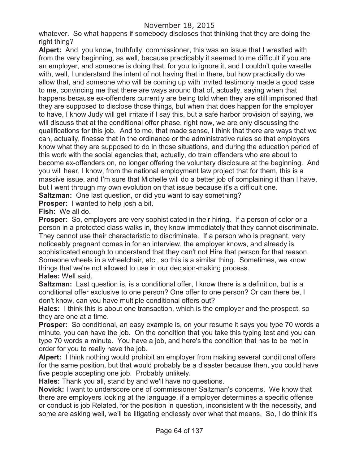# November 18, 2015

whatever. So what happens if somebody discloses that thinking that they are doing the right thing?

**Alpert:** And, you know, truthfully, commissioner, this was an issue that I wrestled with from the very beginning, as well, because practicably it seemed to me difficult if you are an employer, and someone is doing that, for you to ignore it, and I couldn't quite wrestle with, well, I understand the intent of not having that in there, but how practically do we allow that, and someone who will be coming up with invited testimony made a good case to me, convincing me that there are ways around that of, actually, saying when that happens because ex-offenders currently are being told when they are still imprisoned that they are supposed to disclose those things, but when that does happen for the employer to have, I know Judy will get irritate if I say this, but a safe harbor provision of saying, we will discuss that at the conditional offer phase, right now, we are only discussing the qualifications for this job. And to me, that made sense, I think that there are ways that we can, actually, finesse that in the ordinance or the administrative rules so that employers know what they are supposed to do in those situations, and during the education period of this work with the social agencies that, actually, do train offenders who are about to become ex-offenders on, no longer offering the voluntary disclosure at the beginning. And you will hear, I know, from the national employment law project that for them, this is a massive issue, and I'm sure that Michelle will do a better job of complaining it than I have, but I went through my own evolution on that issue because it's a difficult one.

**Saltzman:** One last question, or did you want to say something?

**Prosper:** I wanted to help josh a bit.

**Fish:** We all do.

**Prosper:** So, employers are very sophisticated in their hiring. If a person of color or a person in a protected class walks in, they know immediately that they cannot discriminate. They cannot use their characteristic to discriminate. If a person who is pregnant, very noticeably pregnant comes in for an interview, the employer knows, and already is sophisticated enough to understand that they can't not Hire that person for that reason. Someone wheels in a wheelchair, etc., so this is a similar thing. Sometimes, we know things that we're not allowed to use in our decision-making process. **Hales:** Well said.

**Saltzman:** Last question is, is a conditional offer, I know there is a definition, but is a conditional offer exclusive to one person? One offer to one person? Or can there be, I don't know, can you have multiple conditional offers out?

**Hales:** I think this is about one transaction, which is the employer and the prospect, so they are one at a time.

**Prosper:** So conditional, an easy example is, on your resume it says you type 70 words a minute, you can have the job. On the condition that you take this typing test and you can type 70 words a minute. You have a job, and here's the condition that has to be met in order for you to really have the job.

**Alpert:** I think nothing would prohibit an employer from making several conditional offers for the same position, but that would probably be a disaster because then, you could have five people accepting one job. Probably unlikely.

**Hales:** Thank you all, stand by and we'll have no questions.

**Novick:** I want to underscore one of commissioner Saltzman's concerns. We know that there are employers looking at the language, if a employer determines a specific offense or conduct is job Related, for the position in question, inconsistent with the necessity, and some are asking well, we'll be litigating endlessly over what that means. So, I do think it's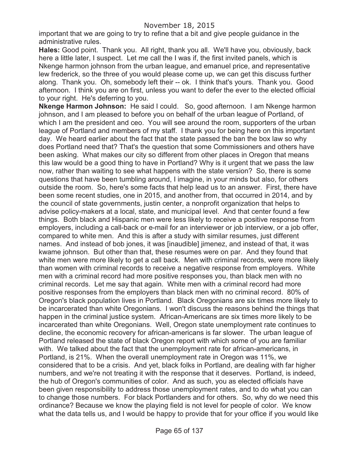important that we are going to try to refine that a bit and give people guidance in the administrative rules.

**Hales:** Good point. Thank you. All right, thank you all. We'll have you, obviously, back here a little later, I suspect. Let me call the I was if, the first invited panels, which is Nkenge harmon johnson from the urban league, and emanuel price, and representative lew frederick, so the three of you would please come up, we can get this discuss further along. Thank you. Oh, somebody left their -- ok. I think that's yours. Thank you. Good afternoon. I think you are on first, unless you want to defer the ever to the elected official to your right. He's deferring to you.

**Nkenge Harmon Johnson:** He said I could. So, good afternoon. I am Nkenge harmon johnson, and I am pleased to before you on behalf of the urban league of Portland, of which I am the president and ceo. You will see around the room, supporters of the urban league of Portland and members of my staff. I thank you for being here on this important day. We heard earlier about the fact that the state passed the ban the box law so why does Portland need that? That's the question that some Commissioners and others have been asking. What makes our city so different from other places in Oregon that means this law would be a good thing to have in Portland? Why is it urgent that we pass the law now, rather than waiting to see what happens with the state version? So, there is some questions that have been tumbling around, I imagine, in your minds but also, for others outside the room. So, here's some facts that help lead us to an answer. First, there have been some recent studies, one in 2015, and another from, that occurred in 2014, and by the council of state governments, justin center, a nonprofit organization that helps to advise policy-makers at a local, state, and municipal level. And that center found a few things. Both black and Hispanic men were less likely to receive a positive response from employers, including a call-back or e-mail for an interviewer or job interview, or a job offer, compared to white men. And this is after a study with similar resumes, just different names. And instead of bob jones, it was [inaudible] jimenez, and instead of that, it was kwame johnson. But other than that, these resumes were on par. And they found that white men were more likely to get a call back. Men with criminal records, were more likely than women with criminal records to receive a negative response from employers. White men with a criminal record had more positive responses you, than black men with no criminal records. Let me say that again. White men with a criminal record had more positive responses from the employers than black men with no criminal record. 80% of Oregon's black population lives in Portland. Black Oregonians are six times more likely to be incarcerated than white Oregonians. I won't discuss the reasons behind the things that happen in the criminal justice system. African-Americans are six times more likely to be incarcerated than white Oregonians. Well, Oregon state unemployment rate continues to decline, the economic recovery for african-americans is far slower. The urban league of Portland released the state of black Oregon report with which some of you are familiar with. We talked about the fact that the unemployment rate for african-americans, in Portland, is 21%. When the overall unemployment rate in Oregon was 11%, we considered that to be a crisis. And yet, black folks in Portland, are dealing with far higher numbers, and we're not treating it with the response that it deserves. Portland, is indeed, the hub of Oregon's communities of color. And as such, you as elected officials have been given responsibility to address those unemployment rates, and to do what you can to change those numbers. For black Portlanders and for others. So, why do we need this ordinance? Because we know the playing field is not level for people of color. We know what the data tells us, and I would be happy to provide that for your office if you would like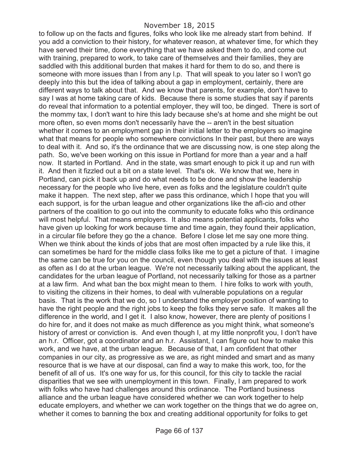to follow up on the facts and figures, folks who look like me already start from behind. If you add a conviction to their history, for whatever reason, at whatever time, for which they have served their time, done everything that we have asked them to do, and come out with training, prepared to work, to take care of themselves and their families, they are saddled with this additional burden that makes it hard for them to do so, and there is someone with more issues than I from any l.p. That will speak to you later so I won't go deeply into this but the idea of talking about a gap in employment, certainly, there are different ways to talk about that. And we know that parents, for example, don't have to say I was at home taking care of kids. Because there is some studies that say if parents do reveal that information to a potential employer, they will too, be dinged. There is sort of the mommy tax, I don't want to hire this lady because she's at home and she might be out more often, so even moms don't necessarily have the -- aren't in the best situation whether it comes to an employment gap in their initial letter to the employers so imagine what that means for people who somewhere convictions In their past, but there are ways to deal with it. And so, it's the ordinance that we are discussing now, is one step along the path. So, we've been working on this issue in Portland for more than a year and a half now. It started in Portland. And in the state, was smart enough to pick it up and run with it. And then it fizzled out a bit on a state level. That's ok. We know that we, here in Portland, can pick it back up and do what needs to be done and show the leadership necessary for the people who live here, even as folks and the legislature couldn't quite make it happen. The next step, after we pass this ordinance, which I hope that you will each support, is for the urban league and other organizations like the afl-cio and other partners of the coalition to go out into the community to educate folks who this ordinance will most helpful. That means employers. It also means potential applicants, folks who have given up looking for work because time and time again, they found their application, in a circular file before they go the a chance. Before I close let me say one more thing. When we think about the kinds of jobs that are most often impacted by a rule like this, it can sometimes be hard for the middle class folks like me to get a picture of that. I imagine the same can be true for you on the council, even though you deal with the issues at least as often as I do at the urban league. We're not necessarily talking about the applicant, the candidates for the urban league of Portland, not necessarily talking for those as a partner at a law firm. And what ban the box might mean to them. I hire folks to work with youth, to visiting the citizens in their homes, to deal with vulnerable populations on a regular basis. That is the work that we do, so I understand the employer position of wanting to have the right people and the right jobs to keep the folks they serve safe. It makes all the difference in the world, and I get it. I also know, however, there are plenty of positions I do hire for, and it does not make as much difference as you might think, what someone's history of arrest or conviction is. And even though I, at my little nonprofit you, I don't have an h.r. Officer, got a coordinator and an h.r. Assistant, I can figure out how to make this work, and we have, at the urban league. Because of that, I am confident that other companies in our city, as progressive as we are, as right minded and smart and as many resource that is we have at our disposal, can find a way to make this work, too, for the benefit of all of us. It's one way for us, for this council, for this city to tackle the racial disparities that we see with unemployment in this town. Finally, I am prepared to work with folks who have had challenges around this ordinance. The Portland business alliance and the urban league have considered whether we can work together to help educate employers, and whether we can work together on the things that we do agree on, whether it comes to banning the box and creating additional opportunity for folks to get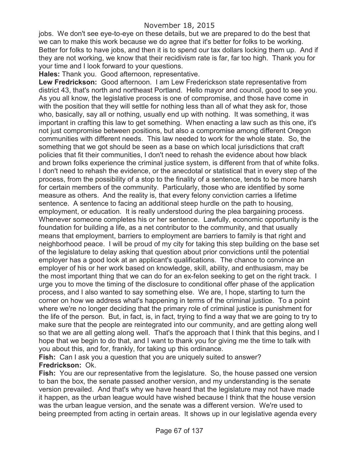jobs. We don't see eye-to-eye on these details, but we are prepared to do the best that we can to make this work because we do agree that it's better for folks to be working. Better for folks to have jobs, and then it is to spend our tax dollars locking them up. And if they are not working, we know that their recidivism rate is far, far too high. Thank you for your time and I look forward to your questions.

**Hales:** Thank you. Good afternoon, representative.

**Lew Fredrickson:** Good afternoon. I am Lew Frederickson state representative from district 43, that's north and northeast Portland. Hello mayor and council, good to see you. As you all know, the legislative process is one of compromise, and those have come in with the position that they will settle for nothing less than all of what they ask for, those who, basically, say all or nothing, usually end up with nothing. It was something, it was important in crafting this law to get something. When enacting a law such as this one, it's not just compromise between positions, but also a compromise among different Oregon communities with different needs. This law needed to work for the whole state. So, the something that we got should be seen as a base on which local jurisdictions that craft policies that fit their communities, I don't need to rehash the evidence about how black and brown folks experience the criminal justice system, is different from that of white folks. I don't need to rehash the evidence, or the anecdotal or statistical that in every step of the process, from the possibility of a stop to the finality of a sentence, tends to be more harsh for certain members of the community. Particularly, those who are identified by some measure as others. And the reality is, that every felony conviction carries a lifetime sentence. A sentence to facing an additional steep hurdle on the path to housing, employment, or education. It is really understood during the plea bargaining process. Whenever someone completes his or her sentence. Lawfully, economic opportunity is the foundation for building a life, as a net contributor to the community, and that usually means that employment, barriers to employment are barriers to family is that right and neighborhood peace. I will be proud of my city for taking this step building on the base set of the legislature to delay asking that question about prior convictions until the potential employer has a good look at an applicant's qualifications. The chance to convince an employer of his or her work based on knowledge, skill, ability, and enthusiasm, may be the most important thing that we can do for an ex-felon seeking to get on the right track. I urge you to move the timing of the disclosure to conditional offer phase of the application process, and I also wanted to say something else. We are, I hope, starting to turn the corner on how we address what's happening in terms of the criminal justice. To a point where we're no longer deciding that the primary role of criminal justice is punishment for the life of the person. But, in fact, is, in fact, trying to find a way that we are going to try to make sure that the people are reintegrated into our community, and are getting along well so that we are all getting along well. That's the approach that I think that this begins, and I hope that we begin to do that, and I want to thank you for giving me the time to talk with you about this, and for, frankly, for taking up this ordinance.

**Fish:** Can I ask you a question that you are uniquely suited to answer? **Fredrickson:** Ok.

**Fish:** You are our representative from the legislature. So, the house passed one version to ban the box, the senate passed another version, and my understanding is the senate version prevailed. And that's why we have heard that the legislature may not have made it happen, as the urban league would have wished because I think that the house version was the urban league version, and the senate was a different version. We're used to being preempted from acting in certain areas. It shows up in our legislative agenda every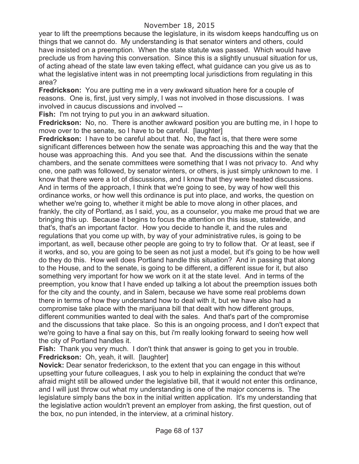year to lift the preemptions because the legislature, in its wisdom keeps handcuffing us on things that we cannot do. My understanding is that senator winters and others, could have insisted on a preemption. When the state statute was passed. Which would have preclude us from having this conversation. Since this is a slightly unusual situation for us, of acting ahead of the state law even taking effect, what guidance can you give us as to what the legislative intent was in not preempting local jurisdictions from regulating in this area?

**Fredrickson:** You are putting me in a very awkward situation here for a couple of reasons. One is, first, just very simply, I was not involved in those discussions. I was involved in caucus discussions and involved --

**Fish:** I'm not trying to put you in an awkward situation.

**Fredrickson:** No, no. There is another awkward position you are butting me, in I hope to move over to the senate, so I have to be careful. [laughter]

**Fredrickson:** I have to be careful about that. No, the fact is, that there were some significant differences between how the senate was approaching this and the way that the house was approaching this. And you see that. And the discussions within the senate chambers, and the senate committees were something that I was not privacy to. And why one, one path was followed, by senator winters, or others, is just simply unknown to me. I know that there were a lot of discussions, and I know that they were heated discussions. And in terms of the approach, I think that we're going to see, by way of how well this ordinance works, or how well this ordinance is put into place, and works, the question on whether we're going to, whether it might be able to move along in other places, and frankly, the city of Portland, as I said, you, as a counselor, you make me proud that we are bringing this up. Because it begins to focus the attention on this issue, statewide, and that's, that's an important factor. How you decide to handle it, and the rules and regulations that you come up with, by way of your administrative rules, is going to be important, as well, because other people are going to try to follow that. Or at least, see if it works, and so, you are going to be seen as not just a model, but it's going to be how well do they do this. How well does Portland handle this situation? And in passing that along to the House, and to the senate, is going to be different, a different issue for it, but also something very important for how we work on it at the state level. And in terms of the preemption, you know that I have ended up talking a lot about the preemption issues both for the city and the county, and in Salem, because we have some real problems down there in terms of how they understand how to deal with it, but we have also had a compromise take place with the marijuana bill that dealt with how different groups, different communities wanted to deal with the sales. And that's part of the compromise and the discussions that take place. So this is an ongoing process, and I don't expect that we're going to have a final say on this, but i'm really looking forward to seeing how well the city of Portland handles it.

**Fish:** Thank you very much. I don't think that answer is going to get you in trouble. **Fredrickson:** Oh, yeah, it will. [laughter]

**Novick:** Dear senator frederickson, to the extent that you can engage in this without upsetting your future colleagues, I ask you to help in explaining the conduct that we're afraid might still be allowed under the legislative bill, that it would not enter this ordinance, and I will just throw out what my understanding is one of the major concerns is. The legislature simply bans the box in the initial written application. It's my understanding that the legislative action wouldn't prevent an employer from asking, the first question, out of the box, no pun intended, in the interview, at a criminal history.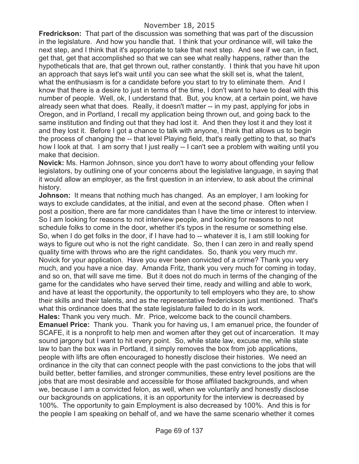**Fredrickson:** That part of the discussion was something that was part of the discussion in the legislature. And how you handle that. I think that your ordinance will, will take the next step, and I think that it's appropriate to take that next step. And see if we can, in fact, get that, get that accomplished so that we can see what really happens, rather than the hypotheticals that are, that get thrown out, rather constantly. I think that you have hit upon an approach that says let's wait until you can see what the skill set is, what the talent, what the enthusiasm is for a candidate before you start to try to eliminate them. And I know that there is a desire to just in terms of the time, I don't want to have to deal with this number of people. Well, ok, I understand that. But, you know, at a certain point, we have already seen what that does. Really, it doesn't matter -- in my past, applying for jobs in Oregon, and in Portland, I recall my application being thrown out, and going back to the same institution and finding out that they had lost it. And then they lost it and they lost it and they lost it. Before I got a chance to talk with anyone, I think that allows us to begin the process of changing the -- that level Playing field, that's really getting to that, so that's how I look at that. I am sorry that I just really -- I can't see a problem with waiting until you make that decision.

**Novick:** Ms. Harmon Johnson, since you don't have to worry about offending your fellow legislators, by outlining one of your concerns about the legislative language, in saying that it would allow an employer, as the first question in an interview, to ask about the criminal history.

**Johnson:** It means that nothing much has changed. As an employer, I am looking for ways to exclude candidates, at the initial, and even at the second phase. Often when I post a position, there are far more candidates than I have the time or interest to interview. So I am looking for reasons to not interview people, and looking for reasons to not schedule folks to come in the door, whether it's typos in the resume or something else. So, when I do get folks in the door, if I have had to -- whatever it is, I am still looking for ways to figure out who is not the right candidate. So, then I can zero in and really spend quality time with throws who are the right candidates. So, thank you very much mr. Novick for your application. Have you ever been convicted of a crime? Thank you very much, and you have a nice day. Amanda Fritz, thank you very much for coming in today, and so on, that will save me time. But it does not do much in terms of the changing of the game for the candidates who have served their time, ready and willing and able to work, and have at least the opportunity, the opportunity to tell employers who they are, to show their skills and their talents, and as the representative frederickson just mentioned. That's what this ordinance does that the state legislature failed to do in its work.

**Hales:** Thank you very much. Mr. Price, welcome back to the council chambers. **Emanuel Price:** Thank you. Thank you for having us, I am emanuel price, the founder of SCAFE, it is a nonprofit to help men and women after they get out of incarceration. It may sound jargony but I want to hit every point. So, while state law, excuse me, while state law to ban the box was in Portland, it simply removes the box from job applications, people with lifts are often encouraged to honestly disclose their histories. We need an ordinance in the city that can connect people with the past convictions to the jobs that will build better, better families, and stronger communities, these entry level positions are the jobs that are most desirable and accessible for those affiliated backgrounds, and when we, because I am a convicted felon, as well, when we voluntarily and honestly disclose our backgrounds on applications, it is an opportunity for the interview is decreased by 100%. The opportunity to gain Employment is also decreased by 100%. And this is for the people I am speaking on behalf of, and we have the same scenario whether it comes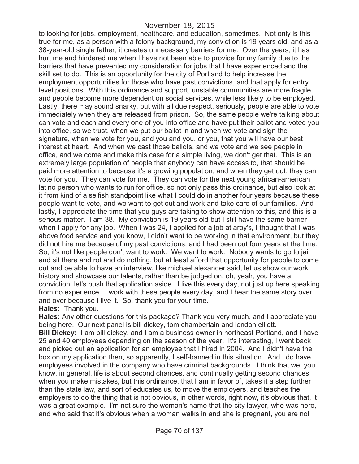### November 18, 2015

to looking for jobs, employment, healthcare, and education, sometimes. Not only is this true for me, as a person with a felony background, my conviction is 19 years old, and as a 38-year-old single father, it creates unnecessary barriers for me. Over the years, it has hurt me and hindered me when I have not been able to provide for my family due to the barriers that have prevented my consideration for jobs that I have experienced and the skill set to do. This is an opportunity for the city of Portland to help increase the employment opportunities for those who have past convictions, and that apply for entry level positions. With this ordinance and support, unstable communities are more fragile, and people become more dependent on social services, while less likely to be employed. Lastly, there may sound snarky, but with all due respect, seriously, people are able to vote immediately when they are released from prison. So, the same people we're talking about can vote and each and every one of you into office and have put their ballot and voted you into office, so we trust, when we put our ballot in and when we vote and sign the signature, when we vote for you, and you and you, or you, that you will have our best interest at heart. And when we cast those ballots, and we vote and we see people in office, and we come and make this case for a simple living, we don't get that. This is an extremely large population of people that anybody can have access to, that should be paid more attention to because it's a growing population, and when they get out, they can vote for you. They can vote for me. They can vote for the next young african-american latino person who wants to run for office, so not only pass this ordinance, but also look at it from kind of a selfish standpoint like what I could do in another four years because these people want to vote, and we want to get out and work and take care of our families. And lastly, I appreciate the time that you guys are taking to show attention to this, and this is a serious matter. I am 38. My conviction is 19 years old but I still have the same barrier when I apply for any job. When I was 24, I applied for a job at arby's, I thought that I was above food service and you know, I didn't want to be working in that environment, but they did not hire me because of my past convictions, and I had been out four years at the time. So, it's not like people don't want to work. We want to work. Nobody wants to go to jail and sit there and rot and do nothing, but at least afford that opportunity for people to come out and be able to have an interview, like michael alexander said, let us show our work history and showcase our talents, rather than be judged on, oh, yeah, you have a conviction, let's push that application aside. I live this every day, not just up here speaking from no experience. I work with these people every day, and I hear the same story over and over because I live it. So, thank you for your time.

#### **Hales:** Thank you.

**Hales:** Any other questions for this package? Thank you very much, and I appreciate you being here. Our next panel is bill dickey, tom chamberlain and london elliott. **Bill Dickey:** I am bill dickey, and I am a business owner in northeast Portland, and I have 25 and 40 employees depending on the season of the year. It's interesting, I went back and picked out an application for an employee that I hired in 2004. And I didn't have the box on my application then, so apparently, I self-banned in this situation. And I do have employees involved in the company who have criminal backgrounds. I think that we, you know, in general, life is about second chances, and continually getting second chances when you make mistakes, but this ordinance, that I am in favor of, takes it a step further than the state law, and sort of educates us, to move the employers, and teaches the employers to do the thing that is not obvious, in other words, right now, it's obvious that, it was a great example. I'm not sure the woman's name that the city lawyer, who was here, and who said that it's obvious when a woman walks in and she is pregnant, you are not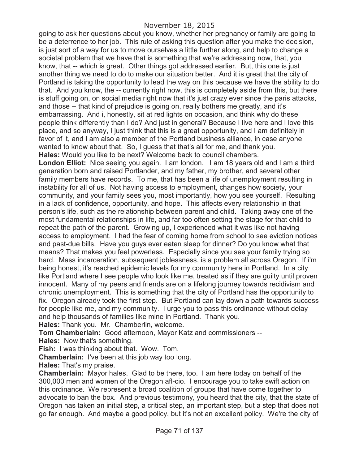going to ask her questions about you know, whether her pregnancy or family are going to be a deterrence to her job. This rule of asking this question after you make the decision, is just sort of a way for us to move ourselves a little further along, and help to change a societal problem that we have that is something that we're addressing now, that, you know, that -- which is great. Other things got addressed earlier. But, this one is just another thing we need to do to make our situation better. And it is great that the city of Portland is taking the opportunity to lead the way on this because we have the ability to do that. And you know, the -- currently right now, this is completely aside from this, but there is stuff going on, on social media right now that it's just crazy ever since the paris attacks, and those -- that kind of prejudice is going on, really bothers me greatly, and it's embarrassing. And i, honestly, sit at red lights on occasion, and think why do these people think differently than I do? And just in general? Because I live here and I love this place, and so anyway, I just think that this is a great opportunity, and I am definitely in favor of it, and I am also a member of the Portland business alliance, in case anyone wanted to know about that. So, I guess that that's all for me, and thank you. **Hales:** Would you like to be next? Welcome back to council chambers.

**London Elliot:** Nice seeing you again. I am london. I am 18 years old and I am a third generation born and raised Portlander, and my father, my brother, and several other family members have records. To me, that has been a life of unemployment resulting in instability for all of us. Not having access to employment, changes how society, your community, and your family sees you, most importantly, how you see yourself. Resulting in a lack of confidence, opportunity, and hope. This affects every relationship in that person's life, such as the relationship between parent and child. Taking away one of the most fundamental relationships in life, and far too often setting the stage for that child to repeat the path of the parent. Growing up, I experienced what it was like not having access to employment. I had the fear of coming home from school to see eviction notices and past-due bills. Have you guys ever eaten sleep for dinner? Do you know what that means? That makes you feel powerless. Especially since you see your family trying so hard. Mass incarceration, subsequent joblessness, is a problem all across Oregon. If i'm being honest, it's reached epidemic levels for my community here in Portland. In a city like Portland where I see people who look like me, treated as if they are guilty until proven innocent. Many of my peers and friends are on a lifelong journey towards recidivism and chronic unemployment. This is something that the city of Portland has the opportunity to fix. Oregon already took the first step. But Portland can lay down a path towards success for people like me, and my community. I urge you to pass this ordinance without delay and help thousands of families like mine in Portland. Thank you.

**Hales:** Thank you. Mr. Chamberlin, welcome.

**Tom Chamberlain:** Good afternoon, Mayor Katz and commissioners --

**Hales:** Now that's something.

**Fish:** I was thinking about that. Wow. Tom.

**Chamberlain:** I've been at this job way too long.

**Hales:** That's my praise.

**Chamberlain:** Mayor hales. Glad to be there, too. I am here today on behalf of the 300,000 men and women of the Oregon afl-cio. I encourage you to take swift action on this ordinance. We represent a broad coalition of groups that have come together to advocate to ban the box. And previous testimony, you heard that the city, that the state of Oregon has taken an initial step, a critical step, an important step, but a step that does not go far enough. And maybe a good policy, but it's not an excellent policy. We're the city of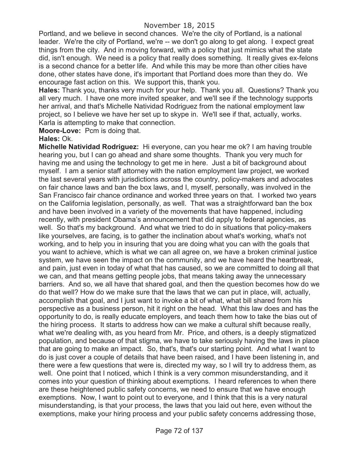Portland, and we believe in second chances. We're the city of Portland, is a national leader. We're the city of Portland, we're -- we don't go along to get along. I expect great things from the city. And in moving forward, with a policy that just mimics what the state did, isn't enough. We need is a policy that really does something. It really gives ex-felons is a second chance for a better life. And while this may be more than other cities have done, other states have done, it's important that Portland does more than they do. We encourage fast action on this. We support this, thank you.

**Hales:** Thank you, thanks very much for your help. Thank you all. Questions? Thank you all very much. I have one more invited speaker, and we'll see if the technology supports her arrival, and that's Michelle Natividad Rodriguez from the national employment law project, so I believe we have her set up to skype in. We'll see if that, actually, works. Karla is attempting to make that connection.

**Moore-Love:** Pcm is doing that.

#### **Hales:** Ok.

**Michelle Natividad Rodriguez:** Hi everyone, can you hear me ok? I am having trouble hearing you, but I can go ahead and share some thoughts. Thank you very much for having me and using the technology to get me in here. Just a bit of background about myself. I am a senior staff attorney with the nation employment law project, we worked the last several years with jurisdictions across the country, policy-makers and advocates on fair chance laws and ban the box laws, and I, myself, personally, was involved in the San Francisco fair chance ordinance and worked three years on that. I worked two years on the California legislation, personally, as well. That was a straightforward ban the box and have been involved in a variety of the movements that have happened, including recently, with president Obama's announcement that did apply to federal agencies, as well. So that's my background. And what we tried to do in situations that policy-makers like yourselves, are facing, is to gather the inclination about what's working, what's not working, and to help you in insuring that you are doing what you can with the goals that you want to achieve, which is what we can all agree on, we have a broken criminal justice system, we have seen the impact on the community, and we have heard the heartbreak, and pain, just even in today of what that has caused, so we are committed to doing all that we can, and that means getting people jobs, that means taking away the unnecessary barriers. And so, we all have that shared goal, and then the question becomes how do we do that well? How do we make sure that the laws that we can put in place, will, actually, accomplish that goal, and I just want to invoke a bit of what, what bill shared from his perspective as a business person, hit it right on the head. What this law does and has the opportunity to do, is really educate employers, and teach them how to take the bias out of the hiring process. It starts to address how can we make a cultural shift because really, what we're dealing with, as you heard from Mr. Price, and others, is a deeply stigmatized population, and because of that stigma, we have to take seriously having the laws in place that are going to make an impact. So, that's, that's our starting point. And what I want to do is just cover a couple of details that have been raised, and I have been listening in, and there were a few questions that were is, directed my way, so I will try to address them, as well. One point that I noticed, which I think is a very common misunderstanding, and it comes into your question of thinking about exemptions. I heard references to when there are these heightened public safety concerns, we need to ensure that we have enough exemptions. Now, I want to point out to everyone, and I think that this is a very natural misunderstanding, is that your process, the laws that you laid out here, even without the exemptions, make your hiring process and your public safety concerns addressing those,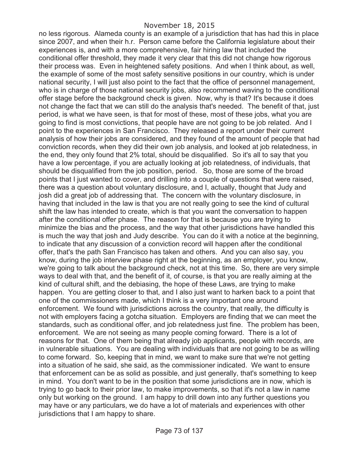no less rigorous. Alameda county is an example of a jurisdiction that has had this in place since 2007, and when their h.r. Person came before the California legislature about their experiences is, and with a more comprehensive, fair hiring law that included the conditional offer threshold, they made it very clear that this did not change how rigorous their process was. Even in heightened safety positions. And when I think about, as well, the example of some of the most safety sensitive positions in our country, which is under national security, I will just also point to the fact that the office of personnel management, who is in charge of those national security jobs, also recommend waving to the conditional offer stage before the background check is given. Now, why is that? It's because it does not change the fact that we can still do the analysis that's needed. The benefit of that, just period, is what we have seen, is that for most of these, most of these jobs, what you are going to find is most convictions, that people have are not going to be job related. And I point to the experiences in San Francisco. They released a report under their current analysis of how their jobs are considered, and they found of the amount of people that had conviction records, when they did their own job analysis, and looked at job relatedness, in the end, they only found that 2% total, should be disqualified. So it's all to say that you have a low percentage, if you are actually looking at job relatedness, of individuals, that should be disqualified from the job position, period. So, those are some of the broad points that I just wanted to cover, and drilling into a couple of questions that were raised, there was a question about voluntary disclosure, and I, actually, thought that Judy and josh did a great job of addressing that. The concern with the voluntary disclosure, in having that included in the law is that you are not really going to see the kind of cultural shift the law has intended to create, which is that you want the conversation to happen after the conditional offer phase. The reason for that is because you are trying to minimize the bias and the process, and the way that other jurisdictions have handled this is much the way that josh and Judy describe. You can do it with a notice at the beginning, to indicate that any discussion of a conviction record will happen after the conditional offer, that's the path San Francisco has taken and others. And you can also say, you know, during the job interview phase right at the beginning, as an employer, you know, we're going to talk about the background check, not at this time. So, there are very simple ways to deal with that, and the benefit of it, of course, is that you are really aiming at the kind of cultural shift, and the debiasing, the hope of these Laws, are trying to make happen. You are getting closer to that, and I also just want to harken back to a point that one of the commissioners made, which I think is a very important one around enforcement. We found with jurisdictions across the country, that really, the difficulty is not with employers facing a gotcha situation. Employers are finding that we can meet the standards, such as conditional offer, and job relatedness just fine. The problem has been, enforcement. We are not seeing as many people coming forward. There is a lot of reasons for that. One of them being that already job applicants, people with records, are in vulnerable situations. You are dealing with individuals that are not going to be as willing to come forward. So, keeping that in mind, we want to make sure that we're not getting into a situation of he said, she said, as the commissioner indicated. We want to ensure that enforcement can be as solid as possible, and just generally, that's something to keep in mind. You don't want to be in the position that some jurisdictions are in now, which is trying to go back to their prior law, to make improvements, so that it's not a law in name only but working on the ground. I am happy to drill down into any further questions you may have or any particulars, we do have a lot of materials and experiences with other jurisdictions that I am happy to share.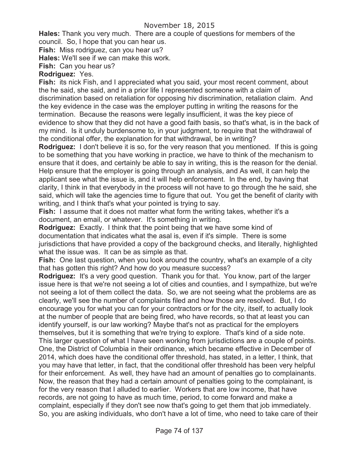**Hales:** Thank you very much. There are a couple of questions for members of the council. So, I hope that you can hear us.

**Fish:** Miss rodriguez, can you hear us?

**Hales:** We'll see if we can make this work.

**Fish:** Can you hear us?

### **Rodriguez:** Yes.

**Fish:** its nick Fish, and I appreciated what you said, your most recent comment, about the he said, she said, and in a prior life I represented someone with a claim of discrimination based on retaliation for opposing hiv discrimination, retaliation claim. And the key evidence in the case was the employer putting in writing the reasons for the termination. Because the reasons were legally insufficient, it was the key piece of evidence to show that they did not have a good faith basis, so that's what, is in the back of my mind. Is it unduly burdensome to, in your judgment, to require that the withdrawal of the conditional offer, the explanation for that withdrawal, be in writing?

**Rodriguez:** I don't believe it is so, for the very reason that you mentioned. If this is going to be something that you have working in practice, we have to think of the mechanism to ensure that it does, and certainly be able to say in writing, this is the reason for the denial. Help ensure that the employer is going through an analysis, and As well, it can help the applicant see what the issue is, and it will help enforcement. In the end, by having that clarity, I think in that everybody in the process will not have to go through the he said, she said, which will take the agencies time to figure that out. You get the benefit of clarity with writing, and I think that's what your pointed is trying to say.

**Fish:** I assume that it does not matter what form the writing takes, whether it's a document, an email, or whatever. It's something in writing.

**Rodriguez:** Exactly. I think that the point being that we have some kind of documentation that indicates what the asal is, even if it's simple. There is some jurisdictions that have provided a copy of the background checks, and literally, highlighted what the issue was. It can be as simple as that.

**Fish:** One last question, when you look around the country, what's an example of a city that has gotten this right? And how do you measure success?

**Rodriguez:** It's a very good question. Thank you for that. You know, part of the larger issue here is that we're not seeing a lot of cities and counties, and I sympathize, but we're not seeing a lot of them collect the data. So, we are not seeing what the problems are as clearly, we'll see the number of complaints filed and how those are resolved. But, I do encourage you for what you can for your contractors or for the city, itself, to actually look at the number of people that are being fired, who have records, so that at least you can identify yourself, is our law working? Maybe that's not as practical for the employers themselves, but it is something that we're trying to explore. That's kind of a side note. This larger question of what I have seen working from jurisdictions are a couple of points. One, the District of Columbia in their ordinance, which became effective in December of 2014, which does have the conditional offer threshold, has stated, in a letter, I think, that you may have that letter, in fact, that the conditional offer threshold has been very helpful for their enforcement. As well, they have had an amount of penalties go to complainants. Now, the reason that they had a certain amount of penalties going to the complainant, is for the very reason that I alluded to earlier. Workers that are low income, that have records, are not going to have as much time, period, to come forward and make a complaint, especially if they don't see now that's going to get them that job immediately. So, you are asking individuals, who don't have a lot of time, who need to take care of their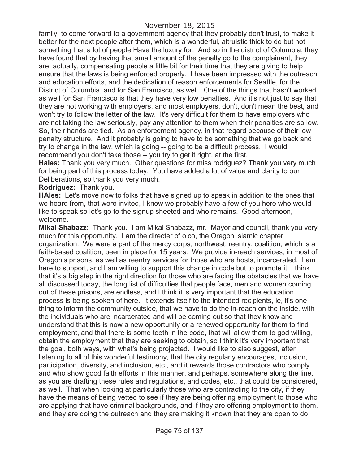family, to come forward to a government agency that they probably don't trust, to make it better for the next people after them, which is a wonderful, altruistic thick to do but not something that a lot of people Have the luxury for. And so in the district of Columbia, they have found that by having that small amount of the penalty go to the complainant, they are, actually, compensating people a little bit for their time that they are giving to help ensure that the laws is being enforced properly. I have been impressed with the outreach and education efforts, and the dedication of reason enforcements for Seattle, for the District of Columbia, and for San Francisco, as well. One of the things that hasn't worked as well for San Francisco is that they have very low penalties. And it's not just to say that they are not working with employers, and most employers, don't, don't mean the best, and won't try to follow the letter of the law. It's very difficult for them to have employers who are not taking the law seriously, pay any attention to them when their penalties are so low. So, their hands are tied. As an enforcement agency, in that regard because of their low penalty structure. And it probably is going to have to be something that we go back and try to change in the law, which is going -- going to be a difficult process. I would recommend you don't take those -- you try to get it right, at the first.

**Hales:** Thank you very much. Other questions for miss rodriguez? Thank you very much for being part of this process today. You have added a lot of value and clarity to our Deliberations, so thank you very much.

#### **Rodriguez:** Thank you.

**HAles:** Let's move now to folks that have signed up to speak in addition to the ones that we heard from, that were invited, I know we probably have a few of you here who would like to speak so let's go to the signup sheeted and who remains. Good afternoon, welcome.

**Mikal Shabazz:** Thank you. I am Mikal Shabazz, mr. Mayor and council, thank you very much for this opportunity. I am the directer of oico, the Oregon islamic chapter organization. We were a part of the mercy corps, northwest, reentry, coalition, which is a faith-based coalition, been in place for 15 years. We provide in-reach services, in most of Oregon's prisons, as well as reentry services for those who are hosts, incarcerated. I am here to support, and I am willing to support this change in code but to promote it, I think that it's a big step in the right direction for those who are facing the obstacles that we have all discussed today, the long list of difficulties that people face, men and women coming out of these prisons, are endless, and I think it is very important that the education process is being spoken of here. It extends itself to the intended recipients, ie, it's one thing to inform the community outside, that we have to do the in-reach on the inside, with the individuals who are incarcerated and will be coming out so that they know and understand that this is now a new opportunity or a renewed opportunity for them to find employment, and that there is some teeth in the code, that will allow them to god willing, obtain the employment that they are seeking to obtain, so I think it's very important that the goal, both ways, with what's being projected. I would like to also suggest, after listening to all of this wonderful testimony, that the city regularly encourages, inclusion, participation, diversity, and inclusion, etc., and it rewards those contractors who comply and who show good faith efforts in this manner, and perhaps, somewhere along the line, as you are drafting these rules and regulations, and codes, etc., that could be considered, as well. That when looking at particularly those who are contracting to the city, if they have the means of being vetted to see if they are being offering employment to those who are applying that have criminal backgrounds, and if they are offering employment to them, and they are doing the outreach and they are making it known that they are open to do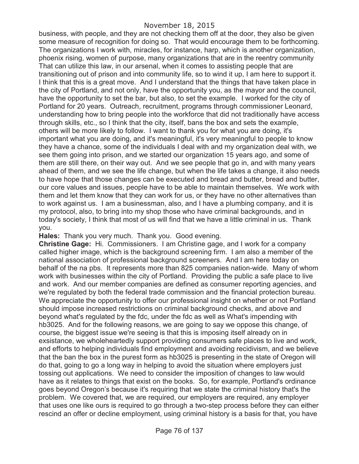business, with people, and they are not checking them off at the door, they also be given some measure of recognition for doing so. That would encourage them to be forthcoming. The organizations I work with, miracles, for instance, harp, which is another organization, phoenix rising, women of purpose, many organizations that are in the reentry community That can utilize this law, in our arsenal, when it comes to assisting people that are transitioning out of prison and into community life, so to wind it up, I am here to support it. I think that this is a great move. And I understand that the things that have taken place in the city of Portland, and not only, have the opportunity you, as the mayor and the council, have the opportunity to set the bar, but also, to set the example. I worked for the city of Portland for 20 years. Outreach, recruitment, programs through commissioner Leonard, understanding how to bring people into the workforce that did not traditionally have access through skills, etc., so I think that the city, itself, bans the box and sets the example, others will be more likely to follow. I want to thank you for what you are doing, it's important what you are doing, and it's meaningful, it's very meaningful to people to know they have a chance, some of the individuals I deal with and my organization deal with, we see them going into prison, and we started our organization 15 years ago, and some of them are still there, on their way out. And we see people that go in, and with many years ahead of them, and we see the life change, but when the life takes a change, it also needs to have hope that those changes can be executed and bread and butter, bread and butter, our core values and issues, people have to be able to maintain themselves. We work with them and let them know that they can work for us, or they have no other alternatives than to work against us. I am a businessman, also, and I have a plumbing company, and it is my protocol, also, to bring into my shop those who have criminal backgrounds, and in today's society, I think that most of us will find that we have a little criminal in us. Thank you.

**Hales:** Thank you very much. Thank you. Good evening.

**Christine Gage:** Hi. Commissioners. I am Christine gage, and I work for a company called higher image, which is the background screening firm. I am also a member of the national association of professional background screeners. And I am here today on behalf of the na pbs. It represents more than 825 companies nation-wide. Many of whom work with businesses within the city of Portland. Providing the public a safe place to live and work. And our member companies are defined as consumer reporting agencies, and we're regulated by both the federal trade commission and the financial protection bureau. We appreciate the opportunity to offer our professional insight on whether or not Portland should impose increased restrictions on criminal background checks, and above and beyond what's regulated by the fdc, under the fdc as well as What's impending with hb3025. And for the following reasons, we are going to say we oppose this change, of course, the biggest issue we're seeing is that this is imposing itself already on in exsistance, we wholeheartedly support providing consumers safe places to live and work, and efforts to helping individuals find employment and avoiding recidivism, and we believe that the ban the box in the purest form as hb3025 is presenting in the state of Oregon will do that, going to go a long way in helping to avoid the situation where employers just tossing out applications. We need to consider the imposition of changes to law would have as it relates to things that exist on the books. So, for example, Portland's ordinance goes beyond Oregon's because it's requiring that we state the criminal history that's the problem. We covered that, we are required, our employers are required, any employer that uses one like ours is required to go through a two-step process before they can either rescind an offer or decline employment, using criminal history is a basis for that, you have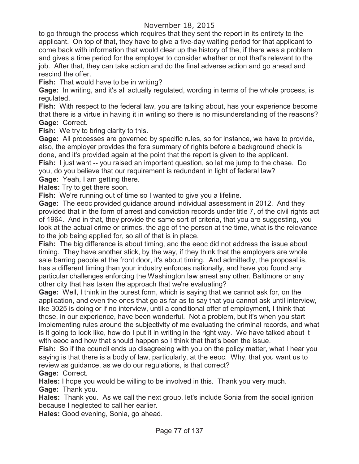to go through the process which requires that they sent the report in its entirety to the applicant. On top of that, they have to give a five-day waiting period for that applicant to come back with information that would clear up the history of the, if there was a problem and gives a time period for the employer to consider whether or not that's relevant to the job. After that, they can take action and do the final adverse action and go ahead and rescind the offer.

**Fish:** That would have to be in writing?

**Gage:** In writing, and it's all actually regulated, wording in terms of the whole process, is regulated.

**Fish:** With respect to the federal law, you are talking about, has your experience become that there is a virtue in having it in writing so there is no misunderstanding of the reasons? **Gage:** Correct.

Fish: We try to bring clarity to this.

**Gage:** All processes are governed by specific rules, so for instance, we have to provide, also, the employer provides the fcra summary of rights before a background check is done, and it's provided again at the point that the report is given to the applicant.

**Fish:** I just want -- you raised an important question, so let me jump to the chase. Do you, do you believe that our requirement is redundant in light of federal law?

**Gage:** Yeah, I am getting there.

**Hales:** Try to get there soon.

**Fish:** We're running out of time so I wanted to give you a lifeline.

**Gage:** The eeoc provided guidance around individual assessment in 2012. And they provided that in the form of arrest and conviction records under title 7, of the civil rights act of 1964. And in that, they provide the same sort of criteria, that you are suggesting, you look at the actual crime or crimes, the age of the person at the time, what is the relevance to the job being applied for, so all of that is in place.

**Fish:** The big difference is about timing, and the eeoc did not address the issue about timing. They have another stick, by the way, if they think that the employers are whole sale barring people at the front door, it's about timing. And admittedly, the proposal is, has a different timing than your industry enforces nationally, and have you found any particular challenges enforcing the Washington law arrest any other, Baltimore or any other city that has taken the approach that we're evaluating?

**Gage:** Well, I think in the purest form, which is saying that we cannot ask for, on the application, and even the ones that go as far as to say that you cannot ask until interview, like 3025 is doing or if no interview, until a conditional offer of employment, I think that those, in our experience, have been wonderful. Not a problem, but it's when you start implementing rules around the subjectivity of me evaluating the criminal records, and what is it going to look like, how do I put it in writing in the right way. We have talked about it with eeoc and how that should happen so I think that that's been the issue.

**Fish:** So if the council ends up disagreeing with you on the policy matter, what I hear you saying is that there is a body of law, particularly, at the eeoc. Why, that you want us to review as guidance, as we do our regulations, is that correct?

**Gage:** Correct.

**Hales:** I hope you would be willing to be involved in this. Thank you very much. **Gage:** Thank you.

**Hales:** Thank you. As we call the next group, let's include Sonia from the social ignition because I neglected to call her earlier.

**Hales:** Good evening, Sonia, go ahead.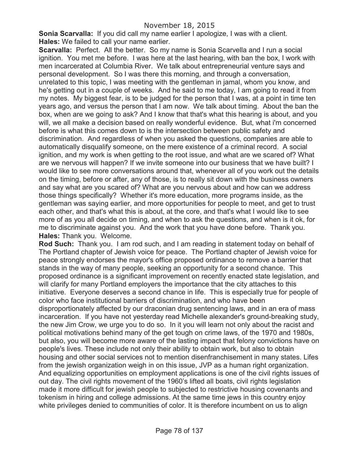**Sonia Scarvalla:** If you did call my name earlier I apologize, I was with a client. **Hales:** We failed to call your name earlier.

**Scarvalla:** Perfect. All the better. So my name is Sonia Scarvella and I run a social ignition. You met me before. I was here at the last hearing, with ban the box, I work with men incarcerated at Columbia River. We talk about entrepreneurial venture says and personal development. So I was there this morning, and through a conversation, unrelated to this topic, I was meeting with the gentleman in jamal, whom you know, and he's getting out in a couple of weeks. And he said to me today, I am going to read it from my notes. My biggest fear, is to be judged for the person that I was, at a point in time ten years ago, and versus the person that I am now. We talk about timing. About the ban the box, when are we going to ask? And I know that that's what this hearing is about, and you will, we all make a decision based on really wonderful evidence. But, what i'm concerned before is what this comes down to is the intersection between public safety and discrimination. And regardless of when you asked the questions, companies are able to automatically disqualify someone, on the mere existence of a criminal record. A social ignition, and my work is when getting to the root issue, and what are we scared of? What are we nervous will happen? If we invite someone into our business that we have built? I would like to see more conversations around that, whenever all of you work out the details on the timing, before or after, any of those, is to really sit down with the business owners and say what are you scared of? What are you nervous about and how can we address those things specifically? Whether it's more education, more programs inside, as the gentleman was saying earlier, and more opportunities for people to meet, and get to trust each other, and that's what this is about, at the core, and that's what I would like to see more of as you all decide on timing, and when to ask the questions, and when is it ok, for me to discriminate against you. And the work that you have done before. Thank you. **Hales:** Thank you. Welcome.

**Rod Such:** Thank you. I am rod such, and I am reading in statement today on behalf of The Portland chapter of Jewish voice for peace. The Portland chapter of Jewish voice for peace strongly endorses the mayor's office proposed ordinance to remove a barrier that stands in the way of many people, seeking an opportunity for a second chance. This proposed ordinance is a significant improvement on recently enacted state legislation, and will clarify for many Portland employers the importance that the city attaches to this initiative. Everyone deserves a second chance in life. This is especially true for people of color who face institutional barriers of discrimination, and who have been disproportionately affected by our draconian drug sentencing laws, and in an era of mass incarceration. If you have not yesterday read Michelle alexander's ground-breaking study, the new Jim Crow, we urge you to do so. In it you will learn not only about the racist and political motivations behind many of the get tough on crime laws, of the 1970 and 1980s, but also, you will become more aware of the lasting impact that felony convictions have on people's lives. These include not only their ability to obtain work, but also to obtain housing and other social services not to mention disenfranchisement in many states. Lifes from the jewish organization weigh in on this issue, JVP as a human right organization. And equalizing opportunities on employment applications is one of the civil rights issues of out day. The civil rights movement of the 1960's lifted all boats, civil rights legislation made it more difficult for jewish people to subjected to restrictive housing covenants and tokenism in hiring and college admissions. At the same time jews in this country enjoy white privileges denied to communities of color. It is therefore incumbent on us to align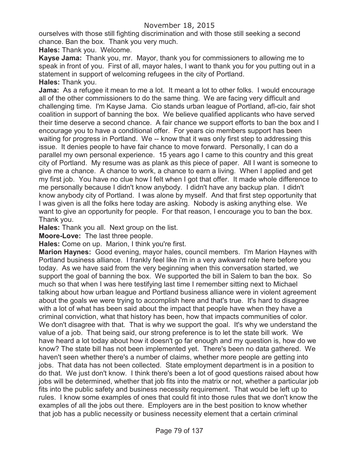## November 18, 2015

ourselves with those still fighting discrimination and with those still seeking a second chance. Ban the box. Thank you very much.

**Hales:** Thank you. Welcome.

**Kayse Jama:** Thank you, mr. Mayor, thank you for commissioners to allowing me to speak in front of you. First of all, mayor hales, I want to thank you for you putting out in a statement in support of welcoming refugees in the city of Portland. **Hales:** Thank you.

**Jama:** As a refugee it mean to me a lot. It meant a lot to other folks. I would encourage all of the other commissioners to do the same thing. We are facing very difficult and challenging time. I'm Kayse Jama. Cio stands urban league of Portland, afl-cio, fair shot coalition in support of banning the box. We believe qualified applicants who have served their time deserve a second chance. A fair chance we support efforts to ban the box and I encourage you to have a conditional offer. For years cio members support has been waiting for progress in Portland. We -- know that it was only first step to addressing this issue. It denies people to have fair chance to move forward. Personally, I can do a parallel my own personal experience. 15 years ago I came to this country and this great city of Portland. My resume was as plank as this piece of paper. All I want is someone to give me a chance. A chance to work, a chance to earn a living. When I applied and get my first job. You have no clue how I felt when I got that offer. It made whole difference to me personally because I didn't know anybody. I didn't have any backup plan. I didn't know anybody city of Portland. I was alone by myself. And that first step opportunity that I was given is all the folks here today are asking. Nobody is asking anything else. We want to give an opportunity for people. For that reason, I encourage you to ban the box. Thank you.

**Hales:** Thank you all. Next group on the list.

**Moore-Love:** The last three people.

**Hales:** Come on up. Marion, I think you're first.

**Marion Haynes:** Good evening, mayor hales, council members. I'm Marion Haynes with Portland business alliance. I frankly feel like i'm in a very awkward role here before you today. As we have said from the very beginning when this conversation started, we support the goal of banning the box. We supported the bill in Salem to ban the box. So much so that when I was here testifying last time I remember sitting next to Michael talking about how urban league and Portland business alliance were in violent agreement about the goals we were trying to accomplish here and that's true. It's hard to disagree with a lot of what has been said about the impact that people have when they have a criminal conviction, what that history has been, how that impacts communities of color. We don't disagree with that. That is why we support the goal. It's why we understand the value of a job. That being said, our strong preference is to let the state bill work. We have heard a lot today about how it doesn't go far enough and my question is, how do we know? The state bill has not been implemented yet. There's been no data gathered. We haven't seen whether there's a number of claims, whether more people are getting into jobs. That data has not been collected. State employment department is in a position to do that. We just don't know. I think there's been a lot of good questions raised about how jobs will be determined, whether that job fits into the matrix or not, whether a particular job fits into the public safety and business necessity requirement. That would be left up to rules. I know some examples of ones that could fit into those rules that we don't know the examples of all the jobs out there. Employers are in the best position to know whether that job has a public necessity or business necessity element that a certain criminal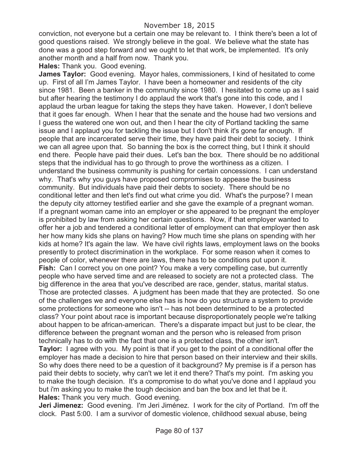conviction, not everyone but a certain one may be relevant to. I think there's been a lot of good questions raised. We strongly believe in the goal. We believe what the state has done was a good step forward and we ought to let that work, be implemented. It's only another month and a half from now. Thank you.

### **Hales:** Thank you. Good evening.

**James Taylor:** Good evening. Mayor hales, commissioners, I kind of hesitated to come up. First of all I'm James Taylor. I have been a homeowner and residents of the city since 1981. Been a banker in the community since 1980. I hesitated to come up as I said but after hearing the testimony I do applaud the work that's gone into this code, and I applaud the urban league for taking the steps they have taken. However, I don't believe that it goes far enough. When I hear that the senate and the house had two versions and I guess the watered one won out, and then I hear the city of Portland tackling the same issue and I applaud you for tackling the issue but I don't think it's gone far enough. If people that are incarcerated serve their time, they have paid their debt to society. I think we can all agree upon that. So banning the box is the correct thing, but I think it should end there. People have paid their dues. Let's ban the box. There should be no additional steps that the individual has to go through to prove the worthiness as a citizen. I understand the business community is pushing for certain concessions. I can understand why. That's why you guys have proposed compromises to appease the business community. But individuals have paid their debts to society. There should be no conditional letter and then let's find out what crime you did. What's the purpose? I mean the deputy city attorney testified earlier and she gave the example of a pregnant woman. If a pregnant woman came into an employer or she appeared to be pregnant the employer is prohibited by law from asking her certain questions. Now, if that employer wanted to offer her a job and tendered a conditional letter of employment can that employer then ask her how many kids she plans on having? How much time she plans on spending with her kids at home? It's again the law. We have civil rights laws, employment laws on the books presently to protect discrimination in the workplace. For some reason when it comes to people of color, whenever there are laws, there has to be conditions put upon it. **Fish:** Can I correct you on one point? You make a very compelling case, but currently people who have served time and are released to society are not a protected class. The big difference in the area that you've described are race, gender, status, marital status. Those are protected classes. A judgment has been made that they are protected. So one of the challenges we and everyone else has is how do you structure a system to provide some protections for someone who isn't -- has not been determined to be a protected class? Your point about race is important because disproportionately people we're talking about happen to be african-american. There's a disparate impact but just to be clear, the difference between the pregnant woman and the person who is released from prison technically has to do with the fact that one is a protected class, the other isn't. **Taylor:** I agree with you. My point is that if you get to the point of a conditional offer the employer has made a decision to hire that person based on their interview and their skills. So why does there need to be a question of it background? My premise is if a person has paid their debts to society, why can't we let it end there? That's my point. I'm asking you to make the tough decision. It's a compromise to do what you've done and I applaud you but i'm asking you to make the tough decision and ban the box and let that be it. **Hales:** Thank you very much. Good evening.

**Jeri Jimenez:** Good evening. I'm Jeri Jiménez. I work for the city of Portland. I'm off the clock. Past 5:00. I am a survivor of domestic violence, childhood sexual abuse, being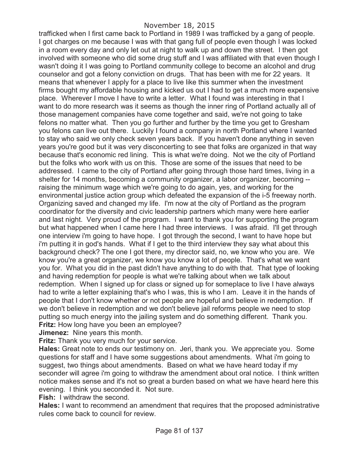trafficked when I first came back to Portland in 1989 I was trafficked by a gang of people. I got charges on me because I was with that gang full of people even though I was locked in a room every day and only let out at night to walk up and down the street. I then got involved with someone who did some drug stuff and I was affiliated with that even though I wasn't doing it I was going to Portland community college to become an alcohol and drug counselor and got a felony conviction on drugs. That has been with me for 22 years. It means that whenever I apply for a place to live like this summer when the investment firms bought my affordable housing and kicked us out I had to get a much more expensive place. Wherever I move I have to write a letter. What I found was interesting in that I want to do more research was it seems as though the inner ring of Portland actually all of those management companies have come together and said, we're not going to take felons no matter what. Then you go further and further by the time you get to Gresham you felons can live out there. Luckily I found a company in north Portland where I wanted to stay who said we only check seven years back. If you haven't done anything in seven years you're good but it was very disconcerting to see that folks are organized in that way because that's economic red lining. This is what we're doing. Not we the city of Portland but the folks who work with us on this. Those are some of the issues that need to be addressed. I came to the city of Portland after going through those hard times, living in a shelter for 14 months, becoming a community organizer, a labor organizer, becoming - raising the minimum wage which we're going to do again, yes, and working for the environmental justice action group which defeated the expansion of the i-5 freeway north. Organizing saved and changed my life. I'm now at the city of Portland as the program coordinator for the diversity and civic leadership partners which many were here earlier and last night. Very proud of the program. I want to thank you for supporting the program but what happened when I came here I had three interviews. I was afraid. I'll get through one interview i'm going to have hope. I got through the second, I want to have hope but i'm putting it in god's hands. What if I get to the third interview they say what about this background check? The one I got there, my director said, no, we know who you are. We know you're a great organizer, we know you know a lot of people. That's what we want you for. What you did in the past didn't have anything to do with that. That type of looking and having redemption for people is what we're talking about when we talk about redemption. When I signed up for class or signed up for someplace to live I have always had to write a letter explaining that's who I was, this is who I am. Leave it in the hands of people that I don't know whether or not people are hopeful and believe in redemption. If we don't believe in redemption and we don't believe jail reforms people we need to stop putting so much energy into the jailing system and do something different. Thank you. **Fritz:** How long have you been an employee?

**Jimenez:** Nine years this month.

**Fritz:** Thank you very much for your service.

**Hales:** Great note to ends our testimony on. Jeri, thank you. We appreciate you. Some questions for staff and I have some suggestions about amendments. What i'm going to suggest, two things about amendments. Based on what we have heard today if my seconder will agree i'm going to withdraw the amendment about oral notice. I think written notice makes sense and it's not so great a burden based on what we have heard here this evening. I think you seconded it. Not sure.

**Fish:** I withdraw the second.

**Hales:** I want to recommend an amendment that requires that the proposed administrative rules come back to council for review.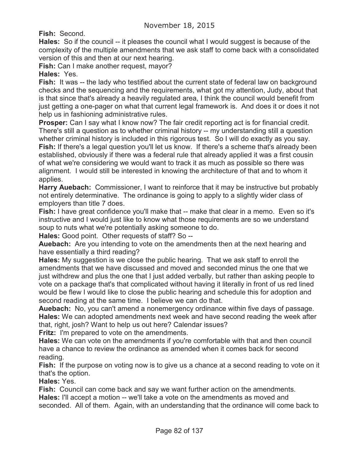**Fish:** Second.

**Hales:** So if the council -- it pleases the council what I would suggest is because of the complexity of the multiple amendments that we ask staff to come back with a consolidated version of this and then at our next hearing.

**Fish:** Can I make another request, mayor?

**Hales:** Yes.

**Fish:** It was -- the lady who testified about the current state of federal law on background checks and the sequencing and the requirements, what got my attention, Judy, about that is that since that's already a heavily regulated area, I think the council would benefit from just getting a one-pager on what that current legal framework is. And does it or does it not help us in fashioning administrative rules.

**Prosper:** Can I say what I know now? The fair credit reporting act is for financial credit. There's still a question as to whether criminal history -- my understanding still a question whether criminal history is included in this rigorous test. So I will do exactly as you say. **Fish:** If there's a legal question you'll let us know. If there's a scheme that's already been established, obviously if there was a federal rule that already applied it was a first cousin of what we're considering we would want to track it as much as possible so there was alignment. I would still be interested in knowing the architecture of that and to whom it applies.

**Harry Auebach:** Commissioner, I want to reinforce that it may be instructive but probably not entirely determinative. The ordinance is going to apply to a slightly wider class of employers than title 7 does.

**Fish:** I have great confidence you'll make that -- make that clear in a memo. Even so it's instructive and I would just like to know what those requirements are so we understand soup to nuts what we're potentially asking someone to do.

**Hales:** Good point. Other requests of staff? So --

**Auebach:** Are you intending to vote on the amendments then at the next hearing and have essentially a third reading?

**Hales:** My suggestion is we close the public hearing. That we ask staff to enroll the amendments that we have discussed and moved and seconded minus the one that we just withdrew and plus the one that I just added verbally, but rather than asking people to vote on a package that's that complicated without having it literally in front of us red lined would be flew I would like to close the public hearing and schedule this for adoption and second reading at the same time. I believe we can do that.

**Auebach:** No, you can't amend a nonemergency ordinance within five days of passage. **Hales:** We can adopted amendments next week and have second reading the week after that, right, josh? Want to help us out here? Calendar issues?

**Fritz:** I'm prepared to vote on the amendments.

**Hales:** We can vote on the amendments if you're comfortable with that and then council have a chance to review the ordinance as amended when it comes back for second reading.

**Fish:** If the purpose on voting now is to give us a chance at a second reading to vote on it that's the option.

**Hales:** Yes.

**Fish:** Council can come back and say we want further action on the amendments. **Hales:** I'll accept a motion -- we'll take a vote on the amendments as moved and seconded. All of them. Again, with an understanding that the ordinance will come back to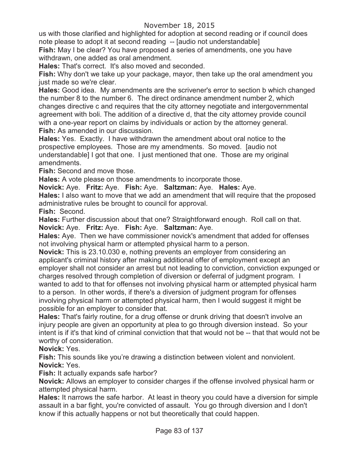us with those clarified and highlighted for adoption at second reading or if council does note please to adopt it at second reading -- [audio not understandable]

**Fish:** May I be clear? You have proposed a series of amendments, one you have withdrawn, one added as oral amendment.

**Hales:** That's correct. It's also moved and seconded.

**Fish:** Why don't we take up your package, mayor, then take up the oral amendment you just made so we're clear.

**Hales:** Good idea. My amendments are the scrivener's error to section b which changed the number 8 to the number 6. The direct ordinance amendment number 2, which changes directive c and requires that the city attorney negotiate and intergovernmental agreement with boli. The addition of a directive d, that the city attorney provide council with a one-year report on claims by individuals or action by the attorney general. **Fish:** As amended in our discussion.

**Hales:** Yes. Exactly. I have withdrawn the amendment about oral notice to the prospective employees. Those are my amendments. So moved. [audio not understandable] I got that one. I just mentioned that one. Those are my original amendments.

**Fish:** Second and move those.

**Hales:** A vote please on those amendments to incorporate those.

**Novick:** Aye. **Fritz:** Aye. **Fish:** Aye. **Saltzman:** Aye. **Hales:** Aye.

**Hales:** I also want to move that we add an amendment that will require that the proposed administrative rules be brought to council for approval.

**Fish:** Second.

**Hales:** Further discussion about that one? Straightforward enough. Roll call on that. **Novick:** Aye. **Fritz:** Aye. **Fish:** Aye. **Saltzman:** Aye.

**Hales:** Aye. Then we have commissioner novick's amendment that added for offenses not involving physical harm or attempted physical harm to a person.

**Novick:** This is 23.10.030 e, nothing prevents an employer from considering an applicant's criminal history after making additional offer of employment except an employer shall not consider an arrest but not leading to conviction, conviction expunged or charges resolved through completion of diversion or deferral of judgment program. I wanted to add to that for offenses not involving physical harm or attempted physical harm to a person. In other words, if there's a diversion of judgment program for offenses involving physical harm or attempted physical harm, then I would suggest it might be possible for an employer to consider that.

**Hales:** That's fairly routine, for a drug offense or drunk driving that doesn't involve an injury people are given an opportunity at plea to go through diversion instead. So your intent is if it's that kind of criminal conviction that that would not be -- that that would not be worthy of consideration.

**Novick:** Yes.

**Fish:** This sounds like you're drawing a distinction between violent and nonviolent. **Novick:** Yes.

**Fish:** It actually expands safe harbor?

**Novick:** Allows an employer to consider charges if the offense involved physical harm or attempted physical harm.

**Hales:** It narrows the safe harbor. At least in theory you could have a diversion for simple assault in a bar fight, you're convicted of assault. You go through diversion and I don't know if this actually happens or not but theoretically that could happen.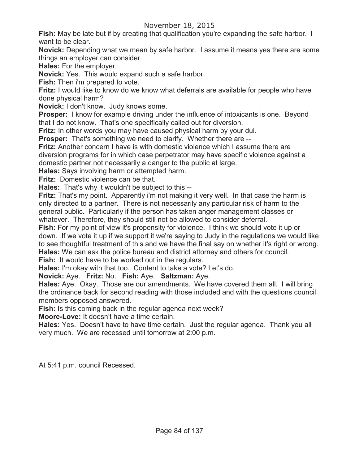### November 18, 2015

**Fish:** May be late but if by creating that qualification you're expanding the safe harbor. I want to be clear.

**Novick:** Depending what we mean by safe harbor. I assume it means yes there are some things an employer can consider.

**Hales:** For the employer.

**Novick:** Yes. This would expand such a safe harbor.

**Fish:** Then i'm prepared to vote.

**Fritz:** I would like to know do we know what deferrals are available for people who have done physical harm?

**Novick:** I don't know. Judy knows some.

**Prosper:** I know for example driving under the influence of intoxicants is one. Beyond that I do not know. That's one specifically called out for diversion.

**Fritz:** In other words you may have caused physical harm by your dui.

**Prosper:** That's something we need to clarify. Whether there are --

**Fritz:** Another concern I have is with domestic violence which I assume there are diversion programs for in which case perpetrator may have specific violence against a domestic partner not necessarily a danger to the public at large.

**Hales:** Says involving harm or attempted harm.

**Fritz:** Domestic violence can be that.

**Hales:** That's why it wouldn't be subject to this --

**Fritz:** That's my point. Apparently i'm not making it very well. In that case the harm is only directed to a partner. There is not necessarily any particular risk of harm to the general public. Particularly if the person has taken anger management classes or whatever. Therefore, they should still not be allowed to consider deferral.

**Fish:** For my point of view it's propensity for violence. I think we should vote it up or down. If we vote it up if we support it we're saying to Judy in the regulations we would like to see thoughtful treatment of this and we have the final say on whether it's right or wrong. **Hales:** We can ask the police bureau and district attorney and others for council. Fish: It would have to be worked out in the regulars.

**Hales:** I'm okay with that too. Content to take a vote? Let's do.

**Novick:** Aye. **Fritz:** No. **Fish:** Aye. **Saltzman:** Aye.

**Hales:** Aye. Okay. Those are our amendments. We have covered them all. I will bring the ordinance back for second reading with those included and with the questions council members opposed answered.

**Fish:** Is this coming back in the regular agenda next week?

**Moore-Love:** It doesn't have a time certain.

**Hales:** Yes. Doesn't have to have time certain. Just the regular agenda. Thank you all very much. We are recessed until tomorrow at 2:00 p.m.

At 5:41 p.m. council Recessed.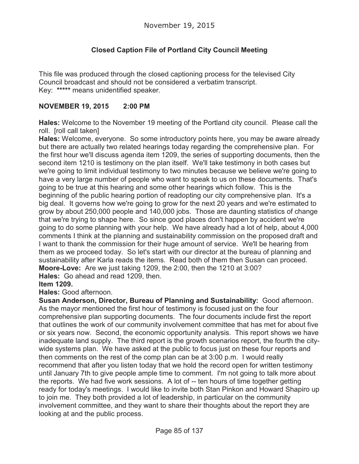# **Closed Caption File of Portland City Council Meeting**

This file was produced through the closed captioning process for the televised City Council broadcast and should not be considered a verbatim transcript. Key: **\*\*\*\*\*** means unidentified speaker.

#### **NOVEMBER 19, 2015 2:00 PM**

**Hales:** Welcome to the November 19 meeting of the Portland city council. Please call the roll. [roll call taken]

**Hales:** Welcome, everyone. So some introductory points here, you may be aware already but there are actually two related hearings today regarding the comprehensive plan. For the first hour we'll discuss agenda item 1209, the series of supporting documents, then the second item 1210 is testimony on the plan itself. We'll take testimony in both cases but we're going to limit individual testimony to two minutes because we believe we're going to have a very large number of people who want to speak to us on these documents. That's going to be true at this hearing and some other hearings which follow. This is the beginning of the public hearing portion of readopting our city comprehensive plan. It's a big deal. It governs how we're going to grow for the next 20 years and we're estimated to grow by about 250,000 people and 140,000 jobs. Those are daunting statistics of change that we're trying to shape here. So since good places don't happen by accident we're going to do some planning with your help. We have already had a lot of help, about 4,000 comments I think at the planning and sustainability commission on the proposed draft and I want to thank the commission for their huge amount of service. We'll be hearing from them as we proceed today. So let's start with our director at the bureau of planning and sustainability after Karla reads the items. Read both of them then Susan can proceed. **Moore-Love:** Are we just taking 1209, the 2:00, then the 1210 at 3:00? **Hales:** Go ahead and read 1209, then.

**Item 1209.**

**Hales:** Good afternoon.

**Susan Anderson, Director, Bureau of Planning and Sustainability:** Good afternoon. As the mayor mentioned the first hour of testimony is focused just on the four comprehensive plan supporting documents. The four documents include first the report that outlines the work of our community involvement committee that has met for about five or six years now. Second, the economic opportunity analysis. This report shows we have inadequate land supply. The third report is the growth scenarios report, the fourth the citywide systems plan. We have asked at the public to focus just on these four reports and then comments on the rest of the comp plan can be at 3:00 p.m. I would really recommend that after you listen today that we hold the record open for written testimony until January 7th to give people ample time to comment. I'm not going to talk more about the reports. We had five work sessions. A lot of -- ten hours of time together getting ready for today's meetings. I would like to invite both Stan Pinkon and Howard Shapiro up to join me. They both provided a lot of leadership, in particular on the community involvement committee, and they want to share their thoughts about the report they are looking at and the public process.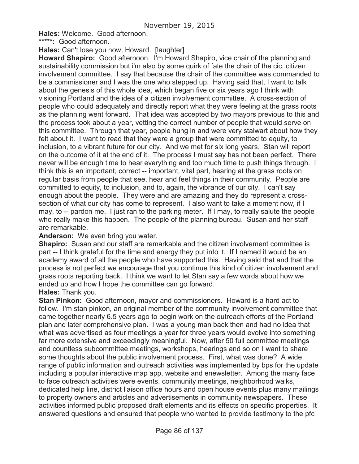**Hales:** Welcome. Good afternoon.

**\*\*\*\*\*:** Good afternoon.

**Hales:** Can't lose you now, Howard. [laughter]

**Howard Shapiro:** Good afternoon. I'm Howard Shapiro, vice chair of the planning and sustainability commission but i'm also by some quirk of fate the chair of the cic, citizen involvement committee. I say that because the chair of the committee was commanded to be a commissioner and I was the one who stepped up. Having said that, I want to talk about the genesis of this whole idea, which began five or six years ago I think with visioning Portland and the idea of a citizen involvement committee. A cross-section of people who could adequately and directly report what they were feeling at the grass roots as the planning went forward. That idea was accepted by two mayors previous to this and the process took about a year, vetting the correct number of people that would serve on this committee. Through that year, people hung in and were very stalwart about how they felt about it. I want to read that they were a group that were committed to equity, to inclusion, to a vibrant future for our city. And we met for six long years. Stan will report on the outcome of it at the end of it. The process I must say has not been perfect. There never will be enough time to hear everything and too much time to push things through. I think this is an important, correct -- important, vital part, hearing at the grass roots on regular basis from people that see, hear and feel things in their community. People are committed to equity, to inclusion, and to, again, the vibrance of our city. I can't say enough about the people. They were and are amazing and they do represent a crosssection of what our city has come to represent. I also want to take a moment now, if I may, to -- pardon me. I just ran to the parking meter. If I may, to really salute the people who really make this happen. The people of the planning bureau. Susan and her staff are remarkable.

#### **Anderson:** We even bring you water.

**Shapiro:** Susan and our staff are remarkable and the citizen involvement committee is part -- I think grateful for the time and energy they put into it. If I named it would be an academy award of all the people who have supported this. Having said that and that the process is not perfect we encourage that you continue this kind of citizen involvement and grass roots reporting back. I think we want to let Stan say a few words about how we ended up and how I hope the committee can go forward.

#### **Hales:** Thank you.

**Stan Pinkon:** Good afternoon, mayor and commissioners. Howard is a hard act to follow. I'm stan pinkon, an original member of the community involvement committee that came together nearly 6.5 years ago to begin work on the outreach efforts of the Portland plan and later comprehensive plan. I was a young man back then and had no idea that what was advertised as four meetings a year for three years would evolve into something far more extensive and exceedingly meaningful. Now, after 50 full committee meetings and countless subcommittee meetings, workshops, hearings and so on I want to share some thoughts about the public involvement process. First, what was done? A wide range of public information and outreach activities was implemented by bps for the update including a popular interactive map app, website and enewsletter. Among the many face to face outreach activities were events, community meetings, neighborhood walks, dedicated help line, district liaison office hours and open house events plus many mailings to property owners and articles and advertisements in community newspapers. These activities informed public proposed draft elements and its effects on specific properties. It answered questions and ensured that people who wanted to provide testimony to the pfc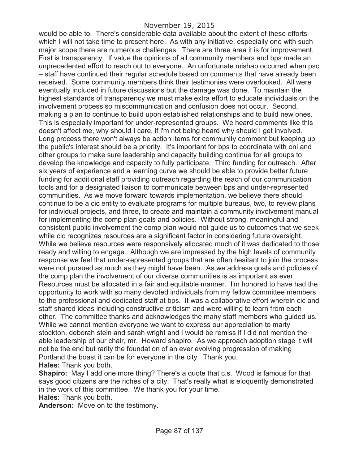would be able to. There's considerable data available about the extent of these efforts which I will not take time to present here. As with any initiative, especially one with such major scope there are numerous challenges. There are three area it is for improvement. First is transparency. If value the opinions of all community members and bps made an unprecedented effort to reach out to everyone. An unfortunate mishap occurred when psc – staff have continued their regular schedule based on comments that have already been received. Some community members think their testimonies were overlooked. All were eventually included in future discussions but the damage was done. To maintain the highest standards of transparency we must make extra effort to educate individuals on the involvement process so miscommunication and confusion does not occur. Second, making a plan to continue to build upon established relationships and to build new ones. This is especially important for under-represented groups. We heard comments like this doesn't affect me, why should I care, if i'm not being heard why should I get involved. Long process there won't always be action items for community comment but keeping up the public's interest should be a priority. It's important for bps to coordinate with oni and other groups to make sure leadership and capacity building continue for all groups to develop the knowledge and capacity to fully participate. Third funding for outreach. After six years of experience and a learning curve we should be able to provide better future funding for additional staff providing outreach regarding the reach of our communication tools and for a designated liaison to communicate between bps and under-represented communities. As we move forward towards implementation, we believe there should continue to be a cic entity to evaluate programs for multiple bureaus, two, to review plans for individual projects, and three, to create and maintain a community involvement manual for implementing the comp plan goals and policies. Without strong, meaningful and consistent public involvement the comp plan would not guide us to outcomes that we seek while cic recognizes resources are a significant factor in considering future oversight. While we believe resources were responsively allocated much of it was dedicated to those ready and willing to engage. Although we are impressed by the high levels of community response we feel that under-represented groups that are often hesitant to join the process were not pursued as much as they might have been. As we address goals and policies of the comp plan the involvement of our diverse communities is as important as ever. Resources must be allocated in a fair and equitable manner. I'm honored to have had the opportunity to work with so many devoted individuals from my fellow committee members to the professional and dedicated staff at bps. It was a collaborative effort wherein cic and staff shared ideas including constructive criticism and were willing to learn from each other. The committee thanks and acknowledges the many staff members who guided us. While we cannot mention everyone we want to express our appreciation to marty stockton, deborah stein and sarah wright and I would be remiss if I did not mention the able leadership of our chair, mr. Howard shapiro. As we approach adoption stage it will not be the end but rarity the foundation of an ever evolving progression of making Portland the boast it can be for everyone in the city. Thank you.

**Hales:** Thank you both.

**Shapiro:** May I add one more thing? There's a quote that c.s. Wood is famous for that says good citizens are the riches of a city. That's really what is eloquently demonstrated in the work of this committee. We thank you for your time.

**Hales:** Thank you both.

**Anderson:** Move on to the testimony.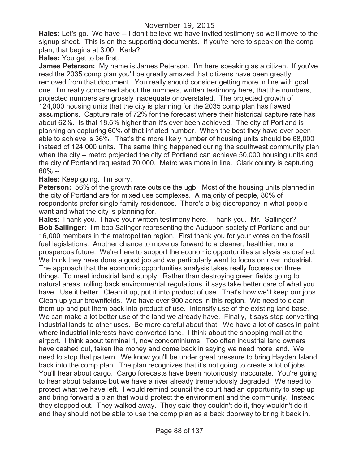**Hales:** Let's go. We have -- I don't believe we have invited testimony so we'll move to the signup sheet. This is on the supporting documents. If you're here to speak on the comp plan, that begins at 3:00. Karla?

**Hales:** You get to be first.

**James Peterson:** My name is James Peterson. I'm here speaking as a citizen. If you've read the 2035 comp plan you'll be greatly amazed that citizens have been greatly removed from that document. You really should consider getting more in line with goal one. I'm really concerned about the numbers, written testimony here, that the numbers, projected numbers are grossly inadequate or overstated. The projected growth of 124,000 housing units that the city is planning for the 2035 comp plan has flawed assumptions. Capture rate of 72% for the forecast where their historical capture rate has about 62%. Is that 18.6% higher than it's ever been achieved. The city of Portland is planning on capturing 60% of that inflated number. When the best they have ever been able to achieve is 36%. That's the more likely number of housing units should be 68,000 instead of 124,000 units. The same thing happened during the southwest community plan when the city -- metro projected the city of Portland can achieve 50,000 housing units and the city of Portland requested 70,000. Metro was more in line. Clark county is capturing 60% --

### **Hales:** Keep going. I'm sorry.

**Peterson:** 56% of the growth rate outside the ugb. Most of the housing units planned in the city of Portland are for mixed use complexes. A majority of people, 80% of respondents prefer single family residences. There's a big discrepancy in what people want and what the city is planning for.

**Hales:** Thank you. I have your written testimony here. Thank you. Mr. Sallinger? **Bob Sallinger:** I'm bob Salinger representing the Audubon society of Portland and our 16,000 members in the metropolitan region. First thank you for your votes on the fossil fuel legislations. Another chance to move us forward to a cleaner, healthier, more prosperous future. We're here to support the economic opportunities analysis as drafted. We think they have done a good job and we particularly want to focus on river industrial. The approach that the economic opportunities analysis takes really focuses on three things. To meet industrial land supply. Rather than destroying green fields going to natural areas, rolling back environmental regulations, it says take better care of what you have. Use it better. Clean it up, put it into product of use. That's how we'll keep our jobs. Clean up your brownfields. We have over 900 acres in this region. We need to clean them up and put them back into product of use. Intensify use of the existing land base. We can make a lot better use of the land we already have. Finally, it says stop converting industrial lands to other uses. Be more careful about that. We have a lot of cases in point where industrial interests have converted land. I think about the shopping mall at the airport. I think about terminal 1, now condominiums. Too often industrial land owners have cashed out, taken the money and come back in saying we need more land. We need to stop that pattern. We know you'll be under great pressure to bring Hayden Island back into the comp plan. The plan recognizes that it's not going to create a lot of jobs. You'll hear about cargo. Cargo forecasts have been notoriously inaccurate. You're going to hear about balance but we have a river already tremendously degraded. We need to protect what we have left. I would remind council the court had an opportunity to step up and bring forward a plan that would protect the environment and the community. Instead they stepped out. They walked away. They said they couldn't do it, they wouldn't do it and they should not be able to use the comp plan as a back doorway to bring it back in.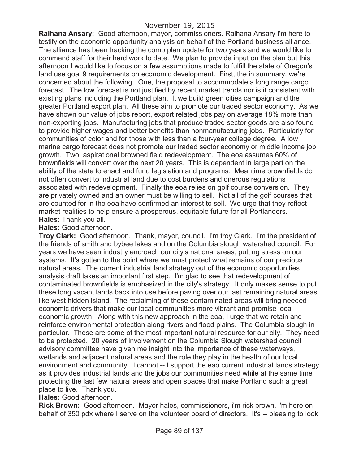**Raihana Ansary:** Good afternoon, mayor, commissioners. Raihana Ansary I'm here to testify on the economic opportunity analysis on behalf of the Portland business alliance. The alliance has been tracking the comp plan update for two years and we would like to commend staff for their hard work to date. We plan to provide input on the plan but this afternoon I would like to focus on a few assumptions made to fulfill the state of Oregon's land use goal 9 requirements on economic development. First, the in summary, we're concerned about the following. One, the proposal to accommodate a long range cargo forecast. The low forecast is not justified by recent market trends nor is it consistent with existing plans including the Portland plan. It we build green cities campaign and the greater Portland export plan. All these aim to promote our traded sector economy. As we have shown our value of jobs report, export related jobs pay on average 18% more than non-exporting jobs. Manufacturing jobs that produce traded sector goods are also found to provide higher wages and better benefits than nonmanufacturing jobs. Particularly for communities of color and for those with less than a four-year college degree. A low marine cargo forecast does not promote our traded sector economy or middle income job growth. Two, aspirational browned field redevelopment. The eoa assumes 60% of brownfields will convert over the next 20 years. This is dependent in large part on the ability of the state to enact and fund legislation and programs. Meantime brownfields do not often convert to industrial land due to cost burdens and onerous regulations associated with redevelopment. Finally the eoa relies on golf course conversion. They are privately owned and an owner must be willing to sell. Not all of the golf courses that are counted for in the eoa have confirmed an interest to sell. We urge that they reflect market realities to help ensure a prosperous, equitable future for all Portlanders. **Hales:** Thank you all.

### **Hales:** Good afternoon.

**Troy Clark:** Good afternoon. Thank, mayor, council. I'm troy Clark. I'm the president of the friends of smith and bybee lakes and on the Columbia slough watershed council. For years we have seen industry encroach our city's national areas, putting stress on our systems. It's gotten to the point where we must protect what remains of our precious natural areas. The current industrial land strategy out of the economic opportunities analysis draft takes an important first step. I'm glad to see that redevelopment of contaminated brownfields is emphasized in the city's strategy. It only makes sense to put these long vacant lands back into use before paving over our last remaining natural areas like west hidden island. The reclaiming of these contaminated areas will bring needed economic drivers that make our local communities more vibrant and promise local economic growth. Along with this new approach in the eoa, I urge that we retain and reinforce environmental protection along rivers and flood plains. The Columbia slough in particular. These are some of the most important natural resource for our city. They need to be protected. 20 years of involvement on the Columbia Slough watershed council advisory committee have given me insight into the importance of these waterways, wetlands and adjacent natural areas and the role they play in the health of our local environment and community. I cannot -- I support the eao current industrial lands strategy as it provides industrial lands and the jobs our communities need while at the same time protecting the last few natural areas and open spaces that make Portland such a great place to live. Thank you.

#### **Hales:** Good afternoon.

**Rick Brown:** Good afternoon. Mayor hales, commissioners, i'm rick brown, i'm here on behalf of 350 pdx where I serve on the volunteer board of directors. It's -- pleasing to look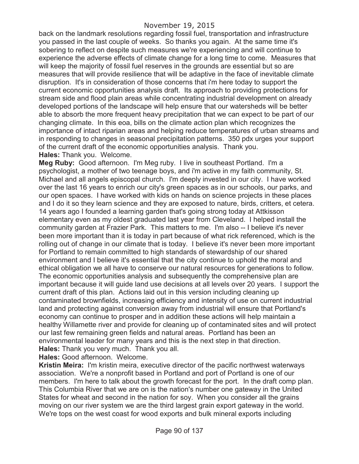back on the landmark resolutions regarding fossil fuel, transportation and infrastructure you passed in the last couple of weeks. So thanks you again. At the same time it's sobering to reflect on despite such measures we're experiencing and will continue to experience the adverse effects of climate change for a long time to come. Measures that will keep the majority of fossil fuel reserves in the grounds are essential but so are measures that will provide resilience that will be adaptive in the face of inevitable climate disruption. It's in consideration of those concerns that i'm here today to support the current economic opportunities analysis draft. Its approach to providing protections for stream side and flood plain areas while concentrating industrial development on already developed portions of the landscape will help ensure that our watersheds will be better able to absorb the more frequent heavy precipitation that we can expect to be part of our changing climate. In this eoa, bills on the climate action plan which recognizes the importance of intact riparian areas and helping reduce temperatures of urban streams and in responding to changes in seasonal precipitation patterns. 350 pdx urges your support of the current draft of the economic opportunities analysis. Thank you. **Hales:** Thank you. Welcome.

**Meg Ruby:** Good afternoon. I'm Meg ruby. I live in southeast Portland. I'm a psychologist, a mother of two teenage boys, and i'm active in my faith community, St. Michael and all angels episcopal church. I'm deeply invested in our city. I have worked over the last 16 years to enrich our city's green spaces as in our schools, our parks, and our open spaces. I have worked with kids on hands on science projects in these places and I do it so they learn science and they are exposed to nature, birds, critters, et cetera. 14 years ago I founded a learning garden that's going strong today at Attkisson elementary even as my oldest graduated last year from Cleveland. I helped install the community garden at Frazier Park. This matters to me. I'm also -- I believe it's never been more important than it is today in part because of what rick referenced, which is the rolling out of change in our climate that is today. I believe it's never been more important for Portland to remain committed to high standards of stewardship of our shared environment and I believe it's essential that the city continue to uphold the moral and ethical obligation we all have to conserve our natural resources for generations to follow. The economic opportunities analysis and subsequently the comprehensive plan are important because it will guide land use decisions at all levels over 20 years. I support the current draft of this plan. Actions laid out in this version including cleaning up contaminated brownfields, increasing efficiency and intensity of use on current industrial land and protecting against conversion away from industrial will ensure that Portland's economy can continue to prosper and in addition these actions will help maintain a healthy Willamette river and provide for cleaning up of contaminated sites and will protect our last few remaining green fields and natural areas. Portland has been an environmental leader for many years and this is the next step in that direction. **Hales:** Thank you very much. Thank you all.

**Hales:** Good afternoon. Welcome.

**Kristin Meira:** I'm kristin meira, executive director of the pacific northwest waterways association. We're a nonprofit based in Portland and port of Portland is one of our members. I'm here to talk about the growth forecast for the port. In the draft comp plan. This Columbia River that we are on is the nation's number one gateway in the United States for wheat and second in the nation for soy. When you consider all the grains moving on our river system we are the third largest grain export gateway in the world. We're tops on the west coast for wood exports and bulk mineral exports including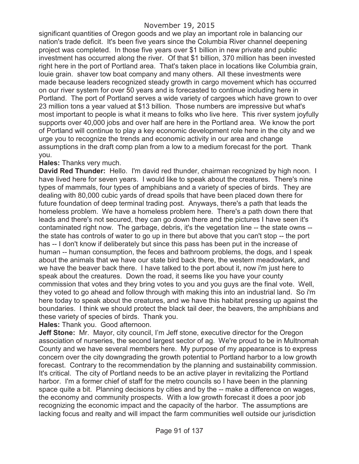significant quantities of Oregon goods and we play an important role in balancing our nation's trade deficit. It's been five years since the Columbia River channel deepening project was completed. In those five years over \$1 billion in new private and public investment has occurred along the river. Of that \$1 billion, 370 million has been invested right here in the port of Portland area. That's taken place in locations like Columbia grain, louie grain. shaver tow boat company and many others. All these investments were made because leaders recognized steady growth in cargo movement which has occurred on our river system for over 50 years and is forecasted to continue including here in Portland. The port of Portland serves a wide variety of cargoes which have grown to over 23 million tons a year valued at \$13 billion. Those numbers are impressive but what's most important to people is what it means to folks who live here. This river system joyfully supports over 40,000 jobs and over half are here in the Portland area. We know the port of Portland will continue to play a key economic development role here in the city and we urge you to recognize the trends and economic activity in our area and change assumptions in the draft comp plan from a low to a medium forecast for the port. Thank you.

#### **Hales:** Thanks very much.

**David Red Thunder:** Hello. I'm david red thunder, chairman recognized by high noon. I have lived here for seven years. I would like to speak about the creatures. There's nine types of mammals, four types of amphibians and a variety of species of birds. They are dealing with 80,000 cubic yards of dread spoils that have been placed down there for future foundation of deep terminal trading post. Anyways, there's a path that leads the homeless problem. We have a homeless problem here. There's a path down there that leads and there's not secured, they can go down there and the pictures I have seen it's contaminated right now. The garbage, debris, it's the vegetation line -- the state owns - the state has controls of water to go up in there but above that you can't stop -- the port has -- I don't know if deliberately but since this pass has been put in the increase of human -- human consumption, the feces and bathroom problems, the dogs, and I speak about the animals that we have our state bird back there, the western meadowlark, and we have the beaver back there. I have talked to the port about it, now i'm just here to speak about the creatures. Down the road, it seems like you have your county commission that votes and they bring votes to you and you guys are the final vote. Well, they voted to go ahead and follow through with making this into an industrial land. So i'm here today to speak about the creatures, and we have this habitat pressing up against the boundaries. I think we should protect the black tail deer, the beavers, the amphibians and these variety of species of birds. Thank you.

**Hales:** Thank you. Good afternoon.

**Jeff Stone:** Mr. Mayor, city council, I'm Jeff stone, executive director for the Oregon association of nurseries, the second largest sector of ag. We're proud to be in Multnomah County and we have several members here. My purpose of my appearance is to express concern over the city downgrading the growth potential to Portland harbor to a low growth forecast. Contrary to the recommendation by the planning and sustainability commission. It's critical. The city of Portland needs to be an active player in revitalizing the Portland harbor. I'm a former chief of staff for the metro councils so I have been in the planning space quite a bit. Planning decisions by cities and by the -- make a difference on wages, the economy and community prospects. With a low growth forecast it does a poor job recognizing the economic impact and the capacity of the harbor. The assumptions are lacking focus and realty and will impact the farm communities well outside our jurisdiction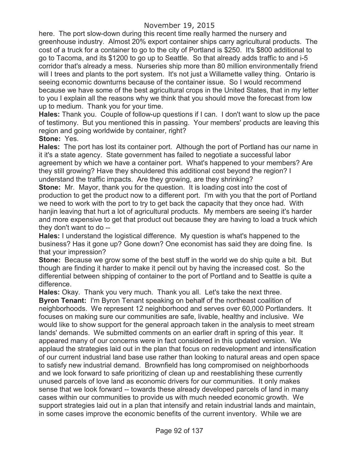here. The port slow-down during this recent time really harmed the nursery and greenhouse industry. Almost 20% export container ships carry agricultural products. The cost of a truck for a container to go to the city of Portland is \$250. It's \$800 additional to go to Tacoma, and its \$1200 to go up to Seattle. So that already adds traffic to and i-5 corridor that's already a mess. Nurseries ship more than 80 million environmentally friend will I trees and plants to the port system. It's not just a Willamette valley thing. Ontario is seeing economic downturns because of the container issue. So I would recommend because we have some of the best agricultural crops in the United States, that in my letter to you I explain all the reasons why we think that you should move the forecast from low up to medium. Thank you for your time.

**Hales:** Thank you. Couple of follow-up questions if I can. I don't want to slow up the pace of testimony. But you mentioned this in passing. Your members' products are leaving this region and going worldwide by container, right?

### **Stone:** Yes.

**Hales:** The port has lost its container port. Although the port of Portland has our name in it it's a state agency. State government has failed to negotiate a successful labor agreement by which we have a container port. What's happened to your members? Are they still growing? Have they shouldered this additional cost beyond the region? I understand the traffic impacts. Are they growing, are they shrinking?

**Stone:** Mr. Mayor, thank you for the question. It is loading cost into the cost of production to get the product now to a different port. I'm with you that the port of Portland we need to work with the port to try to get back the capacity that they once had. With hanjin leaving that hurt a lot of agricultural products. My members are seeing it's harder and more expensive to get that product out because they are having to load a truck which they don't want to do --

**Hales:** I understand the logistical difference. My question is what's happened to the business? Has it gone up? Gone down? One economist has said they are doing fine. Is that your impression?

**Stone:** Because we grow some of the best stuff in the world we do ship quite a bit. But though are finding it harder to make it pencil out by having the increased cost. So the differential between shipping of container to the port of Portland and to Seattle is quite a difference.

**Hales:** Okay. Thank you very much. Thank you all. Let's take the next three.

**Byron Tenant:** I'm Byron Tenant speaking on behalf of the northeast coalition of neighborhoods. We represent 12 neighborhood and serves over 60,000 Portlanders. It focuses on making sure our communities are safe, livable, healthy and inclusive. We would like to show support for the general approach taken in the analysis to meet stream lands' demands. We submitted comments on an earlier draft in spring of this year. It appeared many of our concerns were in fact considered in this updated version. We applaud the strategies laid out in the plan that focus on redevelopment and intensification of our current industrial land base use rather than looking to natural areas and open space to satisfy new industrial demand. Brownfield has long compromised on neighborhoods and we look forward to safe prioritizing of clean up and reestablishing these currently unused parcels of love land as economic drivers for our communities. It only makes sense that we look forward -- towards these already developed parcels of land in many cases within our communities to provide us with much needed economic growth. We support strategies laid out in a plan that intensify and retain industrial lands and maintain, in some cases improve the economic benefits of the current inventory. While we are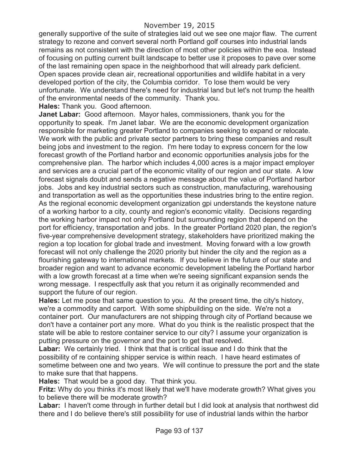generally supportive of the suite of strategies laid out we see one major flaw. The current strategy to rezone and convert several north Portland golf courses into industrial lands remains as not consistent with the direction of most other policies within the eoa. Instead of focusing on putting current built landscape to better use it proposes to pave over some of the last remaining open space in the neighborhood that will already park deficient. Open spaces provide clean air, recreational opportunities and wildlife habitat in a very developed portion of the city, the Columbia corridor. To lose them would be very unfortunate. We understand there's need for industrial land but let's not trump the health of the environmental needs of the community. Thank you.

**Hales:** Thank you. Good afternoon.

**Janet Labar:** Good afternoon. Mayor hales, commissioners, thank you for the opportunity to speak. I'm Janet labar. We are the economic development organization responsible for marketing greater Portland to companies seeking to expand or relocate. We work with the public and private sector partners to bring these companies and result being jobs and investment to the region. I'm here today to express concern for the low forecast growth of the Portland harbor and economic opportunities analysis jobs for the comprehensive plan. The harbor which includes 4,000 acres is a major impact employer and services are a crucial part of the economic vitality of our region and our state. A low forecast signals doubt and sends a negative message about the value of Portland harbor jobs. Jobs and key industrial sectors such as construction, manufacturing, warehousing and transportation as well as the opportunities these industries bring to the entire region. As the regional economic development organization gpi understands the keystone nature of a working harbor to a city, county and region's economic vitality. Decisions regarding the working harbor impact not only Portland but surrounding region that depend on the port for efficiency, transportation and jobs. In the greater Portland 2020 plan, the region's five-year comprehensive development strategy, stakeholders have prioritized making the region a top location for global trade and investment. Moving forward with a low growth forecast will not only challenge the 2020 priority but hinder the city and the region as a flourishing gateway to international markets. If you believe in the future of our state and broader region and want to advance economic development labeling the Portland harbor with a low growth forecast at a time when we're seeing significant expansion sends the wrong message. I respectfully ask that you return it as originally recommended and support the future of our region.

**Hales:** Let me pose that same question to you. At the present time, the city's history, we're a commodity and carport. With some shipbuilding on the side. We're not a container port. Our manufacturers are not shipping through city of Portland because we don't have a container port any more. What do you think is the realistic prospect that the state will be able to restore container service to our city? I assume your organization is putting pressure on the governor and the port to get that resolved.

**Labar:** We certainly tried. I think that that is critical issue and I do think that the possibility of re containing shipper service is within reach. I have heard estimates of sometime between one and two years. We will continue to pressure the port and the state to make sure that that happens.

**Hales:** That would be a good day. That think you.

**Fritz:** Why do you thinks it's most likely that we'll have moderate growth? What gives you to believe there will be moderate growth?

**Labar:** I haven't come through in further detail but I did look at analysis that northwest did there and I do believe there's still possibility for use of industrial lands within the harbor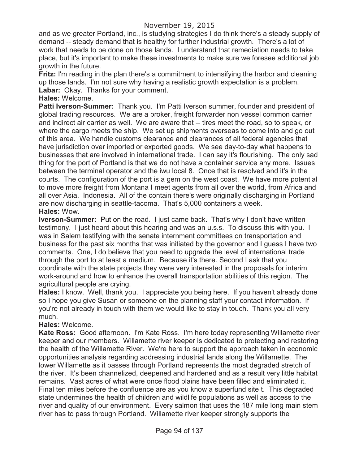### November 19, 2015

and as we greater Portland, inc., is studying strategies I do think there's a steady supply of demand -- steady demand that is healthy for further industrial growth. There's a lot of work that needs to be done on those lands. I understand that remediation needs to take place, but it's important to make these investments to make sure we foresee additional job growth in the future.

**Fritz:** I'm reading in the plan there's a commitment to intensifying the harbor and cleaning up those lands. I'm not sure why having a realistic growth expectation is a problem. **Labar:** Okay. Thanks for your comment.

#### **Hales:** Welcome.

**Patti Iverson-Summer:** Thank you. I'm Patti Iverson summer, founder and president of global trading resources. We are a broker, freight forwarder non vessel common carrier and indirect air carrier as well. We are aware that -- tires meet the road, so to speak, or where the cargo meets the ship. We set up shipments overseas to come into and go out of this area. We handle customs clearance and clearances of all federal agencies that have jurisdiction over imported or exported goods. We see day-to-day what happens to businesses that are involved in international trade. I can say it's flourishing. The only sad thing for the port of Portland is that we do not have a container service any more. Issues between the terminal operator and the iwu local 8. Once that is resolved and it's in the courts. The configuration of the port is a gem on the west coast. We have more potential to move more freight from Montana I meet agents from all over the world, from Africa and all over Asia. Indonesia. All of the contain there's were originally discharging in Portland are now discharging in seattle-tacoma. That's 5,000 containers a week.

### **Hales:** Wow.

**Iverson-Summer:** Put on the road. I just came back. That's why I don't have written testimony. I just heard about this hearing and was an u.s.s. To discuss this with you. I was in Salem testifying with the senate internment committees on transportation and business for the past six months that was initiated by the governor and I guess I have two comments. One, I do believe that you need to upgrade the level of international trade through the port to at least a medium. Because it's there. Second I ask that you coordinate with the state projects they were very interested in the proposals for interim work-around and how to enhance the overall transportation abilities of this region. The agricultural people are crying.

**Hales:** I know. Well, thank you. I appreciate you being here. If you haven't already done so I hope you give Susan or someone on the planning staff your contact information. If you're not already in touch with them we would like to stay in touch. Thank you all very much.

### **Hales:** Welcome.

**Kate Ross:** Good afternoon. I'm Kate Ross. I'm here today representing Willamette river keeper and our members. Willamette river keeper is dedicated to protecting and restoring the health of the Willamette River. We're here to support the approach taken in economic opportunities analysis regarding addressing industrial lands along the Willamette. The lower Willamette as it passes through Portland represents the most degraded stretch of the river. It's been channelized, deepened and hardened and as a result very little habitat remains. Vast acres of what were once flood plains have been filled and eliminated it. Final ten miles before the confluence are as you know a superfund site t. This degraded state undermines the health of children and wildlife populations as well as access to the river and quality of our environment. Every salmon that uses the 187 mile long main stem river has to pass through Portland. Willamette river keeper strongly supports the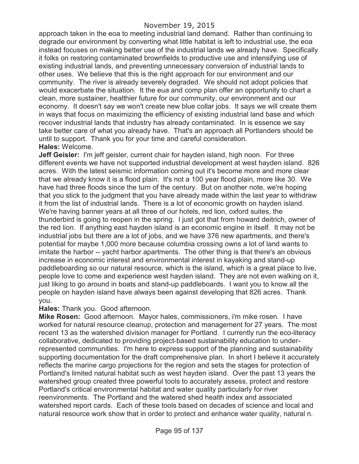approach taken in the eoa to meeting industrial land demand. Rather than continuing to degrade our environment by converting what little habitat is left to industrial use, the eoa instead focuses on making better use of the industrial lands we already have. Specifically it folks on restoring contaminated brownfields to productive use and intensifying use of existing industrial lands, and preventing unnecessary conversion of industrial lands to other uses. We believe that this is the right approach for our environment and our community. The river is already severely degraded. We should not adopt policies that would exacerbate the situation. It the eua and comp plan offer an opportunity to chart a clean, more sustainer, healthier future for our community, our environment and our economy. It doesn't say we won't create new blue collar jobs. It says we will create them in ways that focus on maximizing the efficiency of existing industrial land base and which recover industrial lands that industry has already contaminated. In is essence we say take better care of what you already have. That's an approach all Portlanders should be until to support. Thank you for your time and careful consideration. **Hales:** Welcome.

**Jeff Geisler:** I'm jeff geisler, current chair for hayden island, high noon. For three different events we have not supported industrial development at west hayden island. 826 acres. With the latest seismic information coming out it's become more and more clear that we already know it is a flood plain. It's not a 100 year flood plain, more like 30. We have had three floods since the turn of the century. But on another note, we're hoping that you stick to the judgment that you have already made within the last year to withdraw it from the list of industrial lands. There is a lot of economic growth on hayden island. We're having banner years at all three of our hotels, red lion, oxford suites, the thunderbird is going to reopen in the spring. I just got that from howard deitrich, owner of the red lion. If anything east hayden island is an economic engine in itself. It may not be industrial jobs but there are a lot of jobs, and we have 376 new apartments, and there's potential for maybe 1,000 more because columbia crossing owns a lot of land wants to imitate the harbor -- yacht harbor apartments. The other thing is that there's an obvious increase in economic interest and environmental interest in kayaking and stand-up paddleboarding so our natural resource, which is the island, which is a great place to live, people love to come and experience west hayden island. They are not even walking on it, just liking to go around in boats and stand-up paddleboards. I want you to know all the people on hayden island have always been against developing that 826 acres. Thank you.

#### **Hales:** Thank you. Good afternoon.

**Mike Rosen:** Good afternoon. Mayor hales, commissioners, i'm mike rosen. I have worked for natural resource cleanup, protection and management for 27 years. The most recent 13 as the watershed division manager for Portland. I currently run the eco-literacy collaborative, dedicated to providing project-based sustainability education to underrepresented communities. I'm here to express support of the planning and sustainability supporting documentation for the draft comprehensive plan. In short I believe it accurately reflects the marine cargo projections for the region and sets the stages for protection of Portland's limited natural habitat such as west hayden island. Over the past 13 years the watershed group created three powerful tools to accurately assess, protect and restore Portland's critical environmental habitat and water quality particularly for river reenvironments. The Portland and the watered shed health index and associated watershed report cards. Each of these tools based on decades of science and local and natural resource work show that in order to protect and enhance water quality, natural n.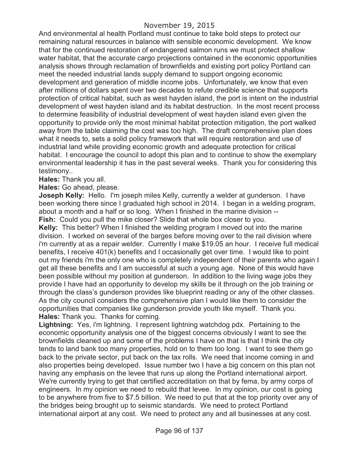And environmental al health Portland must continue to take bold steps to protect our remaining natural resources in balance with sensible economic development. We know that for the continued restoration of endangered salmon runs we must protect shallow water habitat, that the accurate cargo projections contained in the economic opportunities analysis shows through reclamation of brownfields and existing port policy Portland can meet the needed industrial lands supply demand to support ongoing economic development and generation of middle income jobs. Unfortunately, we know that even after millions of dollars spent over two decades to refute credible science that supports protection of critical habitat, such as west hayden island, the port is intent on the industrial development of west hayden island and its habitat destruction. In the most recent process to determine feasibility of industrial development of west hayden island even given the opportunity to provide only the most minimal habitat protection mitigation, the port walked away from the table claiming the cost was too high. The draft comprehensive plan does what it needs to, sets a solid policy framework that will require restoration and use of industrial land while providing economic growth and adequate protection for critical habitat. I encourage the council to adopt this plan and to continue to show the exemplary environmental leadership it has in the past several weeks. Thank you for considering this testimony..

#### **Hales:** Thank you all.

**Hales:** Go ahead, please.

**Joseph Kelly:** Hello. I'm joseph miles Kelly, currently a welder at gunderson. I have been working there since I graduated high school in 2014. I began in a welding program, about a month and a half or so long. When I finished in the marine division -- **Fish:** Could you pull the mike closer? Slide that whole box closer to you.

**Kelly:** This better? When I finished the welding program I moved out into the marine division. I worked on several of the barges before moving over to the rail division where i'm currently at as a repair welder. Currently I make \$19.05 an hour. I receive full medical benefits, I receive 401(k) benefits and I occasionally get over time. I would like to point out my friends i'm the only one who is completely independent of their parents who again I get all these benefits and I am successful at such a young age. None of this would have been possible without my position at gunderson. In addition to the living wage jobs they provide I have had an opportunity to develop my skills be it through on the job training or through the class's gunderson provides like blueprint reading or any of the other classes. As the city council considers the comprehensive plan I would like them to consider the opportunities that companies like gunderson provide youth like myself. Thank you. **Hales:** Thank you. Thanks for coming.

**Lightning:** Yes, i'm lightning. I represent lightning watchdog pdx. Pertaining to the economic opportunity analysis one of the biggest concerns obviously I want to see the brownfields cleaned up and some of the problems I have on that is that I think the city tends to land bank too many properties, hold on to them too long. I want to see them go back to the private sector, put back on the tax rolls. We need that income coming in and also properties being developed. Issue number two I have a big concern on this plan not having any emphasis on the levee that runs up along the Portland international airport. We're currently trying to get that certified accreditation on that by fema, by army corps of engineers. In my opinion we need to rebuild that levee. In my opinion, our cost is going to be anywhere from five to \$7.5 billion. We need to put that at the top priority over any of the bridges being brought up to seismic standards. We need to protect Portland international airport at any cost. We need to protect any and all businesses at any cost.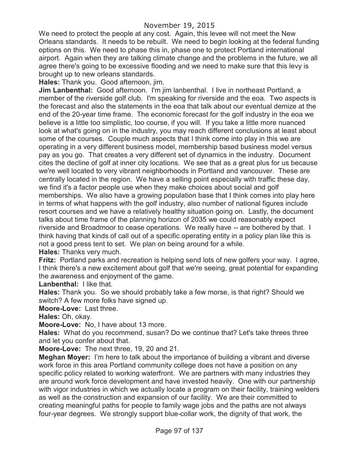We need to protect the people at any cost. Again, this levee will not meet the New Orleans standards. It needs to be rebuilt. We need to begin looking at the federal funding options on this. We need to phase this in, phase one to protect Portland international airport. Again when they are talking climate change and the problems in the future, we all agree there's going to be excessive flooding and we need to make sure that this levy is brought up to new orleans standards.

**Hales:** Thank you. Good afternoon, jim.

**Jim Lanbenthal:** Good afternoon. I'm jim lanbenthal. I live in northeast Portland, a member of the riverside golf club. I'm speaking for riverside and the eoa. Two aspects is the forecast and also the statements in the eoa that talk about our eventual demize at the end of the 20-year time frame. The economic forecast for the golf industry in the eoa we believe is a little too simplistic, too course, if you will. If you take a little more nuanced look at what's going on in the industry, you may reach different conclusions at least about some of the courses. Couple much aspects that I think come into play in this we are operating in a very different business model, membership based business model versus pay as you go. That creates a very different set of dynamics in the industry. Document cites the decline of golf at inner city locations. We see that as a great plus for us because we're well located to very vibrant neighborhoods in Portland and vancouver. These are centrally located in the region. We have a selling point especially with traffic these day, we find it's a factor people use when they make choices about social and golf memberships. We also have a growing population base that I think comes into play here in terms of what happens with the golf industry, also number of national figures include resort courses and we have a relatively healthy situation going on. Lastly, the document talks about time frame of the planning horizon of 2035 we could reasonably expect riverside and Broadmoor to cease operations. We really have -- are bothered by that. I think having that kinds of call out of a specific operating entity in a policy plan like this is not a good press tent to set. We plan on being around for a while.

**Hales:** Thanks very much.

**Fritz:** Portland parks and recreation is helping send lots of new golfers your way. I agree, I think there's a new excitement about golf that we're seeing, great potential for expanding the awareness and enjoyment of the game.

**Lanbenthal:** I like that.

**Hales:** Thank you. So we should probably take a few morse, is that right? Should we switch? A few more folks have signed up.

**Moore-Love:** Last three.

**Hales:** Oh, okay.

**Moore-Love:** No, I have about 13 more.

**Hales:** What do you recommend, susan? Do we continue that? Let's take threes three and let you confer about that.

**Moore-Love:** The next three, 19, 20 and 21.

**Meghan Moyer:** I'm here to talk about the importance of building a vibrant and diverse work force in this area Portland community college does not have a position on any specific policy related to working waterfront. We are partners with many industries they are around work force development and have invested heavily. One with our partnership with vigor industries in which we actually locate a program on their facility, training welders as well as the construction and expansion of our facility. We are their committed to creating meaningful paths for people to family wage jobs and the paths are not always four-year degrees. We strongly support blue-collar work, the dignity of that work, the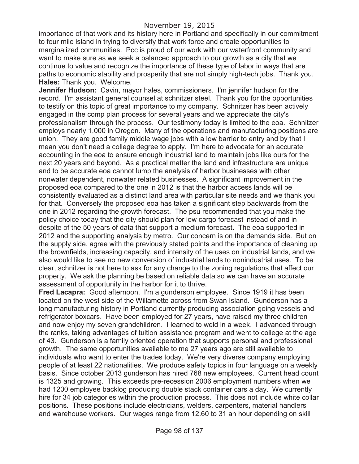importance of that work and its history here in Portland and specifically in our commitment to four mile island in trying to diversify that work force and create opportunities to marginalized communities. Pcc is proud of our work with our waterfront community and want to make sure as we seek a balanced approach to our growth as a city that we continue to value and recognize the importance of these type of labor in ways that are paths to economic stability and prosperity that are not simply high-tech jobs. Thank you. **Hales:** Thank you. Welcome.

**Jennifer Hudson:** Cavin, mayor hales, commissioners. I'm jennifer hudson for the record. I'm assistant general counsel at schnitzer steel. Thank you for the opportunities to testify on this topic of great importance to my company. Schnitzer has been actively engaged in the comp plan process for several years and we appreciate the city's professionalism through the process. Our testimony today is limited to the eoa. Schnitzer employs nearly 1,000 in Oregon. Many of the operations and manufacturing positions are union. They are good family middle wage jobs with a low barrier to entry and by that I mean you don't need a college degree to apply. I'm here to advocate for an accurate accounting in the eoa to ensure enough industrial land to maintain jobs like ours for the next 20 years and beyond. As a practical matter the land and infrastructure are unique and to be accurate eoa cannot lump the analysis of harbor businesses with other nonwater dependent, nonwater related businesses. A significant improvement in the proposed eoa compared to the one in 2012 is that the harbor access lands will be consistently evaluated as a distinct land area with particular site needs and we thank you for that. Conversely the proposed eoa has taken a significant step backwards from the one in 2012 regarding the growth forecast. The psu recommended that you make the policy choice today that the city should plan for low cargo forecast instead of and in despite of the 50 years of data that support a medium forecast. The eoa supported in 2012 and the supporting analysis by metro. Our concern is on the demands side. But on the supply side, agree with the previously stated points and the importance of cleaning up the brownfields, increasing capacity, and intensity of the uses on industrial lands, and we also would like to see no new conversion of industrial lands to nonindustrial uses. To be clear, schnitzer is not here to ask for any change to the zoning regulations that affect our property. We ask the planning be based on reliable data so we can have an accurate assessment of opportunity in the harbor for it to thrive.

**Fred Lacapra:** Good afternoon. I'm a gunderson employee. Since 1919 it has been located on the west side of the Willamette across from Swan Island. Gunderson has a long manufacturing history in Portland currently producing association going vessels and refrigerator boxcars. Have been employed for 27 years, have raised my three children and now enjoy my seven grandchildren. I learned to weld in a week. I advanced through the ranks, taking advantages of tuition assistance program and went to college at the age of 43. Gunderson is a family oriented operation that supports personal and professional growth. The same opportunities available to me 27 years ago are still available to individuals who want to enter the trades today. We're very diverse company employing people of at least 22 nationalities. We produce safety topics in four language on a weekly basis. Since october 2013 gunderson has hired 768 new employees. Current head count is 1325 and growing. This exceeds pre-recession 2006 employment numbers when we had 1200 employee backlog producing double stack container cars a day. We currently hire for 34 job categories within the production process. This does not include white collar positions. These positions include electricians, welders, carpenters, material handlers and warehouse workers. Our wages range from 12.60 to 31 an hour depending on skill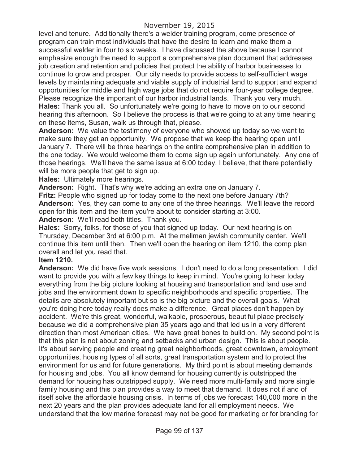level and tenure. Additionally there's a welder training program, come presence of program can train most individuals that have the desire to learn and make them a successful welder in four to six weeks. I have discussed the above because I cannot emphasize enough the need to support a comprehensive plan document that addresses job creation and retention and policies that protect the ability of harbor businesses to continue to grow and prosper. Our city needs to provide access to self-sufficient wage levels by maintaining adequate and viable supply of industrial land to support and expand opportunities for middle and high wage jobs that do not require four-year college degree. Please recognize the important of our harbor industrial lands. Thank you very much. **Hales:** Thank you all. So unfortunately we're going to have to move on to our second hearing this afternoon. So I believe the process is that we're going to at any time hearing on these items, Susan, walk us through that, please.

**Anderson:** We value the testimony of everyone who showed up today so we want to make sure they get an opportunity. We propose that we keep the hearing open until January 7. There will be three hearings on the entire comprehensive plan in addition to the one today. We would welcome them to come sign up again unfortunately. Any one of those hearings. We'll have the same issue at 6:00 today, I believe, that there potentially will be more people that get to sign up.

**Hales:** Ultimately more hearings.

**Anderson:** Right. That's why we're adding an extra one on January 7.

**Fritz:** People who signed up for today come to the next one before January 7th? **Anderson:** Yes, they can come to any one of the three hearings. We'll leave the record open for this item and the item you're about to consider starting at 3:00. **Anderson:** We'll read both titles. Thank you.

**Hales:** Sorry, folks, for those of you that signed up today. Our next hearing is on Thursday, December 3rd at 6:00 p.m. At the mellman jewish community center. We'll continue this item until then. Then we'll open the hearing on item 1210, the comp plan overall and let you read that.

#### **Item 1210.**

**Anderson:** We did have five work sessions. I don't need to do a long presentation. I did want to provide you with a few key things to keep in mind. You're going to hear today everything from the big picture looking at housing and transportation and land use and jobs and the environment down to specific neighborhoods and specific properties. The details are absolutely important but so is the big picture and the overall goals. What you're doing here today really does make a difference. Great places don't happen by accident. We're this great, wonderful, walkable, prosperous, beautiful place precisely because we did a comprehensive plan 35 years ago and that led us in a very different direction than most American cities. We have great bones to build on. My second point is that this plan is not about zoning and setbacks and urban design. This is about people. It's about serving people and creating great neighborhoods, great downtown, employment opportunities, housing types of all sorts, great transportation system and to protect the environment for us and for future generations. My third point is about meeting demands for housing and jobs. You all know demand for housing currently is outstripped the demand for housing has outstripped supply. We need more multi-family and more single family housing and this plan provides a way to meet that demand. It does not if and of itself solve the affordable housing crisis. In terms of jobs we forecast 140,000 more in the next 20 years and the plan provides adequate land for all employment needs. We understand that the low marine forecast may not be good for marketing or for branding for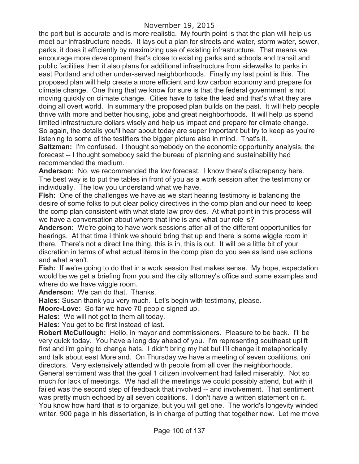the port but is accurate and is more realistic. My fourth point is that the plan will help us meet our infrastructure needs. It lays out a plan for streets and water, storm water, sewer, parks, it does it efficiently by maximizing use of existing infrastructure. That means we encourage more development that's close to existing parks and schools and transit and public facilities then it also plans for additional infrastructure from sidewalks to parks in east Portland and other under-served neighborhoods. Finally my last point is this. The proposed plan will help create a more efficient and low carbon economy and prepare for climate change. One thing that we know for sure is that the federal government is not moving quickly on climate change. Cities have to take the lead and that's what they are doing all overt world. In summary the proposed plan builds on the past. It will help people thrive with more and better housing, jobs and great neighborhoods. It will help us spend limited infrastructure dollars wisely and help us impact and prepare for climate change. So again, the details you'll hear about today are super important but try to keep as you're listening to some of the testifiers the bigger picture also in mind. That's it.

**Saltzman:** I'm confused. I thought somebody on the economic opportunity analysis, the forecast -- I thought somebody said the bureau of planning and sustainability had recommended the medium.

**Anderson:** No, we recommended the low forecast. I know there's discrepancy here. The best way is to put the tables in front of you as a work session after the testimony or individually. The low you understand what we have.

**Fish:** One of the challenges we have as we start hearing testimony is balancing the desire of some folks to put clear policy directives in the comp plan and our need to keep the comp plan consistent with what state law provides. At what point in this process will we have a conversation about where that line is and what our role is?

**Anderson:** We're going to have work sessions after all of the different opportunities for hearings. At that time I think we should bring that up and there is some wiggle room in there. There's not a direct line thing, this is in, this is out. It will be a little bit of your discretion in terms of what actual items in the comp plan do you see as land use actions and what aren't.

**Fish:** If we're going to do that in a work session that makes sense. My hope, expectation would be we get a briefing from you and the city attorney's office and some examples and where do we have wiggle room.

**Anderson:** We can do that. Thanks.

**Hales:** Susan thank you very much. Let's begin with testimony, please.

**Moore-Love:** So far we have 70 people signed up.

**Hales:** We will not get to them all today.

**Hales:** You get to be first instead of last.

**Robert McCullough:** Hello, in mayor and commissioners. Pleasure to be back. I'll be very quick today. You have a long day ahead of you. I'm representing southeast uplift first and i'm going to change hats. I didn't bring my hat but I'll change it metaphorically and talk about east Moreland. On Thursday we have a meeting of seven coalitions, oni directors. Very extensively attended with people from all over the neighborhoods. General sentiment was that the goal 1 citizen involvement had failed miserably. Not so much for lack of meetings. We had all the meetings we could possibly attend, but with it failed was the second step of feedback that involved -- and involvement. That sentiment was pretty much echoed by all seven coalitions. I don't have a written statement on it. You know how hard that is to organize, but you will get one. The world's longevity winded writer, 900 page in his dissertation, is in charge of putting that together now. Let me move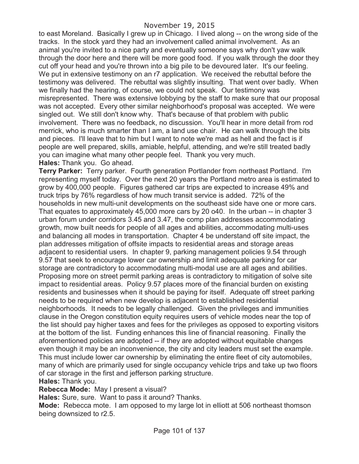to east Moreland. Basically I grew up in Chicago. I lived along -- on the wrong side of the tracks. In the stock yard they had an involvement called animal involvement. As an animal you're invited to a nice party and eventually someone says why don't yaw walk through the door here and there will be more good food. If you walk through the door they cut off your head and you're thrown into a big pile to be devoured later. It's our feeling. We put in extensive testimony on an r7 application. We received the rebuttal before the testimony was delivered. The rebuttal was slightly insulting. That went over badly. When we finally had the hearing, of course, we could not speak. Our testimony was misrepresented. There was extensive lobbying by the staff to make sure that our proposal was not accepted. Every other similar neighborhood's proposal was accepted. We were singled out. We still don't know why. That's because of that problem with public involvement. There was no feedback, no discussion. You'll hear in more detail from rod merrick, who is much smarter than I am, a land use chair. He can walk through the bits and pieces. I'll leave that to him but I want to note we're mad as hell and the fact is if people are well prepared, skills, amiable, helpful, attending, and we're still treated badly you can imagine what many other people feel. Thank you very much. **Hales:** Thank you. Go ahead.

**Terry Parker:** Terry parker. Fourth generation Portlander from northeast Portland. I'm representing myself today. Over the next 20 years the Portland metro area is estimated to grow by 400,000 people. Figures gathered car trips are expected to increase 49% and truck trips by 76% regardless of how much transit service is added. 72% of the households in new multi-unit developments on the southeast side have one or more cars. That equates to approximately 45,000 more cars by 20 o40. In the urban -- in chapter 3 urban forum under corridors 3.45 and 3.47, the comp plan addresses accommodating growth, mow built needs for people of all ages and abilities, accommodating multi-uses and balancing all modes in transportation. Chapter 4 be understand off site impact, the plan addresses mitigation of offsite impacts to residential areas and storage areas adjacent to residential users. In chapter 9, parking management policies 9.54 through 9.57 that seek to encourage lower car ownership and limit adequate parking for car storage are contradictory to accommodating multi-modal use are all ages and abilities. Proposing more on street permit parking areas is contradictory to mitigation of solve site impact to residential areas. Policy 9.57 places more of the financial burden on existing residents and businesses when it should be paying for itself. Adequate off street parking needs to be required when new develop is adjacent to established residential neighborhoods. It needs to be legally challenged. Given the privileges and immunities clause in the Oregon constitution equity requires users of vehicle modes near the top of the list should pay higher taxes and fees for the privileges as opposed to exporting visitors at the bottom of the list. Funding enhances this line of financial reasoning. Finally the aforementioned policies are adopted -- if they are adopted without equitable changes even though it may be an inconvenience, the city and city leaders must set the example. This must include lower car ownership by eliminating the entire fleet of city automobiles, many of which are primarily used for single occupancy vehicle trips and take up two floors of car storage in the first and jefferson parking structure. **Hales:** Thank you.

**Rebecca Mode:** May I present a visual?

**Hales:** Sure, sure. Want to pass it around? Thanks.

**Mode:** Rebecca mote. I am opposed to my large lot in elliott at 506 northeast thomson being downsized to r2.5.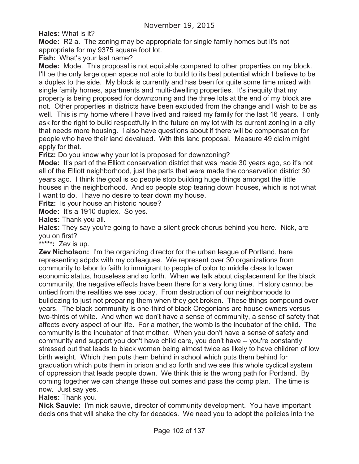**Hales:** What is it?

**Mode:** R2 a. The zoning may be appropriate for single family homes but it's not appropriate for my 9375 square foot lot.

**Fish:** What's your last name?

**Mode:** Mode. This proposal is not equitable compared to other properties on my block. I'll be the only large open space not able to build to its best potential which I believe to be a duplex to the side. My block is currently and has been for quite some time mixed with single family homes, apartments and multi-dwelling properties. It's inequity that my property is being proposed for downzoning and the three lots at the end of my block are not. Other properties in districts have been excluded from the change and I wish to be as well. This is my home where I have lived and raised my family for the last 16 years. I only ask for the right to build respectfully in the future on my lot with its current zoning in a city that needs more housing. I also have questions about if there will be compensation for people who have their land devalued. Wth this land proposal. Measure 49 claim might apply for that.

**Fritz:** Do you know why your lot is proposed for downzoning?

**Mode:** It's part of the Elliott conservation district that was made 30 years ago, so it's not all of the Elliott neighborhood, just the parts that were made the conservation district 30 years ago. I think the goal is so people stop building huge things amongst the little houses in the neighborhood. And so people stop tearing down houses, which is not what I want to do. I have no desire to tear down my house.

**Fritz:** Is your house an historic house?

**Mode:** It's a 1910 duplex. So yes.

**Hales:** Thank you all.

**Hales:** They say you're going to have a silent greek chorus behind you here. Nick, are you on first?

**\*\*\*\*\*:** Zev is up.

**Zev Nicholson:** I'm the organizing director for the urban league of Portland, here representing adpdx with my colleagues. We represent over 30 organizations from community to labor to faith to immigrant to people of color to middle class to lower economic status, houseless and so forth. When we talk about displacement for the black community, the negative effects have been there for a very long time. History cannot be untied from the realities we see today. From destruction of our neighborhoods to bulldozing to just not preparing them when they get broken. These things compound over years. The black community is one-third of black Oregonians are house owners versus two-thirds of white. And when we don't have a sense of community, a sense of safety that affects every aspect of our life. For a mother, the womb is the incubator of the child. The community is the incubator of that mother. When you don't have a sense of safety and community and support you don't have child care, you don't have -- you're constantly stressed out that leads to black women being almost twice as likely to have children of low birth weight. Which then puts them behind in school which puts them behind for graduation which puts them in prison and so forth and we see this whole cyclical system of oppression that leads people down. We think this is the wrong path for Portland. By coming together we can change these out comes and pass the comp plan. The time is now. Just say yes.

**Hales:** Thank you.

**Nick Sauvie:** I'm nick sauvie, director of community development. You have important decisions that will shake the city for decades. We need you to adopt the policies into the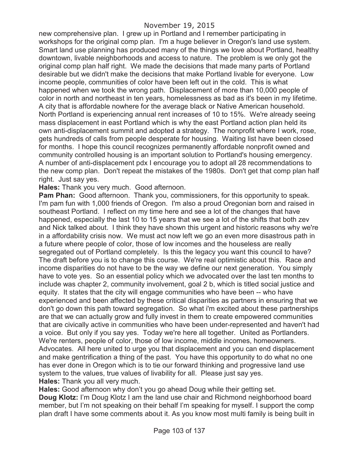new comprehensive plan. I grew up in Portland and I remember participating in workshops for the original comp plan. I'm a huge believer in Oregon's land use system. Smart land use planning has produced many of the things we love about Portland, healthy downtown, livable neighborhoods and access to nature. The problem is we only got the original comp plan half right. We made the decisions that made many parts of Portland desirable but we didn't make the decisions that make Portland livable for everyone. Low income people, communities of color have been left out in the cold. This is what happened when we took the wrong path. Displacement of more than 10,000 people of color in north and northeast in ten years, homelessness as bad as it's been in my lifetime. A city that is affordable nowhere for the average black or Native American household. North Portland is experiencing annual rent increases of 10 to 15%. We're already seeing mass displacement in east Portland which is why the east Portland action plan held its own anti-displacement summit and adopted a strategy. The nonprofit where I work, rose, gets hundreds of calls from people desperate for housing. Waiting list have been closed for months. I hope this council recognizes permanently affordable nonprofit owned and community controlled housing is an important solution to Portland's housing emergency. A number of anti-displacement pdx I encourage you to adopt all 28 recommendations to the new comp plan. Don't repeat the mistakes of the 1980s. Don't get that comp plan half right. Just say yes.

**Hales:** Thank you very much. Good afternoon.

**Pam Phan:** Good afternoon. Thank you, commissioners, for this opportunity to speak. I'm pam fun with 1,000 friends of Oregon. I'm also a proud Oregonian born and raised in southeast Portland. I reflect on my time here and see a lot of the changes that have happened, especially the last 10 to 15 years that we see a lot of the shifts that both zev and Nick talked about. I think they have shown this urgent and historic reasons why we're in a affordability crisis now. We must act now left we go an even more disastrous path in a future where people of color, those of low incomes and the houseless are really segregated out of Portland completely. Is this the legacy you want this council to have? The draft before you is to change this course. We're real optimistic about this. Race and income disparities do not have to be the way we define our next generation. You simply have to vote yes. So an essential policy which we advocated over the last ten months to include was chapter 2, community involvement, goal 2 b, which is titled social justice and equity. It states that the city will engage communities who have been -- who have experienced and been affected by these critical disparities as partners in ensuring that we don't go down this path toward segregation. So what i'm excited about these partnerships are that we can actually grow and fully invest in them to create empowered communities that are civically active in communities who have been under-represented and haven't had a voice. But only if you say yes. Today we're here all together. United as Portlanders. We're renters, people of color, those of low income, middle incomes, homeowners. Advocates. All here united to urge you that displacement and you can end displacement and make gentrification a thing of the past. You have this opportunity to do what no one has ever done in Oregon which is to tie our forward thinking and progressive land use system to the values, true values of livability for all. Please just say yes. **Hales:** Thank you all very much.

**Hales:** Good afternoon why don't you go ahead Doug while their getting set. **Doug Klotz:** I'm Doug Klotz I am the land use chair and Richmond neighborhood board member, but I'm not speaking on their behalf I'm speaking for myself. I support the comp plan draft I have some comments about it. As you know most multi family is being built in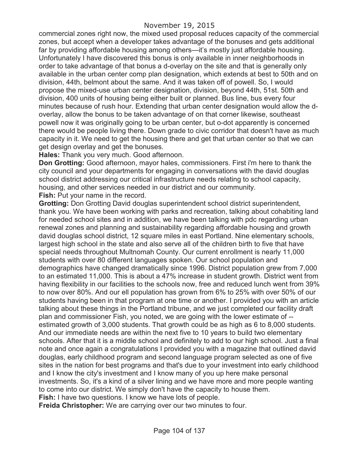commercial zones right now, the mixed used proposal reduces capacity of the commercial zones, but accept when a developer takes advantage of the bonuses and gets additional far by providing affordable housing among others—it's mostly just affordable housing. Unfortunately I have discovered this bonus is only available in inner neighborhoods in order to take advantage of that bonus a d-overlay on the site and that is generally only available in the urban center comp plan designation, which extends at best to 50th and on division, 44th, belmont about the same. And it was taken off of powell. So, I would propose the mixed-use urban center designation, division, beyond 44th, 51st. 50th and division, 400 units of housing being either built or planned. Bus line, bus every four minutes because of rush hour. Extending that urban center designation would allow the doverlay, allow the bonus to be taken advantage of on that corner likewise, southeast powell now it was originally going to be urban center, but o-dot apparently is concerned there would be people living there. Down grade to civic corridor that doesn't have as much capacity in it. We need to get the housing there and get that urban center so that we can get design overlay and get the bonuses.

**Hales:** Thank you very much. Good afternoon.

**Don Grotting:** Good afternoon, mayor hales, commissioners. First i'm here to thank the city council and your departments for engaging in conversations with the david douglas school district addressing our critical infrastructure needs relating to school capacity, housing, and other services needed in our district and our community. **Fish:** Put your name in the record.

**Grotting:** Don Grotting David douglas superintendent school district superintendent, thank you. We have been working with parks and recreation, talking about cohabiting land for needed school sites and in addition, we have been talking with pdc regarding urban renewal zones and planning and sustainability regarding affordable housing and growth david douglas school district, 12 square miles in east Portland. Nine elementary schools, largest high school in the state and also serve all of the children birth to five that have special needs throughout Multnomah County. Our current enrollment is nearly 11,000 students with over 80 different languages spoken. Our school population and demographics have changed dramatically since 1996. District population grew from 7,000 to an estimated 11,000. This is about a 47% increase in student growth. District went from having flexibility in our facilities to the schools now, free and reduced lunch went from 39% to now over 80%. And our ell population has grown from 6% to 25% with over 50% of our students having been in that program at one time or another. I provided you with an article talking about these things in the Portland tribune, and we just completed our facility draft plan and commissioner Fish, you noted, we are going with the lower estimate of - estimated growth of 3,000 students. That growth could be as high as 6 to 8,000 students. And our immediate needs are within the next five to 10 years to build two elementary schools. After that it is a middle school and definitely to add to our high school. Just a final note and once again a congratulations I provided you with a magazine that outlined david douglas, early childhood program and second language program selected as one of five sites in the nation for best programs and that's due to your investment into early childhood and I know the city's investment and I know many of you up here make personal investments. So, it's a kind of a silver lining and we have more and more people wanting to come into our district. We simply don't have the capacity to house them. **Fish:** I have two questions. I know we have lots of people.

**Freida Christopher:** We are carrying over our two minutes to four.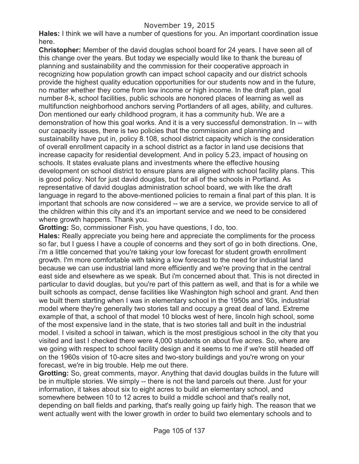# November 19, 2015

**Hales:** I think we will have a number of questions for you. An important coordination issue here.

**Christopher:** Member of the david douglas school board for 24 years. I have seen all of this change over the years. But today we especially would like to thank the bureau of planning and sustainability and the commission for their cooperative approach in recognizing how population growth can impact school capacity and our district schools provide the highest quality education opportunities for our students now and in the future, no matter whether they come from low income or high income. In the draft plan, goal number 8-k, school facilities, public schools are honored places of learning as well as multifunction neighborhood anchors serving Portlanders of all ages, ability, and cultures. Don mentioned our early childhood program, it has a community hub. We are a demonstration of how this goal works. And it is a very successful demonstration. In -- with our capacity issues, there is two policies that the commission and planning and sustainability have put in, policy 8.108, school district capacity which is the consideration of overall enrollment capacity in a school district as a factor in land use decisions that increase capacity for residential development. And in policy 5.23, impact of housing on schools. It states evaluate plans and investments where the effective housing development on school district to ensure plans are aligned with school facility plans. This is good policy. Not for just david douglas, but for all of the schools in Portland. As representative of david douglas administration school board, we with like the draft language in regard to the above-mentioned policies to remain a final part of this plan. It is important that schools are now considered -- we are a service, we provide service to all of the children within this city and it's an important service and we need to be considered where growth happens. Thank you.

**Grotting:** So, commissioner Fish, you have questions, I do, too.

**Hales:** Really appreciate you being here and appreciate the compliments for the process so far, but I guess I have a couple of concerns and they sort of go in both directions. One, i'm a little concerned that you're taking your low forecast for student growth enrollment growth. I'm more comfortable with taking a low forecast to the need for industrial land because we can use industrial land more efficiently and we're proving that in the central east side and elsewhere as we speak. But i'm concerned about that. This is not directed in particular to david douglas, but you're part of this pattern as well, and that is for a while we built schools as compact, dense facilities like Washington high school and grant. And then we built them starting when I was in elementary school in the 1950s and '60s, industrial model where they're generally two stories tall and occupy a great deal of land. Extreme example of that, a school of that model 10 blocks west of here, lincoln high school, some of the most expensive land in the state, that is two stories tall and built in the industrial model. I visited a school in taiwan, which is the most prestigious school in the city that you visited and last I checked there were 4,000 students on about five acres. So, where are we going with respect to school facility design and it seems to me if we're still headed off on the 1960s vision of 10-acre sites and two-story buildings and you're wrong on your forecast, we're in big trouble. Help me out there.

**Grotting:** So, great comments, mayor. Anything that david douglas builds in the future will be in multiple stories. We simply -- there is not the land parcels out there. Just for your information, it takes about six to eight acres to build an elementary school, and somewhere between 10 to 12 acres to build a middle school and that's really not, depending on ball fields and parking, that's really going up fairly high. The reason that we went actually went with the lower growth in order to build two elementary schools and to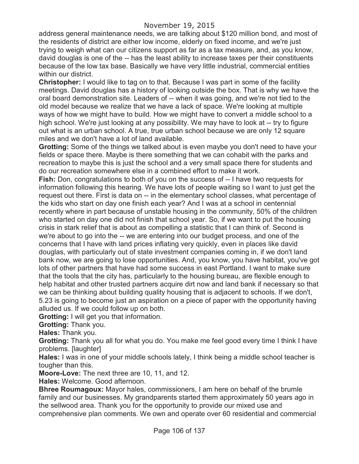address general maintenance needs, we are talking about \$120 million bond, and most of the residents of district are either low income, elderly on fixed income, and we're just trying to weigh what can our citizens support as far as a tax measure, and, as you know, david douglas is one of the -- has the least ability to increase taxes per their constituents because of the low tax base. Basically we have very little industrial, commercial entities within our district.

**Christopher:** I would like to tag on to that. Because I was part in some of the facility meetings. David douglas has a history of looking outside the box. That is why we have the oral board demonstration site. Leaders of -- when it was going, and we're not tied to the old model because we realize that we have a lack of space. We're looking at multiple ways of how we might have to build. How we might have to convert a middle school to a high school. We're just looking at any possibility. We may have to look at -- try to figure out what is an urban school. A true, true urban school because we are only 12 square miles and we don't have a lot of land available.

**Grotting:** Some of the things we talked about is even maybe you don't need to have your fields or space there. Maybe is there something that we can cohabit with the parks and recreation to maybe this is just the school and a very small space there for students and do our recreation somewhere else in a combined effort to make it work.

**Fish:** Don, congratulations to both of you on the success of -- I have two requests for information following this hearing. We have lots of people waiting so I want to just get the request out there. First is data on -- in the elementary school classes, what percentage of the kids who start on day one finish each year? And I was at a school in centennial recently where in part because of unstable housing in the community, 50% of the children who started on day one did not finish that school year. So, if we want to put the housing crisis in stark relief that is about as compelling a statistic that I can think of. Second is we're about to go into the -- we are entering into our budget process, and one of the concerns that I have with land prices inflating very quickly, even in places like david douglas, with particularly out of state investment companies coming in, if we don't land bank now, we are going to lose opportunities. And, you know, you have habitat, you've got lots of other partners that have had some success in east Portland. I want to make sure that the tools that the city has, particularly to the housing bureau, are flexible enough to help habitat and other trusted partners acquire dirt now and land bank if necessary so that we can be thinking about building quality housing that is adjacent to schools. If we don't, 5.23 is going to become just an aspiration on a piece of paper with the opportunity having alluded us. If we could follow up on both.

**Grotting:** I will get you that information.

**Grotting:** Thank you.

**Hales:** Thank you.

**Grotting:** Thank you all for what you do. You make me feel good every time I think I have problems. [laughter]

**Hales:** I was in one of your middle schools lately, I think being a middle school teacher is tougher than this.

**Moore-Love:** The next three are 10, 11, and 12.

**Hales:** Welcome. Good afternoon.

**Bhree Roumagoux:** Mayor hales, commissioners, I am here on behalf of the brumle family and our businesses. My grandparents started them approximately 50 years ago in the sellwood area. Thank you for the opportunity to provide our mixed use and comprehensive plan comments. We own and operate over 60 residential and commercial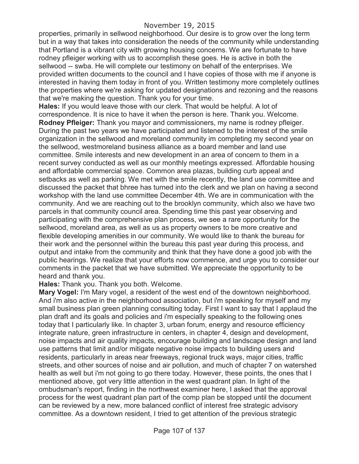properties, primarily in sellwood neighborhood. Our desire is to grow over the long term but in a way that takes into consideration the needs of the community while understanding that Portland is a vibrant city with growing housing concerns. We are fortunate to have rodney pfleiger working with us to accomplish these goes. He is active in both the sellwood -- swba. He will complete our testimony on behalf of the enterprises. We provided written documents to the council and I have copies of those with me if anyone is interested in having them today in front of you. Written testimony more completely outlines the properties where we're asking for updated designations and rezoning and the reasons that we're making the question. Thank you for your time.

**Hales:** If you would leave those with our clerk. That would be helpful. A lot of correspondence. It is nice to have it when the person is here. Thank you. Welcome. **Rodney Pfleiger:** Thank you mayor and commissioners, my name is rodney pfleiger. During the past two years we have participated and listened to the interest of the smile organization in the sellwood and moreland community im completing my second year on the sellwood, westmoreland business alliance as a board member and land use committee. Smile interests and new development in an area of concern to them in a recent survey conducted as well as our monthly meetings expressed. Affordable housing and affordable commercial space. Common area plazas, building curb appeal and setbacks as well as parking. We met with the smile recently, the land use committee and discussed the packet that bhree has turned into the clerk and we plan on having a second workshop with the land use committee December 4th. We are in communication with the community. And we are reaching out to the brooklyn community, which also we have two parcels in that community council area. Spending time this past year observing and participating with the comprehensive plan process, we see a rare opportunity for the sellwood, moreland area, as well as us as property owners to be more creative and flexible developing amenities in our community. We would like to thank the bureau for their work and the personnel within the bureau this past year during this process, and output and intake from the community and think that they have done a good job with the public hearings. We realize that your efforts now commence, and urge you to consider our comments in the packet that we have submitted. We appreciate the opportunity to be heard and thank you.

**Hales:** Thank you. Thank you both. Welcome.

**Mary Vogel:** I'm Mary vogel, a resident of the west end of the downtown neighborhood. And i'm also active in the neighborhood association, but i'm speaking for myself and my small business plan green planning consulting today. First I want to say that I applaud the plan draft and its goals and policies and i'm especially speaking to the following ones today that I particularly like. In chapter 3, urban forum, energy and resource efficiency integrate nature, green infrastructure in centers, in chapter 4, design and development, noise impacts and air quality impacts, encourage building and landscape design and land use patterns that limit and/or mitigate negative noise impacts to building users and residents, particularly in areas near freeways, regional truck ways, major cities, traffic streets, and other sources of noise and air pollution, and much of chapter 7 on watershed health as well but i'm not going to go there today. However, these points, the ones that I mentioned above, got very little attention in the west quadrant plan. In light of the ombudsman's report, finding in the northwest examiner here, I asked that the approval process for the west quadrant plan part of the comp plan be stopped until the document can be reviewed by a new, more balanced conflict of interest free strategic advisory committee. As a downtown resident, I tried to get attention of the previous strategic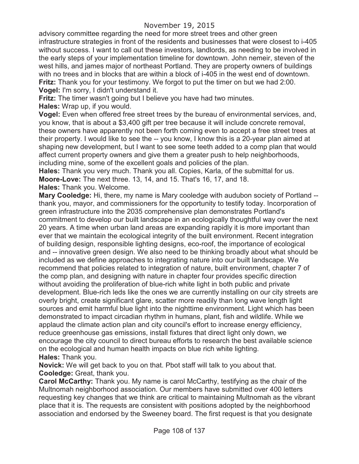advisory committee regarding the need for more street trees and other green infrastructure strategies in front of the residents and businesses that were closest to i-405 without success. I want to call out these investors, landlords, as needing to be involved in the early steps of your implementation timeline for downtown. John nemeir, steven of the west hills, and james major of northeast Portland. They are property owners of buildings with no trees and in blocks that are within a block of i-405 in the west end of downtown. **Fritz:** Thank you for your testimony. We forgot to put the timer on but we had 2:00.

**Vogel:** I'm sorry, I didn't understand it.

**Fritz:** The timer wasn't going but I believe you have had two minutes.

**Hales:** Wrap up, if you would.

**Vogel:** Even when offered free street trees by the bureau of environmental services, and, you know, that is about a \$3,400 gift per tree because it will include concrete removal, these owners have apparently not been forth coming even to accept a free street trees at their property. I would like to see the -- you know, I know this is a 20-year plan aimed at shaping new development, but I want to see some teeth added to a comp plan that would affect current property owners and give them a greater push to help neighborhoods, including mine, some of the excellent goals and policies of the plan.

**Hales:** Thank you very much. Thank you all. Copies, Karla, of the submittal for us. **Moore-Love:** The next three. 13, 14, and 15. That's 16, 17, and 18.

**Hales:** Thank you. Welcome.

**Mary Cooledge:** Hi, there, my name is Mary cooledge with audubon society of Portland - thank you, mayor, and commissioners for the opportunity to testify today. Incorporation of green infrastructure into the 2035 comprehensive plan demonstrates Portland's commitment to develop our built landscape in an ecologically thoughtful way over the next 20 years. A time when urban land areas are expanding rapidly it is more important than ever that we maintain the ecological integrity of the built environment. Recent integration of building design, responsible lighting designs, eco-roof, the importance of ecological and -- innovative green design. We also need to be thinking broadly about what should be included as we define approaches to integrating nature into our built landscape. We recommend that policies related to integration of nature, built environment, chapter 7 of the comp plan, and designing with nature in chapter four provides specific direction without avoiding the proliferation of blue-rich white light in both public and private development. Blue-rich leds like the ones we are currently installing on our city streets are overly bright, create significant glare, scatter more readily than long wave length light sources and emit harmful blue light into the nighttime environment. Light which has been demonstrated to impact circadian rhythm in humans, plant, fish and wildlife. While we applaud the climate action plan and city council's effort to increase energy efficiency, reduce greenhouse gas emissions, install fixtures that direct light only down, we encourage the city council to direct bureau efforts to research the best available science on the ecological and human health impacts on blue rich white lighting. **Hales:** Thank you.

**Novick:** We will get back to you on that. Pbot staff will talk to you about that. **Cooledge:** Great, thank you.

**Carol McCarthy:** Thank you. My name is carol McCarthy, testifying as the chair of the Multnomah neighborhood association. Our members have submitted over 400 letters requesting key changes that we think are critical to maintaining Multnomah as the vibrant place that it is. The requests are consistent with positions adopted by the neighborhood association and endorsed by the Sweeney board. The first request is that you designate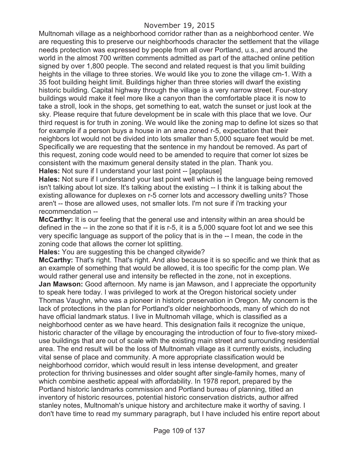Multnomah village as a neighborhood corridor rather than as a neighborhood center. We are requesting this to preserve our neighborhoods character the settlement that the village needs protection was expressed by people from all over Portland, u.s., and around the world in the almost 700 written comments admitted as part of the attached online petition signed by over 1,800 people. The second and related request is that you limit building heights in the village to three stories. We would like you to zone the village cm-1. With a 35 foot building height limit. Buildings higher than three stories will dwarf the existing historic building. Capital highway through the village is a very narrow street. Four-story buildings would make it feel more like a canyon than the comfortable place it is now to take a stroll, look in the shops, get something to eat, watch the sunset or just look at the sky. Please require that future development be in scale with this place that we love. Our third request is for truth in zoning. We would like the zoning map to define lot sizes so that for example if a person buys a house in an area zoned r-5, expectation that their neighbors lot would not be divided into lots smaller than 5,000 square feet would be met. Specifically we are requesting that the sentence in my handout be removed. As part of this request, zoning code would need to be amended to require that corner lot sizes be consistent with the maximum general density stated in the plan. Thank you. **Hales:** Not sure if I understand your last point -- [applause]

**Hales:** Not sure if I understand your last point well which is the language being removed isn't talking about lot size. It's talking about the existing -- I think it is talking about the existing allowance for duplexes on r-5 corner lots and accessory dwelling units? Those aren't -- those are allowed uses, not smaller lots. I'm not sure if i'm tracking your recommendation --

**McCarthy:** It is our feeling that the general use and intensity within an area should be defined in the -- in the zone so that if it is r-5, it is a 5,000 square foot lot and we see this very specific language as support of the policy that is in the -- I mean, the code in the zoning code that allows the corner lot splitting.

**Hales:** You are suggesting this be changed citywide?

**McCarthy:** That's right. That's right. And also because it is so specific and we think that as an example of something that would be allowed, it is too specific for the comp plan. We would rather general use and intensity be reflected in the zone, not in exceptions. **Jan Mawson:** Good afternoon. My name is jan Mawson, and I appreciate the opportunity to speak here today. I was privileged to work at the Oregon historical society under Thomas Vaughn, who was a pioneer in historic preservation in Oregon. My concern is the lack of protections in the plan for Portland's older neighborhoods, many of which do not have official landmark status. I live in Multnomah village, which is classified as a neighborhood center as we have heard. This designation fails it recognize the unique, historic character of the village by encouraging the introduction of four to five-story mixeduse buildings that are out of scale with the existing main street and surrounding residential area. The end result will be the loss of Multnomah village as it currently exists, including vital sense of place and community. A more appropriate classification would be neighborhood corridor, which would result in less intense development, and greater protection for thriving businesses and older sought after single-family homes, many of which combine aesthetic appeal with affordability. In 1978 report, prepared by the Portland historic landmarks commission and Portland bureau of planning, titled an inventory of historic resources, potential historic conservation districts, author alfred stanley notes, Multnomah's unique history and architecture make it worthy of saving. I don't have time to read my summary paragraph, but I have included his entire report about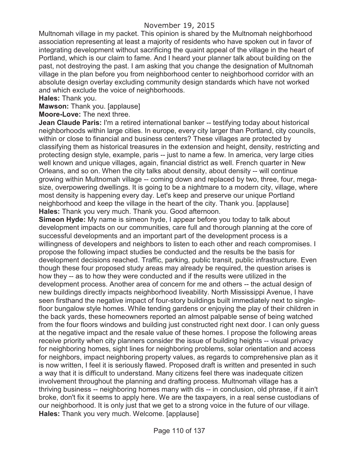Multnomah village in my packet. This opinion is shared by the Multnomah neighborhood association representing at least a majority of residents who have spoken out in favor of integrating development without sacrificing the quaint appeal of the village in the heart of Portland, which is our claim to fame. And I heard your planner talk about building on the past, not destroying the past. I am asking that you change the designation of Multnomah village in the plan before you from neighborhood center to neighborhood corridor with an absolute design overlay excluding community design standards which have not worked and which exclude the voice of neighborhoods.

**Hales:** Thank you.

**Mawson:** Thank you. [applause]

**Moore-Love:** The next three.

**Jean Claude Paris:** I'm a retired international banker -- testifying today about historical neighborhoods within large cities. In europe, every city larger than Portland, city councils, within or close to financial and business centers? These villages are protected by classifying them as historical treasures in the extension and height, density, restricting and protecting design style, example, paris -- just to name a few. In america, very large cities well known and unique villages, again, financial district as well. French quarter in New Orleans, and so on. When the city talks about density, about density -- will continue growing within Multnomah village -- coming down and replaced by two, three, four, megasize, overpowering dwellings. It is going to be a nightmare to a modern city, village, where most density is happening every day. Let's keep and preserve our unique Portland neighborhood and keep the village in the heart of the city. Thank you. [applause] **Hales:** Thank you very much. Thank you. Good afternoon.

**Simeon Hyde:** My name is simeon hyde, I appear before you today to talk about development impacts on our communities, care full and thorough planning at the core of successful developments and an important part of the development process is a willingness of developers and neighbors to listen to each other and reach compromises. I propose the following impact studies be conducted and the results be the basis for development decisions reached. Traffic, parking, public transit, public infrastructure. Even though these four proposed study areas may already be required, the question arises is how they -- as to how they were conducted and if the results were utilized in the development process. Another area of concern for me and others -- the actual design of new buildings directly impacts neighborhood liveability. North Mississippi Avenue, I have seen firsthand the negative impact of four-story buildings built immediately next to singlefloor bungalow style homes. While tending gardens or enjoying the play of their children in the back yards, these homeowners reported an almost palpable sense of being watched from the four floors windows and building just constructed right next door. I can only guess at the negative impact and the resale value of these homes. I propose the following areas receive priority when city planners consider the issue of building heights -- visual privacy for neighboring homes, sight lines for neighboring problems, solar orientation and access for neighbors, impact neighboring property values, as regards to comprehensive plan as it is now written, I feel it is seriously flawed. Proposed draft is written and presented in such a way that it is difficult to understand. Many citizens feel there was inadequate citizen involvement throughout the planning and drafting process. Multnomah village has a thriving business -- neighboring homes many with dis -- in conclusion, old phrase, if it ain't broke, don't fix it seems to apply here. We are the taxpayers, in a real sense custodians of our neighborhood. It is only just that we get to a strong voice in the future of our village. **Hales:** Thank you very much. Welcome. [applause]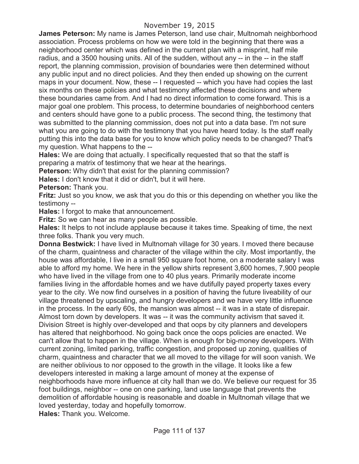**James Peterson:** My name is James Peterson, land use chair, Multnomah neighborhood association. Process problems on how we were told in the beginning that there was a neighborhood center which was defined in the current plan with a misprint, half mile radius, and a 3500 housing units. All of the sudden, without any -- in the -- in the staff report, the planning commission, provision of boundaries were then determined without any public input and no direct policies. And they then ended up showing on the current maps in your document. Now, these -- I requested -- which you have had copies the last six months on these policies and what testimony affected these decisions and where these boundaries came from. And I had no direct information to come forward. This is a major goal one problem. This process, to determine boundaries of neighborhood centers and centers should have gone to a public process. The second thing, the testimony that was submitted to the planning commission, does not put into a data base. I'm not sure what you are going to do with the testimony that you have heard today. Is the staff really putting this into the data base for you to know which policy needs to be changed? That's my question. What happens to the --

**Hales:** We are doing that actually. I specifically requested that so that the staff is preparing a matrix of testimony that we hear at the hearings.

**Peterson:** Why didn't that exist for the planning commission?

**Hales:** I don't know that it did or didn't, but it will here.

**Peterson:** Thank you.

**Fritz:** Just so you know, we ask that you do this or this depending on whether you like the testimony --

**Hales:** I forgot to make that announcement.

**Fritz:** So we can hear as many people as possible.

**Hales:** It helps to not include applause because it takes time. Speaking of time, the next three folks. Thank you very much.

**Donna Bestwick:** I have lived in Multnomah village for 30 years. I moved there because of the charm, quaintness and character of the village within the city. Most importantly, the house was affordable, I live in a small 950 square foot home, on a moderate salary I was able to afford my home. We here in the yellow shirts represent 3,600 homes, 7,900 people who have lived in the village from one to 40 plus years. Primarily moderate income families living in the affordable homes and we have dutifully payed property taxes every year to the city. We now find ourselves in a position of having the future liveability of our village threatened by upscaling, and hungry developers and we have very little influence in the process. In the early 60s, the mansion was almost -- it was in a state of disrepair. Almost torn down by developers. It was -- it was the community activism that saved it. Division Street is highly over-developed and that oops by city planners and developers has altered that neighborhood. No going back once the oops policies are enacted. We can't allow that to happen in the village. When is enough for big-money developers. With current zoning, limited parking, traffic congestion, and proposed up zoning, qualities of charm, quaintness and character that we all moved to the village for will soon vanish. We are neither oblivious to nor opposed to the growth in the village. It looks like a few developers interested in making a large amount of money at the expense of neighborhoods have more influence at city hall than we do. We believe our request for 35 foot buildings, neighbor -- one on one parking, land use language that prevents the demolition of affordable housing is reasonable and doable in Multnomah village that we loved yesterday, today and hopefully tomorrow.

**Hales:** Thank you. Welcome.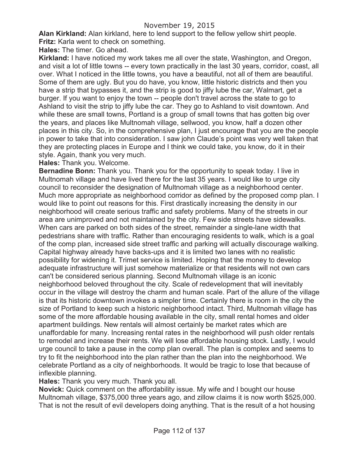**Alan Kirkland:** Alan kirkland, here to lend support to the fellow yellow shirt people.

**Fritz:** Karla went to check on something.

**Hales:** The timer. Go ahead.

**Kirkland:** I have noticed my work takes me all over the state, Washington, and Oregon, and visit a lot of little towns -- every town practically in the last 30 years, corridor, coast, all over. What I noticed in the little towns, you have a beautiful, not all of them are beautiful. Some of them are ugly. But you do have, you know, little historic districts and then you have a strip that bypasses it, and the strip is good to jiffy lube the car, Walmart, get a burger. If you want to enjoy the town -- people don't travel across the state to go to Ashland to visit the strip to jiffy lube the car. They go to Ashland to visit downtown. And while these are small towns, Portland is a group of small towns that has gotten big over the years, and places like Multnomah village, sellwood, you know, half a dozen other places in this city. So, in the comprehensive plan, I just encourage that you are the people in power to take that into consideration. I saw john Claude's point was very well taken that they are protecting places in Europe and I think we could take, you know, do it in their style. Again, thank you very much.

**Hales:** Thank you. Welcome.

**Bernadine Bonn:** Thank you. Thank you for the opportunity to speak today. I live in Multnomah village and have lived there for the last 35 years. I would like to urge city council to reconsider the designation of Multnomah village as a neighborhood center. Much more appropriate as neighborhood corridor as defined by the proposed comp plan. I would like to point out reasons for this. First drastically increasing the density in our neighborhood will create serious traffic and safety problems. Many of the streets in our area are unimproved and not maintained by the city. Few side streets have sidewalks. When cars are parked on both sides of the street, remainder a single-lane width that pedestrians share with traffic. Rather than encouraging residents to walk, which is a goal of the comp plan, increased side street traffic and parking will actually discourage walking. Capital highway already have backs-ups and it is limited two lanes with no realistic possibility for widening it. Trimet service is limited. Hoping that the money to develop adequate infrastructure will just somehow materialize or that residents will not own cars can't be considered serious planning. Second Multnomah village is an iconic neighborhood beloved throughout the city. Scale of redevelopment that will inevitably occur in the village will destroy the charm and human scale. Part of the allure of the village is that its historic downtown invokes a simpler time. Certainly there is room in the city the size of Portland to keep such a historic neighborhood intact. Third, Multnomah village has some of the more affordable housing available in the city, small rental homes and older apartment buildings. New rentals will almost certainly be market rates which are unaffordable for many. Increasing rental rates in the neighborhood will push older rentals to remodel and increase their rents. We will lose affordable housing stock. Lastly, I would urge council to take a pause in the comp plan overall. The plan is complex and seems to try to fit the neighborhood into the plan rather than the plan into the neighborhood. We celebrate Portland as a city of neighborhoods. It would be tragic to lose that because of inflexible planning.

**Hales:** Thank you very much. Thank you all.

**Novick:** Quick comment on the affordability issue. My wife and I bought our house Multnomah village, \$375,000 three years ago, and zillow claims it is now worth \$525,000. That is not the result of evil developers doing anything. That is the result of a hot housing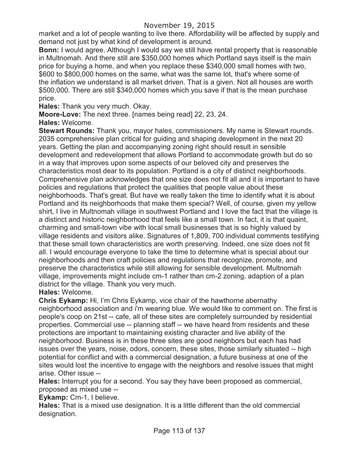market and a lot of people wanting to live there. Affordability will be affected by supply and demand not just by what kind of development is around.

**Bonn:** I would agree. Although I would say we still have rental property that is reasonable in Multnomah. And there still are \$350,000 homes which Portland says itself is the main price for buying a home, and when you replace these \$340,000 small homes with two, \$600 to \$800,000 homes on the same, what was the same lot, that's where some of the inflation we understand is all market driven. That is a given. Not all houses are worth \$500,000. There are still \$340,000 homes which you save if that is the mean purchase price.

**Hales:** Thank you very much. Okay.

**Moore-Love:** The next three. [names being read] 22, 23, 24.

**Hales:** Welcome.

**Stewart Rounds:** Thank you, mayor hales, commissioners. My name is Stewart rounds. 2035 comprehensive plan critical for guiding and shaping development in the next 20 years. Getting the plan and accompanying zoning right should result in sensible development and redevelopment that allows Portland to accommodate growth but do so in a way that improves upon some aspects of our beloved city and preserves the characteristics most dear to its population. Portland is a city of distinct neighborhoods. Comprehensive plan acknowledges that one size does not fit all and it is important to have policies and regulations that protect the qualities that people value about these neighborhoods. That's great. But have we really taken the time to identify what it is about Portland and its neighborhoods that make them special? Well, of course, given my yellow shirt, I live in Multnomah village in southwest Portland and I love the fact that the village is a distinct and historic neighborhood that feels like a small town. In fact, it is that quaint, charming and small-town vibe with local small businesses that is so highly valued by village residents and visitors alike. Signatures of 1,809, 700 individual comments testifying that these small town characteristics are worth preserving. Indeed, one size does not fit all. I would encourage everyone to take the time to determine what is special about our neighborhoods and then craft policies and regulations that recognize, promote, and preserve the characteristics while still allowing for sensible development. Multnomah village, improvements might include cm-1 rather than cm-2 zoning, adaption of a plan district for the village. Thank you very much.

### **Hales:** Welcome.

**Chris Eykamp:** Hi, I'm Chris Eykamp, vice chair of the hawthorne abernathy neighborhood association and i'm wearing blue. We would like to comment on. The first is people's coop on 21st -- cafe, all of these sites are completely surrounded by residential properties. Commercial use -- planning staff -- we have heard from residents and these protections are important to maintaining existing character and live ability of the neighborhood. Business is in these three sites are good neighbors but each has had issues over the years, noise, odors, concern, these sites, those similarly situated -- high potential for conflict and with a commercial designation, a future business at one of the sites would lost the incentive to engage with the neighbors and resolve issues that might arise. Other issue --

**Hales:** Interrupt you for a second. You say they have been proposed as commercial, proposed as mixed use --

**Eykamp:** Cm-1, I believe.

**Hales:** That is a mixed use designation. It is a little different than the old commercial designation.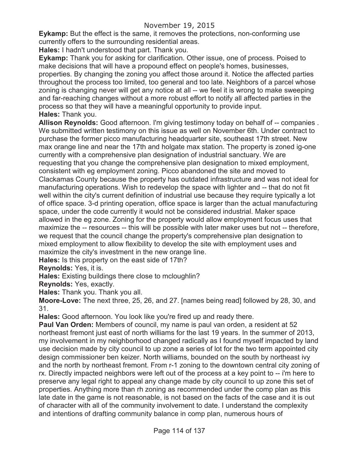**Eykamp:** But the effect is the same, it removes the protections, non-conforming use currently offers to the surrounding residential areas.

**Hales:** I hadn't understood that part. Thank you.

**Eykamp:** Thank you for asking for clarification. Other issue, one of process. Poised to make decisions that will have a propound effect on people's homes, businesses, properties. By changing the zoning you affect those around it. Notice the affected parties throughout the process too limited, too general and too late. Neighbors of a parcel whose zoning is changing never will get any notice at all -- we feel it is wrong to make sweeping and far-reaching changes without a more robust effort to notify all affected parties in the process so that they will have a meaningful opportunity to provide input. **Hales:** Thank you.

**Allison Reynolds:** Good afternoon. I'm giving testimony today on behalf of -- companies . We submitted written testimony on this issue as well on November 6th. Under contract to purchase the former picco manufacturing headquarter site, southeast 17th street. New max orange line and near the 17th and holgate max station. The property is zoned ig-one currently with a comprehensive plan designation of industrial sanctuary. We are requesting that you change the comprehensive plan designation to mixed employment, consistent with eg employment zoning. Picco abandoned the site and moved to Clackamas County because the property has outdated infrastructure and was not ideal for manufacturing operations. Wish to redevelop the space with lighter and -- that do not fit well within the city's current definition of industrial use because they require typically a lot of office space. 3-d printing operation, office space is larger than the actual manufacturing space, under the code currently it would not be considered industrial. Maker space allowed in the eg zone. Zoning for the property would allow employment focus uses that maximize the -- resources -- this will be possible with later maker uses but not -- therefore, we request that the council change the property's comprehensive plan designation to mixed employment to allow flexibility to develop the site with employment uses and maximize the city's investment in the new orange line.

**Hales:** Is this property on the east side of 17th?

**Reynolds:** Yes, it is.

**Hales:** Existing buildings there close to mcloughlin?

**Reynolds:** Yes, exactly.

**Hales:** Thank you. Thank you all.

**Moore-Love:** The next three, 25, 26, and 27. [names being read] followed by 28, 30, and 31.

**Hales:** Good afternoon. You look like you're fired up and ready there.

**Paul Van Orden:** Members of council, my name is paul van orden, a resident at 52 northeast fremont just east of north williams for the last 19 years. In the summer of 2013, my involvement in my neighborhood changed radically as I found myself impacted by land use decision made by city council to up zone a series of lot for the two term appointed city design commissioner ben keizer. North williams, bounded on the south by northeast ivy and the north by northeast fremont. From r-1 zoning to the downtown central city zoning of rx. Directly impacted neighbors were left out of the process at a key point to -- i'm here to preserve any legal right to appeal any change made by city council to up zone this set of properties. Anything more than rh zoning as recommended under the comp plan as this late date in the game is not reasonable, is not based on the facts of the case and it is out of character with all of the community involvement to date. I understand the complexity and intentions of drafting community balance in comp plan, numerous hours of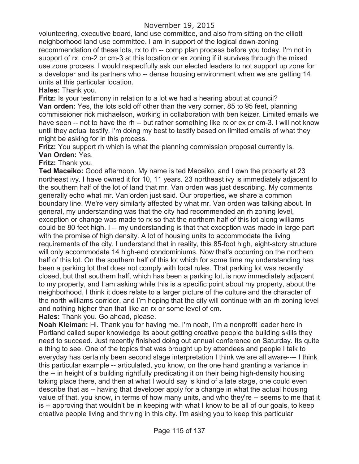volunteering, executive board, land use committee, and also from sitting on the elliott neighborhood land use committee. I am in support of the logical down-zoning recommendation of these lots, rx to rh -- comp plan process before you today. I'm not in support of rx, cm-2 or cm-3 at this location or ex zoning if it survives through the mixed use zone process. I would respectfully ask our elected leaders to not support up zone for a developer and its partners who -- dense housing environment when we are getting 14 units at this particular location.

**Hales:** Thank you.

**Fritz:** Is your testimony in relation to a lot we had a hearing about at council? **Van orden:** Yes, the lots sold off other than the very corner, 85 to 95 feet, planning commissioner rick michaelson, working in collaboration with ben keizer. Limited emails we have seen -- not to have the rh -- but rather something like rx or ex or cm-3. I will not know until they actual testify. I'm doing my best to testify based on limited emails of what they might be asking for in this process.

**Fritz:** You support rh which is what the planning commission proposal currently is. **Van Orden:** Yes.

**Fritz:** Thank you.

**Ted Maceiko:** Good afternoon. My name is ted Maceiko, and I own the property at 23 northeast ivy. I have owned it for 10, 11 years. 23 northeast ivy is immediately adjacent to the southern half of the lot of land that mr. Van orden was just describing. My comments generally echo what mr. Van orden just said. Our properties, we share a common boundary line. We're very similarly affected by what mr. Van orden was talking about. In general, my understanding was that the city had recommended an rh zoning level, exception or change was made to rx so that the northern half of this lot along williams could be 80 feet high. I -- my understanding is that that exception was made in large part with the promise of high density. A lot of housing units to accommodate the living requirements of the city. I understand that in reality, this 85-foot high, eight-story structure will only accommodate 14 high-end condominiums. Now that's occurring on the northern half of this lot. On the southern half of this lot which for some time my understanding has been a parking lot that does not comply with local rules. That parking lot was recently closed, but that southern half, which has been a parking lot, is now immediately adjacent to my property, and I am asking while this is a specific point about my property, about the neighborhood, I think it does relate to a larger picture of the culture and the character of the north williams corridor, and I'm hoping that the city will continue with an rh zoning level and nothing higher than that like an rx or some level of cm.

**Hales:** Thank you. Go ahead, please.

**Noah Kleiman:** Hi. Thank you for having me. I'm noah, I'm a nonprofit leader here in Portland called super knowledge its about getting creative people the building skills they need to succeed. Just recently finished doing out annual conference on Saturday. Its quite a thing to see. One of the topics that was brought up by attendees and people I talk to everyday has certainly been second stage interpretation I think we are all aware---- I think this particular example -- articulated, you know, on the one hand granting a variance in the -- in height of a building rightfully predicating it on their being high-density housing taking place there, and then at what I would say is kind of a late stage, one could even describe that as -- having that developer apply for a change in what the actual housing value of that, you know, in terms of how many units, and who they're -- seems to me that it is -- approving that wouldn't be in keeping with what I know to be all of our goals, to keep creative people living and thriving in this city. I'm asking you to keep this particular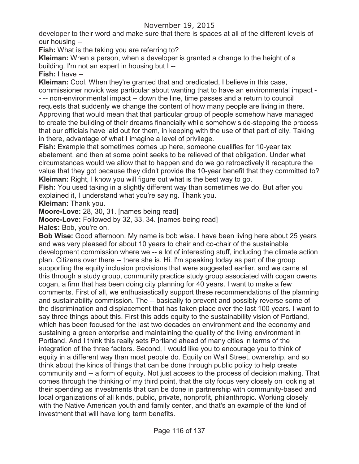# November 19, 2015

developer to their word and make sure that there is spaces at all of the different levels of our housing --

**Fish:** What is the taking you are referring to?

**Kleiman:** When a person, when a developer is granted a change to the height of a building. I'm not an expert in housing but I --

**Fish:** I have --

**Kleiman:** Cool. When they're granted that and predicated, I believe in this case, commissioner novick was particular about wanting that to have an environmental impact - - -- non-environmental impact -- down the line, time passes and a return to council requests that suddenly we change the content of how many people are living in there. Approving that would mean that that particular group of people somehow have managed to create the building of their dreams financially while somehow side-stepping the process that our officials have laid out for them, in keeping with the use of that part of city. Taking in there, advantage of what I imagine a level of privilege.

**Fish:** Example that sometimes comes up here, someone qualifies for 10-year tax abatement, and then at some point seeks to be relieved of that obligation. Under what circumstances would we allow that to happen and do we go retroactively it recapture the value that they got because they didn't provide the 10-year benefit that they committed to? **Kleiman:** Right, I know you will figure out what is the best way to go.

**Fish:** You used taking in a slightly different way than sometimes we do. But after you explained it, I understand what you're saying. Thank you.

**Kleiman:** Thank you.

**Moore-Love:** 28, 30, 31. [names being read]

**Moore-Love:** Followed by 32, 33, 34. [names being read]

**Hales:** Bob, you're on.

**Bob Wise:** Good afternoon. My name is bob wise. I have been living here about 25 years and was very pleased for about 10 years to chair and co-chair of the sustainable development commission where we -- a lot of interesting stuff, including the climate action plan. Citizens over there -- there she is. Hi. I'm speaking today as part of the group supporting the equity inclusion provisions that were suggested earlier, and we came at this through a study group, community practice study group associated with cogan owens cogan, a firm that has been doing city planning for 40 years. I want to make a few comments. First of all, we enthusiastically support these recommendations of the planning and sustainability commission. The -- basically to prevent and possibly reverse some of the discrimination and displacement that has taken place over the last 100 years. I want to say three things about this. First this adds equity to the sustainability vision of Portland, which has been focused for the last two decades on environment and the economy and sustaining a green enterprise and maintaining the quality of the living environment in Portland. And I think this really sets Portland ahead of many cities in terms of the integration of the three factors. Second, I would like you to encourage you to think of equity in a different way than most people do. Equity on Wall Street, ownership, and so think about the kinds of things that can be done through public policy to help create community and -- a form of equity. Not just access to the process of decision making. That comes through the thinking of my third point, that the city focus very closely on looking at their spending as investments that can be done in partnership with community-based and local organizations of all kinds, public, private, nonprofit, philanthropic. Working closely with the Native American youth and family center, and that's an example of the kind of investment that will have long term benefits.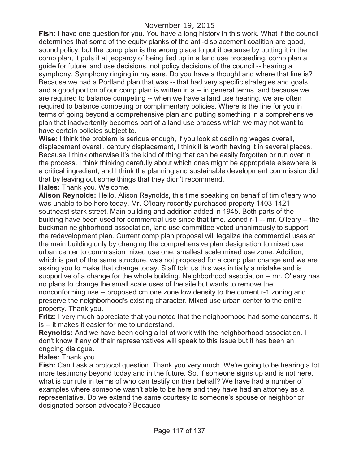**Fish:** I have one question for you. You have a long history in this work. What if the council determines that some of the equity planks of the anti-displacement coalition are good, sound policy, but the comp plan is the wrong place to put it because by putting it in the comp plan, it puts it at jeopardy of being tied up in a land use proceeding, comp plan a guide for future land use decisions, not policy decisions of the council -- hearing a symphony. Symphony ringing in my ears. Do you have a thought and where that line is? Because we had a Portland plan that was -- that had very specific strategies and goals, and a good portion of our comp plan is written in a -- in general terms, and because we are required to balance competing -- when we have a land use hearing, we are often required to balance competing or complimentary policies. Where is the line for you in terms of going beyond a comprehensive plan and putting something in a comprehensive plan that inadvertently becomes part of a land use process which we may not want to have certain policies subject to.

**Wise:** I think the problem is serious enough, if you look at declining wages overall, displacement overall, century displacement, I think it is worth having it in several places. Because I think otherwise it's the kind of thing that can be easily forgotten or run over in the process. I think thinking carefully about which ones might be appropriate elsewhere is a critical ingredient, and I think the planning and sustainable development commission did that by leaving out some things that they didn't recommend.

**Hales:** Thank you. Welcome.

**Alison Reynolds:** Hello, Alison Reynolds, this time speaking on behalf of tim o'leary who was unable to be here today. Mr. O'leary recently purchased property 1403-1421 southeast stark street. Main building and addition added in 1945. Both parts of the building have been used for commercial use since that time. Zoned r-1 -- mr. O'leary -- the buckman neighborhood association, land use committee voted unanimously to support the redevelopment plan. Current comp plan proposal will legalize the commercial uses at the main building only by changing the comprehensive plan designation to mixed use urban center to commission mixed use one, smallest scale mixed use zone. Addition, which is part of the same structure, was not proposed for a comp plan change and we are asking you to make that change today. Staff told us this was initially a mistake and is supportive of a change for the whole building. Neighborhood association -- mr. O'leary has no plans to change the small scale uses of the site but wants to remove the nonconforming use -- proposed cm one zone low density to the current r-1 zoning and preserve the neighborhood's existing character. Mixed use urban center to the entire property. Thank you.

**Fritz:** I very much appreciate that you noted that the neighborhood had some concerns. It is -- it makes it easier for me to understand.

**Reynolds:** And we have been doing a lot of work with the neighborhood association. I don't know if any of their representatives will speak to this issue but it has been an ongoing dialogue.

**Hales:** Thank you.

**Fish:** Can I ask a protocol question. Thank you very much. We're going to be hearing a lot more testimony beyond today and in the future. So, if someone signs up and is not here, what is our rule in terms of who can testify on their behalf? We have had a number of examples where someone wasn't able to be here and they have had an attorney as a representative. Do we extend the same courtesy to someone's spouse or neighbor or designated person advocate? Because --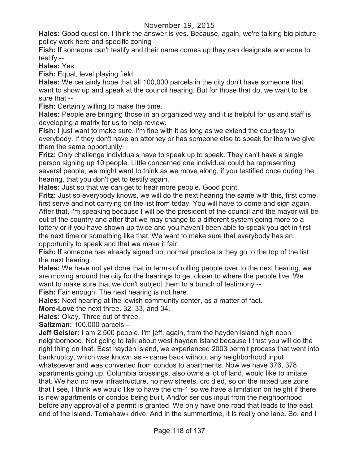**Hales:** Good question. I think the answer is yes. Because, again, we're talking big picture policy work here and specific zoning --

**Fish:** If someone can't testify and their name comes up they can designate someone to testify --

**Hales:** Yes.

**Fish:** Equal, level playing field.

**Hales:** We certainly hope that all 100,000 parcels in the city don't have someone that want to show up and speak at the council hearing. But for those that do, we want to be sure that --

**Fish:** Certainly willing to make the time.

**Hales:** People are bringing those in an organized way and it is helpful for us and staff is developing a matrix for us to help review.

**Fish:** I just want to make sure. I'm fine with it as long as we extend the courtesy to everybody. If they don't have an attorney or has someone else to speak for them we give them the same opportunity.

**Fritz:** Only challenge individuals have to speak up to speak. They can't have a single person signing up 10 people. Little concerned one individual could be representing several people, we might want to think as we move along, if you testified once during the hearing, that you don't get to testify again.

**Hales:** Just so that we can get to hear more people. Good point.

**Fritz:** Just so everybody knows, we will do the next hearing the same with this, first come, first serve and not carrying on the list from today. You will have to come and sign again. After that, i'm speaking because I will be the president of the council and the mayor will be out of the country and after that we may change to a different system going more to a lottery or if you have shown up twice and you haven't been able to speak you get in first the next time or something like that. We want to make sure that everybody has an opportunity to speak and that we make it fair.

**Fish:** If someone has already signed up, normal practice is they go to the top of the list the next hearing.

**Hales:** We have not yet done that in terms of rolling people over to the next hearing, we are moving around the city for the hearings to get closer to where the people live. We want to make sure that we don't subject them to a bunch of testimony --

**Fish:** Fair enough. The next hearing is not here.

**Hales:** Next hearing at the jewish community center, as a matter of fact.

**More-Love** the next three. 32, 33, and 34.

**Hales:** Okay. Three out of three.

**Saltzman:** 100,000 parcels --

**Jeff Geisler:** I am 2,500 people. I'm jeff, again, from the hayden island high noon neighborhood. Not going to talk about west hayden island because I trust you will do the right thing on that. East hayden island, we experienced 2003 permit process that went into bankruptcy, which was known as -- came back without any neighborhood input whatsoever and was converted from condos to apartments. Now we have 376, 378 apartments going up. Columbia crossings, also owns a lot of land, would like to imitate that. We had no new infrastructure, no new streets, crc died, so on the mixed use zone that I see, I think we would like to have the cm-1 so we have a limitation on height if there is new apartments or condos being built. And/or serious input from the neighborhood before any approval of a permit is granted. We only have one road that leads to the east end of the island. Tomahawk drive. And in the summertime, it is really one lane. So, and I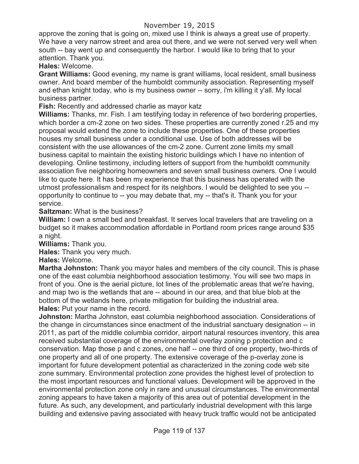approve the zoning that is going on, mixed use I think is always a great use of property. We have a very narrow street and area out there, and we were not served very well when south -- bay went up and consequently the harbor. I would like to bring that to your attention. Thank you.

**Hales:** Welcome.

**Grant Williams:** Good evening, my name is grant williams, local resident, small business owner. And board member of the humboldt community association. Representing myself and ethan knight today, who is my business owner -- sorry, i'm killing it y'all. My local business partner.

**Fish:** Recently and addressed charlie as mayor katz

**Williams:** Thanks, mr. Fish. I am testifying today in reference of two bordering properties, which border a cm-2 zone on two sides. These properties are currently zoned r.25 and my proposal would extend the zone to include these properties. One of these properties houses my small business under a conditional use. Use of both addresses will be consistent with the use allowances of the cm-2 zone. Current zone limits my small business capital to maintain the existing historic buildings which I have no intention of developing. Online testimony, including letters of support from the humboldt community association five neighboring homeowners and seven small business owners. One I would like to quote here. It has been my experience that this business has operated with the utmost professionalism and respect for its neighbors. I would be delighted to see you - opportunity to continue to -- you may debate that, my -- that's it. Thank you for your service.

#### **Saltzman:** What is the business?

**William:** I own a small bed and breakfast. It serves local travelers that are traveling on a budget so it makes accommodation affordable in Portland room prices range around \$35 a night.

**Williams:** Thank you.

**Hales:** Thank you very much.

**Hales:** Welcome.

**Martha Johnston:** Thank you mayor hales and members of the city council. This is phase one of the east columbia neighborhood association testimony. You will see two maps in front of you. One is the aerial picture, lot lines of the problematic areas that we're having, and map two is the wetlands that are -- abound in our area, and that blue blob at the bottom of the wetlands here, private mitigation for building the industrial area. **Hales:** Put your name in the record.

**Johnston:** Martha Johnston, east columbia neighborhood association. Considerations of the change in circumstances since enactment of the industrial sanctuary designation -- in 2011, as part of the middle columbia corridor, airport natural resources inventory, this area received substantial coverage of the environmental overlay zoning p protection and c conservation. Map those p and c zones, one half -- one third of one property, two-thirds of one property and all of one property. The extensive coverage of the p-overlay zone is important for future development potential as characterized in the zoning code web site zone summary. Environmental protection zone provides the highest level of protection to the most important resources and functional values. Development will be approved in the environmental protection zone only in rare and unusual circumstances. The environmental zoning appears to have taken a majority of this area out of potential development in the future. As such, any development, and particularly industrial development with this large building and extensive paving associated with heavy truck traffic would not be anticipated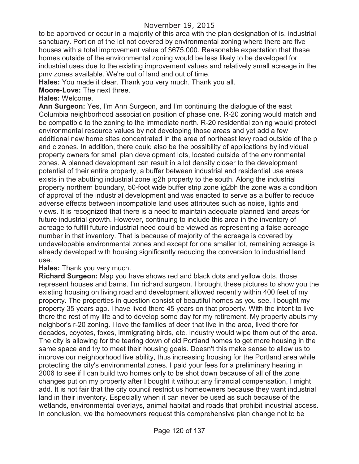to be approved or occur in a majority of this area with the plan designation of is, industrial sanctuary. Portion of the lot not covered by environmental zoning where there are five houses with a total improvement value of \$675,000. Reasonable expectation that these homes outside of the environmental zoning would be less likely to be developed for industrial uses due to the existing improvement values and relatively small acreage in the pmv zones available. We're out of land and out of time.

**Hales:** You made it clear. Thank you very much. Thank you all.

**Moore-Love:** The next three.

# **Hales:** Welcome.

**Ann Surgeon:** Yes, I'm Ann Surgeon, and I'm continuing the dialogue of the east Columbia neighborhood association position of phase one. R-20 zoning would match and be compatible to the zoning to the immediate north. R-20 residential zoning would protect environmental resource values by not developing those areas and yet add a few additional new home sites concentrated in the area of northeast levy road outside of the p and c zones. In addition, there could also be the possibility of applications by individual property owners for small plan development lots, located outside of the environmental zones. A planned development can result in a lot density closer to the development potential of their entire property, a buffer between industrial and residential use areas exists in the abutting industrial zone ig2h property to the south. Along the industrial property northern boundary, 50-foot wide buffer strip zone ig2bh the zone was a condition of approval of the industrial development and was enacted to serve as a buffer to reduce adverse effects between incompatible land uses attributes such as noise, lights and views. It is recognized that there is a need to maintain adequate planned land areas for future industrial growth. However, continuing to include this area in the inventory of acreage to fulfill future industrial need could be viewed as representing a false acreage number in that inventory. That is because of majority of the acreage is covered by undevelopable environmental zones and except for one smaller lot, remaining acreage is already developed with housing significantly reducing the conversion to industrial land use.

### **Hales:** Thank you very much.

**Richard Surgeon:** Map you have shows red and black dots and yellow dots, those represent houses and barns. I'm richard surgeon. I brought these pictures to show you the existing housing on living road and development allowed recently within 400 feet of my property. The properties in question consist of beautiful homes as you see. I bought my property 35 years ago. I have lived there 45 years on that property. With the intent to live there the rest of my life and to develop some day for my retirement. My property abuts my neighbor's r-20 zoning. I love the families of deer that live in the area, lived there for decades, coyotes, foxes, immigrating birds, etc. Industry would wipe them out of the area. The city is allowing for the tearing down of old Portland homes to get more housing in the same space and try to meet their housing goals. Doesn't this make sense to allow us to improve our neighborhood live ability, thus increasing housing for the Portland area while protecting the city's environmental zones. I paid your fees for a preliminary hearing in 2006 to see if I can build two homes only to be shot down because of all of the zone changes put on my property after I bought it without any financial compensation, I might add. It is not fair that the city council restrict us homeowners because they want industrial land in their inventory. Especially when it can never be used as such because of the wetlands, environmental overlays, animal habitat and roads that prohibit industrial access. In conclusion, we the homeowners request this comprehensive plan change not to be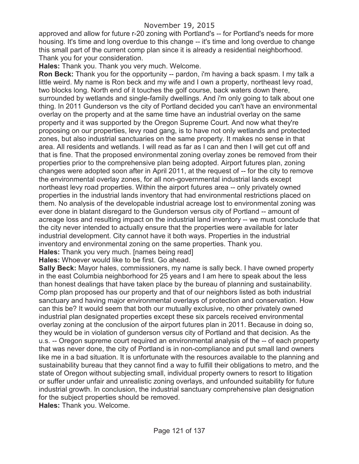approved and allow for future r-20 zoning with Portland's -- for Portland's needs for more housing. It's time and long overdue to this change -- it's time and long overdue to change this small part of the current comp plan since it is already a residential neighborhood. Thank you for your consideration.

**Hales:** Thank you. Thank you very much. Welcome.

**Ron Beck:** Thank you for the opportunity -- pardon, i'm having a back spasm. I my talk a little weird. My name is Ron beck and my wife and I own a property, northeast levy road, two blocks long. North end of it touches the golf course, back waters down there, surrounded by wetlands and single-family dwellings. And i'm only going to talk about one thing. In 2011 Gunderson vs the city of Portland decided you can't have an environmental overlay on the property and at the same time have an industrial overlay on the same property and it was supported by the Oregon Supreme Court. And now what they're proposing on our properties, levy road gang, is to have not only wetlands and protected zones, but also industrial sanctuaries on the same property. It makes no sense in that area. All residents and wetlands. I will read as far as I can and then I will get cut off and that is fine. That the proposed environmental zoning overlay zones be removed from their properties prior to the comprehensive plan being adopted. Airport futures plan, zoning changes were adopted soon after in April 2011, at the request of -- for the city to remove the environmental overlay zones, for all non-governmental industrial lands except northeast levy road properties. Within the airport futures area -- only privately owned properties in the industrial lands inventory that had environmental restrictions placed on them. No analysis of the developable industrial acreage lost to environmental zoning was ever done in blatant disregard to the Gunderson versus city of Portland -- amount of acreage loss and resulting impact on the industrial land inventory -- we must conclude that the city never intended to actually ensure that the properties were available for later industrial development. City cannot have it both ways. Properties in the industrial inventory and environmental zoning on the same properties. Thank you.

**Hales:** Thank you very much. Inames being read]

**Hales:** Whoever would like to be first. Go ahead.

**Sally Beck:** Mayor hales, commissioners, my name is sally beck. I have owned property in the east Columbia neighborhood for 25 years and I am here to speak about the less than honest dealings that have taken place by the bureau of planning and sustainability. Comp plan proposed has our property and that of our neighbors listed as both industrial sanctuary and having major environmental overlays of protection and conservation. How can this be? It would seem that both our mutually exclusive, no other privately owned industrial plan designated properties except these six parcels received environmental overlay zoning at the conclusion of the airport futures plan in 2011. Because in doing so, they would be in violation of gunderson versus city of Portland and that decision. As the u.s. -- Oregon supreme court required an environmental analysis of the -- of each property that was never done, the city of Portland is in non-compliance and put small land owners like me in a bad situation. It is unfortunate with the resources available to the planning and sustainability bureau that they cannot find a way to fulfill their obligations to metro, and the state of Oregon without subjecting small, individual property owners to resort to litigation or suffer under unfair and unrealistic zoning overlays, and unfounded suitability for future industrial growth. In conclusion, the industrial sanctuary comprehensive plan designation for the subject properties should be removed.

**Hales:** Thank you. Welcome.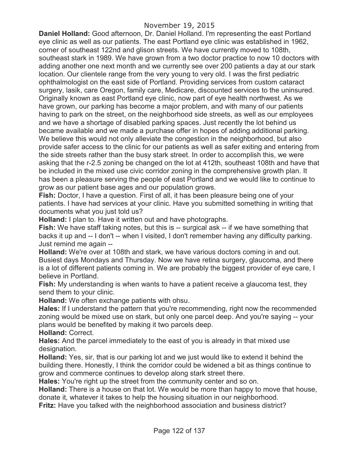**Daniel Holland:** Good afternoon, Dr. Daniel Holland. I'm representing the east Portland eye clinic as well as our patients. The east Portland eye clinic was established in 1962, corner of southeast 122nd and glison streets. We have currently moved to 108th, southeast stark in 1989. We have grown from a two doctor practice to now 10 doctors with adding another one next month and we currently see over 200 patients a day at our stark location. Our clientele range from the very young to very old. I was the first pediatric ophthalmologist on the east side of Portland. Providing services from custom cataract surgery, lasik, care Oregon, family care, Medicare, discounted services to the uninsured. Originally known as east Portland eye clinic, now part of eye health northwest. As we have grown, our parking has become a major problem, and with many of our patients having to park on the street, on the neighborhood side streets, as well as our employees and we have a shortage of disabled parking spaces. Just recently the lot behind us became available and we made a purchase offer in hopes of adding additional parking. We believe this would not only alleviate the congestion in the neighborhood, but also provide safer access to the clinic for our patients as well as safer exiting and entering from the side streets rather than the busy stark street. In order to accomplish this, we were asking that the r-2.5 zoning be changed on the lot at 412th, southeast 108th and have that be included in the mixed use civic corridor zoning in the comprehensive growth plan. It has been a pleasure serving the people of east Portland and we would like to continue to grow as our patient base ages and our population grows.

**Fish:** Doctor, I have a question. First of all, it has been pleasure being one of your patients. I have had services at your clinic. Have you submitted something in writing that documents what you just told us?

**Holland:** I plan to. Have it written out and have photographs.

**Fish:** We have staff taking notes, but this is -- surgical ask -- if we have something that backs it up and -- I don't -- when I visited, I don't remember having any difficulty parking. Just remind me again --

**Holland:** We're over at 108th and stark, we have various doctors coming in and out. Busiest days Mondays and Thursday. Now we have retina surgery, glaucoma, and there is a lot of different patients coming in. We are probably the biggest provider of eye care, I believe in Portland.

**Fish:** My understanding is when wants to have a patient receive a glaucoma test, they send them to your clinic.

**Holland:** We often exchange patients with ohsu.

**Hales:** If I understand the pattern that you're recommending, right now the recommended zoning would be mixed use on stark, but only one parcel deep. And you're saying -- your plans would be benefited by making it two parcels deep.

**Holland:** Correct.

**Hales:** And the parcel immediately to the east of you is already in that mixed use designation.

**Holland:** Yes, sir, that is our parking lot and we just would like to extend it behind the building there. Honestly, I think the corridor could be widened a bit as things continue to grow and commerce continues to develop along stark street there.

**Hales:** You're right up the street from the community center and so on.

**Holland:** There is a house on that lot. We would be more than happy to move that house, donate it, whatever it takes to help the housing situation in our neighborhood.

**Fritz:** Have you talked with the neighborhood association and business district?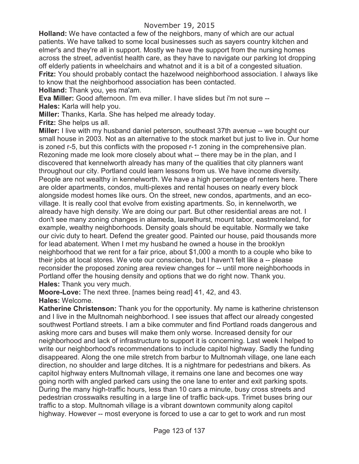**Holland:** We have contacted a few of the neighbors, many of which are our actual patients. We have talked to some local businesses such as sayers country kitchen and elmer's and they're all in support. Mostly we have the support from the nursing homes across the street, adventist health care, as they have to navigate our parking lot dropping off elderly patients in wheelchairs and whatnot and it is a bit of a congested situation. **Fritz:** You should probably contact the hazelwood neighborhood association. I always like to know that the neighborhood association has been contacted.

**Holland:** Thank you, yes ma'am.

**Eva Miller:** Good afternoon. I'm eva miller. I have slides but i'm not sure --

**Hales:** Karla will help you.

**Miller:** Thanks, Karla. She has helped me already today.

**Fritz:** She helps us all.

**Miller:** I live with my husband daniel peterson, southeast 37th avenue -- we bought our small house in 2003. Not as an alternative to the stock market but just to live in. Our home is zoned r-5, but this conflicts with the proposed r-1 zoning in the comprehensive plan. Rezoning made me look more closely about what -- there may be in the plan, and I discovered that kennelworth already has many of the qualities that city planners want throughout our city. Portland could learn lessons from us. We have income diversity. People are not wealthy in kennelworth. We have a high percentage of renters here. There are older apartments, condos, multi-plexes and rental houses on nearly every block alongside modest homes like ours. On the street, new condos, apartments, and an ecovillage. It is really cool that evolve from existing apartments. So, in kennelworth, we already have high density. We are doing our part. But other residential areas are not. I don't see many zoning changes in alameda, laurelhurst, mount tabor, eastmoreland, for example, wealthy neighborhoods. Density goals should be equitable. Normally we take our civic duty to heart. Defend the greater good. Painted our house, paid thousands more for lead abatement. When I met my husband he owned a house in the brooklyn neighborhood that we rent for a fair price, about \$1,000 a month to a couple who bike to their jobs at local stores. We vote our conscience, but I haven't felt like a -- please reconsider the proposed zoning area review changes for -- until more neighborhoods in Portland offer the housing density and options that we do right now. Thank you. **Hales:** Thank you very much.

**Moore-Love:** The next three. [names being read] 41, 42, and 43. **Hales:** Welcome.

**Katherine Christenson:** Thank you for the opportunity. My name is katherine christenson and I live in the Multnomah neighborhood. I see issues that affect our already congested southwest Portland streets. I am a bike commuter and find Portland roads dangerous and asking more cars and buses will make them only worse. Increased density for our neighborhood and lack of infrastructure to support it is concerning. Last week I helped to write our neighborhood's recommendations to include capitol highway. Sadly the funding disappeared. Along the one mile stretch from barbur to Multnomah village, one lane each direction, no shoulder and large ditches. It is a nightmare for pedestrians and bikers. As capitol highway enters Multnomah village, it remains one lane and becomes one way going north with angled parked cars using the one lane to enter and exit parking spots. During the many high-traffic hours, less than 10 cars a minute, busy cross streets and pedestrian crosswalks resulting in a large line of traffic back-ups. Trimet buses bring our traffic to a stop. Multnomah village is a vibrant downtown community along capitol highway. However -- most everyone is forced to use a car to get to work and run most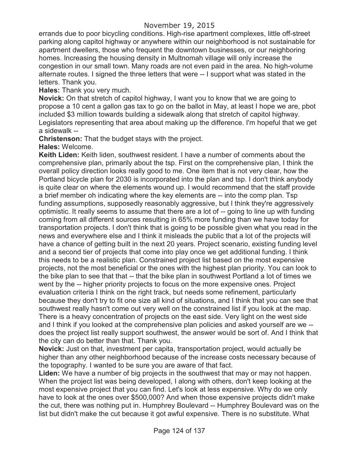errands due to poor bicycling conditions. High-rise apartment complexes, little off-street parking along capitol highway or anywhere within our neighborhood is not sustainable for apartment dwellers, those who frequent the downtown businesses, or our neighboring homes. Increasing the housing density in Multnomah village will only increase the congestion in our small town. Many roads are not even paid in the area. No high-volume alternate routes. I signed the three letters that were -- I support what was stated in the letters. Thank you.

**Hales:** Thank you very much.

**Novick:** On that stretch of capitol highway, I want you to know that we are going to propose a 10 cent a gallon gas tax to go on the ballot in May, at least I hope we are, pbot included \$3 million towards building a sidewalk along that stretch of capitol highway. Legislators representing that area about making up the difference. I'm hopeful that we get a sidewalk --

**Christenson:** That the budget stays with the project.

**Hales:** Welcome.

**Keith Liden:** Keith liden, southwest resident. I have a number of comments about the comprehensive plan, primarily about the tsp. First on the comprehensive plan, I think the overall policy direction looks really good to me. One item that is not very clear, how the Portland bicycle plan for 2030 is incorporated into the plan and tsp. I don't think anybody is quite clear on where the elements wound up. I would recommend that the staff provide a brief member oh indicating where the key elements are -- into the comp plan. Tsp funding assumptions, supposedly reasonably aggressive, but I think they're aggressively optimistic. It really seems to assume that there are a lot of -- going to line up with funding coming from all different sources resulting in 65% more funding than we have today for transportation projects. I don't think that is going to be possible given what you read in the news and everywhere else and I think it misleads the public that a lot of the projects will have a chance of getting built in the next 20 years. Project scenario, existing funding level and a second tier of projects that come into play once we get additional funding. I think this needs to be a realistic plan. Constrained project list based on the most expensive projects, not the most beneficial or the ones with the highest plan priority. You can look to the bike plan to see that that -- that the bike plan in southwest Portland a lot of times we went by the -- higher priority projects to focus on the more expensive ones. Project evaluation criteria I think on the right track, but needs some refinement, particularly because they don't try to fit one size all kind of situations, and I think that you can see that southwest really hasn't come out very well on the constrained list if you look at the map. There is a heavy concentration of projects on the east side. Very light on the west side and I think if you looked at the comprehensive plan policies and asked yourself are we - does the project list really support southwest, the answer would be sort of. And I think that the city can do better than that. Thank you.

**Novick:** Just on that, investment per capita, transportation project, would actually be higher than any other neighborhood because of the increase costs necessary because of the topography. I wanted to be sure you are aware of that fact.

**Liden:** We have a number of big projects in the southwest that may or may not happen. When the project list was being developed, I along with others, don't keep looking at the most expensive project that you can find. Let's look at less expensive. Why do we only have to look at the ones over \$500,000? And when those expensive projects didn't make the cut, there was nothing put in. Humphrey Boulevard -- Humphrey Boulevard was on the list but didn't make the cut because it got awful expensive. There is no substitute. What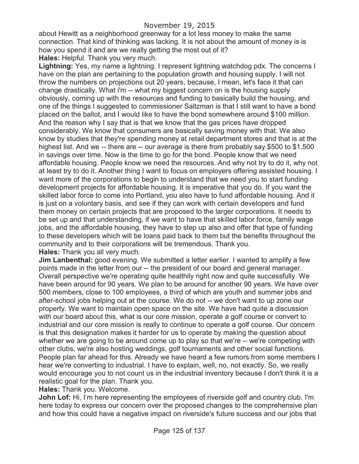about Hewitt as a neighborhood greenway for a lot less money to make the same connection. That kind of thinking was lacking. It is not about the amount of money is is how you spend it and are we really getting the most out of it?

**Hales:** Helpful. Thank you very much.

**Lightning:** Yes, my name a lightning. I represent lightning watchdog pdx. The concerns I have on the plan are pertaining to the population growth and housing supply. I will not throw the numbers on projections out 20 years, because, I mean, let's face it that can change drastically. What i'm -- what my biggest concern on is the housing supply obviously, coming up with the resources and funding to basically build the housing, and one of the things I suggested to commissioner Saltzman is that I still want to have a bond placed on the ballot, and I would like to have the bond somewhere around \$100 million. And the reason why I say that is that we know that the gas prices have dropped considerably. We know that consumers are basically saving money with that. We also know by studies that they're spending money at retail department stores and that is at the highest list. And we -- there are -- our average is there from probably say \$500 to \$1,500 in savings over time. Now is the time to go for the bond. People know that we need affordable housing. People know we need the resources. And why not try to do it, why not at least try to do it. Another thing I want to focus on employers offering assisted housing. I want more of the corporations to begin to understand that we need you to start funding development projects for affordable housing. It is imperative that you do. If you want the skilled labor force to come into Portland, you also have to fund affordable housing. And it is just on a voluntary basis, and see if they can work with certain developers and fund them money on certain projects that are proposed to the larger corporations. It needs to be set up and that understanding, if we want to have that skilled labor force, family wage jobs, and the affordable housing, they have to step up also and offer that type of funding to these developers which will be loans paid back to them but the benefits throughout the community and to their corporations will be tremendous. Thank you. **Hales:** Thank you all very much.

**Jim Lanbenthal:** good evening. We submitted a letter earlier. I wanted to amplify a few points made in the letter from our -- the president of our board and general manager. Overall perspective we're operating quite healthily right now and quite successfully. We have been around for 90 years. We plan to be around for another 90 years. We have over 500 members, close to 100 employees, a third of which are youth and summer jobs and after-school jobs helping out at the course. We do not -- we don't want to up zone our property. We want to maintain open space on the site. We have had quite a discussion with our board about this, what is our core mission, operate a golf course or convert to industrial and our core mission is really to continue to operate a golf course. Our concern is that this designation makes it harder for us to operate by making the question about whether we are going to be around come up to play so that we're -- we're competing with other clubs, we're also hosting weddings, golf tournaments and other social functions. People plan far ahead for this. Already we have heard a few rumors from some members I hear we're converting to industrial. I have to explain, well, no, not exactly. So, we really would encourage you to not count us in the industrial inventory because I don't think it is a realistic goal for the plan. Thank you.

**Hales:** Thank you. Welcome.

**John Lof:** Hi, I'm here representing the employees of riverside golf and country club. I'm here today to express our concern over the proposed changes to the comprehensive plan and how this could have a negative impact on riverside's future success and our jobs that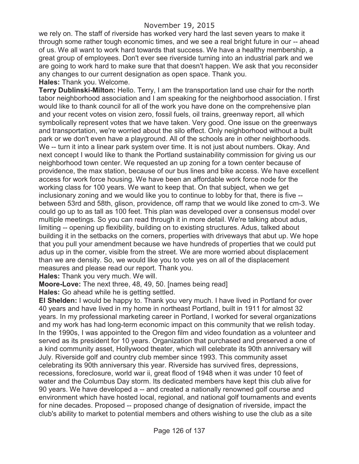we rely on. The staff of riverside has worked very hard the last seven years to make it through some rather tough economic times, and we see a real bright future in our -- ahead of us. We all want to work hard towards that success. We have a healthy membership, a great group of employees. Don't ever see riverside turning into an industrial park and we are going to work hard to make sure that that doesn't happen. We ask that you reconsider any changes to our current designation as open space. Thank you. **Hales:** Thank you. Welcome.

**Terry Dublinski-Milton:** Hello. Terry, I am the transportation land use chair for the north tabor neighborhood association and I am speaking for the neighborhood association. I first would like to thank council for all of the work you have done on the comprehensive plan and your recent votes on vision zero, fossil fuels, oil trains, greenway report, all which symbolically represent votes that we have taken. Very good. One issue on the greenways and transportation, we're worried about the silo effect. Only neighborhood without a built park or we don't even have a playground. All of the schools are in other neighborhoods. We -- turn it into a linear park system over time. It is not just about numbers. Okay. And next concept I would like to thank the Portland sustainability commission for giving us our neighborhood town center. We requested an up zoning for a town center because of providence, the max station, because of our bus lines and bike access. We have excellent access for work force housing. We have been an affordable work force node for the working class for 100 years. We want to keep that. On that subject, when we get inclusionary zoning and we would like you to continue to lobby for that, there is five - between 53rd and 58th, glison, providence, off ramp that we would like zoned to cm-3. We could go up to as tall as 100 feet. This plan was developed over a consensus model over multiple meetings. So you can read through it in more detail. We're talking about adus, limiting -- opening up flexibility, building on to existing structures. Adus, talked about building it in the setbacks on the corners, properties with driveways that abut up. We hope that you pull your amendment because we have hundreds of properties that we could put adus up in the corner, visible from the street. We are more worried about displacement than we are density. So, we would like you to vote yes on all of the displacement measures and please read our report. Thank you.

**Hales:** Thank you very much. We will.

**Moore-Love:** The next three, 48, 49, 50. [names being read]

**Hales:** Go ahead while he is getting settled.

**El Shelden:** I would be happy to. Thank you very much. I have lived in Portland for over 40 years and have lived in my home in northeast Portland, built in 1911 for almost 32 years. In my professional marketing career in Portland, I worked for several organizations and my work has had long-term economic impact on this community that we relish today. In the 1990s, I was appointed to the Oregon film and video foundation as a volunteer and served as its president for 10 years. Organization that purchased and preserved a one of a kind community asset, Hollywood theater, which will celebrate its 90th anniversary will July. Riverside golf and country club member since 1993. This community asset celebrating its 90th anniversary this year. Riverside has survived fires, depressions, recessions, foreclosure, world war ii, great flood of 1948 when it was under 10 feet of water and the Columbus Day storm. Its dedicated members have kept this club alive for 90 years. We have developed a -- and created a nationally renowned golf course and environment which have hosted local, regional, and national golf tournaments and events for nine decades. Proposed -- proposed change of designation of riverside, impact the club's ability to market to potential members and others wishing to use the club as a site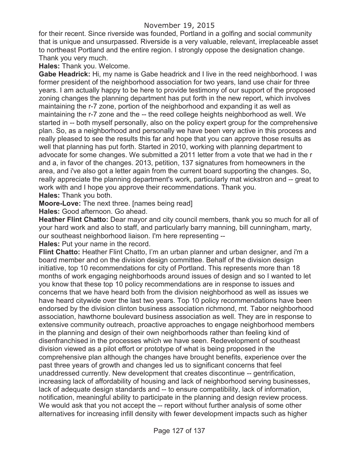# November 19, 2015

for their recent. Since riverside was founded, Portland in a golfing and social community that is unique and unsurpassed. Riverside is a very valuable, relevant, irreplaceable asset to northeast Portland and the entire region. I strongly oppose the designation change. Thank you very much.

**Hales:** Thank you. Welcome.

**Gabe Headrick:** Hi, my name is Gabe headrick and I live in the reed neighborhood. I was former president of the neighborhood association for two years, land use chair for three years. I am actually happy to be here to provide testimony of our support of the proposed zoning changes the planning department has put forth in the new report, which involves maintaining the r-7 zone, portion of the neighborhood and expanding it as well as maintaining the r-7 zone and the -- the reed college heights neighborhood as well. We started in -- both myself personally, also on the policy expert group for the comprehensive plan. So, as a neighborhood and personally we have been very active in this process and really pleased to see the results this far and hope that you can approve those results as well that planning has put forth. Started in 2010, working with planning department to advocate for some changes. We submitted a 2011 letter from a vote that we had in the r and a, in favor of the changes. 2013, petition, 137 signatures from homeowners in the area, and i've also got a letter again from the current board supporting the changes. So, really appreciate the planning department's work, particularly mat wickstron and -- great to work with and I hope you approve their recommendations. Thank you. **Hales:** Thank you both.

**Moore-Love:** The next three. [names being read]

**Hales:** Good afternoon. Go ahead.

**Heather Flint Chatto:** Dear mayor and city council members, thank you so much for all of your hard work and also to staff, and particularly barry manning, bill cunningham, marty, our southeast neighborhood liaison. I'm here representing --

**Hales:** Put your name in the record.

**Flint Chatto:** Heather Flint Chatto, I'm an urban planner and urban designer, and i'm a board member and on the division design committee. Behalf of the division design initiative, top 10 recommendations for city of Portland. This represents more than 18 months of work engaging neighborhoods around issues of design and so I wanted to let you know that these top 10 policy recommendations are in response to issues and concerns that we have heard both from the division neighborhood as well as issues we have heard citywide over the last two years. Top 10 policy recommendations have been endorsed by the division clinton business association richmond, mt. Tabor neighborhood association, hawthorne boulevard business association as well. They are in response to extensive community outreach, proactive approaches to engage neighborhood members in the planning and design of their own neighborhoods rather than feeling kind of disenfranchised in the processes which we have seen. Redevelopment of southeast division viewed as a pilot effort or prototype of what is being proposed in the comprehensive plan although the changes have brought benefits, experience over the past three years of growth and changes led us to significant concerns that feel unaddressed currently. New development that creates discontinue -- gentrification, increasing lack of affordability of housing and lack of neighborhood serving businesses, lack of adequate design standards and -- to ensure compatibility, lack of information, notification, meaningful ability to participate in the planning and design review process. We would ask that you not accept the -- report without further analysis of some other alternatives for increasing infill density with fewer development impacts such as higher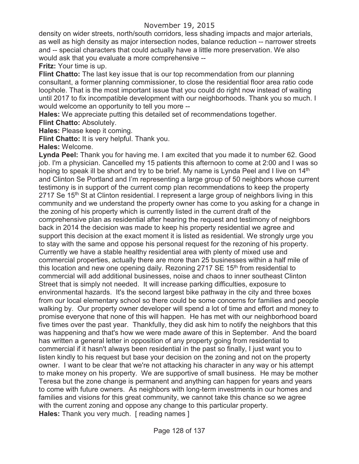density on wider streets, north/south corridors, less shading impacts and major arterials, as well as high density as major intersection nodes, balance reduction -- narrower streets and -- special characters that could actually have a little more preservation. We also would ask that you evaluate a more comprehensive --

**Fritz:** Your time is up.

**Flint Chatto:** The last key issue that is our top recommendation from our planning consultant, a former planning commissioner, to close the residential floor area ratio code loophole. That is the most important issue that you could do right now instead of waiting until 2017 to fix incompatible development with our neighborhoods. Thank you so much. I would welcome an opportunity to tell you more --

**Hales:** We appreciate putting this detailed set of recommendations together.

**Flint Chatto:** Absolutely.

**Hales:** Please keep it coming.

**Flint Chatto:** It is very helpful. Thank you.

**Hales:** Welcome.

**Lynda Peel:** Thank you for having me. I am excited that you made it to number 62. Good job. I'm a physician. Cancelled my 15 patients this afternoon to come at 2:00 and I was so hoping to speak ill be short and try to be brief. My name is Lynda Peel and I live on 14<sup>th</sup> and Clinton Se Portland and I'm representing a large group of 50 neighbors whose current testimony is in support of the current comp plan recommendations to keep the property 2717 Se 15<sup>th</sup> St at Clinton residential. I represent a large group of neighbors living in this community and we understand the property owner has come to you asking for a change in the zoning of his property which is currently listed in the current draft of the comprehensive plan as residential after hearing the request and testimony of neighbors back in 2014 the decision was made to keep his property residential we agree and support this decision at the exact moment it is listed as residential. We strongly urge you to stay with the same and oppose his personal request for the rezoning of his property. Currently we have a stable healthy residential area with plenty of mixed use and commercial properties, actually there are more than 25 businesses within a half mile of this location and new one opening daily. Rezoning 2717 SE 15<sup>th</sup> from residential to commercial will add additional businesses, noise and chaos to inner southeast Clinton Street that is simply not needed. It will increase parking difficulties, exposure to environmental hazards. It's the second largest bike pathway in the city and three boxes from our local elementary school so there could be some concerns for families and people walking by. Our property owner developer will spend a lot of time and effort and money to promise everyone that none of this will happen. He has met with our neighborhood board five times over the past year. Thankfully, they did ask him to notify the neighbors that this was happening and that's how we were made aware of this in September. And the board has written a general letter in opposition of any property going from residential to commercial if it hasn't always been residential in the past so finally, I just want you to listen kindly to his request but base your decision on the zoning and not on the property owner. I want to be clear that we're not attacking his character in any way or his attempt to make money on his property. We are supportive of small business. He may be mother Teresa but the zone change is permanent and anything can happen for years and years to come with future owners. As neighbors with long-term investments in our homes and families and visions for this great community, we cannot take this chance so we agree with the current zoning and oppose any change to this particular property. **Hales:** Thank you very much. [ reading names ]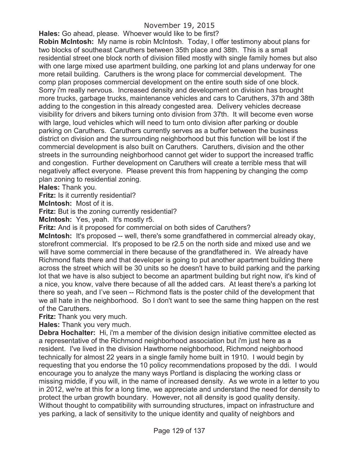# November 19, 2015

**Hales:** Go ahead, please. Whoever would like to be first?

**Robin McIntosh:** My name is robin McIntosh. Today, I offer testimony about plans for two blocks of southeast Caruthers between 35th place and 38th. This is a small residential street one block north of division filled mostly with single family homes but also with one large mixed use apartment building, one parking lot and plans underway for one more retail building. Caruthers is the wrong place for commercial development. The comp plan proposes commercial development on the entire south side of one block. Sorry i'm really nervous. Increased density and development on division has brought more trucks, garbage trucks, maintenance vehicles and cars to Caruthers, 37th and 38th adding to the congestion in this already congested area. Delivery vehicles decrease visibility for drivers and bikers turning onto division from 37th. It will become even worse with large, loud vehicles which will need to turn onto division after parking or double parking on Caruthers. Caruthers currently serves as a buffer between the business district on division and the surrounding neighborhood but this function will be lost if the commercial development is also built on Caruthers. Caruthers, division and the other streets in the surrounding neighborhood cannot get wider to support the increased traffic and congestion. Further development on Caruthers will create a terrible mess that will negatively affect everyone. Please prevent this from happening by changing the comp plan zoning to residential zoning.

**Hales:** Thank you.

**Fritz:** Is it currently residential?

**McIntosh:** Most of it is.

**Fritz:** But is the zoning currently residential?

**McIntosh:** Yes, yeah. It's mostly r5.

**Fritz:** And is it proposed for commercial on both sides of Caruthers?

**McIntosh:** It's proposed -- well, there's some grandfathered in commercial already okay, storefront commercial. It's proposed to be r2.5 on the north side and mixed use and we will have some commercial in there because of the grandfathered in. We already have Richmond flats there and that developer is going to put another apartment building there across the street which will be 30 units so he doesn't have to build parking and the parking lot that we have is also subject to become an apartment building but right now, it's kind of a nice, you know, valve there because of all the added cars. At least there's a parking lot there so yeah, and I've seen -- Richmond flats is the poster child of the development that we all hate in the neighborhood. So I don't want to see the same thing happen on the rest of the Caruthers.

**Fritz:** Thank you very much.

**Hales:** Thank you very much.

**Debra Hochalter:** Hi, i'm a member of the division design initiative committee elected as a representative of the Richmond neighborhood association but i'm just here as a resident. I've lived in the division Hawthorne neighborhood, Richmond neighborhood technically for almost 22 years in a single family home built in 1910. I would begin by requesting that you endorse the 10 policy recommendations proposed by the ddi. I would encourage you to analyze the many ways Portland is displacing the working class or missing middle, if you will, in the name of increased density. As we wrote in a letter to you in 2012, we're at this for a long time, we appreciate and understand the need for density to protect the urban growth boundary. However, not all density is good quality density. Without thought to compatibility with surrounding structures, impact on infrastructure and yes parking, a lack of sensitivity to the unique identity and quality of neighbors and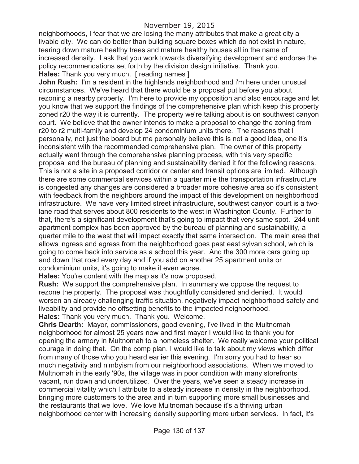neighborhoods, I fear that we are losing the many attributes that make a great city a livable city. We can do better than building square boxes which do not exist in nature, tearing down mature healthy trees and mature healthy houses all in the name of increased density. I ask that you work towards diversifying development and endorse the policy recommendations set forth by the division design initiative. Thank you. **Hales:** Thank you very much. [ reading names ]

**John Rush:** I'm a resident in the highlands neighborhood and i'm here under unusual circumstances. We've heard that there would be a proposal put before you about rezoning a nearby property. I'm here to provide my opposition and also encourage and let you know that we support the findings of the comprehensive plan which keep this property zoned r20 the way it is currently. The property we're talking about is on southwest canyon court. We believe that the owner intends to make a proposal to change the zoning from r20 to r2 multi-family and develop 24 condominium units there. The reasons that I personally, not just the board but me personally believe this is not a good idea, one it's inconsistent with the recommended comprehensive plan. The owner of this property actually went through the comprehensive planning process, with this very specific proposal and the bureau of planning and sustainability denied it for the following reasons. This is not a site in a proposed corridor or center and transit options are limited. Although there are some commercial services within a quarter mile the transportation infrastructure is congested any changes are considered a broader more cohesive area so it's consistent with feedback from the neighbors around the impact of this development on neighborhood infrastructure. We have very limited street infrastructure, southwest canyon court is a twolane road that serves about 800 residents to the west in Washington County. Further to that, there's a significant development that's going to impact that very same spot. 244 unit apartment complex has been approved by the bureau of planning and sustainability, a quarter mile to the west that will impact exactly that same intersection. The main area that allows ingress and egress from the neighborhood goes past east sylvan school, which is going to come back into service as a school this year. And the 300 more cars going up and down that road every day and if you add on another 25 apartment units or condominium units, it's going to make it even worse.

**Hales:** You're content with the map as it's now proposed.

**Rush:** We support the comprehensive plan. In summary we oppose the request to rezone the property. The proposal was thoughtfully considered and denied. It would worsen an already challenging traffic situation, negatively impact neighborhood safety and liveability and provide no offsetting benefits to the impacted neighborhood. **Hales:** Thank you very much. Thank you. Welcome.

**Chris Dearth:** Mayor, commissioners, good evening, i've lived in the Multnomah neighborhood for almost 25 years now and first mayor I would like to thank you for opening the armory in Multnomah to a homeless shelter. We really welcome your political courage in doing that. On the comp plan, I would like to talk about my views which differ from many of those who you heard earlier this evening. I'm sorry you had to hear so much negativity and nimbyism from our neighborhood associations. When we moved to Multnomah in the early '90s, the village was in poor condition with many storefronts vacant, run down and underutilized. Over the years, we've seen a steady increase in commercial vitality which I attribute to a steady increase in density in the neighborhood, bringing more customers to the area and in turn supporting more small businesses and the restaurants that we love. We love Multnomah because it's a thriving urban neighborhood center with increasing density supporting more urban services. In fact, it's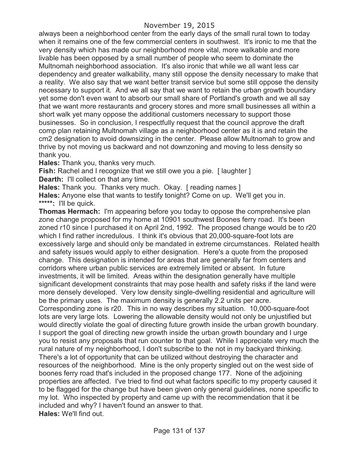### November 19, 2015

always been a neighborhood center from the early days of the small rural town to today when it remains one of the few commercial centers in southwest. It's ironic to me that the very density which has made our neighborhood more vital, more walkable and more livable has been opposed by a small number of people who seem to dominate the Multnomah neighborhood association. It's also ironic that while we all want less car dependency and greater walkability, many still oppose the density necessary to make that a reality. We also say that we want better transit service but some still oppose the density necessary to support it. And we all say that we want to retain the urban growth boundary yet some don't even want to absorb our small share of Portland's growth and we all say that we want more restaurants and grocery stores and more small businesses all within a short walk yet many oppose the additional customers necessary to support those businesses. So in conclusion, I respectfully request that the council approve the draft comp plan retaining Multnomah village as a neighborhood center as it is and retain the cm2 designation to avoid downsizing in the center. Please allow Multnomah to grow and thrive by not moving us backward and not downzoning and moving to less density so thank you.

**Hales:** Thank you, thanks very much.

**Fish:** Rachel and I recognize that we still owe you a pie. [ laughter ] **Dearth:** I'll collect on that any time.

Hales: Thank you. Thanks very much. Okay. [reading names]

**Hales:** Anyone else that wants to testify tonight? Come on up. We'll get you in. **\*\*\*\*\*:** I'll be quick.

**Thomas Hermach:** I'm appearing before you today to oppose the comprehensive plan zone change proposed for my home at 10901 southwest Boones ferry road. It's been zoned r10 since I purchased it on April 2nd, 1992. The proposed change would be to r20 which I find rather incredulous. I think it's obvious that 20,000-square-foot lots are excessively large and should only be mandated in extreme circumstances. Related health and safety issues would apply to either designation. Here's a quote from the proposed change. This designation is intended for areas that are generally far from centers and corridors where urban public services are extremely limited or absent. In future investments, it will be limited. Areas within the designation generally have multiple significant development constraints that may pose health and safety risks if the land were more densely developed. Very low density single-dwelling residential and agriculture will be the primary uses. The maximum density is generally 2.2 units per acre. Corresponding zone is r20. This in no way describes my situation. 10,000-square-foot lots are very large lots. Lowering the allowable density would not only be unjustified but would directly violate the goal of directing future growth inside the urban growth boundary. I support the goal of directing new growth inside the urban growth boundary and I urge you to resist any proposals that run counter to that goal. While I appreciate very much the rural nature of my neighborhood, I don't subscribe to the not in my backyard thinking. There's a lot of opportunity that can be utilized without destroying the character and resources of the neighborhood. Mine is the only property singled out on the west side of boones ferry road that's included in the proposed change 177. None of the adjoining properties are affected. I've tried to find out what factors specific to my property caused it to be flagged for the change but have been given only general guidelines, none specific to my lot. Who inspected by property and came up with the recommendation that it be included and why? I haven't found an answer to that. **Hales:** We'll find out.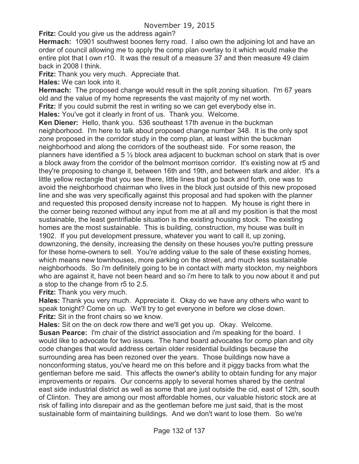**Fritz:** Could you give us the address again?

**Hermach:** 10901 southwest boones ferry road. I also own the adjoining lot and have an order of council allowing me to apply the comp plan overlay to it which would make the entire plot that I own r10. It was the result of a measure 37 and then measure 49 claim back in 2008 I think.

**Fritz:** Thank you very much. Appreciate that.

**Hales:** We can look into it.

**Hermach:** The proposed change would result in the split zoning situation. I'm 67 years old and the value of my home represents the vast majority of my net worth.

**Fritz:** If you could submit the rest in writing so we can get everybody else in.

**Hales:** You've got it clearly in front of us. Thank you. Welcome.

**Ken Diener:** Hello, thank you. 536 southeast 17th avenue in the buckman neighborhood. I'm here to talk about proposed change number 348. It is the only spot zone proposed in the corridor study in the comp plan, at least within the buckman neighborhood and along the corridors of the southeast side. For some reason, the planners have identified a 5 ½ block area adjacent to buckman school on stark that is over a block away from the corridor of the belmont morrison corridor. It's existing now at r5 and they're proposing to change it, between 16th and 19th, and between stark and alder. It's a little yellow rectangle that you see there, little lines that go back and forth, one was to avoid the neighborhood chairman who lives in the block just outside of this new proposed line and she was very specifically against this proposal and had spoken with the planner and requested this proposed density increase not to happen. My house is right there in the corner being rezoned without any input from me at all and my position is that the most sustainable, the least gentrifiable situation is the existing housing stock. The existing homes are the most sustainable. This is building, construction, my house was built in 1902. If you put development pressure, whatever you want to call it, up zoning, downzoning, the density, increasing the density on these houses you're putting pressure for these home-owners to sell. You're adding value to the sale of these existing homes, which means new townhouses, more parking on the street, and much less sustainable neighborhoods. So i'm definitely going to be in contact with marty stockton, my neighbors who are against it, have not been heard and so i'm here to talk to you now about it and put a stop to the change from r5 to 2.5.

**Fritz:** Thank you very much.

**Hales:** Thank you very much. Appreciate it. Okay do we have any others who want to speak tonight? Come on up. We'll try to get everyone in before we close down. **Fritz:** Sit in the front chairs so we know.

**Hales:** Sit on the on deck row there and we'll get you up. Okay. Welcome.

**Susan Pearce:** I'm chair of the district association and i'm speaking for the board. I would like to advocate for two issues. The hand board advocates for comp plan and city code changes that would address certain older residential buildings because the surrounding area has been rezoned over the years. Those buildings now have a nonconforming status, you've heard me on this before and it piggy backs from what the gentleman before me said. This affects the owner's ability to obtain funding for any major improvements or repairs. Our concerns apply to several homes shared by the central east side industrial district as well as some that are just outside the cid, east of 12th, south of Clinton. They are among our most affordable homes, our valuable historic stock are at risk of falling into disrepair and as the gentleman before me just said, that is the most sustainable form of maintaining buildings. And we don't want to lose them. So we're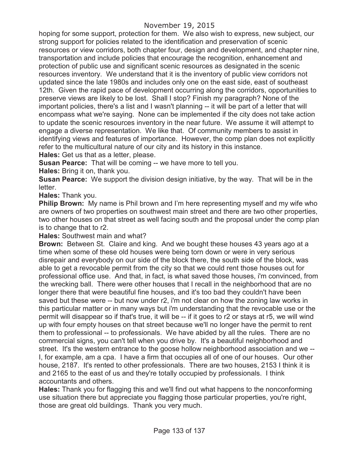hoping for some support, protection for them. We also wish to express, new subject, our strong support for policies related to the identification and preservation of scenic resources or view corridors, both chapter four, design and development, and chapter nine, transportation and include policies that encourage the recognition, enhancement and protection of public use and significant scenic resources as designated in the scenic resources inventory. We understand that it is the inventory of public view corridors not updated since the late 1980s and includes only one on the east side, east of southeast 12th. Given the rapid pace of development occurring along the corridors, opportunities to preserve views are likely to be lost. Shall I stop? Finish my paragraph? None of the important policies, there's a list and I wasn't planning -- it will be part of a letter that will encompass what we're saying. None can be implemented if the city does not take action to update the scenic resources inventory in the near future. We assume it will attempt to engage a diverse representation. We like that. Of community members to assist in identifying views and features of importance. However, the comp plan does not explicitly refer to the multicultural nature of our city and its history in this instance.

**Hales:** Get us that as a letter, please.

**Susan Pearce:** That will be coming -- we have more to tell you.

**Hales:** Bring it on, thank you.

**Susan Pearce:** We support the division design initiative, by the way. That will be in the letter.

**Hales:** Thank you.

**Philip Brown:** My name is Phil brown and I'm here representing myself and my wife who are owners of two properties on southwest main street and there are two other properties, two other houses on that street as well facing south and the proposal under the comp plan is to change that to r2.

**Hales:** Southwest main and what?

**Brown:** Between St. Claire and king. And we bought these houses 43 years ago at a time when some of these old houses were being torn down or were in very serious disrepair and everybody on our side of the block there, the south side of the block, was able to get a revocable permit from the city so that we could rent those houses out for professional office use. And that, in fact, is what saved those houses, i'm convinced, from the wrecking ball. There were other houses that I recall in the neighborhood that are no longer there that were beautiful fine houses, and it's too bad they couldn't have been saved but these were -- but now under r2, i'm not clear on how the zoning law works in this particular matter or in many ways but i'm understanding that the revocable use or the permit will disappear so if that's true, it will be -- if it goes to r2 or stays at r5, we will wind up with four empty houses on that street because we'll no longer have the permit to rent them to professional -- to professionals. We have abided by all the rules. There are no commercial signs, you can't tell when you drive by. It's a beautiful neighborhood and street. It's the western entrance to the goose hollow neighborhood association and we -- I, for example, am a cpa. I have a firm that occupies all of one of our houses. Our other house, 2187. It's rented to other professionals. There are two houses, 2153 I think it is and 2165 to the east of us and they're totally occupied by professionals. I think accountants and others.

**Hales:** Thank you for flagging this and we'll find out what happens to the nonconforming use situation there but appreciate you flagging those particular properties, you're right, those are great old buildings. Thank you very much.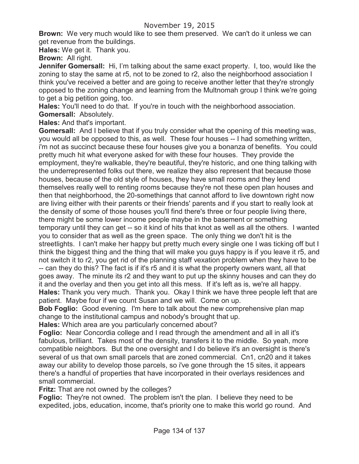**Brown:** We very much would like to see them preserved. We can't do it unless we can get revenue from the buildings.

**Hales:** We get it. Thank you.

**Brown:** All right.

**Jennifer Gomersall:** Hi, I'm talking about the same exact property. I, too, would like the zoning to stay the same at r5, not to be zoned to r2, also the neighborhood association I think you've received a better and are going to receive another letter that they're strongly opposed to the zoning change and learning from the Multnomah group I think we're going to get a big petition going, too.

**Hales:** You'll need to do that. If you're in touch with the neighborhood association. **Gomersall:** Absolutely.

**Hales:** And that's important.

**Gomersall:** And I believe that if you truly consider what the opening of this meeting was, you would all be opposed to this, as well. These four houses -- I had something written, i'm not as succinct because these four houses give you a bonanza of benefits. You could pretty much hit what everyone asked for with these four houses. They provide the employment, they're walkable, they're beautiful, they're historic, and one thing talking with the underrepresented folks out there, we realize they also represent that because those houses, because of the old style of houses, they have small rooms and they lend themselves really well to renting rooms because they're not these open plan houses and then that neighborhood, the 20-somethings that cannot afford to live downtown right now are living either with their parents or their friends' parents and if you start to really look at the density of some of those houses you'll find there's three or four people living there, there might be some lower income people maybe in the basement or something temporary until they can get -- so it kind of hits that knot as well as all the others. I wanted you to consider that as well as the green space. The only thing we don't hit is the streetlights. I can't make her happy but pretty much every single one I was ticking off but I think the biggest thing and the thing that will make you guys happy is if you leave it r5, and not switch it to r2, you get rid of the planning staff vexation problem when they have to be -- can they do this? The fact is if it's r5 and it is what the property owners want, all that goes away. The minute its r2 and they want to put up the skinny houses and can they do it and the overlay and then you get into all this mess. If it's left as is, we're all happy. **Hales:** Thank you very much. Thank you. Okay I think we have three people left that are patient. Maybe four if we count Susan and we will. Come on up.

**Bob Foglio:** Good evening. I'm here to talk about the new comprehensive plan map change to the institutional campus and nobody's brought that up.

**Hales:** Which area are you particularly concerned about?

**Foglio:** Near Concordia college and I read through the amendment and all in all it's fabulous, brilliant. Takes most of the density, transfers it to the middle. So yeah, more compatible neighbors. But the one oversight and I do believe it's an oversight is there's several of us that own small parcels that are zoned commercial. Cn1, cn20 and it takes away our ability to develop those parcels, so i've gone through the 15 sites, it appears there's a handful of properties that have incorporated in their overlays residences and small commercial.

**Fritz:** That are not owned by the colleges?

**Foglio:** They're not owned. The problem isn't the plan. I believe they need to be expedited, jobs, education, income, that's priority one to make this world go round. And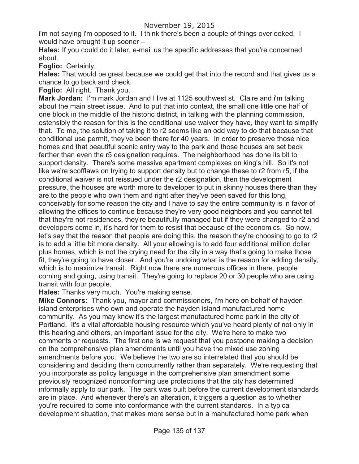i'm not saying i'm opposed to it. I think there's been a couple of things overlooked. I would have brought it up sooner --

**Hales:** If you could do it later, e-mail us the specific addresses that you're concerned about.

**Foglio:** Certainly.

**Hales:** That would be great because we could get that into the record and that gives us a chance to go back and check.

**Foglio:** All right. Thank you.

**Mark Jordan:** I'm mark Jordan and I live at 1125 southwest st. Claire and i'm talking about the main street issue. And to put that into context, the small one little one half of one block in the middle of the historic district, in talking with the planning commission, ostensibly the reason for this is the conditional use waiver they have, they want to simplify that. To me, the solution of taking it to r2 seems like an odd way to do that because that conditional use permit, they've been there for 40 years. In order to preserve those nice homes and that beautiful scenic entry way to the park and those houses are set back farther than even the r5 designation requires. The neighborhood has done its bit to support density. There's some massive apartment complexes on king's hill. So it's not like we're scofflaws on trying to support density but to change these to r2 from r5, if the conditional waiver is not reissued under the r2 designation, then the development pressure, the houses are worth more to developer to put in skinny houses there than they are to the people who own them and right after they've been saved for this long, conceivably for some reason the city and I have to say the entire community is in favor of allowing the offices to continue because they're very good neighbors and you cannot tell that they're not residences, they're beautifully managed but if they were changed to r2 and developers come in, it's hard for them to resist that because of the economics. So now, let's say that the reason that people are doing this, the reason they're choosing to go to r2 is to add a little bit more density. All your allowing is to add four additional million dollar plus homes, which is not the crying need for the city in a way that's going to make those fit, they're going to have closer. And you're undoing what is the reason for adding density, which is to maximize transit. Right now there are numerous offices in there, people coming and going, using transit. They're going to replace 20 or 30 people who are using transit with four people.

**Hales:** Thanks very much. You're making sense.

**Mike Connors:** Thank you, mayor and commissioners, i'm here on behalf of hayden island enterprises who own and operate the hayden island manufactured home community. As you may know it's the largest manufactured home park in the city of Portland. It's a vital affordable housing resource which you've heard plenty of not only in this hearing and others, an important issue for the city. We're here to make two comments or requests. The first one is we request that you postpone making a decision on the comprehensive plan amendments until you have the mixed use zoning amendments before you. We believe the two are so interrelated that you should be considering and deciding them concurrently rather than separately. We're requesting that you incorporate as policy language in the comprehensive plan amendment some previously recognized nonconforming use protections that the city has determined informally apply to our park. The park was built before the current development standards are in place. And whenever there's an alteration, it triggers a question as to whether you're required to come into conformance with the current standards. In a typical development situation, that makes more sense but in a manufactured home park when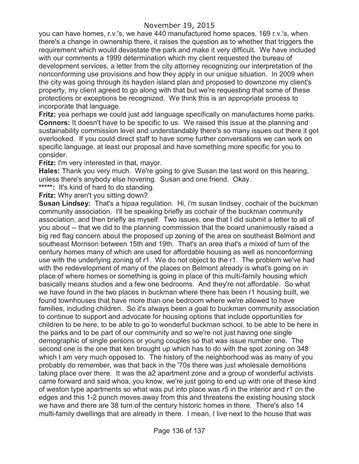you can have homes, r.v.'s, we have 440 manufactured home spaces, 169 r.v.'s, when there's a change in ownership there, it raises the question as to whether that triggers the requirement which would devastate the park and make it very difficult. We have included with our comments a 1999 determination which my client requested the bureau of development services, a letter from the city attorney recognizing our interpretation of the nonconforming use provisions and how they apply in our unique situation. In 2009 when the city was going through its hayden island plan and proposed to downzone my client's property, my client agreed to go along with that but we're requesting that some of these protections or exceptions be recognized. We think this is an appropriate process to incorporate that language.

**Fritz:** yea perhaps we could just add language specifically on manufactures home parks. **Connors:** It doesn't have to be specific to us. We raised this issue at the planning and sustainability commission level and understandably there's so many issues out there it got overlooked. If you could direct staff to have some further conversations we can work on specific language, at least our proposal and have something more specific for you to consider.

**Fritz:** I'm very interested in that, mayor.

**Hales:** Thank you very much. We're going to give Susan the last word on this hearing, unless there's anybody else hovering. Susan and one friend. Okay.

**\*\*\*\*\*:** It's kind of hard to do standing.

**Fritz:** Why aren't you sitting down?

**Susan Lindsey:** That's a hipaa regulation. Hi, i'm susan lindsey, cochair of the buckman community association. I'll be speaking briefly as cochair of the buckman community association, and then briefly as myself. Two issues, one that I did submit a letter to all of you about -- that we did to the planning commission that the board unanimously raised a big red flag concern about the proposed up zoning of the area on southeast Belmont and southeast Morrison between 15th and 19th. That's an area that's a mixed of turn of the century homes many of which are used for affordable housing as well as nonconforming use with the underlying zoning of r1. We do not object to the r1. The problem we've had with the redevelopment of many of the places on Belmont already is what's going on in place of where homes or something is going in place of this multi-family housing which basically means studios and a few one bedrooms. And they're not affordable. So what we have found in the two places in buckman where there has been r1 housing built, we found townhouses that have more than one bedroom where we're allowed to have families, including children. So it's always been a goal to buckman community association to continue to support and advocate for housing options that include opportunities for children to be here, to be able to go to wonderful buckman school, to be able to be here in the parks and to be part of our community and so we're not just having one single demographic of single persons or young couples so that was issue number one. The second one is the one that ken brought up which has to do with the spot zoning on 348 which I am very much opposed to. The history of the neighborhood was as many of you probably do remember, was that back in the '70s there was just wholesale demolitions taking place over there. It was the a2 apartment zone and a group of wonderful activists came forward and said whoa, you know, we're just going to end up with one of these kind of weston type apartments so what was put into place was r5 in the interior and r1 on the edges and this 1-2 punch moves away from this and threatens the existing housing stock we have and there are 38 turn of the century historic homes in there. There's also 14 multi-family dwellings that are already in there. I mean, I live next to the house that was